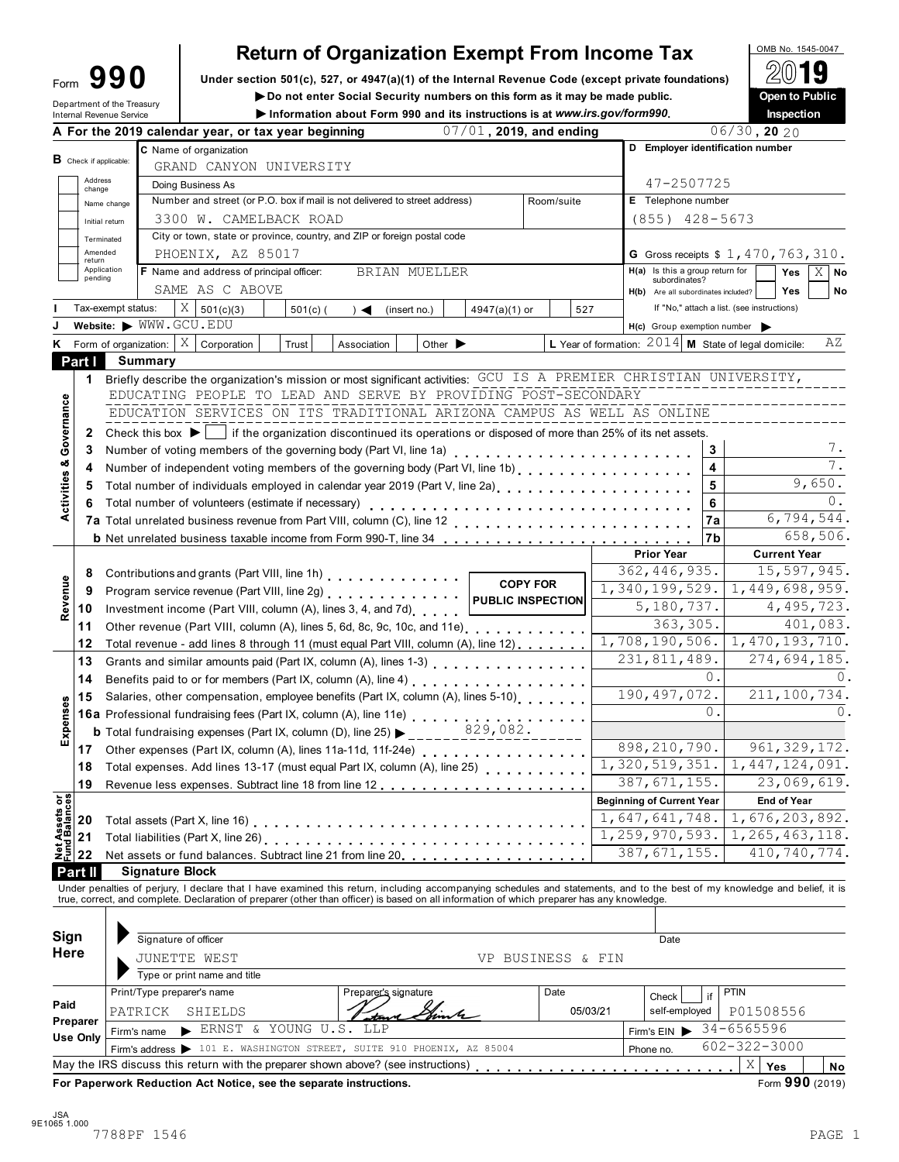| orm | 990 |  |
|-----|-----|--|
|     |     |  |

|                                                                                 |                                      |                              |                                                 | <b>Return of Organization Exempt From Income Tax</b>                                                                                                                                                                                                                                                                                                                                                                                                                                                                     |                            |            |                                                                                           | OMB No. 1545-0047<br>2019                                                                                                                                                                                                                                           |
|---------------------------------------------------------------------------------|--------------------------------------|------------------------------|-------------------------------------------------|--------------------------------------------------------------------------------------------------------------------------------------------------------------------------------------------------------------------------------------------------------------------------------------------------------------------------------------------------------------------------------------------------------------------------------------------------------------------------------------------------------------------------|----------------------------|------------|-------------------------------------------------------------------------------------------|---------------------------------------------------------------------------------------------------------------------------------------------------------------------------------------------------------------------------------------------------------------------|
| 990<br>Form<br>Department of the Treasury                                       |                                      |                              |                                                 | Under section 501(c), 527, or 4947(a)(1) of the Internal Revenue Code (except private foundations)<br>Do not enter Social Security numbers on this form as it may be made public.                                                                                                                                                                                                                                                                                                                                        |                            |            |                                                                                           | Open to Public                                                                                                                                                                                                                                                      |
| Internal Revenue Service<br>A For the 2019 calendar year, or tax year beginning |                                      |                              |                                                 | Information about Form 990 and its instructions is at www.irs.gov/form990.                                                                                                                                                                                                                                                                                                                                                                                                                                               | $07/01$ , 2019, and ending |            |                                                                                           | Inspection<br>$06/30$ , 20 20                                                                                                                                                                                                                                       |
| <b>B</b> Check if applicable:                                                   |                                      | C Name of organization       |                                                 |                                                                                                                                                                                                                                                                                                                                                                                                                                                                                                                          |                            |            | D Employer identification number                                                          |                                                                                                                                                                                                                                                                     |
| Address<br>change                                                               | Doing Business As                    |                              | GRAND CANYON UNIVERSITY                         |                                                                                                                                                                                                                                                                                                                                                                                                                                                                                                                          |                            |            | 47-2507725                                                                                |                                                                                                                                                                                                                                                                     |
| Name change<br>Initial return                                                   |                                      |                              | 3300 W. CAMELBACK ROAD                          | Number and street (or P.O. box if mail is not delivered to street address)                                                                                                                                                                                                                                                                                                                                                                                                                                               |                            | Room/suite | E Telephone number<br>$(855)$ 428-5673                                                    |                                                                                                                                                                                                                                                                     |
| Terminated<br>Amended                                                           |                                      | PHOENIX, AZ 85017            |                                                 | City or town, state or province, country, and ZIP or foreign postal code                                                                                                                                                                                                                                                                                                                                                                                                                                                 |                            |            |                                                                                           | G Gross receipts \$ 1, 470, 763, 310.                                                                                                                                                                                                                               |
| return<br>Application<br>pending                                                |                                      |                              | <b>F</b> Name and address of principal officer: | BRIAN MUELLER                                                                                                                                                                                                                                                                                                                                                                                                                                                                                                            |                            |            | $H(a)$ Is this a group return for<br>subordinates?                                        | $X \mid$ No<br>Yes                                                                                                                                                                                                                                                  |
| Tax-exempt status:                                                              | – X –                                | SAME AS C ABOVE<br>501(c)(3) | $501(c)$ (                                      | $\blacktriangleleft$ (insert no.)                                                                                                                                                                                                                                                                                                                                                                                                                                                                                        | $4947(a)(1)$ or            | 527        | H(b) Are all subordinates included?<br>If "No," attach a list. (see instructions)         | Yes<br>No                                                                                                                                                                                                                                                           |
| Website: $\triangleright$ WWW.GCU.EDU                                           |                                      |                              |                                                 |                                                                                                                                                                                                                                                                                                                                                                                                                                                                                                                          |                            |            | $H(c)$ Group exemption number                                                             |                                                                                                                                                                                                                                                                     |
| $K$ Form of organization:<br><b>Summary</b><br>Part I                           |                                      | $X$ Corporation              | Trust                                           | Other $\blacktriangleright$<br>Association                                                                                                                                                                                                                                                                                                                                                                                                                                                                               |                            |            | <b>L</b> Year of formation: $2014$ <b>M</b> State of legal domicile:                      | ΑZ                                                                                                                                                                                                                                                                  |
| ശ<br>ಜ<br>5                                                                     |                                      |                              |                                                 | Number of independent voting members of the governing body (Part VI, line 1b)<br>Total number of individuals employed in calendar year 2019 (Part V, line 2a).                                                                                                                                                                                                                                                                                                                                                           |                            |            | $\vert$ 3<br>$\overline{\mathbf{4}}$<br>6<br><b>Prior Year</b>                            | 7.<br>$\overline{7}$ .<br>9,650.<br>$\overline{0}$ .<br>6,794,544.<br>658,506.<br><b>Current Year</b>                                                                                                                                                               |
| 8<br>9<br><b>Rev</b><br>11<br>12 <sup>1</sup>                                   |                                      |                              |                                                 | Contributions and grants (Part VIII, line 1h) [<br>Program service revenue (Part VIII, line 2g)<br>Program Service revenue (Part VIII, line 2g)<br>10 Investment income (Part VIII, column (A), lines 3, 4, and 7d)<br>Other revenue (Part VIII, column (A), lines 5, 6d, 8c, 9c, 10c, and 11e).<br>Total revenue - add lines 8 through 11 (must equal Part VIII, column (A), line 12) $\boxed{1, 708, 190, 506}$ .<br>13 Grants and similar amounts paid (Part IX, column (A), lines 1-3) $\ldots \ldots \ldots \ldots$ | COPY FOR                   |            | 362, 446, 935.<br>1,340,199,529.<br>$\overline{5,180}$ , 737.<br>363,305.<br>231,811,489. | 15,597,945.<br>1,449,698,959.<br>4,495,723.<br>401,083.<br>$\overline{1,470,193,710}$ .<br>274,694,185.                                                                                                                                                             |
| 14<br>ဦ<br>囚                                                                    |                                      |                              |                                                 | 15 Salaries, other compensation, employee benefits (Part IX, column (A), lines 5-10)<br><b>16a</b> Professional fundraising fees (Part IX, column (A), line 11e) ...............                                                                                                                                                                                                                                                                                                                                         |                            |            | $0$ .<br>190, 497, 072.<br>$\overline{0}$ .<br>898, 210, 790.                             | $0$ .<br>211,100,734.<br>$\Omega$ .<br>961, 329, 172.                                                                                                                                                                                                               |
| 18<br>sets or                                                                   |                                      |                              |                                                 | Total expenses. Add lines 13-17 (must equal Part IX, column (A), line 25) $\ldots \ldots \ldots \boxed{1,320,519,351.}$<br>$\vert$ 20 $\vert$ Total assets (Part X, line 16) $\vert$ , $\vert$ , $\vert$ , $\vert$ , $\vert$ , $\vert$ , $\vert$ , $\vert$ , $\vert$ , $\vert$ , $\vert$ . $\vert$ , $\vert$ , $\vert$ . $\vert$ , $\vert$ , $\vert$ . $\vert$ , $\vert$ . $\vert$ , $\vert$ . $\vert$ , $\vert$ , $\vert$ . $\vert$ , $\$                                                                               |                            |            | 387, 671, 155.<br><b>Beginning of Current Year</b>                                        | 1, 447, 124, 091.<br>23,069,619.<br><b>End of Year</b><br>1,676,203,892.                                                                                                                                                                                            |
|                                                                                 |                                      |                              |                                                 | Total liabilities (Part X, line 26) $\ldots \ldots \ldots \ldots \ldots \ldots \ldots \ldots \ldots \ldots \ldots \frac{1,259,970,593.$                                                                                                                                                                                                                                                                                                                                                                                  |                            |            | 387, 671, 155.                                                                            | 1,265,463,118.<br>410,740,774.<br>Under penalties of perjury, I declare that I have examined this return, including accompanying schedules and statements, and to the best of my knowledge and belief, it is<br>true, correct, and complete. Declaration of prepare |
| الة≸<br>ال=<br>21<br>$2\overline{2}$ 22<br>Part II                              | <b>Signature Block</b>               |                              |                                                 |                                                                                                                                                                                                                                                                                                                                                                                                                                                                                                                          |                            |            |                                                                                           |                                                                                                                                                                                                                                                                     |
| Sign<br><b>Here</b>                                                             | Signature of officer<br>JUNETTE WEST |                              |                                                 |                                                                                                                                                                                                                                                                                                                                                                                                                                                                                                                          | VP BUSINESS & FIN          |            | Date                                                                                      |                                                                                                                                                                                                                                                                     |
| Print/Type preparer's name                                                      |                                      | Type or print name and title |                                                 | Preparer's signature                                                                                                                                                                                                                                                                                                                                                                                                                                                                                                     |                            | Date       | $\overline{f}$ PTIN<br>Check                                                              |                                                                                                                                                                                                                                                                     |
| Paid<br>PATRICK SHIELDS<br>Preparer<br>Firm's name<br><b>Use Only</b>           |                                      |                              | ERNST & YOUNG U.S. LLP                          |                                                                                                                                                                                                                                                                                                                                                                                                                                                                                                                          |                            | 05/03/21   | self-employed<br>Firm's EIN $\triangleright$ 34-6565596                                   | P01508556                                                                                                                                                                                                                                                           |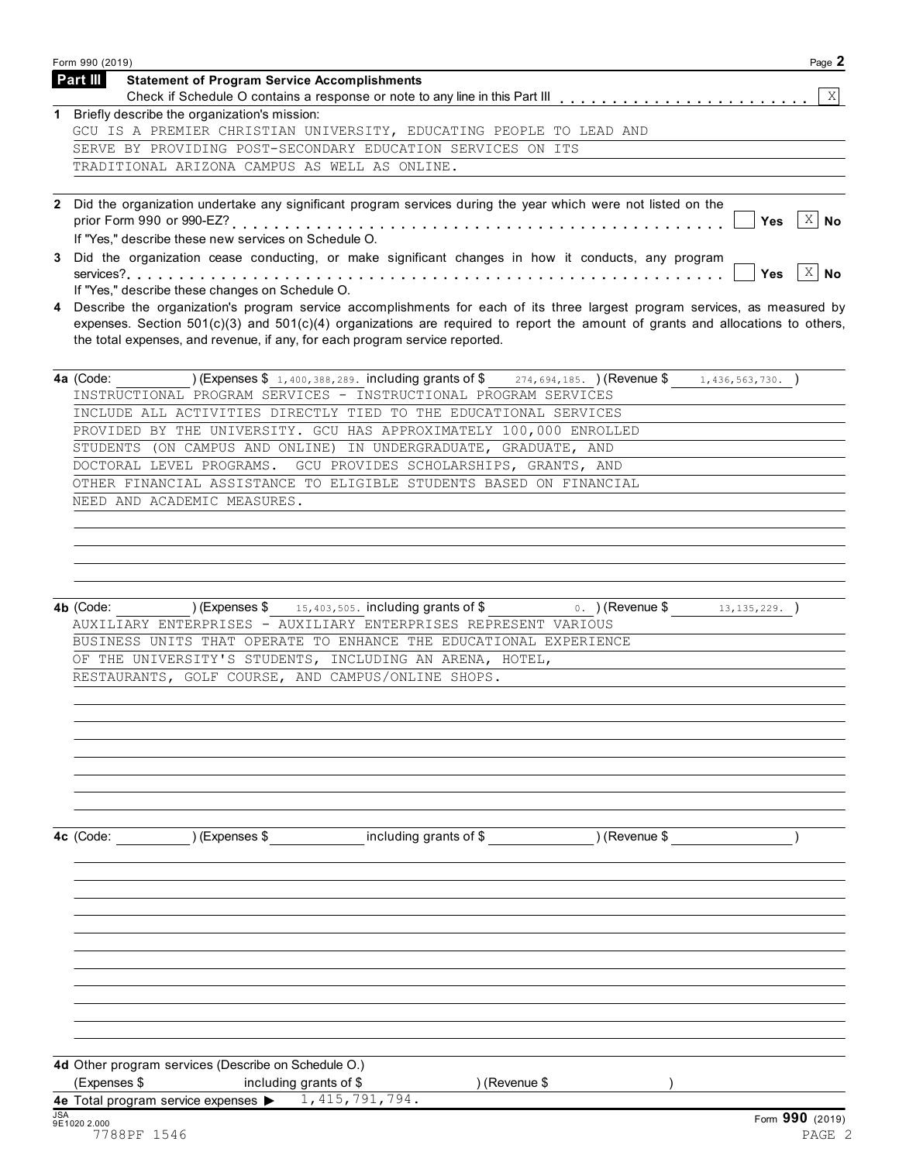| Form 990 (2019)<br>Part III<br><b>Statement of Program Service Accomplishments</b><br>Briefly describe the organization's mission:<br>$\mathbf{1}$<br>GCU IS A PREMIER CHRISTIAN UNIVERSITY, EDUCATING PEOPLE TO LEAD AND<br>SERVE BY PROVIDING POST-SECONDARY EDUCATION SERVICES ON ITS<br>TRADITIONAL ARIZONA CAMPUS AS WELL AS ONLINE.<br>2 Did the organization undertake any significant program services during the year which were not listed on the<br>If "Yes," describe these new services on Schedule O.<br>3 Did the organization cease conducting, or make significant changes in how it conducts, any program<br>Yes<br>If "Yes," describe these changes on Schedule O.<br>the total expenses, and revenue, if any, for each program service reported.<br>) (Expenses \$ 1,400,388,289. including grants of \$ 274,694,185. ) (Revenue \$ 1,436,563,730.<br>4a (Code:<br>INSTRUCTIONAL PROGRAM SERVICES - INSTRUCTIONAL PROGRAM SERVICES<br>INCLUDE ALL ACTIVITIES DIRECTLY TIED TO THE EDUCATIONAL SERVICES<br>PROVIDED BY THE UNIVERSITY. GCU HAS APPROXIMATELY 100,000 ENROLLED<br>STUDENTS (ON CAMPUS AND ONLINE) IN UNDERGRADUATE, GRADUATE, AND<br>DOCTORAL LEVEL PROGRAMS. GCU PROVIDES SCHOLARSHIPS, GRANTS, AND<br>OTHER FINANCIAL ASSISTANCE TO ELIGIBLE STUDENTS BASED ON FINANCIAL<br>NEED AND ACADEMIC MEASURES.<br>) (Expenses \$15,403,505. including grants of \$<br>4b (Code:<br>$0.$ ) (Revenue \$<br>13, 135, 229.<br>AUXILIARY ENTERPRISES - AUXILIARY ENTERPRISES REPRESENT VARIOUS<br>BUSINESS UNITS THAT OPERATE TO ENHANCE THE EDUCATIONAL EXPERIENCE<br>OF THE UNIVERSITY'S STUDENTS, INCLUDING AN ARENA, HOTEL,<br>RESTAURANTS, GOLF COURSE, AND CAMPUS/ONLINE SHOPS.<br>including grants of \$<br>4c (Code:<br>) (Expenses \$<br>) (Revenue \$<br>4d Other program services (Describe on Schedule O.)<br>(Expenses \$<br>including grants of \$<br>) (Revenue \$<br>1, 415, 791, 794.<br>4e Total program service expenses ><br>JSA<br>9E1020 2.000<br>7788 PF 1546 |  |        |
|--------------------------------------------------------------------------------------------------------------------------------------------------------------------------------------------------------------------------------------------------------------------------------------------------------------------------------------------------------------------------------------------------------------------------------------------------------------------------------------------------------------------------------------------------------------------------------------------------------------------------------------------------------------------------------------------------------------------------------------------------------------------------------------------------------------------------------------------------------------------------------------------------------------------------------------------------------------------------------------------------------------------------------------------------------------------------------------------------------------------------------------------------------------------------------------------------------------------------------------------------------------------------------------------------------------------------------------------------------------------------------------------------------------------------------------------------------------------------------------------------------------------------------------------------------------------------------------------------------------------------------------------------------------------------------------------------------------------------------------------------------------------------------------------------------------------------------------------------------------------------------------------------------------------------------------------------------------------------------------------------------------|--|--------|
| Page 2                                                                                                                                                                                                                                                                                                                                                                                                                                                                                                                                                                                                                                                                                                                                                                                                                                                                                                                                                                                                                                                                                                                                                                                                                                                                                                                                                                                                                                                                                                                                                                                                                                                                                                                                                                                                                                                                                                                                                                                                       |  |        |
| $\overline{X}$<br>Yes $ X $ No<br>$\vert$ $\mathbb{X}$ $\vert$ No<br>4 Describe the organization's program service accomplishments for each of its three largest program services, as measured by<br>expenses. Section $501(c)(3)$ and $501(c)(4)$ organizations are required to report the amount of grants and allocations to others,<br>Form 990 (2019)                                                                                                                                                                                                                                                                                                                                                                                                                                                                                                                                                                                                                                                                                                                                                                                                                                                                                                                                                                                                                                                                                                                                                                                                                                                                                                                                                                                                                                                                                                                                                                                                                                                   |  |        |
|                                                                                                                                                                                                                                                                                                                                                                                                                                                                                                                                                                                                                                                                                                                                                                                                                                                                                                                                                                                                                                                                                                                                                                                                                                                                                                                                                                                                                                                                                                                                                                                                                                                                                                                                                                                                                                                                                                                                                                                                              |  |        |
|                                                                                                                                                                                                                                                                                                                                                                                                                                                                                                                                                                                                                                                                                                                                                                                                                                                                                                                                                                                                                                                                                                                                                                                                                                                                                                                                                                                                                                                                                                                                                                                                                                                                                                                                                                                                                                                                                                                                                                                                              |  |        |
|                                                                                                                                                                                                                                                                                                                                                                                                                                                                                                                                                                                                                                                                                                                                                                                                                                                                                                                                                                                                                                                                                                                                                                                                                                                                                                                                                                                                                                                                                                                                                                                                                                                                                                                                                                                                                                                                                                                                                                                                              |  |        |
|                                                                                                                                                                                                                                                                                                                                                                                                                                                                                                                                                                                                                                                                                                                                                                                                                                                                                                                                                                                                                                                                                                                                                                                                                                                                                                                                                                                                                                                                                                                                                                                                                                                                                                                                                                                                                                                                                                                                                                                                              |  |        |
|                                                                                                                                                                                                                                                                                                                                                                                                                                                                                                                                                                                                                                                                                                                                                                                                                                                                                                                                                                                                                                                                                                                                                                                                                                                                                                                                                                                                                                                                                                                                                                                                                                                                                                                                                                                                                                                                                                                                                                                                              |  |        |
|                                                                                                                                                                                                                                                                                                                                                                                                                                                                                                                                                                                                                                                                                                                                                                                                                                                                                                                                                                                                                                                                                                                                                                                                                                                                                                                                                                                                                                                                                                                                                                                                                                                                                                                                                                                                                                                                                                                                                                                                              |  |        |
|                                                                                                                                                                                                                                                                                                                                                                                                                                                                                                                                                                                                                                                                                                                                                                                                                                                                                                                                                                                                                                                                                                                                                                                                                                                                                                                                                                                                                                                                                                                                                                                                                                                                                                                                                                                                                                                                                                                                                                                                              |  |        |
|                                                                                                                                                                                                                                                                                                                                                                                                                                                                                                                                                                                                                                                                                                                                                                                                                                                                                                                                                                                                                                                                                                                                                                                                                                                                                                                                                                                                                                                                                                                                                                                                                                                                                                                                                                                                                                                                                                                                                                                                              |  |        |
|                                                                                                                                                                                                                                                                                                                                                                                                                                                                                                                                                                                                                                                                                                                                                                                                                                                                                                                                                                                                                                                                                                                                                                                                                                                                                                                                                                                                                                                                                                                                                                                                                                                                                                                                                                                                                                                                                                                                                                                                              |  |        |
|                                                                                                                                                                                                                                                                                                                                                                                                                                                                                                                                                                                                                                                                                                                                                                                                                                                                                                                                                                                                                                                                                                                                                                                                                                                                                                                                                                                                                                                                                                                                                                                                                                                                                                                                                                                                                                                                                                                                                                                                              |  |        |
|                                                                                                                                                                                                                                                                                                                                                                                                                                                                                                                                                                                                                                                                                                                                                                                                                                                                                                                                                                                                                                                                                                                                                                                                                                                                                                                                                                                                                                                                                                                                                                                                                                                                                                                                                                                                                                                                                                                                                                                                              |  |        |
|                                                                                                                                                                                                                                                                                                                                                                                                                                                                                                                                                                                                                                                                                                                                                                                                                                                                                                                                                                                                                                                                                                                                                                                                                                                                                                                                                                                                                                                                                                                                                                                                                                                                                                                                                                                                                                                                                                                                                                                                              |  |        |
|                                                                                                                                                                                                                                                                                                                                                                                                                                                                                                                                                                                                                                                                                                                                                                                                                                                                                                                                                                                                                                                                                                                                                                                                                                                                                                                                                                                                                                                                                                                                                                                                                                                                                                                                                                                                                                                                                                                                                                                                              |  |        |
|                                                                                                                                                                                                                                                                                                                                                                                                                                                                                                                                                                                                                                                                                                                                                                                                                                                                                                                                                                                                                                                                                                                                                                                                                                                                                                                                                                                                                                                                                                                                                                                                                                                                                                                                                                                                                                                                                                                                                                                                              |  |        |
|                                                                                                                                                                                                                                                                                                                                                                                                                                                                                                                                                                                                                                                                                                                                                                                                                                                                                                                                                                                                                                                                                                                                                                                                                                                                                                                                                                                                                                                                                                                                                                                                                                                                                                                                                                                                                                                                                                                                                                                                              |  |        |
|                                                                                                                                                                                                                                                                                                                                                                                                                                                                                                                                                                                                                                                                                                                                                                                                                                                                                                                                                                                                                                                                                                                                                                                                                                                                                                                                                                                                                                                                                                                                                                                                                                                                                                                                                                                                                                                                                                                                                                                                              |  |        |
|                                                                                                                                                                                                                                                                                                                                                                                                                                                                                                                                                                                                                                                                                                                                                                                                                                                                                                                                                                                                                                                                                                                                                                                                                                                                                                                                                                                                                                                                                                                                                                                                                                                                                                                                                                                                                                                                                                                                                                                                              |  |        |
|                                                                                                                                                                                                                                                                                                                                                                                                                                                                                                                                                                                                                                                                                                                                                                                                                                                                                                                                                                                                                                                                                                                                                                                                                                                                                                                                                                                                                                                                                                                                                                                                                                                                                                                                                                                                                                                                                                                                                                                                              |  |        |
|                                                                                                                                                                                                                                                                                                                                                                                                                                                                                                                                                                                                                                                                                                                                                                                                                                                                                                                                                                                                                                                                                                                                                                                                                                                                                                                                                                                                                                                                                                                                                                                                                                                                                                                                                                                                                                                                                                                                                                                                              |  |        |
|                                                                                                                                                                                                                                                                                                                                                                                                                                                                                                                                                                                                                                                                                                                                                                                                                                                                                                                                                                                                                                                                                                                                                                                                                                                                                                                                                                                                                                                                                                                                                                                                                                                                                                                                                                                                                                                                                                                                                                                                              |  |        |
|                                                                                                                                                                                                                                                                                                                                                                                                                                                                                                                                                                                                                                                                                                                                                                                                                                                                                                                                                                                                                                                                                                                                                                                                                                                                                                                                                                                                                                                                                                                                                                                                                                                                                                                                                                                                                                                                                                                                                                                                              |  |        |
|                                                                                                                                                                                                                                                                                                                                                                                                                                                                                                                                                                                                                                                                                                                                                                                                                                                                                                                                                                                                                                                                                                                                                                                                                                                                                                                                                                                                                                                                                                                                                                                                                                                                                                                                                                                                                                                                                                                                                                                                              |  |        |
|                                                                                                                                                                                                                                                                                                                                                                                                                                                                                                                                                                                                                                                                                                                                                                                                                                                                                                                                                                                                                                                                                                                                                                                                                                                                                                                                                                                                                                                                                                                                                                                                                                                                                                                                                                                                                                                                                                                                                                                                              |  |        |
|                                                                                                                                                                                                                                                                                                                                                                                                                                                                                                                                                                                                                                                                                                                                                                                                                                                                                                                                                                                                                                                                                                                                                                                                                                                                                                                                                                                                                                                                                                                                                                                                                                                                                                                                                                                                                                                                                                                                                                                                              |  |        |
|                                                                                                                                                                                                                                                                                                                                                                                                                                                                                                                                                                                                                                                                                                                                                                                                                                                                                                                                                                                                                                                                                                                                                                                                                                                                                                                                                                                                                                                                                                                                                                                                                                                                                                                                                                                                                                                                                                                                                                                                              |  |        |
|                                                                                                                                                                                                                                                                                                                                                                                                                                                                                                                                                                                                                                                                                                                                                                                                                                                                                                                                                                                                                                                                                                                                                                                                                                                                                                                                                                                                                                                                                                                                                                                                                                                                                                                                                                                                                                                                                                                                                                                                              |  |        |
|                                                                                                                                                                                                                                                                                                                                                                                                                                                                                                                                                                                                                                                                                                                                                                                                                                                                                                                                                                                                                                                                                                                                                                                                                                                                                                                                                                                                                                                                                                                                                                                                                                                                                                                                                                                                                                                                                                                                                                                                              |  |        |
|                                                                                                                                                                                                                                                                                                                                                                                                                                                                                                                                                                                                                                                                                                                                                                                                                                                                                                                                                                                                                                                                                                                                                                                                                                                                                                                                                                                                                                                                                                                                                                                                                                                                                                                                                                                                                                                                                                                                                                                                              |  |        |
|                                                                                                                                                                                                                                                                                                                                                                                                                                                                                                                                                                                                                                                                                                                                                                                                                                                                                                                                                                                                                                                                                                                                                                                                                                                                                                                                                                                                                                                                                                                                                                                                                                                                                                                                                                                                                                                                                                                                                                                                              |  |        |
|                                                                                                                                                                                                                                                                                                                                                                                                                                                                                                                                                                                                                                                                                                                                                                                                                                                                                                                                                                                                                                                                                                                                                                                                                                                                                                                                                                                                                                                                                                                                                                                                                                                                                                                                                                                                                                                                                                                                                                                                              |  |        |
|                                                                                                                                                                                                                                                                                                                                                                                                                                                                                                                                                                                                                                                                                                                                                                                                                                                                                                                                                                                                                                                                                                                                                                                                                                                                                                                                                                                                                                                                                                                                                                                                                                                                                                                                                                                                                                                                                                                                                                                                              |  |        |
|                                                                                                                                                                                                                                                                                                                                                                                                                                                                                                                                                                                                                                                                                                                                                                                                                                                                                                                                                                                                                                                                                                                                                                                                                                                                                                                                                                                                                                                                                                                                                                                                                                                                                                                                                                                                                                                                                                                                                                                                              |  |        |
|                                                                                                                                                                                                                                                                                                                                                                                                                                                                                                                                                                                                                                                                                                                                                                                                                                                                                                                                                                                                                                                                                                                                                                                                                                                                                                                                                                                                                                                                                                                                                                                                                                                                                                                                                                                                                                                                                                                                                                                                              |  |        |
|                                                                                                                                                                                                                                                                                                                                                                                                                                                                                                                                                                                                                                                                                                                                                                                                                                                                                                                                                                                                                                                                                                                                                                                                                                                                                                                                                                                                                                                                                                                                                                                                                                                                                                                                                                                                                                                                                                                                                                                                              |  |        |
|                                                                                                                                                                                                                                                                                                                                                                                                                                                                                                                                                                                                                                                                                                                                                                                                                                                                                                                                                                                                                                                                                                                                                                                                                                                                                                                                                                                                                                                                                                                                                                                                                                                                                                                                                                                                                                                                                                                                                                                                              |  |        |
|                                                                                                                                                                                                                                                                                                                                                                                                                                                                                                                                                                                                                                                                                                                                                                                                                                                                                                                                                                                                                                                                                                                                                                                                                                                                                                                                                                                                                                                                                                                                                                                                                                                                                                                                                                                                                                                                                                                                                                                                              |  |        |
|                                                                                                                                                                                                                                                                                                                                                                                                                                                                                                                                                                                                                                                                                                                                                                                                                                                                                                                                                                                                                                                                                                                                                                                                                                                                                                                                                                                                                                                                                                                                                                                                                                                                                                                                                                                                                                                                                                                                                                                                              |  |        |
|                                                                                                                                                                                                                                                                                                                                                                                                                                                                                                                                                                                                                                                                                                                                                                                                                                                                                                                                                                                                                                                                                                                                                                                                                                                                                                                                                                                                                                                                                                                                                                                                                                                                                                                                                                                                                                                                                                                                                                                                              |  |        |
|                                                                                                                                                                                                                                                                                                                                                                                                                                                                                                                                                                                                                                                                                                                                                                                                                                                                                                                                                                                                                                                                                                                                                                                                                                                                                                                                                                                                                                                                                                                                                                                                                                                                                                                                                                                                                                                                                                                                                                                                              |  |        |
|                                                                                                                                                                                                                                                                                                                                                                                                                                                                                                                                                                                                                                                                                                                                                                                                                                                                                                                                                                                                                                                                                                                                                                                                                                                                                                                                                                                                                                                                                                                                                                                                                                                                                                                                                                                                                                                                                                                                                                                                              |  |        |
|                                                                                                                                                                                                                                                                                                                                                                                                                                                                                                                                                                                                                                                                                                                                                                                                                                                                                                                                                                                                                                                                                                                                                                                                                                                                                                                                                                                                                                                                                                                                                                                                                                                                                                                                                                                                                                                                                                                                                                                                              |  |        |
|                                                                                                                                                                                                                                                                                                                                                                                                                                                                                                                                                                                                                                                                                                                                                                                                                                                                                                                                                                                                                                                                                                                                                                                                                                                                                                                                                                                                                                                                                                                                                                                                                                                                                                                                                                                                                                                                                                                                                                                                              |  |        |
|                                                                                                                                                                                                                                                                                                                                                                                                                                                                                                                                                                                                                                                                                                                                                                                                                                                                                                                                                                                                                                                                                                                                                                                                                                                                                                                                                                                                                                                                                                                                                                                                                                                                                                                                                                                                                                                                                                                                                                                                              |  |        |
|                                                                                                                                                                                                                                                                                                                                                                                                                                                                                                                                                                                                                                                                                                                                                                                                                                                                                                                                                                                                                                                                                                                                                                                                                                                                                                                                                                                                                                                                                                                                                                                                                                                                                                                                                                                                                                                                                                                                                                                                              |  |        |
|                                                                                                                                                                                                                                                                                                                                                                                                                                                                                                                                                                                                                                                                                                                                                                                                                                                                                                                                                                                                                                                                                                                                                                                                                                                                                                                                                                                                                                                                                                                                                                                                                                                                                                                                                                                                                                                                                                                                                                                                              |  |        |
|                                                                                                                                                                                                                                                                                                                                                                                                                                                                                                                                                                                                                                                                                                                                                                                                                                                                                                                                                                                                                                                                                                                                                                                                                                                                                                                                                                                                                                                                                                                                                                                                                                                                                                                                                                                                                                                                                                                                                                                                              |  | PAGE 2 |
|                                                                                                                                                                                                                                                                                                                                                                                                                                                                                                                                                                                                                                                                                                                                                                                                                                                                                                                                                                                                                                                                                                                                                                                                                                                                                                                                                                                                                                                                                                                                                                                                                                                                                                                                                                                                                                                                                                                                                                                                              |  |        |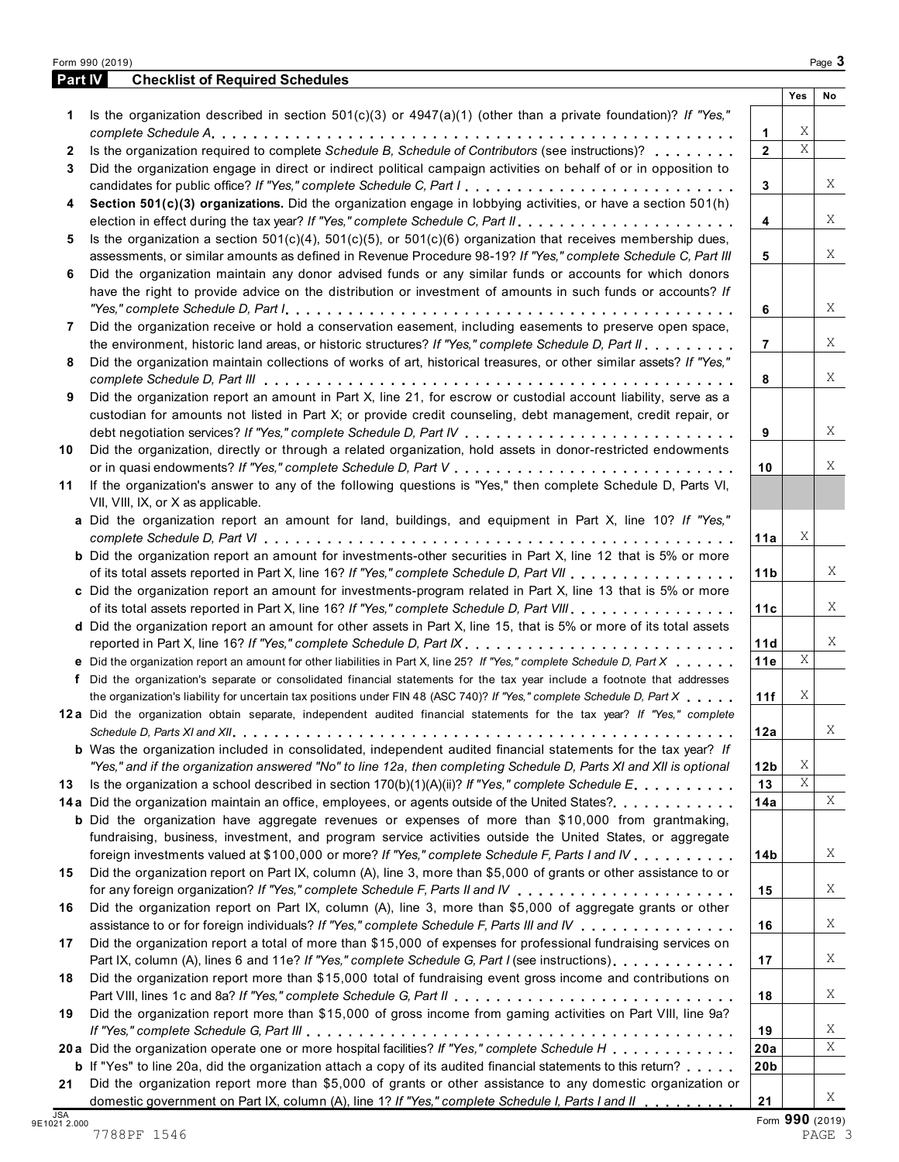|              | Form 990 (2019)<br><b>Checklist of Required Schedules</b><br><b>Part IV</b>                                                                                                                                                                       |                                |        | Page $3$ |
|--------------|---------------------------------------------------------------------------------------------------------------------------------------------------------------------------------------------------------------------------------------------------|--------------------------------|--------|----------|
|              |                                                                                                                                                                                                                                                   |                                | Yes    | No       |
| 1.           | Is the organization described in section $501(c)(3)$ or $4947(a)(1)$ (other than a private foundation)? If "Yes,"                                                                                                                                 |                                | Χ      |          |
| $\mathbf{2}$ | Is the organization required to complete Schedule B, Schedule of Contributors (see instructions)?                                                                                                                                                 | $\mathbf{1}$<br>$\overline{2}$ | X      |          |
| 3            | Did the organization engage in direct or indirect political campaign activities on behalf of or in opposition to                                                                                                                                  |                                |        |          |
|              |                                                                                                                                                                                                                                                   | $3^{\circ}$                    |        | X        |
| 4            | <b>Section 501(c)(3) organizations.</b> Did the organization engage in lobbying activities, or have a section 501(h)                                                                                                                              | $\overline{4}$                 |        | Χ        |
|              | 5 Is the organization a section $501(c)(4)$ , $501(c)(5)$ , or $501(c)(6)$ organization that receives membership dues,                                                                                                                            |                                |        |          |
|              | assessments, or similar amounts as defined in Revenue Procedure 98-19? If "Yes," complete Schedule C, Part III                                                                                                                                    | 5.                             |        | X        |
| 6.           | Did the organization maintain any donor advised funds or any similar funds or accounts for which donors<br>have the right to provide advice on the distribution or investment of amounts in such funds or accounts? If                            |                                |        |          |
|              |                                                                                                                                                                                                                                                   | 6                              |        | Χ        |
| 7            | Did the organization receive or hold a conservation easement, including easements to preserve open space,                                                                                                                                         |                                |        |          |
| 8            | the environment, historic land areas, or historic structures? If "Yes," complete Schedule D, Part II<br>Did the organization maintain collections of works of art, historical treasures, or other similar assets? If "Yes,"                       | $\overline{7}$                 |        | X        |
|              |                                                                                                                                                                                                                                                   | 8                              |        | X        |
| 9            | Did the organization report an amount in Part X, line 21, for escrow or custodial account liability, serve as a                                                                                                                                   |                                |        |          |
|              | custodian for amounts not listed in Part X; or provide credit counseling, debt management, credit repair, or                                                                                                                                      | 9                              |        | X        |
|              | 10 Did the organization, directly or through a related organization, hold assets in donor-restricted endowments                                                                                                                                   |                                |        |          |
|              |                                                                                                                                                                                                                                                   | 10                             |        | X        |
|              | 11 If the organization's answer to any of the following questions is "Yes," then complete Schedule D, Parts VI,<br>VII, VIII, IX, or X as applicable.                                                                                             |                                |        |          |
|              | a Did the organization report an amount for land, buildings, and equipment in Part X, line 10? If "Yes,"                                                                                                                                          |                                |        |          |
|              |                                                                                                                                                                                                                                                   | ∣11a                           | X      |          |
|              | <b>b</b> Did the organization report an amount for investments-other securities in Part X, line 12 that is 5% or more<br>of its total assets reported in Part X, line 16? If "Yes," complete Schedule D, Part VII                                 | 11b                            |        | X        |
|              | c Did the organization report an amount for investments-program related in Part X, line 13 that is 5% or more                                                                                                                                     |                                |        |          |
|              | of its total assets reported in Part X, line 16? If "Yes," complete Schedule D, Part VIII.                                                                                                                                                        | 11c                            |        | X        |
|              | d Did the organization report an amount for other assets in Part X, line 15, that is 5% or more of its total assets                                                                                                                               | 11d                            |        | X        |
|              | e Did the organization report an amount for other liabilities in Part X, line 25? If "Yes," complete Schedule D, Part X                                                                                                                           | 11e                            | Χ      |          |
|              | f Did the organization's separate or consolidated financial statements for the tax year include a footnote that addresses                                                                                                                         |                                | X      |          |
|              | the organization's liability for uncertain tax positions under FIN 48 (ASC 740)? If "Yes," complete Schedule D, Part X<br>12a Did the organization obtain separate, independent audited financial statements for the tax year? If "Yes," complete | 11f                            |        |          |
|              |                                                                                                                                                                                                                                                   | 12a                            |        | X        |
|              | <b>b</b> Was the organization included in consolidated, independent audited financial statements for the tax year? If                                                                                                                             |                                |        |          |
| 13           | "Yes," and if the organization answered "No" to line 12a, then completing Schedule D, Parts XI and XII is optional<br>Is the organization a school described in section $170(b)(1)(A)(ii)?$ If "Yes," complete Schedule E.                        | 12b<br>13                      | X<br>X |          |
|              | 14a Did the organization maintain an office, employees, or agents outside of the United States?.                                                                                                                                                  | 14a                            |        | X        |
|              | <b>b</b> Did the organization have aggregate revenues or expenses of more than \$10,000 from grantmaking,                                                                                                                                         |                                |        |          |
|              | fundraising, business, investment, and program service activities outside the United States, or aggregate<br>foreign investments valued at \$100,000 or more? If "Yes," complete Schedule F, Parts I and IV                                       | 14b                            |        | X        |
| 15           | Did the organization report on Part IX, column (A), line 3, more than \$5,000 of grants or other assistance to or                                                                                                                                 |                                |        |          |
|              |                                                                                                                                                                                                                                                   | 15                             |        | X        |
| 16           | Did the organization report on Part IX, column (A), line 3, more than \$5,000 of aggregate grants or other<br>assistance to or for foreign individuals? If "Yes," complete Schedule F, Parts III and IV                                           | 16                             |        | X        |
| 17           | Did the organization report a total of more than \$15,000 of expenses for professional fundraising services on                                                                                                                                    |                                |        |          |
|              | Part IX, column (A), lines 6 and 11e? If "Yes," complete Schedule G, Part I (see instructions).                                                                                                                                                   | 17                             |        | X        |
| 18           | Did the organization report more than \$15,000 total of fundraising event gross income and contributions on                                                                                                                                       | 18                             |        | X        |
| 19           | Did the organization report more than \$15,000 of gross income from gaming activities on Part VIII, line 9a?                                                                                                                                      |                                |        |          |
|              |                                                                                                                                                                                                                                                   | 19                             |        | Χ        |
|              | 20 a Did the organization operate one or more hospital facilities? If "Yes," complete Schedule H<br><b>b</b> If "Yes" to line 20a, did the organization attach a copy of its audited financial statements to this return?                         | 20a<br>20 <sub>b</sub>         |        | X        |
| 21           | Did the organization report more than \$5,000 of grants or other assistance to any domestic organization or                                                                                                                                       |                                |        |          |
|              | domestic government on Part IX, column (A), line 1? If "Yes," complete Schedule I, Parts I and II                                                                                                                                                 | 21                             |        | X        |
| <b>JSA</b>   | 9E1021 2.000<br>7788PF 1546                                                                                                                                                                                                                       | Form 990 (2019)                |        | PAGE 3   |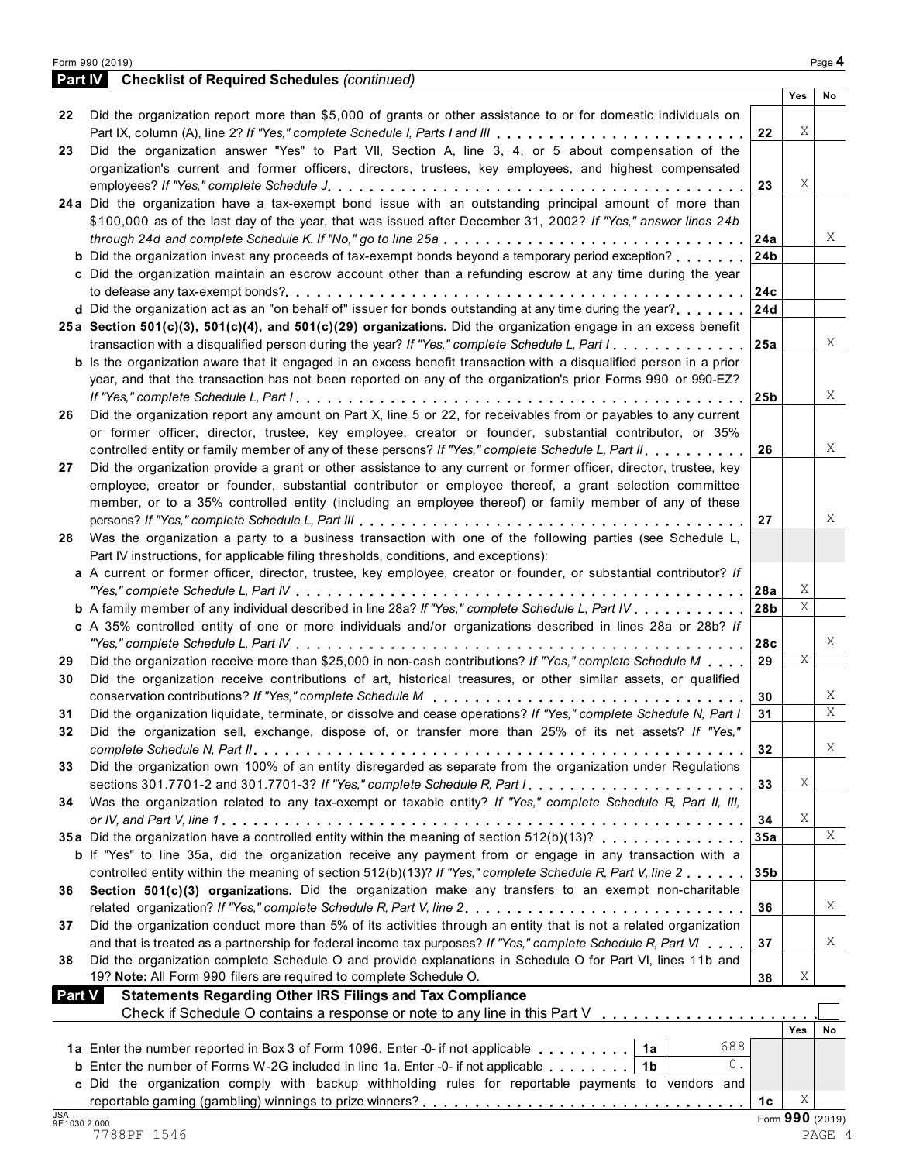|--|

| Part IV<br>22<br>23<br>26<br>27 | <b>Checklist of Required Schedules (continued)</b><br>Did the organization report more than \$5,000 of grants or other assistance to or for domestic individuals on<br>Did the organization answer "Yes" to Part VII, Section A, line 3, 4, or 5 about compensation of the<br>organization's current and former officers, directors, trustees, key employees, and highest compensated<br>24a Did the organization have a tax-exempt bond issue with an outstanding principal amount of more than<br>\$100,000 as of the last day of the year, that was issued after December 31, 2002? If "Yes," answer lines 24b<br><b>b</b> Did the organization invest any proceeds of tax-exempt bonds beyond a temporary period exception?<br>c Did the organization maintain an escrow account other than a refunding escrow at any time during the year<br><b>d</b> Did the organization act as an "on behalf of" issuer for bonds outstanding at any time during the year?<br>25a Section 501(c)(3), 501(c)(4), and 501(c)(29) organizations. Did the organization engage in an excess benefit<br>transaction with a disqualified person during the year? If "Yes," complete Schedule L, Part I.<br><b>b</b> Is the organization aware that it engaged in an excess benefit transaction with a disqualified person in a prior | 22<br>23<br>  24b | Yes<br>Χ<br>Χ | <b>No</b>    |
|---------------------------------|-----------------------------------------------------------------------------------------------------------------------------------------------------------------------------------------------------------------------------------------------------------------------------------------------------------------------------------------------------------------------------------------------------------------------------------------------------------------------------------------------------------------------------------------------------------------------------------------------------------------------------------------------------------------------------------------------------------------------------------------------------------------------------------------------------------------------------------------------------------------------------------------------------------------------------------------------------------------------------------------------------------------------------------------------------------------------------------------------------------------------------------------------------------------------------------------------------------------------------------------------------------------------------------------------------------------------|-------------------|---------------|--------------|
|                                 |                                                                                                                                                                                                                                                                                                                                                                                                                                                                                                                                                                                                                                                                                                                                                                                                                                                                                                                                                                                                                                                                                                                                                                                                                                                                                                                       |                   |               |              |
|                                 |                                                                                                                                                                                                                                                                                                                                                                                                                                                                                                                                                                                                                                                                                                                                                                                                                                                                                                                                                                                                                                                                                                                                                                                                                                                                                                                       |                   |               |              |
|                                 |                                                                                                                                                                                                                                                                                                                                                                                                                                                                                                                                                                                                                                                                                                                                                                                                                                                                                                                                                                                                                                                                                                                                                                                                                                                                                                                       |                   |               |              |
|                                 |                                                                                                                                                                                                                                                                                                                                                                                                                                                                                                                                                                                                                                                                                                                                                                                                                                                                                                                                                                                                                                                                                                                                                                                                                                                                                                                       |                   |               |              |
|                                 |                                                                                                                                                                                                                                                                                                                                                                                                                                                                                                                                                                                                                                                                                                                                                                                                                                                                                                                                                                                                                                                                                                                                                                                                                                                                                                                       |                   |               |              |
|                                 |                                                                                                                                                                                                                                                                                                                                                                                                                                                                                                                                                                                                                                                                                                                                                                                                                                                                                                                                                                                                                                                                                                                                                                                                                                                                                                                       |                   |               | X            |
|                                 |                                                                                                                                                                                                                                                                                                                                                                                                                                                                                                                                                                                                                                                                                                                                                                                                                                                                                                                                                                                                                                                                                                                                                                                                                                                                                                                       |                   |               |              |
|                                 |                                                                                                                                                                                                                                                                                                                                                                                                                                                                                                                                                                                                                                                                                                                                                                                                                                                                                                                                                                                                                                                                                                                                                                                                                                                                                                                       |                   |               |              |
|                                 |                                                                                                                                                                                                                                                                                                                                                                                                                                                                                                                                                                                                                                                                                                                                                                                                                                                                                                                                                                                                                                                                                                                                                                                                                                                                                                                       | 24d               |               |              |
|                                 |                                                                                                                                                                                                                                                                                                                                                                                                                                                                                                                                                                                                                                                                                                                                                                                                                                                                                                                                                                                                                                                                                                                                                                                                                                                                                                                       |                   |               |              |
|                                 |                                                                                                                                                                                                                                                                                                                                                                                                                                                                                                                                                                                                                                                                                                                                                                                                                                                                                                                                                                                                                                                                                                                                                                                                                                                                                                                       | 25a               |               | X            |
|                                 | year, and that the transaction has not been reported on any of the organization's prior Forms 990 or 990-EZ?                                                                                                                                                                                                                                                                                                                                                                                                                                                                                                                                                                                                                                                                                                                                                                                                                                                                                                                                                                                                                                                                                                                                                                                                          |                   |               |              |
|                                 | Did the organization report any amount on Part X, line 5 or 22, for receivables from or payables to any current                                                                                                                                                                                                                                                                                                                                                                                                                                                                                                                                                                                                                                                                                                                                                                                                                                                                                                                                                                                                                                                                                                                                                                                                       | 25 <sub>b</sub>   |               | X            |
|                                 | or former officer, director, trustee, key employee, creator or founder, substantial contributor, or 35%                                                                                                                                                                                                                                                                                                                                                                                                                                                                                                                                                                                                                                                                                                                                                                                                                                                                                                                                                                                                                                                                                                                                                                                                               |                   |               |              |
|                                 | controlled entity or family member of any of these persons? If "Yes," complete Schedule L, Part II.                                                                                                                                                                                                                                                                                                                                                                                                                                                                                                                                                                                                                                                                                                                                                                                                                                                                                                                                                                                                                                                                                                                                                                                                                   | 26                |               | X            |
|                                 | Did the organization provide a grant or other assistance to any current or former officer, director, trustee, key<br>employee, creator or founder, substantial contributor or employee thereof, a grant selection committee                                                                                                                                                                                                                                                                                                                                                                                                                                                                                                                                                                                                                                                                                                                                                                                                                                                                                                                                                                                                                                                                                           |                   |               |              |
|                                 | member, or to a 35% controlled entity (including an employee thereof) or family member of any of these                                                                                                                                                                                                                                                                                                                                                                                                                                                                                                                                                                                                                                                                                                                                                                                                                                                                                                                                                                                                                                                                                                                                                                                                                |                   |               |              |
| 28                              | Was the organization a party to a business transaction with one of the following parties (see Schedule L,                                                                                                                                                                                                                                                                                                                                                                                                                                                                                                                                                                                                                                                                                                                                                                                                                                                                                                                                                                                                                                                                                                                                                                                                             | 27                |               | X            |
|                                 | Part IV instructions, for applicable filing thresholds, conditions, and exceptions):                                                                                                                                                                                                                                                                                                                                                                                                                                                                                                                                                                                                                                                                                                                                                                                                                                                                                                                                                                                                                                                                                                                                                                                                                                  |                   |               |              |
|                                 | a A current or former officer, director, trustee, key employee, creator or founder, or substantial contributor? If                                                                                                                                                                                                                                                                                                                                                                                                                                                                                                                                                                                                                                                                                                                                                                                                                                                                                                                                                                                                                                                                                                                                                                                                    |                   | Χ             |              |
|                                 | <b>b</b> A family member of any individual described in line 28a? If "Yes," complete Schedule L, Part IV 28b                                                                                                                                                                                                                                                                                                                                                                                                                                                                                                                                                                                                                                                                                                                                                                                                                                                                                                                                                                                                                                                                                                                                                                                                          |                   | X             |              |
|                                 | c A 35% controlled entity of one or more individuals and/or organizations described in lines 28a or 28b? If                                                                                                                                                                                                                                                                                                                                                                                                                                                                                                                                                                                                                                                                                                                                                                                                                                                                                                                                                                                                                                                                                                                                                                                                           |                   |               |              |
| 29                              | Did the organization receive more than \$25,000 in non-cash contributions? If "Yes," complete Schedule M                                                                                                                                                                                                                                                                                                                                                                                                                                                                                                                                                                                                                                                                                                                                                                                                                                                                                                                                                                                                                                                                                                                                                                                                              | 28c <br>-29       | X             | X            |
| 30                              | Did the organization receive contributions of art, historical treasures, or other similar assets, or qualified                                                                                                                                                                                                                                                                                                                                                                                                                                                                                                                                                                                                                                                                                                                                                                                                                                                                                                                                                                                                                                                                                                                                                                                                        |                   |               |              |
| 31                              | Did the organization liquidate, terminate, or dissolve and cease operations? If "Yes," complete Schedule N, Part I                                                                                                                                                                                                                                                                                                                                                                                                                                                                                                                                                                                                                                                                                                                                                                                                                                                                                                                                                                                                                                                                                                                                                                                                    | 30<br>-31         |               | X<br>X       |
| 32                              | Did the organization sell, exchange, dispose of, or transfer more than 25% of its net assets? If "Yes,"                                                                                                                                                                                                                                                                                                                                                                                                                                                                                                                                                                                                                                                                                                                                                                                                                                                                                                                                                                                                                                                                                                                                                                                                               |                   |               |              |
|                                 |                                                                                                                                                                                                                                                                                                                                                                                                                                                                                                                                                                                                                                                                                                                                                                                                                                                                                                                                                                                                                                                                                                                                                                                                                                                                                                                       | 32                |               | X            |
| 33                              | Did the organization own 100% of an entity disregarded as separate from the organization under Regulations<br>sections 301.7701-2 and 301.7701-3? If "Yes," complete Schedule R, Part $1, \ldots, \ldots, \ldots, \ldots, \ldots, \ldots$                                                                                                                                                                                                                                                                                                                                                                                                                                                                                                                                                                                                                                                                                                                                                                                                                                                                                                                                                                                                                                                                             | 33                | Χ             |              |
| 34                              | Was the organization related to any tax-exempt or taxable entity? If "Yes," complete Schedule R, Part II, III,                                                                                                                                                                                                                                                                                                                                                                                                                                                                                                                                                                                                                                                                                                                                                                                                                                                                                                                                                                                                                                                                                                                                                                                                        |                   |               |              |
|                                 | 35a Did the organization have a controlled entity within the meaning of section $512(b)(13)? \ldots \ldots \ldots \ldots$                                                                                                                                                                                                                                                                                                                                                                                                                                                                                                                                                                                                                                                                                                                                                                                                                                                                                                                                                                                                                                                                                                                                                                                             | -34<br> 35a       | X             | $\mathbf{X}$ |
|                                 | <b>b</b> If "Yes" to line 35a, did the organization receive any payment from or engage in any transaction with a                                                                                                                                                                                                                                                                                                                                                                                                                                                                                                                                                                                                                                                                                                                                                                                                                                                                                                                                                                                                                                                                                                                                                                                                      |                   |               |              |
|                                 | controlled entity within the meaning of section 512(b)(13)? If "Yes," complete Schedule R, Part V, line 2 35b                                                                                                                                                                                                                                                                                                                                                                                                                                                                                                                                                                                                                                                                                                                                                                                                                                                                                                                                                                                                                                                                                                                                                                                                         |                   |               |              |
| 36                              | Section 501(c)(3) organizations. Did the organization make any transfers to an exempt non-charitable                                                                                                                                                                                                                                                                                                                                                                                                                                                                                                                                                                                                                                                                                                                                                                                                                                                                                                                                                                                                                                                                                                                                                                                                                  | 36                |               | X            |
| 37                              | Did the organization conduct more than 5% of its activities through an entity that is not a related organization                                                                                                                                                                                                                                                                                                                                                                                                                                                                                                                                                                                                                                                                                                                                                                                                                                                                                                                                                                                                                                                                                                                                                                                                      |                   |               |              |
| 38                              |                                                                                                                                                                                                                                                                                                                                                                                                                                                                                                                                                                                                                                                                                                                                                                                                                                                                                                                                                                                                                                                                                                                                                                                                                                                                                                                       | 37                |               | X            |
|                                 | 19? Note: All Form 990 filers are required to complete Schedule O.                                                                                                                                                                                                                                                                                                                                                                                                                                                                                                                                                                                                                                                                                                                                                                                                                                                                                                                                                                                                                                                                                                                                                                                                                                                    | 38                | X             |              |
|                                 | Part V Statements Regarding Other IRS Filings and Tax Compliance                                                                                                                                                                                                                                                                                                                                                                                                                                                                                                                                                                                                                                                                                                                                                                                                                                                                                                                                                                                                                                                                                                                                                                                                                                                      |                   |               |              |
|                                 | and that is treated as a partnership for federal income tax purposes? If "Yes," complete Schedule R, Part VI<br>Did the organization complete Schedule O and provide explanations in Schedule O for Part VI, lines 11b and                                                                                                                                                                                                                                                                                                                                                                                                                                                                                                                                                                                                                                                                                                                                                                                                                                                                                                                                                                                                                                                                                            |                   | Yes           | No           |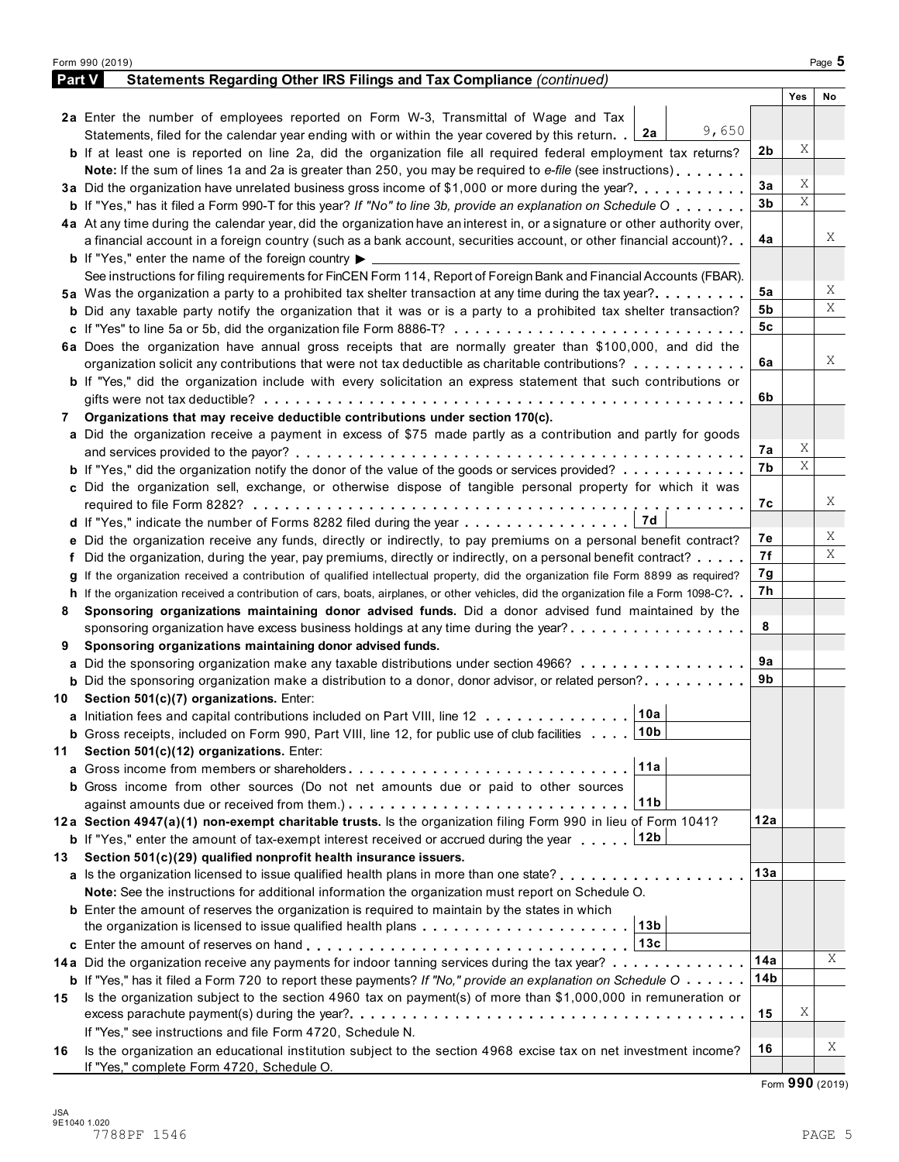| Form 990 (2019)<br>Page $5$<br>Part V<br>Statements Regarding Other IRS Filings and Tax Compliance (continued)<br>Yes<br>No<br>2a Enter the number of employees reported on Form W-3, Transmittal of Wage and Tax<br>9,650<br>2a<br>Statements, filed for the calendar year ending with or within the year covered by this return. .<br>Χ<br>2b<br><b>b</b> If at least one is reported on line 2a, did the organization file all required federal employment tax returns?<br>Note: If the sum of lines 1a and 2a is greater than 250, you may be required to e-file (see instructions).<br>Χ<br>За<br>3a Did the organization have unrelated business gross income of \$1,000 or more during the year?.<br>X<br>3b<br><b>b</b> If "Yes," has it filed a Form 990-T for this year? If "No" to line 3b, provide an explanation on Schedule O<br>4a At any time during the calendar year, did the organization have an interest in, or a signature or other authority over,<br>Χ<br>4a<br>a financial account in a foreign country (such as a bank account, securities account, or other financial account)?<br><b>b</b> If "Yes," enter the name of the foreign country $\blacktriangleright$<br>See instructions for filing requirements for FinCEN Form 114, Report of Foreign Bank and Financial Accounts (FBAR).<br>Χ<br>5а<br>5a Was the organization a party to a prohibited tax shelter transaction at any time during the tax year?.<br>Χ<br>5b<br><b>b</b> Did any taxable party notify the organization that it was or is a party to a prohibited tax shelter transaction?<br>5с<br>6a Does the organization have annual gross receipts that are normally greater than \$100,000, and did the<br>Χ<br>6а<br>organization solicit any contributions that were not tax deductible as charitable contributions?<br><b>b</b> If "Yes," did the organization include with every solicitation an express statement that such contributions or<br>6b<br>7 Organizations that may receive deductible contributions under section 170(c).<br>a Did the organization receive a payment in excess of \$75 made partly as a contribution and partly for goods<br>Χ<br>7а<br>X<br>7b<br><b>b</b> If "Yes," did the organization notify the donor of the value of the goods or services provided? $\ldots \ldots \ldots \ldots$<br>c Did the organization sell, exchange, or otherwise dispose of tangible personal property for which it was<br>Χ<br>7с<br>X<br>7е<br>e Did the organization receive any funds, directly or indirectly, to pay premiums on a personal benefit contract?<br>Χ<br>7f<br>f Did the organization, during the year, pay premiums, directly or indirectly, on a personal benefit contract?<br>7g<br>g If the organization received a contribution of qualified intellectual property, did the organization file Form 8899 as required?<br>7h<br>h If the organization received a contribution of cars, boats, airplanes, or other vehicles, did the organization file a Form 1098-C?. .<br>Sponsoring organizations maintaining donor advised funds. Did a donor advised fund maintained by the<br>8<br>sponsoring organization have excess business holdings at any time during the year?<br>Sponsoring organizations maintaining donor advised funds.<br>9a<br>a Did the sponsoring organization make any taxable distributions under section 4966?<br>9b<br><b>b</b> Did the sponsoring organization make a distribution to a donor, donor advisor, or related person?<br>Section 501(c)(7) organizations. Enter:<br>10<br>a Initiation fees and capital contributions included on Part VIII, line 12 10a<br><b>b</b> Gross receipts, included on Form 990, Part VIII, line 12, for public use of club facilities 10b<br>11 Section 501(c)(12) organizations. Enter:<br>∣11a<br><b>b</b> Gross income from other sources (Do not net amounts due or paid to other sources<br>12a<br>12a Section 4947(a)(1) non-exempt charitable trusts. Is the organization filing Form 990 in lieu of Form 1041?<br><b>b</b> If "Yes," enter the amount of tax-exempt interest received or accrued during the year 12b<br>13 Section 501(c)(29) qualified nonprofit health insurance issuers.<br>∣13a<br>a Is the organization licensed to issue qualified health plans in more than one state?<br>Note: See the instructions for additional information the organization must report on Schedule O.<br><b>b</b> Enter the amount of reserves the organization is required to maintain by the states in which<br>the organization is licensed to issue qualified health plans $\dots \dots \dots \dots \dots \dots \dots \dots$<br> 13c <br>Χ<br>14a Did the organization receive any payments for indoor tanning services during the tax year? 14a<br><b>b</b> If "Yes," has it filed a Form 720 to report these payments? If "No," provide an explanation on Schedule O $\dots \dots$   14b<br>15 Is the organization subject to the section 4960 tax on payment(s) of more than \$1,000,000 in remuneration or<br>Χ<br>15<br>If "Yes," see instructions and file Form 4720, Schedule N.<br>Χ<br>16<br>Is the organization an educational institution subject to the section 4968 excise tax on net investment income?<br>16.<br>If "Yes," complete Form 4720, Schedule O.<br><b>JSA</b><br>9E1040 1.020<br>7788PF 1546 |  |  |  |
|--------------------------------------------------------------------------------------------------------------------------------------------------------------------------------------------------------------------------------------------------------------------------------------------------------------------------------------------------------------------------------------------------------------------------------------------------------------------------------------------------------------------------------------------------------------------------------------------------------------------------------------------------------------------------------------------------------------------------------------------------------------------------------------------------------------------------------------------------------------------------------------------------------------------------------------------------------------------------------------------------------------------------------------------------------------------------------------------------------------------------------------------------------------------------------------------------------------------------------------------------------------------------------------------------------------------------------------------------------------------------------------------------------------------------------------------------------------------------------------------------------------------------------------------------------------------------------------------------------------------------------------------------------------------------------------------------------------------------------------------------------------------------------------------------------------------------------------------------------------------------------------------------------------------------------------------------------------------------------------------------------------------------------------------------------------------------------------------------------------------------------------------------------------------------------------------------------------------------------------------------------------------------------------------------------------------------------------------------------------------------------------------------------------------------------------------------------------------------------------------------------------------------------------------------------------------------------------------------------------------------------------------------------------------------------------------------------------------------------------------------------------------------------------------------------------------------------------------------------------------------------------------------------------------------------------------------------------------------------------------------------------------------------------------------------------------------------------------------------------------------------------------------------------------------------------------------------------------------------------------------------------------------------------------------------------------------------------------------------------------------------------------------------------------------------------------------------------------------------------------------------------------------------------------------------------------------------------------------------------------------------------------------------------------------------------------------------------------------------------------------------------------------------------------------------------------------------------------------------------------------------------------------------------------------------------------------------------------------------------------------------------------------------------------------------------------------------------------------------------------------------------------------------------------------------------------------------------------------------------------------------------------------------------------------------------------------------------------------------------------------------------------------------------------------------------------------------------------------------------------------------------------------------------------------------------------------------------------------------------------------------------------------------------------------------------------------------------------------------------------------------------------------------------------------------------------------------------------------------------------------------------------------------------------------------------------------------------------------------------------------------------------------------------------------------------------------------------------------------------------------------------------------------------------------------------------------------------------------------------------------------------------------------------------------------------------------------------|--|--|--|
|                                                                                                                                                                                                                                                                                                                                                                                                                                                                                                                                                                                                                                                                                                                                                                                                                                                                                                                                                                                                                                                                                                                                                                                                                                                                                                                                                                                                                                                                                                                                                                                                                                                                                                                                                                                                                                                                                                                                                                                                                                                                                                                                                                                                                                                                                                                                                                                                                                                                                                                                                                                                                                                                                                                                                                                                                                                                                                                                                                                                                                                                                                                                                                                                                                                                                                                                                                                                                                                                                                                                                                                                                                                                                                                                                                                                                                                                                                                                                                                                                                                                                                                                                                                                                                                                                                                                                                                                                                                                                                                                                                                                                                                                                                                                                                                                                                                                                                                                                                                                                                                                                                                                                                                                                                                                                                                                      |  |  |  |
|                                                                                                                                                                                                                                                                                                                                                                                                                                                                                                                                                                                                                                                                                                                                                                                                                                                                                                                                                                                                                                                                                                                                                                                                                                                                                                                                                                                                                                                                                                                                                                                                                                                                                                                                                                                                                                                                                                                                                                                                                                                                                                                                                                                                                                                                                                                                                                                                                                                                                                                                                                                                                                                                                                                                                                                                                                                                                                                                                                                                                                                                                                                                                                                                                                                                                                                                                                                                                                                                                                                                                                                                                                                                                                                                                                                                                                                                                                                                                                                                                                                                                                                                                                                                                                                                                                                                                                                                                                                                                                                                                                                                                                                                                                                                                                                                                                                                                                                                                                                                                                                                                                                                                                                                                                                                                                                                      |  |  |  |
|                                                                                                                                                                                                                                                                                                                                                                                                                                                                                                                                                                                                                                                                                                                                                                                                                                                                                                                                                                                                                                                                                                                                                                                                                                                                                                                                                                                                                                                                                                                                                                                                                                                                                                                                                                                                                                                                                                                                                                                                                                                                                                                                                                                                                                                                                                                                                                                                                                                                                                                                                                                                                                                                                                                                                                                                                                                                                                                                                                                                                                                                                                                                                                                                                                                                                                                                                                                                                                                                                                                                                                                                                                                                                                                                                                                                                                                                                                                                                                                                                                                                                                                                                                                                                                                                                                                                                                                                                                                                                                                                                                                                                                                                                                                                                                                                                                                                                                                                                                                                                                                                                                                                                                                                                                                                                                                                      |  |  |  |
|                                                                                                                                                                                                                                                                                                                                                                                                                                                                                                                                                                                                                                                                                                                                                                                                                                                                                                                                                                                                                                                                                                                                                                                                                                                                                                                                                                                                                                                                                                                                                                                                                                                                                                                                                                                                                                                                                                                                                                                                                                                                                                                                                                                                                                                                                                                                                                                                                                                                                                                                                                                                                                                                                                                                                                                                                                                                                                                                                                                                                                                                                                                                                                                                                                                                                                                                                                                                                                                                                                                                                                                                                                                                                                                                                                                                                                                                                                                                                                                                                                                                                                                                                                                                                                                                                                                                                                                                                                                                                                                                                                                                                                                                                                                                                                                                                                                                                                                                                                                                                                                                                                                                                                                                                                                                                                                                      |  |  |  |
|                                                                                                                                                                                                                                                                                                                                                                                                                                                                                                                                                                                                                                                                                                                                                                                                                                                                                                                                                                                                                                                                                                                                                                                                                                                                                                                                                                                                                                                                                                                                                                                                                                                                                                                                                                                                                                                                                                                                                                                                                                                                                                                                                                                                                                                                                                                                                                                                                                                                                                                                                                                                                                                                                                                                                                                                                                                                                                                                                                                                                                                                                                                                                                                                                                                                                                                                                                                                                                                                                                                                                                                                                                                                                                                                                                                                                                                                                                                                                                                                                                                                                                                                                                                                                                                                                                                                                                                                                                                                                                                                                                                                                                                                                                                                                                                                                                                                                                                                                                                                                                                                                                                                                                                                                                                                                                                                      |  |  |  |
|                                                                                                                                                                                                                                                                                                                                                                                                                                                                                                                                                                                                                                                                                                                                                                                                                                                                                                                                                                                                                                                                                                                                                                                                                                                                                                                                                                                                                                                                                                                                                                                                                                                                                                                                                                                                                                                                                                                                                                                                                                                                                                                                                                                                                                                                                                                                                                                                                                                                                                                                                                                                                                                                                                                                                                                                                                                                                                                                                                                                                                                                                                                                                                                                                                                                                                                                                                                                                                                                                                                                                                                                                                                                                                                                                                                                                                                                                                                                                                                                                                                                                                                                                                                                                                                                                                                                                                                                                                                                                                                                                                                                                                                                                                                                                                                                                                                                                                                                                                                                                                                                                                                                                                                                                                                                                                                                      |  |  |  |
|                                                                                                                                                                                                                                                                                                                                                                                                                                                                                                                                                                                                                                                                                                                                                                                                                                                                                                                                                                                                                                                                                                                                                                                                                                                                                                                                                                                                                                                                                                                                                                                                                                                                                                                                                                                                                                                                                                                                                                                                                                                                                                                                                                                                                                                                                                                                                                                                                                                                                                                                                                                                                                                                                                                                                                                                                                                                                                                                                                                                                                                                                                                                                                                                                                                                                                                                                                                                                                                                                                                                                                                                                                                                                                                                                                                                                                                                                                                                                                                                                                                                                                                                                                                                                                                                                                                                                                                                                                                                                                                                                                                                                                                                                                                                                                                                                                                                                                                                                                                                                                                                                                                                                                                                                                                                                                                                      |  |  |  |
|                                                                                                                                                                                                                                                                                                                                                                                                                                                                                                                                                                                                                                                                                                                                                                                                                                                                                                                                                                                                                                                                                                                                                                                                                                                                                                                                                                                                                                                                                                                                                                                                                                                                                                                                                                                                                                                                                                                                                                                                                                                                                                                                                                                                                                                                                                                                                                                                                                                                                                                                                                                                                                                                                                                                                                                                                                                                                                                                                                                                                                                                                                                                                                                                                                                                                                                                                                                                                                                                                                                                                                                                                                                                                                                                                                                                                                                                                                                                                                                                                                                                                                                                                                                                                                                                                                                                                                                                                                                                                                                                                                                                                                                                                                                                                                                                                                                                                                                                                                                                                                                                                                                                                                                                                                                                                                                                      |  |  |  |
|                                                                                                                                                                                                                                                                                                                                                                                                                                                                                                                                                                                                                                                                                                                                                                                                                                                                                                                                                                                                                                                                                                                                                                                                                                                                                                                                                                                                                                                                                                                                                                                                                                                                                                                                                                                                                                                                                                                                                                                                                                                                                                                                                                                                                                                                                                                                                                                                                                                                                                                                                                                                                                                                                                                                                                                                                                                                                                                                                                                                                                                                                                                                                                                                                                                                                                                                                                                                                                                                                                                                                                                                                                                                                                                                                                                                                                                                                                                                                                                                                                                                                                                                                                                                                                                                                                                                                                                                                                                                                                                                                                                                                                                                                                                                                                                                                                                                                                                                                                                                                                                                                                                                                                                                                                                                                                                                      |  |  |  |
|                                                                                                                                                                                                                                                                                                                                                                                                                                                                                                                                                                                                                                                                                                                                                                                                                                                                                                                                                                                                                                                                                                                                                                                                                                                                                                                                                                                                                                                                                                                                                                                                                                                                                                                                                                                                                                                                                                                                                                                                                                                                                                                                                                                                                                                                                                                                                                                                                                                                                                                                                                                                                                                                                                                                                                                                                                                                                                                                                                                                                                                                                                                                                                                                                                                                                                                                                                                                                                                                                                                                                                                                                                                                                                                                                                                                                                                                                                                                                                                                                                                                                                                                                                                                                                                                                                                                                                                                                                                                                                                                                                                                                                                                                                                                                                                                                                                                                                                                                                                                                                                                                                                                                                                                                                                                                                                                      |  |  |  |
|                                                                                                                                                                                                                                                                                                                                                                                                                                                                                                                                                                                                                                                                                                                                                                                                                                                                                                                                                                                                                                                                                                                                                                                                                                                                                                                                                                                                                                                                                                                                                                                                                                                                                                                                                                                                                                                                                                                                                                                                                                                                                                                                                                                                                                                                                                                                                                                                                                                                                                                                                                                                                                                                                                                                                                                                                                                                                                                                                                                                                                                                                                                                                                                                                                                                                                                                                                                                                                                                                                                                                                                                                                                                                                                                                                                                                                                                                                                                                                                                                                                                                                                                                                                                                                                                                                                                                                                                                                                                                                                                                                                                                                                                                                                                                                                                                                                                                                                                                                                                                                                                                                                                                                                                                                                                                                                                      |  |  |  |
|                                                                                                                                                                                                                                                                                                                                                                                                                                                                                                                                                                                                                                                                                                                                                                                                                                                                                                                                                                                                                                                                                                                                                                                                                                                                                                                                                                                                                                                                                                                                                                                                                                                                                                                                                                                                                                                                                                                                                                                                                                                                                                                                                                                                                                                                                                                                                                                                                                                                                                                                                                                                                                                                                                                                                                                                                                                                                                                                                                                                                                                                                                                                                                                                                                                                                                                                                                                                                                                                                                                                                                                                                                                                                                                                                                                                                                                                                                                                                                                                                                                                                                                                                                                                                                                                                                                                                                                                                                                                                                                                                                                                                                                                                                                                                                                                                                                                                                                                                                                                                                                                                                                                                                                                                                                                                                                                      |  |  |  |
|                                                                                                                                                                                                                                                                                                                                                                                                                                                                                                                                                                                                                                                                                                                                                                                                                                                                                                                                                                                                                                                                                                                                                                                                                                                                                                                                                                                                                                                                                                                                                                                                                                                                                                                                                                                                                                                                                                                                                                                                                                                                                                                                                                                                                                                                                                                                                                                                                                                                                                                                                                                                                                                                                                                                                                                                                                                                                                                                                                                                                                                                                                                                                                                                                                                                                                                                                                                                                                                                                                                                                                                                                                                                                                                                                                                                                                                                                                                                                                                                                                                                                                                                                                                                                                                                                                                                                                                                                                                                                                                                                                                                                                                                                                                                                                                                                                                                                                                                                                                                                                                                                                                                                                                                                                                                                                                                      |  |  |  |
|                                                                                                                                                                                                                                                                                                                                                                                                                                                                                                                                                                                                                                                                                                                                                                                                                                                                                                                                                                                                                                                                                                                                                                                                                                                                                                                                                                                                                                                                                                                                                                                                                                                                                                                                                                                                                                                                                                                                                                                                                                                                                                                                                                                                                                                                                                                                                                                                                                                                                                                                                                                                                                                                                                                                                                                                                                                                                                                                                                                                                                                                                                                                                                                                                                                                                                                                                                                                                                                                                                                                                                                                                                                                                                                                                                                                                                                                                                                                                                                                                                                                                                                                                                                                                                                                                                                                                                                                                                                                                                                                                                                                                                                                                                                                                                                                                                                                                                                                                                                                                                                                                                                                                                                                                                                                                                                                      |  |  |  |
|                                                                                                                                                                                                                                                                                                                                                                                                                                                                                                                                                                                                                                                                                                                                                                                                                                                                                                                                                                                                                                                                                                                                                                                                                                                                                                                                                                                                                                                                                                                                                                                                                                                                                                                                                                                                                                                                                                                                                                                                                                                                                                                                                                                                                                                                                                                                                                                                                                                                                                                                                                                                                                                                                                                                                                                                                                                                                                                                                                                                                                                                                                                                                                                                                                                                                                                                                                                                                                                                                                                                                                                                                                                                                                                                                                                                                                                                                                                                                                                                                                                                                                                                                                                                                                                                                                                                                                                                                                                                                                                                                                                                                                                                                                                                                                                                                                                                                                                                                                                                                                                                                                                                                                                                                                                                                                                                      |  |  |  |
|                                                                                                                                                                                                                                                                                                                                                                                                                                                                                                                                                                                                                                                                                                                                                                                                                                                                                                                                                                                                                                                                                                                                                                                                                                                                                                                                                                                                                                                                                                                                                                                                                                                                                                                                                                                                                                                                                                                                                                                                                                                                                                                                                                                                                                                                                                                                                                                                                                                                                                                                                                                                                                                                                                                                                                                                                                                                                                                                                                                                                                                                                                                                                                                                                                                                                                                                                                                                                                                                                                                                                                                                                                                                                                                                                                                                                                                                                                                                                                                                                                                                                                                                                                                                                                                                                                                                                                                                                                                                                                                                                                                                                                                                                                                                                                                                                                                                                                                                                                                                                                                                                                                                                                                                                                                                                                                                      |  |  |  |
|                                                                                                                                                                                                                                                                                                                                                                                                                                                                                                                                                                                                                                                                                                                                                                                                                                                                                                                                                                                                                                                                                                                                                                                                                                                                                                                                                                                                                                                                                                                                                                                                                                                                                                                                                                                                                                                                                                                                                                                                                                                                                                                                                                                                                                                                                                                                                                                                                                                                                                                                                                                                                                                                                                                                                                                                                                                                                                                                                                                                                                                                                                                                                                                                                                                                                                                                                                                                                                                                                                                                                                                                                                                                                                                                                                                                                                                                                                                                                                                                                                                                                                                                                                                                                                                                                                                                                                                                                                                                                                                                                                                                                                                                                                                                                                                                                                                                                                                                                                                                                                                                                                                                                                                                                                                                                                                                      |  |  |  |
|                                                                                                                                                                                                                                                                                                                                                                                                                                                                                                                                                                                                                                                                                                                                                                                                                                                                                                                                                                                                                                                                                                                                                                                                                                                                                                                                                                                                                                                                                                                                                                                                                                                                                                                                                                                                                                                                                                                                                                                                                                                                                                                                                                                                                                                                                                                                                                                                                                                                                                                                                                                                                                                                                                                                                                                                                                                                                                                                                                                                                                                                                                                                                                                                                                                                                                                                                                                                                                                                                                                                                                                                                                                                                                                                                                                                                                                                                                                                                                                                                                                                                                                                                                                                                                                                                                                                                                                                                                                                                                                                                                                                                                                                                                                                                                                                                                                                                                                                                                                                                                                                                                                                                                                                                                                                                                                                      |  |  |  |
|                                                                                                                                                                                                                                                                                                                                                                                                                                                                                                                                                                                                                                                                                                                                                                                                                                                                                                                                                                                                                                                                                                                                                                                                                                                                                                                                                                                                                                                                                                                                                                                                                                                                                                                                                                                                                                                                                                                                                                                                                                                                                                                                                                                                                                                                                                                                                                                                                                                                                                                                                                                                                                                                                                                                                                                                                                                                                                                                                                                                                                                                                                                                                                                                                                                                                                                                                                                                                                                                                                                                                                                                                                                                                                                                                                                                                                                                                                                                                                                                                                                                                                                                                                                                                                                                                                                                                                                                                                                                                                                                                                                                                                                                                                                                                                                                                                                                                                                                                                                                                                                                                                                                                                                                                                                                                                                                      |  |  |  |
|                                                                                                                                                                                                                                                                                                                                                                                                                                                                                                                                                                                                                                                                                                                                                                                                                                                                                                                                                                                                                                                                                                                                                                                                                                                                                                                                                                                                                                                                                                                                                                                                                                                                                                                                                                                                                                                                                                                                                                                                                                                                                                                                                                                                                                                                                                                                                                                                                                                                                                                                                                                                                                                                                                                                                                                                                                                                                                                                                                                                                                                                                                                                                                                                                                                                                                                                                                                                                                                                                                                                                                                                                                                                                                                                                                                                                                                                                                                                                                                                                                                                                                                                                                                                                                                                                                                                                                                                                                                                                                                                                                                                                                                                                                                                                                                                                                                                                                                                                                                                                                                                                                                                                                                                                                                                                                                                      |  |  |  |
|                                                                                                                                                                                                                                                                                                                                                                                                                                                                                                                                                                                                                                                                                                                                                                                                                                                                                                                                                                                                                                                                                                                                                                                                                                                                                                                                                                                                                                                                                                                                                                                                                                                                                                                                                                                                                                                                                                                                                                                                                                                                                                                                                                                                                                                                                                                                                                                                                                                                                                                                                                                                                                                                                                                                                                                                                                                                                                                                                                                                                                                                                                                                                                                                                                                                                                                                                                                                                                                                                                                                                                                                                                                                                                                                                                                                                                                                                                                                                                                                                                                                                                                                                                                                                                                                                                                                                                                                                                                                                                                                                                                                                                                                                                                                                                                                                                                                                                                                                                                                                                                                                                                                                                                                                                                                                                                                      |  |  |  |
|                                                                                                                                                                                                                                                                                                                                                                                                                                                                                                                                                                                                                                                                                                                                                                                                                                                                                                                                                                                                                                                                                                                                                                                                                                                                                                                                                                                                                                                                                                                                                                                                                                                                                                                                                                                                                                                                                                                                                                                                                                                                                                                                                                                                                                                                                                                                                                                                                                                                                                                                                                                                                                                                                                                                                                                                                                                                                                                                                                                                                                                                                                                                                                                                                                                                                                                                                                                                                                                                                                                                                                                                                                                                                                                                                                                                                                                                                                                                                                                                                                                                                                                                                                                                                                                                                                                                                                                                                                                                                                                                                                                                                                                                                                                                                                                                                                                                                                                                                                                                                                                                                                                                                                                                                                                                                                                                      |  |  |  |
|                                                                                                                                                                                                                                                                                                                                                                                                                                                                                                                                                                                                                                                                                                                                                                                                                                                                                                                                                                                                                                                                                                                                                                                                                                                                                                                                                                                                                                                                                                                                                                                                                                                                                                                                                                                                                                                                                                                                                                                                                                                                                                                                                                                                                                                                                                                                                                                                                                                                                                                                                                                                                                                                                                                                                                                                                                                                                                                                                                                                                                                                                                                                                                                                                                                                                                                                                                                                                                                                                                                                                                                                                                                                                                                                                                                                                                                                                                                                                                                                                                                                                                                                                                                                                                                                                                                                                                                                                                                                                                                                                                                                                                                                                                                                                                                                                                                                                                                                                                                                                                                                                                                                                                                                                                                                                                                                      |  |  |  |
|                                                                                                                                                                                                                                                                                                                                                                                                                                                                                                                                                                                                                                                                                                                                                                                                                                                                                                                                                                                                                                                                                                                                                                                                                                                                                                                                                                                                                                                                                                                                                                                                                                                                                                                                                                                                                                                                                                                                                                                                                                                                                                                                                                                                                                                                                                                                                                                                                                                                                                                                                                                                                                                                                                                                                                                                                                                                                                                                                                                                                                                                                                                                                                                                                                                                                                                                                                                                                                                                                                                                                                                                                                                                                                                                                                                                                                                                                                                                                                                                                                                                                                                                                                                                                                                                                                                                                                                                                                                                                                                                                                                                                                                                                                                                                                                                                                                                                                                                                                                                                                                                                                                                                                                                                                                                                                                                      |  |  |  |
|                                                                                                                                                                                                                                                                                                                                                                                                                                                                                                                                                                                                                                                                                                                                                                                                                                                                                                                                                                                                                                                                                                                                                                                                                                                                                                                                                                                                                                                                                                                                                                                                                                                                                                                                                                                                                                                                                                                                                                                                                                                                                                                                                                                                                                                                                                                                                                                                                                                                                                                                                                                                                                                                                                                                                                                                                                                                                                                                                                                                                                                                                                                                                                                                                                                                                                                                                                                                                                                                                                                                                                                                                                                                                                                                                                                                                                                                                                                                                                                                                                                                                                                                                                                                                                                                                                                                                                                                                                                                                                                                                                                                                                                                                                                                                                                                                                                                                                                                                                                                                                                                                                                                                                                                                                                                                                                                      |  |  |  |
|                                                                                                                                                                                                                                                                                                                                                                                                                                                                                                                                                                                                                                                                                                                                                                                                                                                                                                                                                                                                                                                                                                                                                                                                                                                                                                                                                                                                                                                                                                                                                                                                                                                                                                                                                                                                                                                                                                                                                                                                                                                                                                                                                                                                                                                                                                                                                                                                                                                                                                                                                                                                                                                                                                                                                                                                                                                                                                                                                                                                                                                                                                                                                                                                                                                                                                                                                                                                                                                                                                                                                                                                                                                                                                                                                                                                                                                                                                                                                                                                                                                                                                                                                                                                                                                                                                                                                                                                                                                                                                                                                                                                                                                                                                                                                                                                                                                                                                                                                                                                                                                                                                                                                                                                                                                                                                                                      |  |  |  |
|                                                                                                                                                                                                                                                                                                                                                                                                                                                                                                                                                                                                                                                                                                                                                                                                                                                                                                                                                                                                                                                                                                                                                                                                                                                                                                                                                                                                                                                                                                                                                                                                                                                                                                                                                                                                                                                                                                                                                                                                                                                                                                                                                                                                                                                                                                                                                                                                                                                                                                                                                                                                                                                                                                                                                                                                                                                                                                                                                                                                                                                                                                                                                                                                                                                                                                                                                                                                                                                                                                                                                                                                                                                                                                                                                                                                                                                                                                                                                                                                                                                                                                                                                                                                                                                                                                                                                                                                                                                                                                                                                                                                                                                                                                                                                                                                                                                                                                                                                                                                                                                                                                                                                                                                                                                                                                                                      |  |  |  |
|                                                                                                                                                                                                                                                                                                                                                                                                                                                                                                                                                                                                                                                                                                                                                                                                                                                                                                                                                                                                                                                                                                                                                                                                                                                                                                                                                                                                                                                                                                                                                                                                                                                                                                                                                                                                                                                                                                                                                                                                                                                                                                                                                                                                                                                                                                                                                                                                                                                                                                                                                                                                                                                                                                                                                                                                                                                                                                                                                                                                                                                                                                                                                                                                                                                                                                                                                                                                                                                                                                                                                                                                                                                                                                                                                                                                                                                                                                                                                                                                                                                                                                                                                                                                                                                                                                                                                                                                                                                                                                                                                                                                                                                                                                                                                                                                                                                                                                                                                                                                                                                                                                                                                                                                                                                                                                                                      |  |  |  |
|                                                                                                                                                                                                                                                                                                                                                                                                                                                                                                                                                                                                                                                                                                                                                                                                                                                                                                                                                                                                                                                                                                                                                                                                                                                                                                                                                                                                                                                                                                                                                                                                                                                                                                                                                                                                                                                                                                                                                                                                                                                                                                                                                                                                                                                                                                                                                                                                                                                                                                                                                                                                                                                                                                                                                                                                                                                                                                                                                                                                                                                                                                                                                                                                                                                                                                                                                                                                                                                                                                                                                                                                                                                                                                                                                                                                                                                                                                                                                                                                                                                                                                                                                                                                                                                                                                                                                                                                                                                                                                                                                                                                                                                                                                                                                                                                                                                                                                                                                                                                                                                                                                                                                                                                                                                                                                                                      |  |  |  |
|                                                                                                                                                                                                                                                                                                                                                                                                                                                                                                                                                                                                                                                                                                                                                                                                                                                                                                                                                                                                                                                                                                                                                                                                                                                                                                                                                                                                                                                                                                                                                                                                                                                                                                                                                                                                                                                                                                                                                                                                                                                                                                                                                                                                                                                                                                                                                                                                                                                                                                                                                                                                                                                                                                                                                                                                                                                                                                                                                                                                                                                                                                                                                                                                                                                                                                                                                                                                                                                                                                                                                                                                                                                                                                                                                                                                                                                                                                                                                                                                                                                                                                                                                                                                                                                                                                                                                                                                                                                                                                                                                                                                                                                                                                                                                                                                                                                                                                                                                                                                                                                                                                                                                                                                                                                                                                                                      |  |  |  |
|                                                                                                                                                                                                                                                                                                                                                                                                                                                                                                                                                                                                                                                                                                                                                                                                                                                                                                                                                                                                                                                                                                                                                                                                                                                                                                                                                                                                                                                                                                                                                                                                                                                                                                                                                                                                                                                                                                                                                                                                                                                                                                                                                                                                                                                                                                                                                                                                                                                                                                                                                                                                                                                                                                                                                                                                                                                                                                                                                                                                                                                                                                                                                                                                                                                                                                                                                                                                                                                                                                                                                                                                                                                                                                                                                                                                                                                                                                                                                                                                                                                                                                                                                                                                                                                                                                                                                                                                                                                                                                                                                                                                                                                                                                                                                                                                                                                                                                                                                                                                                                                                                                                                                                                                                                                                                                                                      |  |  |  |
|                                                                                                                                                                                                                                                                                                                                                                                                                                                                                                                                                                                                                                                                                                                                                                                                                                                                                                                                                                                                                                                                                                                                                                                                                                                                                                                                                                                                                                                                                                                                                                                                                                                                                                                                                                                                                                                                                                                                                                                                                                                                                                                                                                                                                                                                                                                                                                                                                                                                                                                                                                                                                                                                                                                                                                                                                                                                                                                                                                                                                                                                                                                                                                                                                                                                                                                                                                                                                                                                                                                                                                                                                                                                                                                                                                                                                                                                                                                                                                                                                                                                                                                                                                                                                                                                                                                                                                                                                                                                                                                                                                                                                                                                                                                                                                                                                                                                                                                                                                                                                                                                                                                                                                                                                                                                                                                                      |  |  |  |
|                                                                                                                                                                                                                                                                                                                                                                                                                                                                                                                                                                                                                                                                                                                                                                                                                                                                                                                                                                                                                                                                                                                                                                                                                                                                                                                                                                                                                                                                                                                                                                                                                                                                                                                                                                                                                                                                                                                                                                                                                                                                                                                                                                                                                                                                                                                                                                                                                                                                                                                                                                                                                                                                                                                                                                                                                                                                                                                                                                                                                                                                                                                                                                                                                                                                                                                                                                                                                                                                                                                                                                                                                                                                                                                                                                                                                                                                                                                                                                                                                                                                                                                                                                                                                                                                                                                                                                                                                                                                                                                                                                                                                                                                                                                                                                                                                                                                                                                                                                                                                                                                                                                                                                                                                                                                                                                                      |  |  |  |
|                                                                                                                                                                                                                                                                                                                                                                                                                                                                                                                                                                                                                                                                                                                                                                                                                                                                                                                                                                                                                                                                                                                                                                                                                                                                                                                                                                                                                                                                                                                                                                                                                                                                                                                                                                                                                                                                                                                                                                                                                                                                                                                                                                                                                                                                                                                                                                                                                                                                                                                                                                                                                                                                                                                                                                                                                                                                                                                                                                                                                                                                                                                                                                                                                                                                                                                                                                                                                                                                                                                                                                                                                                                                                                                                                                                                                                                                                                                                                                                                                                                                                                                                                                                                                                                                                                                                                                                                                                                                                                                                                                                                                                                                                                                                                                                                                                                                                                                                                                                                                                                                                                                                                                                                                                                                                                                                      |  |  |  |
|                                                                                                                                                                                                                                                                                                                                                                                                                                                                                                                                                                                                                                                                                                                                                                                                                                                                                                                                                                                                                                                                                                                                                                                                                                                                                                                                                                                                                                                                                                                                                                                                                                                                                                                                                                                                                                                                                                                                                                                                                                                                                                                                                                                                                                                                                                                                                                                                                                                                                                                                                                                                                                                                                                                                                                                                                                                                                                                                                                                                                                                                                                                                                                                                                                                                                                                                                                                                                                                                                                                                                                                                                                                                                                                                                                                                                                                                                                                                                                                                                                                                                                                                                                                                                                                                                                                                                                                                                                                                                                                                                                                                                                                                                                                                                                                                                                                                                                                                                                                                                                                                                                                                                                                                                                                                                                                                      |  |  |  |
|                                                                                                                                                                                                                                                                                                                                                                                                                                                                                                                                                                                                                                                                                                                                                                                                                                                                                                                                                                                                                                                                                                                                                                                                                                                                                                                                                                                                                                                                                                                                                                                                                                                                                                                                                                                                                                                                                                                                                                                                                                                                                                                                                                                                                                                                                                                                                                                                                                                                                                                                                                                                                                                                                                                                                                                                                                                                                                                                                                                                                                                                                                                                                                                                                                                                                                                                                                                                                                                                                                                                                                                                                                                                                                                                                                                                                                                                                                                                                                                                                                                                                                                                                                                                                                                                                                                                                                                                                                                                                                                                                                                                                                                                                                                                                                                                                                                                                                                                                                                                                                                                                                                                                                                                                                                                                                                                      |  |  |  |
|                                                                                                                                                                                                                                                                                                                                                                                                                                                                                                                                                                                                                                                                                                                                                                                                                                                                                                                                                                                                                                                                                                                                                                                                                                                                                                                                                                                                                                                                                                                                                                                                                                                                                                                                                                                                                                                                                                                                                                                                                                                                                                                                                                                                                                                                                                                                                                                                                                                                                                                                                                                                                                                                                                                                                                                                                                                                                                                                                                                                                                                                                                                                                                                                                                                                                                                                                                                                                                                                                                                                                                                                                                                                                                                                                                                                                                                                                                                                                                                                                                                                                                                                                                                                                                                                                                                                                                                                                                                                                                                                                                                                                                                                                                                                                                                                                                                                                                                                                                                                                                                                                                                                                                                                                                                                                                                                      |  |  |  |
|                                                                                                                                                                                                                                                                                                                                                                                                                                                                                                                                                                                                                                                                                                                                                                                                                                                                                                                                                                                                                                                                                                                                                                                                                                                                                                                                                                                                                                                                                                                                                                                                                                                                                                                                                                                                                                                                                                                                                                                                                                                                                                                                                                                                                                                                                                                                                                                                                                                                                                                                                                                                                                                                                                                                                                                                                                                                                                                                                                                                                                                                                                                                                                                                                                                                                                                                                                                                                                                                                                                                                                                                                                                                                                                                                                                                                                                                                                                                                                                                                                                                                                                                                                                                                                                                                                                                                                                                                                                                                                                                                                                                                                                                                                                                                                                                                                                                                                                                                                                                                                                                                                                                                                                                                                                                                                                                      |  |  |  |
|                                                                                                                                                                                                                                                                                                                                                                                                                                                                                                                                                                                                                                                                                                                                                                                                                                                                                                                                                                                                                                                                                                                                                                                                                                                                                                                                                                                                                                                                                                                                                                                                                                                                                                                                                                                                                                                                                                                                                                                                                                                                                                                                                                                                                                                                                                                                                                                                                                                                                                                                                                                                                                                                                                                                                                                                                                                                                                                                                                                                                                                                                                                                                                                                                                                                                                                                                                                                                                                                                                                                                                                                                                                                                                                                                                                                                                                                                                                                                                                                                                                                                                                                                                                                                                                                                                                                                                                                                                                                                                                                                                                                                                                                                                                                                                                                                                                                                                                                                                                                                                                                                                                                                                                                                                                                                                                                      |  |  |  |
|                                                                                                                                                                                                                                                                                                                                                                                                                                                                                                                                                                                                                                                                                                                                                                                                                                                                                                                                                                                                                                                                                                                                                                                                                                                                                                                                                                                                                                                                                                                                                                                                                                                                                                                                                                                                                                                                                                                                                                                                                                                                                                                                                                                                                                                                                                                                                                                                                                                                                                                                                                                                                                                                                                                                                                                                                                                                                                                                                                                                                                                                                                                                                                                                                                                                                                                                                                                                                                                                                                                                                                                                                                                                                                                                                                                                                                                                                                                                                                                                                                                                                                                                                                                                                                                                                                                                                                                                                                                                                                                                                                                                                                                                                                                                                                                                                                                                                                                                                                                                                                                                                                                                                                                                                                                                                                                                      |  |  |  |
|                                                                                                                                                                                                                                                                                                                                                                                                                                                                                                                                                                                                                                                                                                                                                                                                                                                                                                                                                                                                                                                                                                                                                                                                                                                                                                                                                                                                                                                                                                                                                                                                                                                                                                                                                                                                                                                                                                                                                                                                                                                                                                                                                                                                                                                                                                                                                                                                                                                                                                                                                                                                                                                                                                                                                                                                                                                                                                                                                                                                                                                                                                                                                                                                                                                                                                                                                                                                                                                                                                                                                                                                                                                                                                                                                                                                                                                                                                                                                                                                                                                                                                                                                                                                                                                                                                                                                                                                                                                                                                                                                                                                                                                                                                                                                                                                                                                                                                                                                                                                                                                                                                                                                                                                                                                                                                                                      |  |  |  |
|                                                                                                                                                                                                                                                                                                                                                                                                                                                                                                                                                                                                                                                                                                                                                                                                                                                                                                                                                                                                                                                                                                                                                                                                                                                                                                                                                                                                                                                                                                                                                                                                                                                                                                                                                                                                                                                                                                                                                                                                                                                                                                                                                                                                                                                                                                                                                                                                                                                                                                                                                                                                                                                                                                                                                                                                                                                                                                                                                                                                                                                                                                                                                                                                                                                                                                                                                                                                                                                                                                                                                                                                                                                                                                                                                                                                                                                                                                                                                                                                                                                                                                                                                                                                                                                                                                                                                                                                                                                                                                                                                                                                                                                                                                                                                                                                                                                                                                                                                                                                                                                                                                                                                                                                                                                                                                                                      |  |  |  |
|                                                                                                                                                                                                                                                                                                                                                                                                                                                                                                                                                                                                                                                                                                                                                                                                                                                                                                                                                                                                                                                                                                                                                                                                                                                                                                                                                                                                                                                                                                                                                                                                                                                                                                                                                                                                                                                                                                                                                                                                                                                                                                                                                                                                                                                                                                                                                                                                                                                                                                                                                                                                                                                                                                                                                                                                                                                                                                                                                                                                                                                                                                                                                                                                                                                                                                                                                                                                                                                                                                                                                                                                                                                                                                                                                                                                                                                                                                                                                                                                                                                                                                                                                                                                                                                                                                                                                                                                                                                                                                                                                                                                                                                                                                                                                                                                                                                                                                                                                                                                                                                                                                                                                                                                                                                                                                                                      |  |  |  |
| Form 990 (2019)                                                                                                                                                                                                                                                                                                                                                                                                                                                                                                                                                                                                                                                                                                                                                                                                                                                                                                                                                                                                                                                                                                                                                                                                                                                                                                                                                                                                                                                                                                                                                                                                                                                                                                                                                                                                                                                                                                                                                                                                                                                                                                                                                                                                                                                                                                                                                                                                                                                                                                                                                                                                                                                                                                                                                                                                                                                                                                                                                                                                                                                                                                                                                                                                                                                                                                                                                                                                                                                                                                                                                                                                                                                                                                                                                                                                                                                                                                                                                                                                                                                                                                                                                                                                                                                                                                                                                                                                                                                                                                                                                                                                                                                                                                                                                                                                                                                                                                                                                                                                                                                                                                                                                                                                                                                                                                                      |  |  |  |
| PAGE 5                                                                                                                                                                                                                                                                                                                                                                                                                                                                                                                                                                                                                                                                                                                                                                                                                                                                                                                                                                                                                                                                                                                                                                                                                                                                                                                                                                                                                                                                                                                                                                                                                                                                                                                                                                                                                                                                                                                                                                                                                                                                                                                                                                                                                                                                                                                                                                                                                                                                                                                                                                                                                                                                                                                                                                                                                                                                                                                                                                                                                                                                                                                                                                                                                                                                                                                                                                                                                                                                                                                                                                                                                                                                                                                                                                                                                                                                                                                                                                                                                                                                                                                                                                                                                                                                                                                                                                                                                                                                                                                                                                                                                                                                                                                                                                                                                                                                                                                                                                                                                                                                                                                                                                                                                                                                                                                               |  |  |  |
|                                                                                                                                                                                                                                                                                                                                                                                                                                                                                                                                                                                                                                                                                                                                                                                                                                                                                                                                                                                                                                                                                                                                                                                                                                                                                                                                                                                                                                                                                                                                                                                                                                                                                                                                                                                                                                                                                                                                                                                                                                                                                                                                                                                                                                                                                                                                                                                                                                                                                                                                                                                                                                                                                                                                                                                                                                                                                                                                                                                                                                                                                                                                                                                                                                                                                                                                                                                                                                                                                                                                                                                                                                                                                                                                                                                                                                                                                                                                                                                                                                                                                                                                                                                                                                                                                                                                                                                                                                                                                                                                                                                                                                                                                                                                                                                                                                                                                                                                                                                                                                                                                                                                                                                                                                                                                                                                      |  |  |  |
|                                                                                                                                                                                                                                                                                                                                                                                                                                                                                                                                                                                                                                                                                                                                                                                                                                                                                                                                                                                                                                                                                                                                                                                                                                                                                                                                                                                                                                                                                                                                                                                                                                                                                                                                                                                                                                                                                                                                                                                                                                                                                                                                                                                                                                                                                                                                                                                                                                                                                                                                                                                                                                                                                                                                                                                                                                                                                                                                                                                                                                                                                                                                                                                                                                                                                                                                                                                                                                                                                                                                                                                                                                                                                                                                                                                                                                                                                                                                                                                                                                                                                                                                                                                                                                                                                                                                                                                                                                                                                                                                                                                                                                                                                                                                                                                                                                                                                                                                                                                                                                                                                                                                                                                                                                                                                                                                      |  |  |  |
|                                                                                                                                                                                                                                                                                                                                                                                                                                                                                                                                                                                                                                                                                                                                                                                                                                                                                                                                                                                                                                                                                                                                                                                                                                                                                                                                                                                                                                                                                                                                                                                                                                                                                                                                                                                                                                                                                                                                                                                                                                                                                                                                                                                                                                                                                                                                                                                                                                                                                                                                                                                                                                                                                                                                                                                                                                                                                                                                                                                                                                                                                                                                                                                                                                                                                                                                                                                                                                                                                                                                                                                                                                                                                                                                                                                                                                                                                                                                                                                                                                                                                                                                                                                                                                                                                                                                                                                                                                                                                                                                                                                                                                                                                                                                                                                                                                                                                                                                                                                                                                                                                                                                                                                                                                                                                                                                      |  |  |  |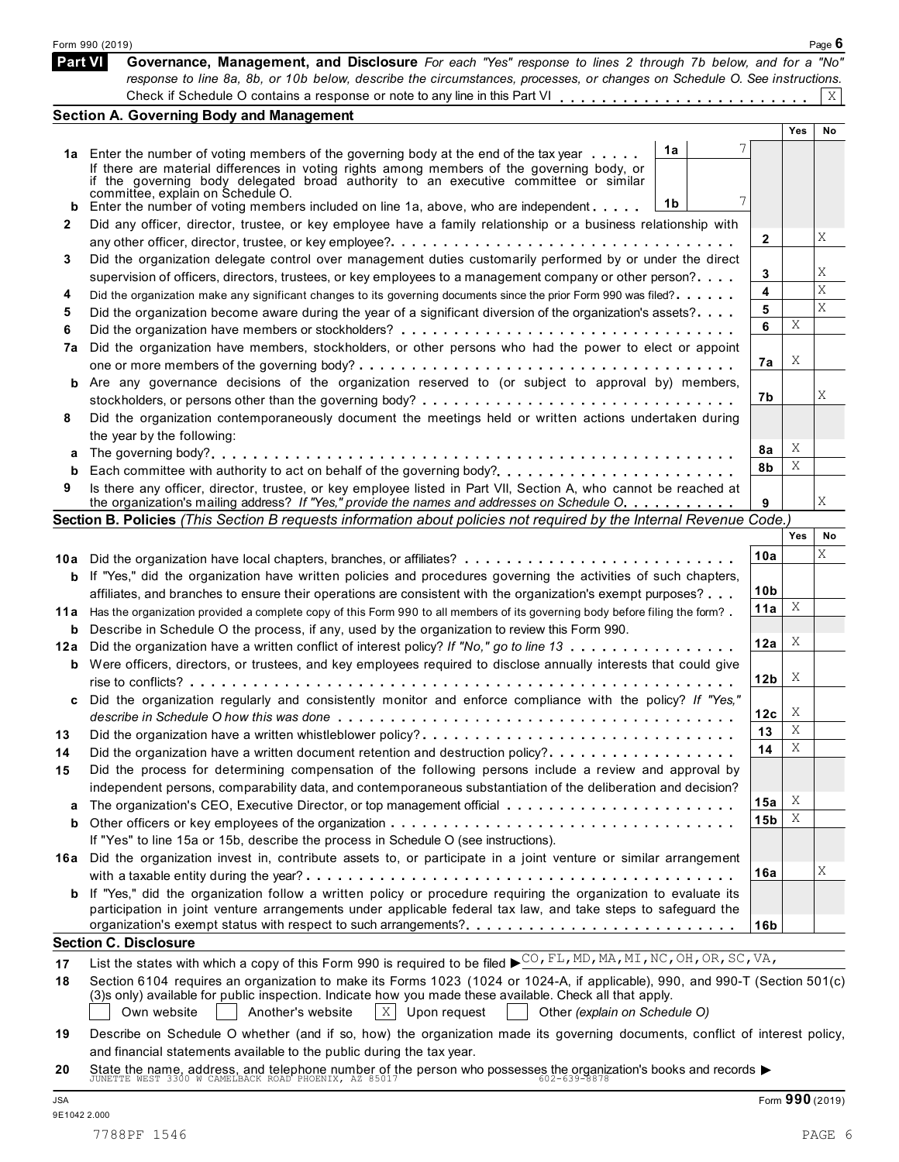| <b>Part VI</b> |                                                                                                                                                                                                                                                                                                                         |                 |             |                 |
|----------------|-------------------------------------------------------------------------------------------------------------------------------------------------------------------------------------------------------------------------------------------------------------------------------------------------------------------------|-----------------|-------------|-----------------|
|                |                                                                                                                                                                                                                                                                                                                         |                 |             |                 |
|                |                                                                                                                                                                                                                                                                                                                         |                 |             |                 |
|                | Form 990 (2019)<br>Governance, Management, and Disclosure For each "Yes" response to lines 2 through 7b below, and for a "No"                                                                                                                                                                                           |                 |             | Page 6          |
|                | response to line 8a, 8b, or 10b below, describe the circumstances, processes, or changes on Schedule O. See instructions.                                                                                                                                                                                               |                 |             |                 |
|                | <b>Section A. Governing Body and Management</b>                                                                                                                                                                                                                                                                         |                 |             |                 |
|                |                                                                                                                                                                                                                                                                                                                         |                 | Yes         | No              |
|                | 1а<br>1a Enter the number of voting members of the governing body at the end of the tax year<br>If there are material differences in voting rights among members of the governing body, or<br>if the governing body delegated broad authority to an executive committee or similar<br>committee, explain on Schedule O. |                 |             |                 |
|                | <b>b</b> Enter the number of voting members included on line 1a, above, who are independent $\dots$ .                                                                                                                                                                                                                   |                 |             |                 |
| $\mathbf{2}$   | Did any officer, director, trustee, or key employee have a family relationship or a business relationship with                                                                                                                                                                                                          | $\mathbf{2}$    |             | Χ               |
| 3              | Did the organization delegate control over management duties customarily performed by or under the direct                                                                                                                                                                                                               |                 |             |                 |
|                | supervision of officers, directors, trustees, or key employees to a management company or other person?.<br>Did the organization make any significant changes to its governing documents since the prior Form 990 was filed?.                                                                                           | 3<br>4          |             |                 |
|                | Did the organization become aware during the year of a significant diversion of the organization's assets?                                                                                                                                                                                                              | 5               |             |                 |
|                | 7a Did the organization have members, stockholders, or other persons who had the power to elect or appoint                                                                                                                                                                                                              | 6               | X           |                 |
|                |                                                                                                                                                                                                                                                                                                                         | 7a              | X           |                 |
|                | <b>b</b> Are any governance decisions of the organization reserved to (or subject to approval by) members,                                                                                                                                                                                                              | 7b              |             | Х               |
| 8              | Did the organization contemporaneously document the meetings held or written actions undertaken during                                                                                                                                                                                                                  |                 |             |                 |
|                | the year by the following:                                                                                                                                                                                                                                                                                              | 8а              | X           |                 |
|                | Each committee with authority to act on behalf of the governing body?                                                                                                                                                                                                                                                   | 8 <sub>b</sub>  | $\mathbf X$ |                 |
| 9              | Is there any officer, director, trustee, or key employee listed in Part VII, Section A, who cannot be reached at<br>the organization's mailing address? If "Yes," provide the names and addresses on Schedule O.                                                                                                        |                 |             | Χ               |
|                | Section B. Policies (This Section B requests information about policies not required by the Internal Revenue Code.)                                                                                                                                                                                                     |                 |             |                 |
|                |                                                                                                                                                                                                                                                                                                                         |                 | Yes         | No<br>X.        |
| 10a            | <b>b</b> If "Yes," did the organization have written policies and procedures governing the activities of such chapters,                                                                                                                                                                                                 | 10a             |             |                 |
|                | affiliates, and branches to ensure their operations are consistent with the organization's exempt purposes?                                                                                                                                                                                                             | 10 <sub>b</sub> |             |                 |
| b              | 11a Has the organization provided a complete copy of this Form 990 to all members of its governing body before filing the form?.<br>Describe in Schedule O the process, if any, used by the organization to review this Form 990.                                                                                       | 11a             | X           |                 |
| 12a            | Did the organization have a written conflict of interest policy? If "No," go to line 13                                                                                                                                                                                                                                 | 12a             | X           |                 |
|                | <b>b</b> Were officers, directors, or trustees, and key employees required to disclose annually interests that could give                                                                                                                                                                                               | 12b  X          |             |                 |
|                | c Did the organization regularly and consistently monitor and enforce compliance with the policy? If "Yes,"                                                                                                                                                                                                             |                 |             |                 |
|                |                                                                                                                                                                                                                                                                                                                         | 12c             | X<br>X      |                 |
| 13<br>-14      | Did the organization have a written whistleblower policy?<br>Did the organization have a written document retention and destruction policy?                                                                                                                                                                             | 13<br>14        | X           |                 |
| 15             | Did the process for determining compensation of the following persons include a review and approval by                                                                                                                                                                                                                  |                 |             |                 |
|                | independent persons, comparability data, and contemporaneous substantiation of the deliberation and decision?                                                                                                                                                                                                           | 15a             | X           |                 |
|                |                                                                                                                                                                                                                                                                                                                         | $15b$ $X$       |             |                 |
|                | If "Yes" to line 15a or 15b, describe the process in Schedule O (see instructions).                                                                                                                                                                                                                                     |                 |             |                 |
|                | 16a Did the organization invest in, contribute assets to, or participate in a joint venture or similar arrangement                                                                                                                                                                                                      | 16a             |             |                 |
|                | <b>b</b> If "Yes," did the organization follow a written policy or procedure requiring the organization to evaluate its                                                                                                                                                                                                 |                 |             |                 |
|                | participation in joint venture arrangements under applicable federal tax law, and take steps to safeguard the                                                                                                                                                                                                           | 16b             |             |                 |
|                | <b>Section C. Disclosure</b>                                                                                                                                                                                                                                                                                            |                 |             |                 |
| 17             | List the states with which a copy of this Form 990 is required to be filed $\blacktriangleright_{\text{CO}}^{\text{CO}}$ , FL, MD, MA, MT, NC, OH, OR, SC, VA,<br>Section 6104 requires an organization to make its Forms 1023 (1024 or 1024-A, if applicable), 990, and 990-T (Section 501(c)                          |                 |             |                 |
|                | (3)s only) available for public inspection. Indicate how you made these available. Check all that apply.                                                                                                                                                                                                                |                 |             |                 |
|                | $ X $ Upon request<br>Own website<br>Another's website<br>Other (explain on Schedule O)                                                                                                                                                                                                                                 |                 |             |                 |
| 19             | Describe on Schedule O whether (and if so, how) the organization made its governing documents, conflict of interest policy,<br>and financial statements available to the public during the tax year.                                                                                                                    |                 |             |                 |
| 20             | State the name, address, and telephone number of the person who possesses the organization's books and records $\blacktriangleright$<br>JUNETTE WEST 3300 W CAMELBACK ROAD PHOENIX, AZ 85017                                                                                                                            |                 |             |                 |
| <b>JSA</b>     |                                                                                                                                                                                                                                                                                                                         |                 |             | Form 990 (2019) |
| 9E1042 2.000   |                                                                                                                                                                                                                                                                                                                         |                 |             |                 |
|                | 7788PF 1546                                                                                                                                                                                                                                                                                                             |                 |             | PAGE 6          |
|                |                                                                                                                                                                                                                                                                                                                         |                 |             |                 |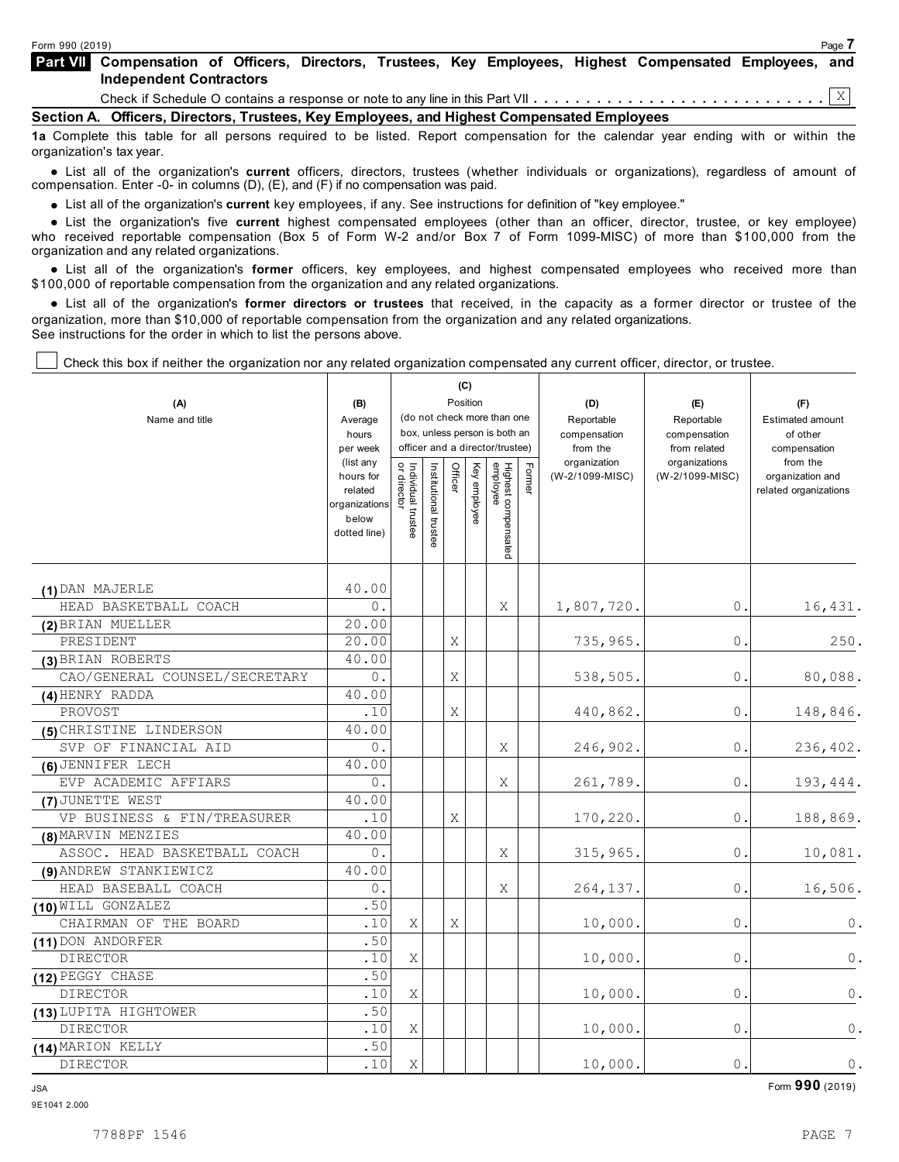| Form 990 (2019)<br>Part VII Compensation of Officers, Directors, Trustees, Key Employees, Highest Compensated Employees, and                                                                                                                                                                                                  |                |                                         |                   |                   | Page 7                         |  |
|-------------------------------------------------------------------------------------------------------------------------------------------------------------------------------------------------------------------------------------------------------------------------------------------------------------------------------|----------------|-----------------------------------------|-------------------|-------------------|--------------------------------|--|
|                                                                                                                                                                                                                                                                                                                               |                |                                         |                   |                   |                                |  |
| <b>Independent Contractors</b>                                                                                                                                                                                                                                                                                                |                |                                         |                   |                   |                                |  |
|                                                                                                                                                                                                                                                                                                                               |                |                                         |                   |                   |                                |  |
| Section A. Officers, Directors, Trustees, Key Employees, and Highest Compensated Employees                                                                                                                                                                                                                                    |                |                                         |                   |                   |                                |  |
| 1a Complete this table for all persons required to be listed. Report compensation for the calendar year ending with or within the<br>organization's tax year.                                                                                                                                                                 |                |                                         |                   |                   |                                |  |
| • List all of the organization's current officers, directors, trustees (whether individuals or organizations), regardless of amount of<br>compensation. Enter -0- in columns (D), (E), and (F) if no compensation was paid.                                                                                                   |                |                                         |                   |                   |                                |  |
| • List all of the organization's current key employees, if any. See instructions for definition of "key employee."                                                                                                                                                                                                            |                |                                         |                   |                   |                                |  |
| • List the organization's five current highest compensated employees (other than an officer, director, trustee, or key employee)<br>who received reportable compensation (Box 5 of Form W-2 and/or Box 7 of Form 1099-MISC) of more than \$100,000 from the<br>organization and any related organizations.                    |                |                                         |                   |                   |                                |  |
| • List all of the organization's former officers, key employees, and highest compensated employees who received more than<br>\$100,000 of reportable compensation from the organization and any related organizations.                                                                                                        |                |                                         |                   |                   |                                |  |
| • List all of the organization's former directors or trustees that received, in the capacity as a former director or trustee of the<br>organization, more than \$10,000 of reportable compensation from the organization and any related organizations.<br>See instructions for the order in which to list the persons above. |                |                                         |                   |                   |                                |  |
|                                                                                                                                                                                                                                                                                                                               |                |                                         |                   |                   |                                |  |
| Check this box if neither the organization nor any related organization compensated any current officer, director, or trustee.                                                                                                                                                                                                |                | (C)                                     |                   |                   |                                |  |
| (A)<br>Name and title                                                                                                                                                                                                                                                                                                         | (B)<br>Average | Position<br>(do not check more than one | (D)<br>Reportable | (E)<br>Reportable | (F)<br><b>Estimated amount</b> |  |

| $\mathbf X$<br>Section A. Officers, Directors, Trustees, Key Employees, and Highest Compensated Employees<br>1a Complete this table for all persons required to be listed. Report compensation for the calendar year ending with or within the<br>organization's tax year.<br>• List all of the organization's current officers, directors, trustees (whether individuals or organizations), regardless of amount of<br>compensation. Enter -0- in columns (D), (E), and (F) if no compensation was paid.<br>• List all of the organization's current key employees, if any. See instructions for definition of "key employee."<br>• List the organization's five current highest compensated employees (other than an officer, director, trustee, or key employee)<br>who received reportable compensation (Box 5 of Form W-2 and/or Box 7 of Form 1099-MISC) of more than \$100,000 from the<br>organization and any related organizations.<br>• List all of the organization's former officers, key employees, and highest compensated employees who received more than<br>\$100,000 of reportable compensation from the organization and any related organizations.<br>• List all of the organization's former directors or trustees that received, in the capacity as a former director or trustee of the<br>organization, more than \$10,000 of reportable compensation from the organization and any related organizations.<br>See instructions for the order in which to list the persons above.<br>Check this box if neither the organization nor any related organization compensated any current officer, director, or trustee.<br>(C)<br>Position<br>(B)<br>(D)<br>(E)<br>(A)<br>(F)<br>(do not check more than one<br>Name and title<br>Reportable<br>Reportable<br><b>Estimated amount</b><br>Average<br>box, unless person is both an<br>compensation<br>of other<br>hours<br>compensation<br>officer and a director/trustee)<br>from the<br>from related<br>compensation<br>per week<br>from the<br>organization<br>organizations<br>(list any<br>Individual trustee<br>or director<br>Institutional trustee<br>Officer<br>Key employee<br>Highest compensated<br> <br>  employee<br>Former<br>(W-2/1099-MISC)<br>hours for<br>(W-2/1099-MISC)<br>organization and<br>related organizations<br>related<br>organizations<br>below<br>dotted line)<br>(1) DAN MAJERLE<br>40.00<br>1,807,720.<br>HEAD BASKETBALL COACH<br>0.<br>Χ<br>$0$ .<br>(2) BRIAN MUELLER<br>20.00<br>PRESIDENT<br>20.00<br>Χ<br>735,965.<br>$0$ .<br>40.00<br>(3) BRIAN ROBERTS<br>CAO/GENERAL COUNSEL/SECRETARY<br>Χ<br>538,505.<br>$0$ .<br>$0$ .<br>40.00<br>(4) HENRY RADDA<br>.10<br>Χ<br>PROVOST<br>440,862.<br>$0$ .<br>(5) CHRISTINE LINDERSON<br>40.00<br>$0$ .<br>246,902.<br>SVP OF FINANCIAL AID<br>Χ<br>$0$ .<br>40.00<br>(6) JENNIFER LECH<br>EVP ACADEMIC AFFIARS<br>$0$ .<br>Χ<br>261,789.<br>$0$ .<br>40.00<br>(7) JUNETTE WEST<br>VP BUSINESS & FIN/TREASURER<br>.10<br>Χ<br>170,220.<br>$0$ .<br>(8) MARVIN MENZIES<br>40.00<br>ASSOC. HEAD BASKETBALL COACH<br>$0$ .<br>Χ<br>315,965.<br>$0$ .<br>40.00<br>(9) ANDREW STANKIEWICZ<br>HEAD BASEBALL COACH<br>$0$ .<br>Χ<br>264,137.<br>$0$ .<br>.50<br>(10) WILL GONZALEZ<br>.10<br>Χ<br>CHAIRMAN OF THE BOARD<br>10,000.<br>$0$ .<br>Χ<br>.50<br>(11) DON ANDORFER<br>.10<br>$0$ .<br><b>DIRECTOR</b><br>Χ<br>10,000.<br>.50<br>(12) PEGGY CHASE<br>$\boldsymbol{.10}$<br><b>DIRECTOR</b><br>Χ<br>10,000.<br>$0$ .<br>.50<br>(13) LUPITA HIGHTOWER<br>.10<br>$0$ .<br><b>DIRECTOR</b><br>Χ<br>10,000.<br>.50<br>(14) MARION KELLY<br>$\overline{.10}$<br>$0$ .<br><b>DIRECTOR</b><br>10,000.<br>Χ<br>Form 990 (2019)<br>JSA<br>9E1041 2.000<br>7788PF 1546<br>PAGE 7 | 16,431.                                                                                                 | Form 990 (2019)<br><b>Part VII</b> | Compensation of Officers, Directors, Trustees, Key Employees, Highest Compensated Employees, and<br><b>Independent Contractors</b> |  |  |  |  | Page 7 |
|------------------------------------------------------------------------------------------------------------------------------------------------------------------------------------------------------------------------------------------------------------------------------------------------------------------------------------------------------------------------------------------------------------------------------------------------------------------------------------------------------------------------------------------------------------------------------------------------------------------------------------------------------------------------------------------------------------------------------------------------------------------------------------------------------------------------------------------------------------------------------------------------------------------------------------------------------------------------------------------------------------------------------------------------------------------------------------------------------------------------------------------------------------------------------------------------------------------------------------------------------------------------------------------------------------------------------------------------------------------------------------------------------------------------------------------------------------------------------------------------------------------------------------------------------------------------------------------------------------------------------------------------------------------------------------------------------------------------------------------------------------------------------------------------------------------------------------------------------------------------------------------------------------------------------------------------------------------------------------------------------------------------------------------------------------------------------------------------------------------------------------------------------------------------------------------------------------------------------------------------------------------------------------------------------------------------------------------------------------------------------------------------------------------------------------------------------------------------------------------------------------------------------------------------------------------------------------------------------------------------------------------------------------------------------------------------------------------------------------------------------------------------------------------------------------------------------------------------------------------------------------------------------------------------------------------------------------------------------------------------------------------------------------------------------------------------------------------------------------------------------------------------------------------------------------------------------------------------------------------------------------------------------------------------------------------------------------------------------------------------------------------------------------------------------------------------------------------------------------------------------------------------------------------------------------------------------------------------------------------------------------------------------------------------------------------------------------------------------|---------------------------------------------------------------------------------------------------------|------------------------------------|------------------------------------------------------------------------------------------------------------------------------------|--|--|--|--|--------|
|                                                                                                                                                                                                                                                                                                                                                                                                                                                                                                                                                                                                                                                                                                                                                                                                                                                                                                                                                                                                                                                                                                                                                                                                                                                                                                                                                                                                                                                                                                                                                                                                                                                                                                                                                                                                                                                                                                                                                                                                                                                                                                                                                                                                                                                                                                                                                                                                                                                                                                                                                                                                                                                                                                                                                                                                                                                                                                                                                                                                                                                                                                                                                                                                                                                                                                                                                                                                                                                                                                                                                                                                                                                                                                                              | 250.<br>80,088.<br>148,846.<br>236,402.<br>193,444.<br>188,869.<br>10,081.<br>16,506.<br>$0$ .<br>$0$ . |                                    |                                                                                                                                    |  |  |  |  |        |
|                                                                                                                                                                                                                                                                                                                                                                                                                                                                                                                                                                                                                                                                                                                                                                                                                                                                                                                                                                                                                                                                                                                                                                                                                                                                                                                                                                                                                                                                                                                                                                                                                                                                                                                                                                                                                                                                                                                                                                                                                                                                                                                                                                                                                                                                                                                                                                                                                                                                                                                                                                                                                                                                                                                                                                                                                                                                                                                                                                                                                                                                                                                                                                                                                                                                                                                                                                                                                                                                                                                                                                                                                                                                                                                              |                                                                                                         |                                    |                                                                                                                                    |  |  |  |  |        |
|                                                                                                                                                                                                                                                                                                                                                                                                                                                                                                                                                                                                                                                                                                                                                                                                                                                                                                                                                                                                                                                                                                                                                                                                                                                                                                                                                                                                                                                                                                                                                                                                                                                                                                                                                                                                                                                                                                                                                                                                                                                                                                                                                                                                                                                                                                                                                                                                                                                                                                                                                                                                                                                                                                                                                                                                                                                                                                                                                                                                                                                                                                                                                                                                                                                                                                                                                                                                                                                                                                                                                                                                                                                                                                                              | $0$ .<br>$0$ .<br>0.                                                                                    |                                    |                                                                                                                                    |  |  |  |  |        |
|                                                                                                                                                                                                                                                                                                                                                                                                                                                                                                                                                                                                                                                                                                                                                                                                                                                                                                                                                                                                                                                                                                                                                                                                                                                                                                                                                                                                                                                                                                                                                                                                                                                                                                                                                                                                                                                                                                                                                                                                                                                                                                                                                                                                                                                                                                                                                                                                                                                                                                                                                                                                                                                                                                                                                                                                                                                                                                                                                                                                                                                                                                                                                                                                                                                                                                                                                                                                                                                                                                                                                                                                                                                                                                                              |                                                                                                         |                                    |                                                                                                                                    |  |  |  |  |        |
|                                                                                                                                                                                                                                                                                                                                                                                                                                                                                                                                                                                                                                                                                                                                                                                                                                                                                                                                                                                                                                                                                                                                                                                                                                                                                                                                                                                                                                                                                                                                                                                                                                                                                                                                                                                                                                                                                                                                                                                                                                                                                                                                                                                                                                                                                                                                                                                                                                                                                                                                                                                                                                                                                                                                                                                                                                                                                                                                                                                                                                                                                                                                                                                                                                                                                                                                                                                                                                                                                                                                                                                                                                                                                                                              |                                                                                                         |                                    |                                                                                                                                    |  |  |  |  |        |
|                                                                                                                                                                                                                                                                                                                                                                                                                                                                                                                                                                                                                                                                                                                                                                                                                                                                                                                                                                                                                                                                                                                                                                                                                                                                                                                                                                                                                                                                                                                                                                                                                                                                                                                                                                                                                                                                                                                                                                                                                                                                                                                                                                                                                                                                                                                                                                                                                                                                                                                                                                                                                                                                                                                                                                                                                                                                                                                                                                                                                                                                                                                                                                                                                                                                                                                                                                                                                                                                                                                                                                                                                                                                                                                              |                                                                                                         |                                    |                                                                                                                                    |  |  |  |  |        |
|                                                                                                                                                                                                                                                                                                                                                                                                                                                                                                                                                                                                                                                                                                                                                                                                                                                                                                                                                                                                                                                                                                                                                                                                                                                                                                                                                                                                                                                                                                                                                                                                                                                                                                                                                                                                                                                                                                                                                                                                                                                                                                                                                                                                                                                                                                                                                                                                                                                                                                                                                                                                                                                                                                                                                                                                                                                                                                                                                                                                                                                                                                                                                                                                                                                                                                                                                                                                                                                                                                                                                                                                                                                                                                                              |                                                                                                         |                                    |                                                                                                                                    |  |  |  |  |        |
|                                                                                                                                                                                                                                                                                                                                                                                                                                                                                                                                                                                                                                                                                                                                                                                                                                                                                                                                                                                                                                                                                                                                                                                                                                                                                                                                                                                                                                                                                                                                                                                                                                                                                                                                                                                                                                                                                                                                                                                                                                                                                                                                                                                                                                                                                                                                                                                                                                                                                                                                                                                                                                                                                                                                                                                                                                                                                                                                                                                                                                                                                                                                                                                                                                                                                                                                                                                                                                                                                                                                                                                                                                                                                                                              |                                                                                                         |                                    |                                                                                                                                    |  |  |  |  |        |
|                                                                                                                                                                                                                                                                                                                                                                                                                                                                                                                                                                                                                                                                                                                                                                                                                                                                                                                                                                                                                                                                                                                                                                                                                                                                                                                                                                                                                                                                                                                                                                                                                                                                                                                                                                                                                                                                                                                                                                                                                                                                                                                                                                                                                                                                                                                                                                                                                                                                                                                                                                                                                                                                                                                                                                                                                                                                                                                                                                                                                                                                                                                                                                                                                                                                                                                                                                                                                                                                                                                                                                                                                                                                                                                              |                                                                                                         |                                    |                                                                                                                                    |  |  |  |  |        |
|                                                                                                                                                                                                                                                                                                                                                                                                                                                                                                                                                                                                                                                                                                                                                                                                                                                                                                                                                                                                                                                                                                                                                                                                                                                                                                                                                                                                                                                                                                                                                                                                                                                                                                                                                                                                                                                                                                                                                                                                                                                                                                                                                                                                                                                                                                                                                                                                                                                                                                                                                                                                                                                                                                                                                                                                                                                                                                                                                                                                                                                                                                                                                                                                                                                                                                                                                                                                                                                                                                                                                                                                                                                                                                                              |                                                                                                         |                                    |                                                                                                                                    |  |  |  |  |        |
|                                                                                                                                                                                                                                                                                                                                                                                                                                                                                                                                                                                                                                                                                                                                                                                                                                                                                                                                                                                                                                                                                                                                                                                                                                                                                                                                                                                                                                                                                                                                                                                                                                                                                                                                                                                                                                                                                                                                                                                                                                                                                                                                                                                                                                                                                                                                                                                                                                                                                                                                                                                                                                                                                                                                                                                                                                                                                                                                                                                                                                                                                                                                                                                                                                                                                                                                                                                                                                                                                                                                                                                                                                                                                                                              |                                                                                                         |                                    |                                                                                                                                    |  |  |  |  |        |
|                                                                                                                                                                                                                                                                                                                                                                                                                                                                                                                                                                                                                                                                                                                                                                                                                                                                                                                                                                                                                                                                                                                                                                                                                                                                                                                                                                                                                                                                                                                                                                                                                                                                                                                                                                                                                                                                                                                                                                                                                                                                                                                                                                                                                                                                                                                                                                                                                                                                                                                                                                                                                                                                                                                                                                                                                                                                                                                                                                                                                                                                                                                                                                                                                                                                                                                                                                                                                                                                                                                                                                                                                                                                                                                              |                                                                                                         |                                    |                                                                                                                                    |  |  |  |  |        |
|                                                                                                                                                                                                                                                                                                                                                                                                                                                                                                                                                                                                                                                                                                                                                                                                                                                                                                                                                                                                                                                                                                                                                                                                                                                                                                                                                                                                                                                                                                                                                                                                                                                                                                                                                                                                                                                                                                                                                                                                                                                                                                                                                                                                                                                                                                                                                                                                                                                                                                                                                                                                                                                                                                                                                                                                                                                                                                                                                                                                                                                                                                                                                                                                                                                                                                                                                                                                                                                                                                                                                                                                                                                                                                                              |                                                                                                         |                                    |                                                                                                                                    |  |  |  |  |        |
|                                                                                                                                                                                                                                                                                                                                                                                                                                                                                                                                                                                                                                                                                                                                                                                                                                                                                                                                                                                                                                                                                                                                                                                                                                                                                                                                                                                                                                                                                                                                                                                                                                                                                                                                                                                                                                                                                                                                                                                                                                                                                                                                                                                                                                                                                                                                                                                                                                                                                                                                                                                                                                                                                                                                                                                                                                                                                                                                                                                                                                                                                                                                                                                                                                                                                                                                                                                                                                                                                                                                                                                                                                                                                                                              |                                                                                                         |                                    |                                                                                                                                    |  |  |  |  |        |
|                                                                                                                                                                                                                                                                                                                                                                                                                                                                                                                                                                                                                                                                                                                                                                                                                                                                                                                                                                                                                                                                                                                                                                                                                                                                                                                                                                                                                                                                                                                                                                                                                                                                                                                                                                                                                                                                                                                                                                                                                                                                                                                                                                                                                                                                                                                                                                                                                                                                                                                                                                                                                                                                                                                                                                                                                                                                                                                                                                                                                                                                                                                                                                                                                                                                                                                                                                                                                                                                                                                                                                                                                                                                                                                              |                                                                                                         |                                    |                                                                                                                                    |  |  |  |  |        |
|                                                                                                                                                                                                                                                                                                                                                                                                                                                                                                                                                                                                                                                                                                                                                                                                                                                                                                                                                                                                                                                                                                                                                                                                                                                                                                                                                                                                                                                                                                                                                                                                                                                                                                                                                                                                                                                                                                                                                                                                                                                                                                                                                                                                                                                                                                                                                                                                                                                                                                                                                                                                                                                                                                                                                                                                                                                                                                                                                                                                                                                                                                                                                                                                                                                                                                                                                                                                                                                                                                                                                                                                                                                                                                                              |                                                                                                         |                                    |                                                                                                                                    |  |  |  |  |        |
|                                                                                                                                                                                                                                                                                                                                                                                                                                                                                                                                                                                                                                                                                                                                                                                                                                                                                                                                                                                                                                                                                                                                                                                                                                                                                                                                                                                                                                                                                                                                                                                                                                                                                                                                                                                                                                                                                                                                                                                                                                                                                                                                                                                                                                                                                                                                                                                                                                                                                                                                                                                                                                                                                                                                                                                                                                                                                                                                                                                                                                                                                                                                                                                                                                                                                                                                                                                                                                                                                                                                                                                                                                                                                                                              |                                                                                                         |                                    |                                                                                                                                    |  |  |  |  |        |
|                                                                                                                                                                                                                                                                                                                                                                                                                                                                                                                                                                                                                                                                                                                                                                                                                                                                                                                                                                                                                                                                                                                                                                                                                                                                                                                                                                                                                                                                                                                                                                                                                                                                                                                                                                                                                                                                                                                                                                                                                                                                                                                                                                                                                                                                                                                                                                                                                                                                                                                                                                                                                                                                                                                                                                                                                                                                                                                                                                                                                                                                                                                                                                                                                                                                                                                                                                                                                                                                                                                                                                                                                                                                                                                              |                                                                                                         |                                    |                                                                                                                                    |  |  |  |  |        |
|                                                                                                                                                                                                                                                                                                                                                                                                                                                                                                                                                                                                                                                                                                                                                                                                                                                                                                                                                                                                                                                                                                                                                                                                                                                                                                                                                                                                                                                                                                                                                                                                                                                                                                                                                                                                                                                                                                                                                                                                                                                                                                                                                                                                                                                                                                                                                                                                                                                                                                                                                                                                                                                                                                                                                                                                                                                                                                                                                                                                                                                                                                                                                                                                                                                                                                                                                                                                                                                                                                                                                                                                                                                                                                                              |                                                                                                         |                                    |                                                                                                                                    |  |  |  |  |        |
|                                                                                                                                                                                                                                                                                                                                                                                                                                                                                                                                                                                                                                                                                                                                                                                                                                                                                                                                                                                                                                                                                                                                                                                                                                                                                                                                                                                                                                                                                                                                                                                                                                                                                                                                                                                                                                                                                                                                                                                                                                                                                                                                                                                                                                                                                                                                                                                                                                                                                                                                                                                                                                                                                                                                                                                                                                                                                                                                                                                                                                                                                                                                                                                                                                                                                                                                                                                                                                                                                                                                                                                                                                                                                                                              |                                                                                                         |                                    |                                                                                                                                    |  |  |  |  |        |
|                                                                                                                                                                                                                                                                                                                                                                                                                                                                                                                                                                                                                                                                                                                                                                                                                                                                                                                                                                                                                                                                                                                                                                                                                                                                                                                                                                                                                                                                                                                                                                                                                                                                                                                                                                                                                                                                                                                                                                                                                                                                                                                                                                                                                                                                                                                                                                                                                                                                                                                                                                                                                                                                                                                                                                                                                                                                                                                                                                                                                                                                                                                                                                                                                                                                                                                                                                                                                                                                                                                                                                                                                                                                                                                              |                                                                                                         |                                    |                                                                                                                                    |  |  |  |  |        |
|                                                                                                                                                                                                                                                                                                                                                                                                                                                                                                                                                                                                                                                                                                                                                                                                                                                                                                                                                                                                                                                                                                                                                                                                                                                                                                                                                                                                                                                                                                                                                                                                                                                                                                                                                                                                                                                                                                                                                                                                                                                                                                                                                                                                                                                                                                                                                                                                                                                                                                                                                                                                                                                                                                                                                                                                                                                                                                                                                                                                                                                                                                                                                                                                                                                                                                                                                                                                                                                                                                                                                                                                                                                                                                                              |                                                                                                         |                                    |                                                                                                                                    |  |  |  |  |        |
|                                                                                                                                                                                                                                                                                                                                                                                                                                                                                                                                                                                                                                                                                                                                                                                                                                                                                                                                                                                                                                                                                                                                                                                                                                                                                                                                                                                                                                                                                                                                                                                                                                                                                                                                                                                                                                                                                                                                                                                                                                                                                                                                                                                                                                                                                                                                                                                                                                                                                                                                                                                                                                                                                                                                                                                                                                                                                                                                                                                                                                                                                                                                                                                                                                                                                                                                                                                                                                                                                                                                                                                                                                                                                                                              |                                                                                                         |                                    |                                                                                                                                    |  |  |  |  |        |
|                                                                                                                                                                                                                                                                                                                                                                                                                                                                                                                                                                                                                                                                                                                                                                                                                                                                                                                                                                                                                                                                                                                                                                                                                                                                                                                                                                                                                                                                                                                                                                                                                                                                                                                                                                                                                                                                                                                                                                                                                                                                                                                                                                                                                                                                                                                                                                                                                                                                                                                                                                                                                                                                                                                                                                                                                                                                                                                                                                                                                                                                                                                                                                                                                                                                                                                                                                                                                                                                                                                                                                                                                                                                                                                              |                                                                                                         |                                    |                                                                                                                                    |  |  |  |  |        |
|                                                                                                                                                                                                                                                                                                                                                                                                                                                                                                                                                                                                                                                                                                                                                                                                                                                                                                                                                                                                                                                                                                                                                                                                                                                                                                                                                                                                                                                                                                                                                                                                                                                                                                                                                                                                                                                                                                                                                                                                                                                                                                                                                                                                                                                                                                                                                                                                                                                                                                                                                                                                                                                                                                                                                                                                                                                                                                                                                                                                                                                                                                                                                                                                                                                                                                                                                                                                                                                                                                                                                                                                                                                                                                                              |                                                                                                         |                                    |                                                                                                                                    |  |  |  |  |        |
|                                                                                                                                                                                                                                                                                                                                                                                                                                                                                                                                                                                                                                                                                                                                                                                                                                                                                                                                                                                                                                                                                                                                                                                                                                                                                                                                                                                                                                                                                                                                                                                                                                                                                                                                                                                                                                                                                                                                                                                                                                                                                                                                                                                                                                                                                                                                                                                                                                                                                                                                                                                                                                                                                                                                                                                                                                                                                                                                                                                                                                                                                                                                                                                                                                                                                                                                                                                                                                                                                                                                                                                                                                                                                                                              |                                                                                                         |                                    |                                                                                                                                    |  |  |  |  |        |
|                                                                                                                                                                                                                                                                                                                                                                                                                                                                                                                                                                                                                                                                                                                                                                                                                                                                                                                                                                                                                                                                                                                                                                                                                                                                                                                                                                                                                                                                                                                                                                                                                                                                                                                                                                                                                                                                                                                                                                                                                                                                                                                                                                                                                                                                                                                                                                                                                                                                                                                                                                                                                                                                                                                                                                                                                                                                                                                                                                                                                                                                                                                                                                                                                                                                                                                                                                                                                                                                                                                                                                                                                                                                                                                              |                                                                                                         |                                    |                                                                                                                                    |  |  |  |  |        |
|                                                                                                                                                                                                                                                                                                                                                                                                                                                                                                                                                                                                                                                                                                                                                                                                                                                                                                                                                                                                                                                                                                                                                                                                                                                                                                                                                                                                                                                                                                                                                                                                                                                                                                                                                                                                                                                                                                                                                                                                                                                                                                                                                                                                                                                                                                                                                                                                                                                                                                                                                                                                                                                                                                                                                                                                                                                                                                                                                                                                                                                                                                                                                                                                                                                                                                                                                                                                                                                                                                                                                                                                                                                                                                                              |                                                                                                         |                                    |                                                                                                                                    |  |  |  |  |        |
|                                                                                                                                                                                                                                                                                                                                                                                                                                                                                                                                                                                                                                                                                                                                                                                                                                                                                                                                                                                                                                                                                                                                                                                                                                                                                                                                                                                                                                                                                                                                                                                                                                                                                                                                                                                                                                                                                                                                                                                                                                                                                                                                                                                                                                                                                                                                                                                                                                                                                                                                                                                                                                                                                                                                                                                                                                                                                                                                                                                                                                                                                                                                                                                                                                                                                                                                                                                                                                                                                                                                                                                                                                                                                                                              |                                                                                                         |                                    |                                                                                                                                    |  |  |  |  |        |
|                                                                                                                                                                                                                                                                                                                                                                                                                                                                                                                                                                                                                                                                                                                                                                                                                                                                                                                                                                                                                                                                                                                                                                                                                                                                                                                                                                                                                                                                                                                                                                                                                                                                                                                                                                                                                                                                                                                                                                                                                                                                                                                                                                                                                                                                                                                                                                                                                                                                                                                                                                                                                                                                                                                                                                                                                                                                                                                                                                                                                                                                                                                                                                                                                                                                                                                                                                                                                                                                                                                                                                                                                                                                                                                              |                                                                                                         |                                    |                                                                                                                                    |  |  |  |  |        |
|                                                                                                                                                                                                                                                                                                                                                                                                                                                                                                                                                                                                                                                                                                                                                                                                                                                                                                                                                                                                                                                                                                                                                                                                                                                                                                                                                                                                                                                                                                                                                                                                                                                                                                                                                                                                                                                                                                                                                                                                                                                                                                                                                                                                                                                                                                                                                                                                                                                                                                                                                                                                                                                                                                                                                                                                                                                                                                                                                                                                                                                                                                                                                                                                                                                                                                                                                                                                                                                                                                                                                                                                                                                                                                                              |                                                                                                         |                                    |                                                                                                                                    |  |  |  |  |        |
|                                                                                                                                                                                                                                                                                                                                                                                                                                                                                                                                                                                                                                                                                                                                                                                                                                                                                                                                                                                                                                                                                                                                                                                                                                                                                                                                                                                                                                                                                                                                                                                                                                                                                                                                                                                                                                                                                                                                                                                                                                                                                                                                                                                                                                                                                                                                                                                                                                                                                                                                                                                                                                                                                                                                                                                                                                                                                                                                                                                                                                                                                                                                                                                                                                                                                                                                                                                                                                                                                                                                                                                                                                                                                                                              |                                                                                                         |                                    |                                                                                                                                    |  |  |  |  |        |
|                                                                                                                                                                                                                                                                                                                                                                                                                                                                                                                                                                                                                                                                                                                                                                                                                                                                                                                                                                                                                                                                                                                                                                                                                                                                                                                                                                                                                                                                                                                                                                                                                                                                                                                                                                                                                                                                                                                                                                                                                                                                                                                                                                                                                                                                                                                                                                                                                                                                                                                                                                                                                                                                                                                                                                                                                                                                                                                                                                                                                                                                                                                                                                                                                                                                                                                                                                                                                                                                                                                                                                                                                                                                                                                              |                                                                                                         |                                    |                                                                                                                                    |  |  |  |  |        |
|                                                                                                                                                                                                                                                                                                                                                                                                                                                                                                                                                                                                                                                                                                                                                                                                                                                                                                                                                                                                                                                                                                                                                                                                                                                                                                                                                                                                                                                                                                                                                                                                                                                                                                                                                                                                                                                                                                                                                                                                                                                                                                                                                                                                                                                                                                                                                                                                                                                                                                                                                                                                                                                                                                                                                                                                                                                                                                                                                                                                                                                                                                                                                                                                                                                                                                                                                                                                                                                                                                                                                                                                                                                                                                                              |                                                                                                         |                                    |                                                                                                                                    |  |  |  |  |        |
|                                                                                                                                                                                                                                                                                                                                                                                                                                                                                                                                                                                                                                                                                                                                                                                                                                                                                                                                                                                                                                                                                                                                                                                                                                                                                                                                                                                                                                                                                                                                                                                                                                                                                                                                                                                                                                                                                                                                                                                                                                                                                                                                                                                                                                                                                                                                                                                                                                                                                                                                                                                                                                                                                                                                                                                                                                                                                                                                                                                                                                                                                                                                                                                                                                                                                                                                                                                                                                                                                                                                                                                                                                                                                                                              |                                                                                                         |                                    |                                                                                                                                    |  |  |  |  |        |
|                                                                                                                                                                                                                                                                                                                                                                                                                                                                                                                                                                                                                                                                                                                                                                                                                                                                                                                                                                                                                                                                                                                                                                                                                                                                                                                                                                                                                                                                                                                                                                                                                                                                                                                                                                                                                                                                                                                                                                                                                                                                                                                                                                                                                                                                                                                                                                                                                                                                                                                                                                                                                                                                                                                                                                                                                                                                                                                                                                                                                                                                                                                                                                                                                                                                                                                                                                                                                                                                                                                                                                                                                                                                                                                              |                                                                                                         |                                    |                                                                                                                                    |  |  |  |  |        |
|                                                                                                                                                                                                                                                                                                                                                                                                                                                                                                                                                                                                                                                                                                                                                                                                                                                                                                                                                                                                                                                                                                                                                                                                                                                                                                                                                                                                                                                                                                                                                                                                                                                                                                                                                                                                                                                                                                                                                                                                                                                                                                                                                                                                                                                                                                                                                                                                                                                                                                                                                                                                                                                                                                                                                                                                                                                                                                                                                                                                                                                                                                                                                                                                                                                                                                                                                                                                                                                                                                                                                                                                                                                                                                                              |                                                                                                         |                                    |                                                                                                                                    |  |  |  |  |        |
|                                                                                                                                                                                                                                                                                                                                                                                                                                                                                                                                                                                                                                                                                                                                                                                                                                                                                                                                                                                                                                                                                                                                                                                                                                                                                                                                                                                                                                                                                                                                                                                                                                                                                                                                                                                                                                                                                                                                                                                                                                                                                                                                                                                                                                                                                                                                                                                                                                                                                                                                                                                                                                                                                                                                                                                                                                                                                                                                                                                                                                                                                                                                                                                                                                                                                                                                                                                                                                                                                                                                                                                                                                                                                                                              |                                                                                                         |                                    |                                                                                                                                    |  |  |  |  |        |
|                                                                                                                                                                                                                                                                                                                                                                                                                                                                                                                                                                                                                                                                                                                                                                                                                                                                                                                                                                                                                                                                                                                                                                                                                                                                                                                                                                                                                                                                                                                                                                                                                                                                                                                                                                                                                                                                                                                                                                                                                                                                                                                                                                                                                                                                                                                                                                                                                                                                                                                                                                                                                                                                                                                                                                                                                                                                                                                                                                                                                                                                                                                                                                                                                                                                                                                                                                                                                                                                                                                                                                                                                                                                                                                              |                                                                                                         |                                    |                                                                                                                                    |  |  |  |  |        |
|                                                                                                                                                                                                                                                                                                                                                                                                                                                                                                                                                                                                                                                                                                                                                                                                                                                                                                                                                                                                                                                                                                                                                                                                                                                                                                                                                                                                                                                                                                                                                                                                                                                                                                                                                                                                                                                                                                                                                                                                                                                                                                                                                                                                                                                                                                                                                                                                                                                                                                                                                                                                                                                                                                                                                                                                                                                                                                                                                                                                                                                                                                                                                                                                                                                                                                                                                                                                                                                                                                                                                                                                                                                                                                                              |                                                                                                         |                                    |                                                                                                                                    |  |  |  |  |        |
|                                                                                                                                                                                                                                                                                                                                                                                                                                                                                                                                                                                                                                                                                                                                                                                                                                                                                                                                                                                                                                                                                                                                                                                                                                                                                                                                                                                                                                                                                                                                                                                                                                                                                                                                                                                                                                                                                                                                                                                                                                                                                                                                                                                                                                                                                                                                                                                                                                                                                                                                                                                                                                                                                                                                                                                                                                                                                                                                                                                                                                                                                                                                                                                                                                                                                                                                                                                                                                                                                                                                                                                                                                                                                                                              |                                                                                                         |                                    |                                                                                                                                    |  |  |  |  |        |
|                                                                                                                                                                                                                                                                                                                                                                                                                                                                                                                                                                                                                                                                                                                                                                                                                                                                                                                                                                                                                                                                                                                                                                                                                                                                                                                                                                                                                                                                                                                                                                                                                                                                                                                                                                                                                                                                                                                                                                                                                                                                                                                                                                                                                                                                                                                                                                                                                                                                                                                                                                                                                                                                                                                                                                                                                                                                                                                                                                                                                                                                                                                                                                                                                                                                                                                                                                                                                                                                                                                                                                                                                                                                                                                              |                                                                                                         |                                    |                                                                                                                                    |  |  |  |  |        |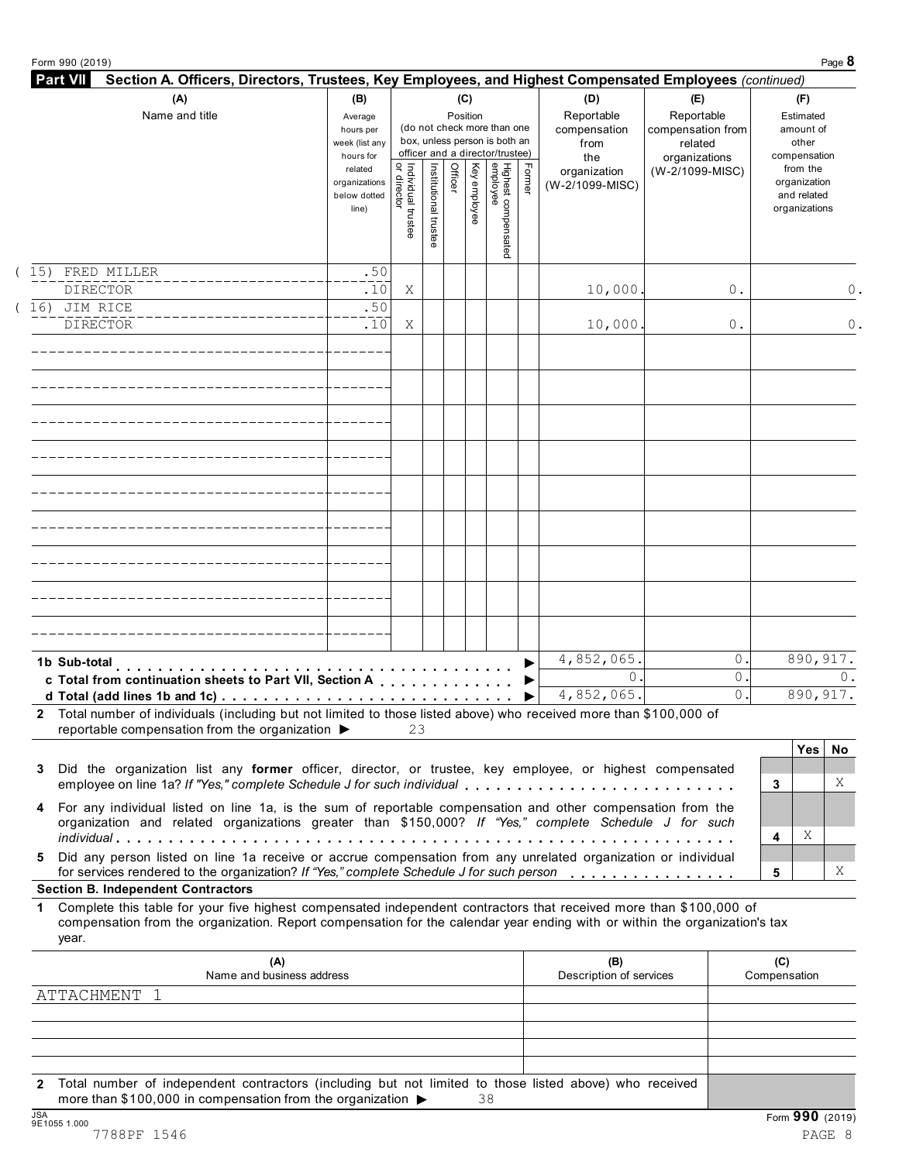|             | Form 990 (2019)<br>Section A. Officers, Directors, Trustees, Key Employees, and Highest Compensated Employees (continued)<br><b>Part VII</b>                                                                                                              |                                                                |                                   |                       |                         |                                                                    |        |                                        |                                  | Page 8                                                                   |
|-------------|-----------------------------------------------------------------------------------------------------------------------------------------------------------------------------------------------------------------------------------------------------------|----------------------------------------------------------------|-----------------------------------|-----------------------|-------------------------|--------------------------------------------------------------------|--------|----------------------------------------|----------------------------------|--------------------------------------------------------------------------|
|             | (A)<br>Name and title                                                                                                                                                                                                                                     | (B)<br>Average                                                 |                                   |                       | (C)<br>Position         |                                                                    |        | (D)<br>Reportable                      | (E)<br>Reportable                | (F)<br>Estimated                                                         |
|             |                                                                                                                                                                                                                                                           | hours per<br>week (list any                                    |                                   |                       |                         | (do not check more than one<br>box, unless person is both an       |        | compensation<br>from                   | compensation from<br>related     | amount of<br>other                                                       |
|             |                                                                                                                                                                                                                                                           | hours for<br>related<br>organizations<br>below dotted<br>line) | Individual trustee<br>or director | Institutional trustee | Officer<br>Key employee | officer and a director/trustee)<br>Highest compensated<br>employee | Former | the<br>organization<br>(W-2/1099-MISC) | organizations<br>(W-2/1099-MISC) | compensation<br>from the<br>organization<br>and related<br>organizations |
| 15)         | FRED MILLER                                                                                                                                                                                                                                               | .50                                                            |                                   |                       |                         |                                                                    |        |                                        |                                  |                                                                          |
|             | <b>DIRECTOR</b><br>16) JIM RICE                                                                                                                                                                                                                           | $\frac{1}{10}$<br>.50                                          | $\mathbf X$                       |                       |                         |                                                                    |        | 10,000.                                | $\mathbb O$ .                    | $0$ .                                                                    |
|             | DIRECTOR                                                                                                                                                                                                                                                  | $\frac{1}{10}$                                                 | X                                 |                       |                         |                                                                    |        | 10,000                                 | $0$ .                            | $0$ .                                                                    |
|             | -----------------------------                                                                                                                                                                                                                             |                                                                |                                   |                       |                         |                                                                    |        |                                        |                                  |                                                                          |
|             | _____________________________________                                                                                                                                                                                                                     |                                                                |                                   |                       |                         |                                                                    |        |                                        |                                  |                                                                          |
|             | -----------------------------------                                                                                                                                                                                                                       |                                                                |                                   |                       |                         |                                                                    |        |                                        |                                  |                                                                          |
|             | ___________________________________                                                                                                                                                                                                                       |                                                                |                                   |                       |                         |                                                                    |        |                                        |                                  |                                                                          |
|             | _________________________________                                                                                                                                                                                                                         |                                                                |                                   |                       |                         |                                                                    |        |                                        |                                  |                                                                          |
|             |                                                                                                                                                                                                                                                           |                                                                |                                   |                       |                         |                                                                    |        |                                        |                                  |                                                                          |
|             | ________________________________                                                                                                                                                                                                                          |                                                                |                                   |                       |                         |                                                                    |        |                                        |                                  |                                                                          |
|             | __________________________________                                                                                                                                                                                                                        |                                                                |                                   |                       |                         |                                                                    |        |                                        |                                  |                                                                          |
|             |                                                                                                                                                                                                                                                           |                                                                |                                   |                       |                         |                                                                    |        | 4,852,065.                             | $\circ$ .                        | 890, 917.                                                                |
|             | c Total from continuation sheets to Part VII, Section A ▶                                                                                                                                                                                                 |                                                                |                                   |                       |                         |                                                                    |        | $0$ .<br>4,852,065.                    | $0$ .<br>$\circ$ .               | $0$ .<br>890, 917.                                                       |
|             | 2 Total number of individuals (including but not limited to those listed above) who received more than \$100,000 of<br>reportable compensation from the organization ▶                                                                                    |                                                                | 23                                |                       |                         |                                                                    |        |                                        |                                  |                                                                          |
|             | 3 Did the organization list any former officer, director, or trustee, key employee, or highest compensated                                                                                                                                                |                                                                |                                   |                       |                         |                                                                    |        |                                        |                                  | Yes No                                                                   |
|             | 4 For any individual listed on line 1a, is the sum of reportable compensation and other compensation from the                                                                                                                                             |                                                                |                                   |                       |                         |                                                                    |        |                                        |                                  | Χ<br>$3^{\circ}$                                                         |
|             | organization and related organizations greater than \$150,000? If "Yes," complete Schedule J for such                                                                                                                                                     |                                                                |                                   |                       |                         |                                                                    |        |                                        |                                  | Χ<br>$\overline{\mathbf{4}}$                                             |
|             | 5 Did any person listed on line 1a receive or accrue compensation from any unrelated organization or individual<br>for services rendered to the organization? If "Yes," complete Schedule J for such person                                               |                                                                |                                   |                       |                         |                                                                    |        |                                        |                                  | X<br>5                                                                   |
|             | <b>Section B. Independent Contractors</b>                                                                                                                                                                                                                 |                                                                |                                   |                       |                         |                                                                    |        |                                        |                                  |                                                                          |
| $\mathbf 1$ | Complete this table for your five highest compensated independent contractors that received more than \$100,000 of<br>compensation from the organization. Report compensation for the calendar year ending with or within the organization's tax<br>year. |                                                                |                                   |                       |                         |                                                                    |        |                                        |                                  |                                                                          |
|             | (A)<br>Name and business address                                                                                                                                                                                                                          |                                                                |                                   |                       |                         |                                                                    |        | (B)<br>Description of services         |                                  | (C)<br>Compensation                                                      |
|             | ATTACHMENT 1                                                                                                                                                                                                                                              |                                                                |                                   |                       |                         |                                                                    |        |                                        |                                  |                                                                          |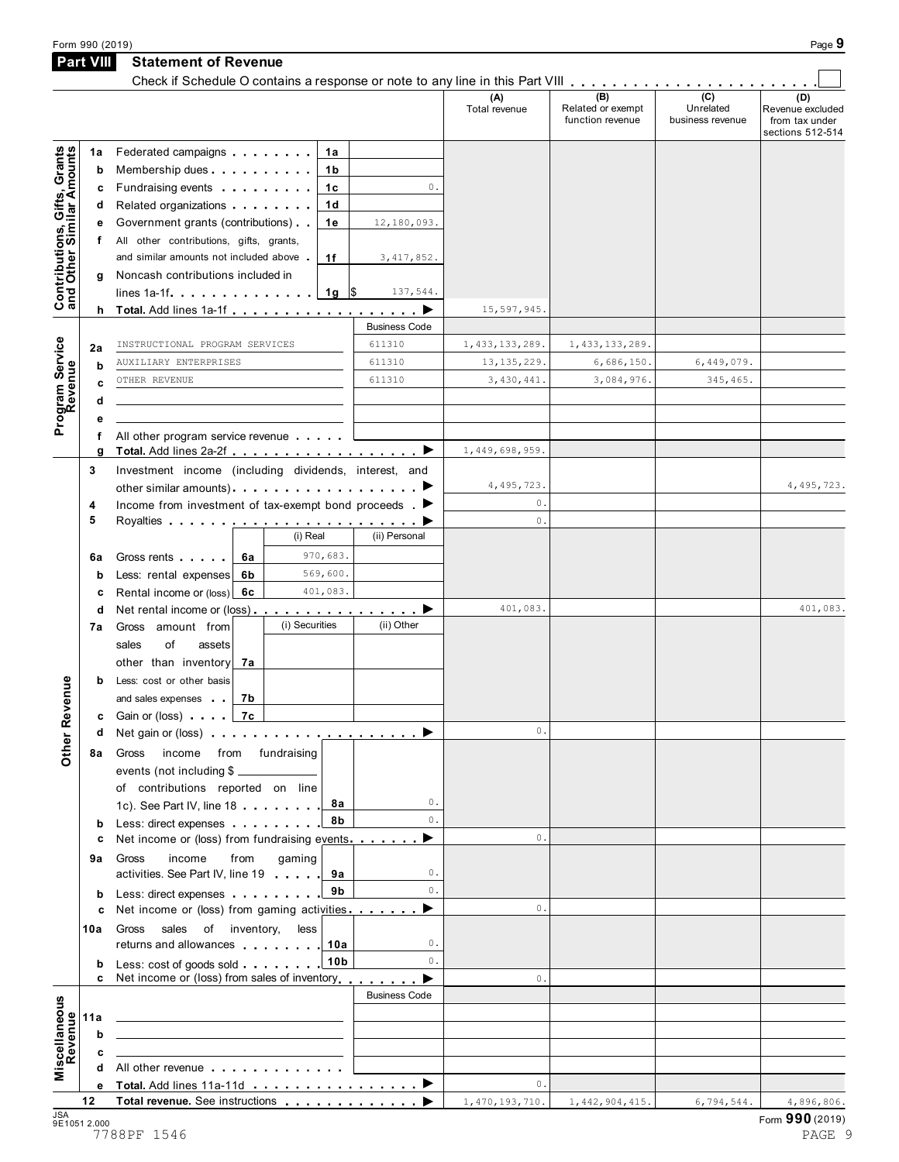| Form 990 (2019)                                                  |              |                                                                                           |                                |                             |                                              |                                                   |                                                               |
|------------------------------------------------------------------|--------------|-------------------------------------------------------------------------------------------|--------------------------------|-----------------------------|----------------------------------------------|---------------------------------------------------|---------------------------------------------------------------|
|                                                                  | Part VIII    | <b>Statement of Revenue</b>                                                               |                                |                             |                                              |                                                   | Page 9                                                        |
|                                                                  |              |                                                                                           |                                | (A)<br>Total revenue        | (B)<br>Related or exempt<br>function revenue | $\overline{(c)}$<br>Unrelated<br>business revenue | (D)<br>Revenue excluded<br>from tax under<br>sections 512-514 |
|                                                                  |              | 1a Federated campaigns 1a<br><b>b</b> Membership dues $\ldots$ , $\ldots$ , 1b            |                                |                             |                                              |                                                   |                                                               |
| <b>Contributions, Gifts, Grants</b><br>and Other Similar Amounts |              | c Fundraising events $1c$                                                                 | $\circ$ .                      |                             |                                              |                                                   |                                                               |
|                                                                  |              | d Related organizations<br>1d<br>e Government grants (contributions)<br>1е                | 12,180,093.                    |                             |                                              |                                                   |                                                               |
|                                                                  |              | f All other contributions, gifts, grants,<br>and similar amounts not included above<br>1f | 3,417,852.                     |                             |                                              |                                                   |                                                               |
|                                                                  |              | g Noncash contributions included in<br>lines 1a-1f. 1g $\frac{1}{9}$                      | 137,544.                       |                             |                                              |                                                   |                                                               |
|                                                                  |              | h Total. Add lines 1a-1f                                                                  |                                | 15,597,945                  |                                              |                                                   |                                                               |
|                                                                  | 2a           | INSTRUCTIONAL PROGRAM SERVICES                                                            | <b>Business Code</b><br>611310 | 1, 433, 133, 289.           | 1, 433, 133, 289.                            |                                                   |                                                               |
| Program Service<br>Revenue                                       | b            | AUXILIARY ENTERPRISES<br>OTHER REVENUE                                                    | 611310<br>611310               | 13, 135, 229.<br>3,430,441. | 6,686,150.<br>3,084,976.                     | 6,449,079.<br>345,465.                            |                                                               |
|                                                                  | c<br>d       |                                                                                           |                                |                             |                                              |                                                   |                                                               |
|                                                                  | е            | f All other program service revenue                                                       |                                |                             |                                              |                                                   |                                                               |
|                                                                  |              |                                                                                           |                                | 1,449,698,959.              |                                              |                                                   |                                                               |
|                                                                  | $\mathbf{3}$ | Investment income (including dividends, interest, and                                     |                                | 4,495,723.                  |                                              |                                                   | 4,495,723.                                                    |
|                                                                  | 4<br>5       | Income from investment of tax-exempt bond proceeds $\blacktriangleright$                  |                                | $\circ$ .<br>$\circ$ .      |                                              |                                                   |                                                               |
|                                                                  |              | (i) Real                                                                                  | (ii) Personal                  |                             |                                              |                                                   |                                                               |
|                                                                  | 6а<br>b      | 970,683.<br>Gross rents 6a<br>569,600.<br>Less: rental expenses 6b                        |                                |                             |                                              |                                                   |                                                               |
|                                                                  | C<br>d       | 401,083.<br>Rental income or (loss) 6c<br>Net rental income or (loss). ▶                  |                                | 401,083.                    |                                              |                                                   | 401,083.                                                      |
|                                                                  |              | (i) Securities<br>7a Gross amount from                                                    | (ii) Other                     |                             |                                              |                                                   |                                                               |
|                                                                  |              | o f<br>assets<br>sales<br>other than inventory 7a                                         |                                |                             |                                              |                                                   |                                                               |
|                                                                  |              | <b>b</b> Less: cost or other basis                                                        |                                |                             |                                              |                                                   |                                                               |
|                                                                  |              | and sales expenses $\blacksquare$ 7b<br>c Gain or (loss) $\cdots$ 7c                      |                                |                             |                                              |                                                   |                                                               |
| Other Revenue                                                    |              | 8a Gross income from fundraising                                                          |                                | $\circ$ .                   |                                              |                                                   |                                                               |
|                                                                  |              | events (not including \$                                                                  |                                |                             |                                              |                                                   |                                                               |
|                                                                  |              | of contributions reported on line<br>1c). See Part IV, line 18 8a                         | $\mathbb O$ .                  |                             |                                              |                                                   |                                                               |
|                                                                  |              | b Less: direct expenses 8b<br>c Net income or (loss) from fundraising events. ▶           | $\mathbb O$ .                  | $\circ$ .                   |                                              |                                                   |                                                               |
|                                                                  |              | income<br>from gaming<br>9a Gross                                                         |                                |                             |                                              |                                                   |                                                               |
|                                                                  |              | activities. See Part IV, line 19 9a<br>9b<br>b Less: direct expenses                      | $\mathbb O$ .<br>$\mathbb O$ . |                             |                                              |                                                   |                                                               |
|                                                                  |              | c Net income or (loss) from gaming activities. ▶                                          |                                | $\circ$ .                   |                                              |                                                   |                                                               |
|                                                                  |              | 10a Gross sales of inventory, less<br>returns and allowances 10a                          | $\mathbb O$ .                  |                             |                                              |                                                   |                                                               |
|                                                                  |              | b Less: cost of goods sold 10b<br>c Net income or (loss) from sales of inventory ▶        | $\mathbb O$ .                  | $\circ$ .                   |                                              |                                                   |                                                               |
|                                                                  |              |                                                                                           | <b>Business Code</b>           |                             |                                              |                                                   |                                                               |
| Miscellaneous<br>Revenue<br>a a a a a                            | b            |                                                                                           |                                |                             |                                              |                                                   |                                                               |
|                                                                  | c            | d All other revenue                                                                       |                                |                             |                                              |                                                   |                                                               |
|                                                                  |              | e Total. Add lines 11a-11d ▶                                                              |                                | $\circ$ .                   |                                              |                                                   |                                                               |
|                                                                  | 12           | Total revenue. See instructions ▶<br>JSA<br>9E10512.000<br>7788PF 1546                    |                                | 1, 470, 193, 710.           | 1, 442, 904, 415.                            | 6,794,544.                                        | 4,896,806.                                                    |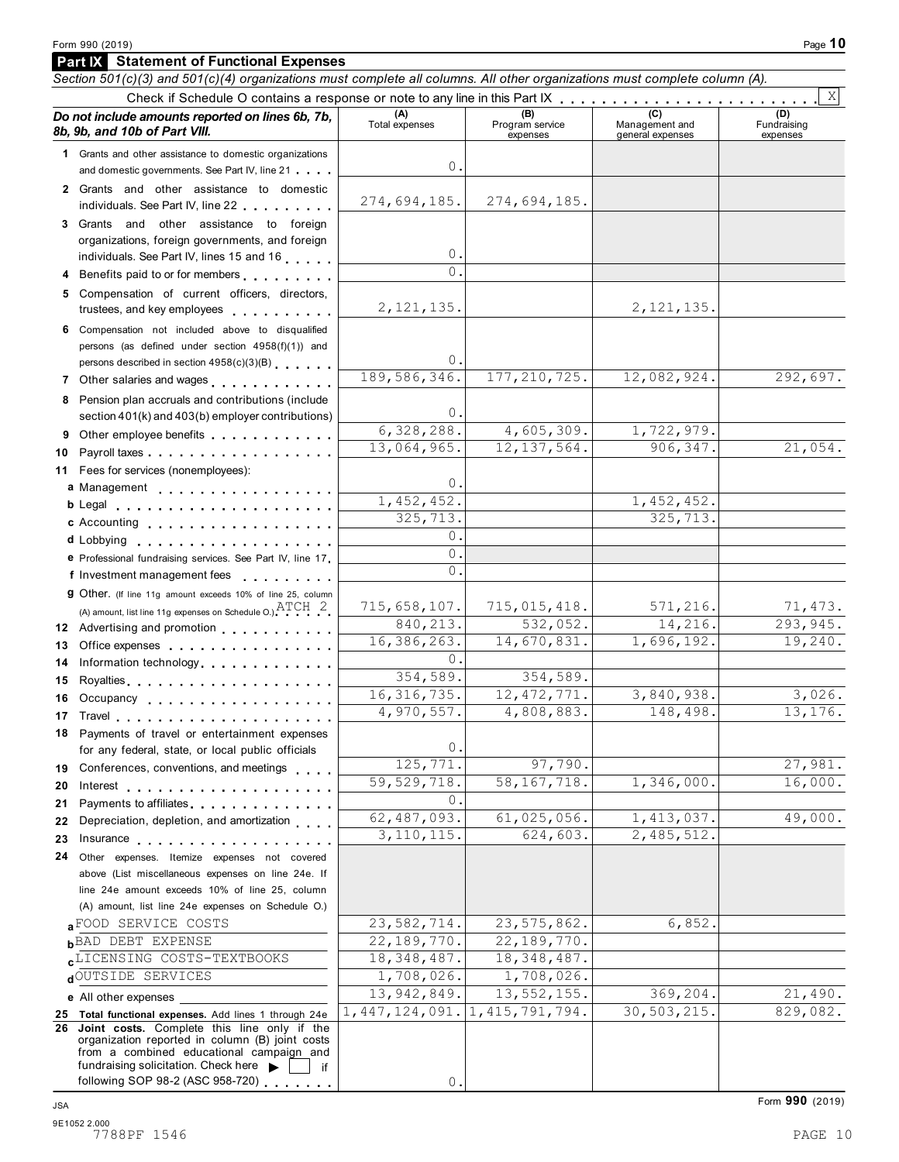| $\boldsymbol{\mathsf{X}}$<br>(C)<br>(B)<br>(D)<br>(A)<br>Do not include amounts reported on lines 6b, 7b,<br>Program service<br>Fundraising<br>Total expenses<br>Management and<br>8b, 9b, and 10b of Part VIII.<br>expenses<br>general expenses<br>expenses<br>1 Grants and other assistance to domestic organizations<br>$\mathbb O$ .<br>and domestic governments. See Part IV, line 21<br>2 Grants and other assistance to domestic<br>274,694,185.<br>274,694,185.<br>individuals. See Part IV, line 22<br>and other assistance to foreign<br>3 Grants<br>organizations, foreign governments, and foreign<br>$\,$ 0 $\,$<br>individuals. See Part IV, lines 15 and 16<br>0.<br>4 Benefits paid to or for members<br>5 Compensation of current officers, directors,<br>2, 121, 135.<br>2, 121, 135<br>trustees, and key employees<br>6 Compensation not included above to disqualified<br>persons (as defined under section 4958(f)(1)) and<br>$\circ$<br>persons described in section 4958(c)(3)(B)<br>292,697.<br>189,586,346.<br>177, 210, 725.<br>12,082,924.<br>7 Other salaries and wages<br>8 Pension plan accruals and contributions (include<br>$\circ$<br>section 401(k) and 403(b) employer contributions)<br>6,328,288.<br>4,605,309.<br>1,722,979.<br>9 Other employee benefits<br>21,054.<br>13,064,965.<br>12, 137, 564.<br>906,347.<br>10 Payroll taxes<br>11 Fees for services (nonemployees):<br>0.<br>a Management<br>$\overline{1,452,452}$ .<br>1, 452, 452.<br>$\overline{325}$ , 713.<br>325,713.<br>c Accounting<br>$0$ .<br>0.<br>e Professional fundraising services. See Part IV, line 17<br>$0$ .<br>f Investment management fees<br>g Other. (If line 11g amount exceeds 10% of line 25, column<br>71,473.<br>715,658,107.<br>715,015,418.<br>571,216.<br>(A) amount, list line 11g expenses on Schedule O.) $\text{ATCH}$ 2.<br>293,945.<br>840,213.<br>532,052.<br>14,216.<br>12 Advertising and promotion<br>16,386,263.<br>19,240.<br>14,670,831.<br>1,696,192.<br>13 Office expenses<br>0.<br>14 Information technology<br>354,589.<br>354,589 |
|--------------------------------------------------------------------------------------------------------------------------------------------------------------------------------------------------------------------------------------------------------------------------------------------------------------------------------------------------------------------------------------------------------------------------------------------------------------------------------------------------------------------------------------------------------------------------------------------------------------------------------------------------------------------------------------------------------------------------------------------------------------------------------------------------------------------------------------------------------------------------------------------------------------------------------------------------------------------------------------------------------------------------------------------------------------------------------------------------------------------------------------------------------------------------------------------------------------------------------------------------------------------------------------------------------------------------------------------------------------------------------------------------------------------------------------------------------------------------------------------------------------------------------------------------------------------------------------------------------------------------------------------------------------------------------------------------------------------------------------------------------------------------------------------------------------------------------------------------------------------------------------------------------------------------------------------------------------------------------------------------------------------------------------------------------------------------------------|
|                                                                                                                                                                                                                                                                                                                                                                                                                                                                                                                                                                                                                                                                                                                                                                                                                                                                                                                                                                                                                                                                                                                                                                                                                                                                                                                                                                                                                                                                                                                                                                                                                                                                                                                                                                                                                                                                                                                                                                                                                                                                                      |
|                                                                                                                                                                                                                                                                                                                                                                                                                                                                                                                                                                                                                                                                                                                                                                                                                                                                                                                                                                                                                                                                                                                                                                                                                                                                                                                                                                                                                                                                                                                                                                                                                                                                                                                                                                                                                                                                                                                                                                                                                                                                                      |
|                                                                                                                                                                                                                                                                                                                                                                                                                                                                                                                                                                                                                                                                                                                                                                                                                                                                                                                                                                                                                                                                                                                                                                                                                                                                                                                                                                                                                                                                                                                                                                                                                                                                                                                                                                                                                                                                                                                                                                                                                                                                                      |
|                                                                                                                                                                                                                                                                                                                                                                                                                                                                                                                                                                                                                                                                                                                                                                                                                                                                                                                                                                                                                                                                                                                                                                                                                                                                                                                                                                                                                                                                                                                                                                                                                                                                                                                                                                                                                                                                                                                                                                                                                                                                                      |
|                                                                                                                                                                                                                                                                                                                                                                                                                                                                                                                                                                                                                                                                                                                                                                                                                                                                                                                                                                                                                                                                                                                                                                                                                                                                                                                                                                                                                                                                                                                                                                                                                                                                                                                                                                                                                                                                                                                                                                                                                                                                                      |
|                                                                                                                                                                                                                                                                                                                                                                                                                                                                                                                                                                                                                                                                                                                                                                                                                                                                                                                                                                                                                                                                                                                                                                                                                                                                                                                                                                                                                                                                                                                                                                                                                                                                                                                                                                                                                                                                                                                                                                                                                                                                                      |
|                                                                                                                                                                                                                                                                                                                                                                                                                                                                                                                                                                                                                                                                                                                                                                                                                                                                                                                                                                                                                                                                                                                                                                                                                                                                                                                                                                                                                                                                                                                                                                                                                                                                                                                                                                                                                                                                                                                                                                                                                                                                                      |
|                                                                                                                                                                                                                                                                                                                                                                                                                                                                                                                                                                                                                                                                                                                                                                                                                                                                                                                                                                                                                                                                                                                                                                                                                                                                                                                                                                                                                                                                                                                                                                                                                                                                                                                                                                                                                                                                                                                                                                                                                                                                                      |
|                                                                                                                                                                                                                                                                                                                                                                                                                                                                                                                                                                                                                                                                                                                                                                                                                                                                                                                                                                                                                                                                                                                                                                                                                                                                                                                                                                                                                                                                                                                                                                                                                                                                                                                                                                                                                                                                                                                                                                                                                                                                                      |
|                                                                                                                                                                                                                                                                                                                                                                                                                                                                                                                                                                                                                                                                                                                                                                                                                                                                                                                                                                                                                                                                                                                                                                                                                                                                                                                                                                                                                                                                                                                                                                                                                                                                                                                                                                                                                                                                                                                                                                                                                                                                                      |
|                                                                                                                                                                                                                                                                                                                                                                                                                                                                                                                                                                                                                                                                                                                                                                                                                                                                                                                                                                                                                                                                                                                                                                                                                                                                                                                                                                                                                                                                                                                                                                                                                                                                                                                                                                                                                                                                                                                                                                                                                                                                                      |
|                                                                                                                                                                                                                                                                                                                                                                                                                                                                                                                                                                                                                                                                                                                                                                                                                                                                                                                                                                                                                                                                                                                                                                                                                                                                                                                                                                                                                                                                                                                                                                                                                                                                                                                                                                                                                                                                                                                                                                                                                                                                                      |
|                                                                                                                                                                                                                                                                                                                                                                                                                                                                                                                                                                                                                                                                                                                                                                                                                                                                                                                                                                                                                                                                                                                                                                                                                                                                                                                                                                                                                                                                                                                                                                                                                                                                                                                                                                                                                                                                                                                                                                                                                                                                                      |
|                                                                                                                                                                                                                                                                                                                                                                                                                                                                                                                                                                                                                                                                                                                                                                                                                                                                                                                                                                                                                                                                                                                                                                                                                                                                                                                                                                                                                                                                                                                                                                                                                                                                                                                                                                                                                                                                                                                                                                                                                                                                                      |
|                                                                                                                                                                                                                                                                                                                                                                                                                                                                                                                                                                                                                                                                                                                                                                                                                                                                                                                                                                                                                                                                                                                                                                                                                                                                                                                                                                                                                                                                                                                                                                                                                                                                                                                                                                                                                                                                                                                                                                                                                                                                                      |
|                                                                                                                                                                                                                                                                                                                                                                                                                                                                                                                                                                                                                                                                                                                                                                                                                                                                                                                                                                                                                                                                                                                                                                                                                                                                                                                                                                                                                                                                                                                                                                                                                                                                                                                                                                                                                                                                                                                                                                                                                                                                                      |
|                                                                                                                                                                                                                                                                                                                                                                                                                                                                                                                                                                                                                                                                                                                                                                                                                                                                                                                                                                                                                                                                                                                                                                                                                                                                                                                                                                                                                                                                                                                                                                                                                                                                                                                                                                                                                                                                                                                                                                                                                                                                                      |
|                                                                                                                                                                                                                                                                                                                                                                                                                                                                                                                                                                                                                                                                                                                                                                                                                                                                                                                                                                                                                                                                                                                                                                                                                                                                                                                                                                                                                                                                                                                                                                                                                                                                                                                                                                                                                                                                                                                                                                                                                                                                                      |
|                                                                                                                                                                                                                                                                                                                                                                                                                                                                                                                                                                                                                                                                                                                                                                                                                                                                                                                                                                                                                                                                                                                                                                                                                                                                                                                                                                                                                                                                                                                                                                                                                                                                                                                                                                                                                                                                                                                                                                                                                                                                                      |
|                                                                                                                                                                                                                                                                                                                                                                                                                                                                                                                                                                                                                                                                                                                                                                                                                                                                                                                                                                                                                                                                                                                                                                                                                                                                                                                                                                                                                                                                                                                                                                                                                                                                                                                                                                                                                                                                                                                                                                                                                                                                                      |
|                                                                                                                                                                                                                                                                                                                                                                                                                                                                                                                                                                                                                                                                                                                                                                                                                                                                                                                                                                                                                                                                                                                                                                                                                                                                                                                                                                                                                                                                                                                                                                                                                                                                                                                                                                                                                                                                                                                                                                                                                                                                                      |
|                                                                                                                                                                                                                                                                                                                                                                                                                                                                                                                                                                                                                                                                                                                                                                                                                                                                                                                                                                                                                                                                                                                                                                                                                                                                                                                                                                                                                                                                                                                                                                                                                                                                                                                                                                                                                                                                                                                                                                                                                                                                                      |
| 16, 316, 735.<br>3,026.<br>12, 472, 771.<br>3,840,938.                                                                                                                                                                                                                                                                                                                                                                                                                                                                                                                                                                                                                                                                                                                                                                                                                                                                                                                                                                                                                                                                                                                                                                                                                                                                                                                                                                                                                                                                                                                                                                                                                                                                                                                                                                                                                                                                                                                                                                                                                               |
| 16 Occupancy<br>4,970,557.<br>13,176.<br>4,808,883.<br>148,498.                                                                                                                                                                                                                                                                                                                                                                                                                                                                                                                                                                                                                                                                                                                                                                                                                                                                                                                                                                                                                                                                                                                                                                                                                                                                                                                                                                                                                                                                                                                                                                                                                                                                                                                                                                                                                                                                                                                                                                                                                      |
| 18 Payments of travel or entertainment expenses<br>$\circ$                                                                                                                                                                                                                                                                                                                                                                                                                                                                                                                                                                                                                                                                                                                                                                                                                                                                                                                                                                                                                                                                                                                                                                                                                                                                                                                                                                                                                                                                                                                                                                                                                                                                                                                                                                                                                                                                                                                                                                                                                           |
| for any federal, state, or local public officials<br>27,981.<br>125,771.<br>97,790.<br>19 Conferences, conventions, and meetings                                                                                                                                                                                                                                                                                                                                                                                                                                                                                                                                                                                                                                                                                                                                                                                                                                                                                                                                                                                                                                                                                                                                                                                                                                                                                                                                                                                                                                                                                                                                                                                                                                                                                                                                                                                                                                                                                                                                                     |
| $\overline{59}$ , 529, 718.<br>16,000.<br>58, 167, 718.<br>1,346,000.<br>$0$ .                                                                                                                                                                                                                                                                                                                                                                                                                                                                                                                                                                                                                                                                                                                                                                                                                                                                                                                                                                                                                                                                                                                                                                                                                                                                                                                                                                                                                                                                                                                                                                                                                                                                                                                                                                                                                                                                                                                                                                                                       |
| 21 Payments to affiliates.<br>49,000.<br>62,487,093.<br>61,025,056.<br>1, 413, 037.<br>22 Depreciation, depletion, and amortization                                                                                                                                                                                                                                                                                                                                                                                                                                                                                                                                                                                                                                                                                                                                                                                                                                                                                                                                                                                                                                                                                                                                                                                                                                                                                                                                                                                                                                                                                                                                                                                                                                                                                                                                                                                                                                                                                                                                                  |
| 3, 110, 115.<br>624,603.<br>2,485,512.                                                                                                                                                                                                                                                                                                                                                                                                                                                                                                                                                                                                                                                                                                                                                                                                                                                                                                                                                                                                                                                                                                                                                                                                                                                                                                                                                                                                                                                                                                                                                                                                                                                                                                                                                                                                                                                                                                                                                                                                                                               |
| 24 Other expenses. Itemize expenses not covered<br>above (List miscellaneous expenses on line 24e. If                                                                                                                                                                                                                                                                                                                                                                                                                                                                                                                                                                                                                                                                                                                                                                                                                                                                                                                                                                                                                                                                                                                                                                                                                                                                                                                                                                                                                                                                                                                                                                                                                                                                                                                                                                                                                                                                                                                                                                                |
| line 24e amount exceeds 10% of line 25, column                                                                                                                                                                                                                                                                                                                                                                                                                                                                                                                                                                                                                                                                                                                                                                                                                                                                                                                                                                                                                                                                                                                                                                                                                                                                                                                                                                                                                                                                                                                                                                                                                                                                                                                                                                                                                                                                                                                                                                                                                                       |
| (A) amount, list line 24e expenses on Schedule O.)<br>a FOOD SERVICE COSTS<br>23,582,714.<br>23,575,862.<br>6,852.                                                                                                                                                                                                                                                                                                                                                                                                                                                                                                                                                                                                                                                                                                                                                                                                                                                                                                                                                                                                                                                                                                                                                                                                                                                                                                                                                                                                                                                                                                                                                                                                                                                                                                                                                                                                                                                                                                                                                                   |
| <b>b</b> BAD DEBT EXPENSE<br>22, 189, 770.<br>22, 189, 770.                                                                                                                                                                                                                                                                                                                                                                                                                                                                                                                                                                                                                                                                                                                                                                                                                                                                                                                                                                                                                                                                                                                                                                                                                                                                                                                                                                                                                                                                                                                                                                                                                                                                                                                                                                                                                                                                                                                                                                                                                          |
| <b>CLICENSING COSTS-TEXTBOOKS</b><br>18, 348, 487.<br>18, 348, 487.<br>dOUTSIDE SERVICES<br>1,708,026.<br>1,708,026.                                                                                                                                                                                                                                                                                                                                                                                                                                                                                                                                                                                                                                                                                                                                                                                                                                                                                                                                                                                                                                                                                                                                                                                                                                                                                                                                                                                                                                                                                                                                                                                                                                                                                                                                                                                                                                                                                                                                                                 |
| 21,490.<br>13,942,849.<br>13,552,155.<br>369,204.<br><b>e</b> All other expenses                                                                                                                                                                                                                                                                                                                                                                                                                                                                                                                                                                                                                                                                                                                                                                                                                                                                                                                                                                                                                                                                                                                                                                                                                                                                                                                                                                                                                                                                                                                                                                                                                                                                                                                                                                                                                                                                                                                                                                                                     |
| 829,082.<br>1, 447, 124, 091. 1, 415, 791, 794.<br>30,503,215.<br>25 Total functional expenses. Add lines 1 through 24e<br>26 Joint costs. Complete this line only if the                                                                                                                                                                                                                                                                                                                                                                                                                                                                                                                                                                                                                                                                                                                                                                                                                                                                                                                                                                                                                                                                                                                                                                                                                                                                                                                                                                                                                                                                                                                                                                                                                                                                                                                                                                                                                                                                                                            |
| organization reported in column (B) joint costs<br>from a combined educational campaign and                                                                                                                                                                                                                                                                                                                                                                                                                                                                                                                                                                                                                                                                                                                                                                                                                                                                                                                                                                                                                                                                                                                                                                                                                                                                                                                                                                                                                                                                                                                                                                                                                                                                                                                                                                                                                                                                                                                                                                                          |
| fundraising solicitation. Check here<br>if                                                                                                                                                                                                                                                                                                                                                                                                                                                                                                                                                                                                                                                                                                                                                                                                                                                                                                                                                                                                                                                                                                                                                                                                                                                                                                                                                                                                                                                                                                                                                                                                                                                                                                                                                                                                                                                                                                                                                                                                                                           |
| following SOP 98-2 (ASC 958-720)<br>$\mathsf{O}$ .<br>Form 990 (2019)<br><b>JSA</b>                                                                                                                                                                                                                                                                                                                                                                                                                                                                                                                                                                                                                                                                                                                                                                                                                                                                                                                                                                                                                                                                                                                                                                                                                                                                                                                                                                                                                                                                                                                                                                                                                                                                                                                                                                                                                                                                                                                                                                                                  |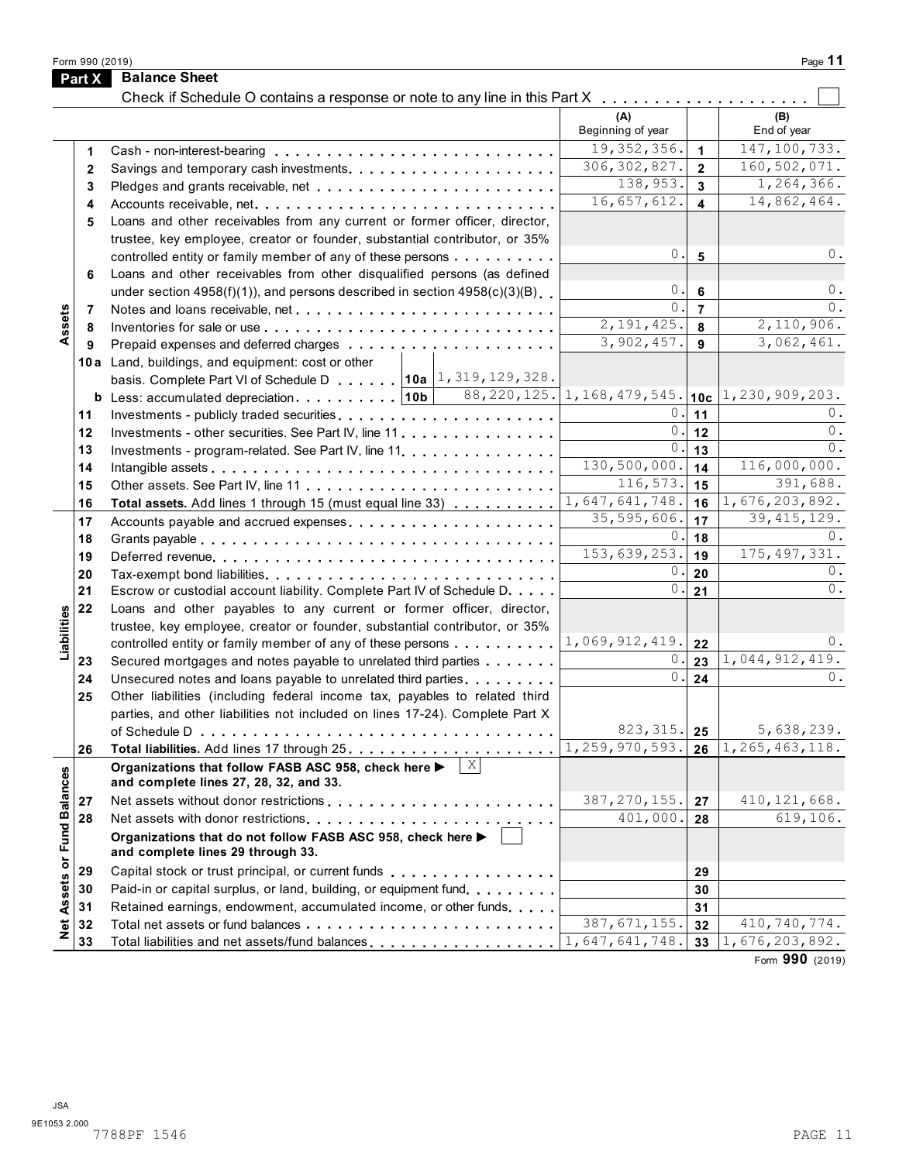| Part X            |                                                                                                                                                                                          |                                                         |                                | Page 11                          |
|-------------------|------------------------------------------------------------------------------------------------------------------------------------------------------------------------------------------|---------------------------------------------------------|--------------------------------|----------------------------------|
|                   | <b>Balance Sheet</b>                                                                                                                                                                     |                                                         |                                |                                  |
|                   |                                                                                                                                                                                          | (A)<br>Beginning of year                                |                                | (B)<br>End of year               |
|                   |                                                                                                                                                                                          | 19,352,356.                                             | $\mathbf{1}$                   | 147, 100, 733.                   |
| 2<br>3            |                                                                                                                                                                                          | 306, 302, 827.<br>138,953.                              | $\overline{2}$<br>$\mathbf{3}$ | 160,502,071.<br>1,264,366.       |
| 4                 |                                                                                                                                                                                          | 16,657,612.                                             | $\blacktriangle$               | 14,862,464.                      |
| 5                 | Loans and other receivables from any current or former officer, director,                                                                                                                |                                                         |                                |                                  |
|                   | trustee, key employee, creator or founder, substantial contributor, or 35%<br>controlled entity or family member of any of these persons                                                 | 0.                                                      | 5                              |                                  |
| 6                 | Loans and other receivables from other disqualified persons (as defined                                                                                                                  |                                                         |                                |                                  |
|                   | under section $4958(f)(1)$ , and persons described in section $4958(c)(3)(B)$ .                                                                                                          | 0.1<br>0.1                                              | 6<br>$\overline{7}$            | Ο.<br>0.                         |
| 8                 |                                                                                                                                                                                          | 2, 191, 425.                                            | 8                              | 2,110,906.                       |
| ⋖<br>9            |                                                                                                                                                                                          | 3,902,457.                                              | 9                              | 3,062,461.                       |
|                   | 10a Land, buildings, and equipment: cost or other<br>basis. Complete Part VI of Schedule D $\vert$ 10a $\vert$ 1, 319, 129, 328.                                                         |                                                         |                                |                                  |
|                   | <b>b</b> Less: accumulated depreciation. 10b                                                                                                                                             | $88, 220, 125.$ 1, 168, 479, 545. 10c 1, 230, 909, 203. |                                |                                  |
| 11                |                                                                                                                                                                                          | $\overline{\circ}$ .                                    | $\overline{0}$ . 11<br>12      | 0.<br>$0$ .                      |
| 12<br>∣ 13        | Investments - other securities. See Part IV, line 11.                                                                                                                                    | $\overline{\circ}$ .                                    | 13                             | $0$ .                            |
| 14                |                                                                                                                                                                                          | 130, 500, 000.                                          | 14                             | 116,000,000.                     |
| 15<br>16          | Total assets. Add lines 1 through 15 (must equal line 33) $\ldots \ldots$ $\ldots$ $\boxed{1,647,641,748}$ .                                                                             | $\overline{116, 573}$ . 15                              | 16                             | 391,688.<br>1,676,203,892.       |
| 17                | Accounts payable and accrued expenses                                                                                                                                                    | 35, 595, 606.                                           | 17                             | 39, 415, 129.                    |
| 18                |                                                                                                                                                                                          | $\vert$ 0 $\vert$<br>153,639,253.                       | 18                             | $0$ .<br>175, 497, 331.          |
| 19<br>20          |                                                                                                                                                                                          | 0.1                                                     | 19<br>20                       | 0.                               |
| 21                | Escrow or custodial account liability. Complete Part IV of Schedule D.                                                                                                                   |                                                         | $\overline{0.1}$ 21            | 0.                               |
| 22                | Loans and other payables to any current or former officer, director,                                                                                                                     |                                                         |                                |                                  |
| Liabilities       | trustee, key employee, creator or founder, substantial contributor, or 35%<br>controlled entity or family member of any of these persons $\ldots \ldots \ldots$   1, 069, 912, 419.   22 |                                                         |                                | 0.                               |
| 23                | Secured mortgages and notes payable to unrelated third parties                                                                                                                           |                                                         | $0$ $\sqrt{23}$                | 1,044,912,419.                   |
| 24<br>25          | Unsecured notes and loans payable to unrelated third parties.<br>Other liabilities (including federal income tax, payables to related third                                              |                                                         | $\overline{0.24}$              | $0$ .                            |
|                   | parties, and other liabilities not included on lines 17-24). Complete Part X                                                                                                             |                                                         |                                |                                  |
|                   |                                                                                                                                                                                          | $823, 315.$ 25                                          |                                | 5,638,239.                       |
| 26                | Organizations that follow FASB ASC 958, check here $\blacktriangleright$ $\lfloor X \rfloor$                                                                                             |                                                         |                                | 1,265,463,118.                   |
| <b>Balances</b>   | and complete lines 27, 28, 32, and 33.                                                                                                                                                   |                                                         |                                |                                  |
| 27<br>28          |                                                                                                                                                                                          | $387, 270, 155.$ 27<br>$401,000.$ 28                    |                                | 410, 121, 668.<br>619,106.       |
| Fund              | Organizations that do not follow FASB ASC 958, check here ▶ │                                                                                                                            |                                                         |                                |                                  |
|                   | and complete lines 29 through 33.                                                                                                                                                        |                                                         |                                |                                  |
| 29<br>ssets<br>30 | Capital stock or trust principal, or current funds<br>Paid-in or capital surplus, or land, building, or equipment fund.                                                                  |                                                         | 29<br>30                       |                                  |
| 31<br>⋖           | Retained earnings, endowment, accumulated income, or other funds.                                                                                                                        |                                                         | 31                             |                                  |
| ō<br>32<br>Ż      |                                                                                                                                                                                          | $\overline{387,671,155}.$                               | 32                             | 410, 740, 774.<br>1,676,203,892. |
| 33                |                                                                                                                                                                                          |                                                         |                                |                                  |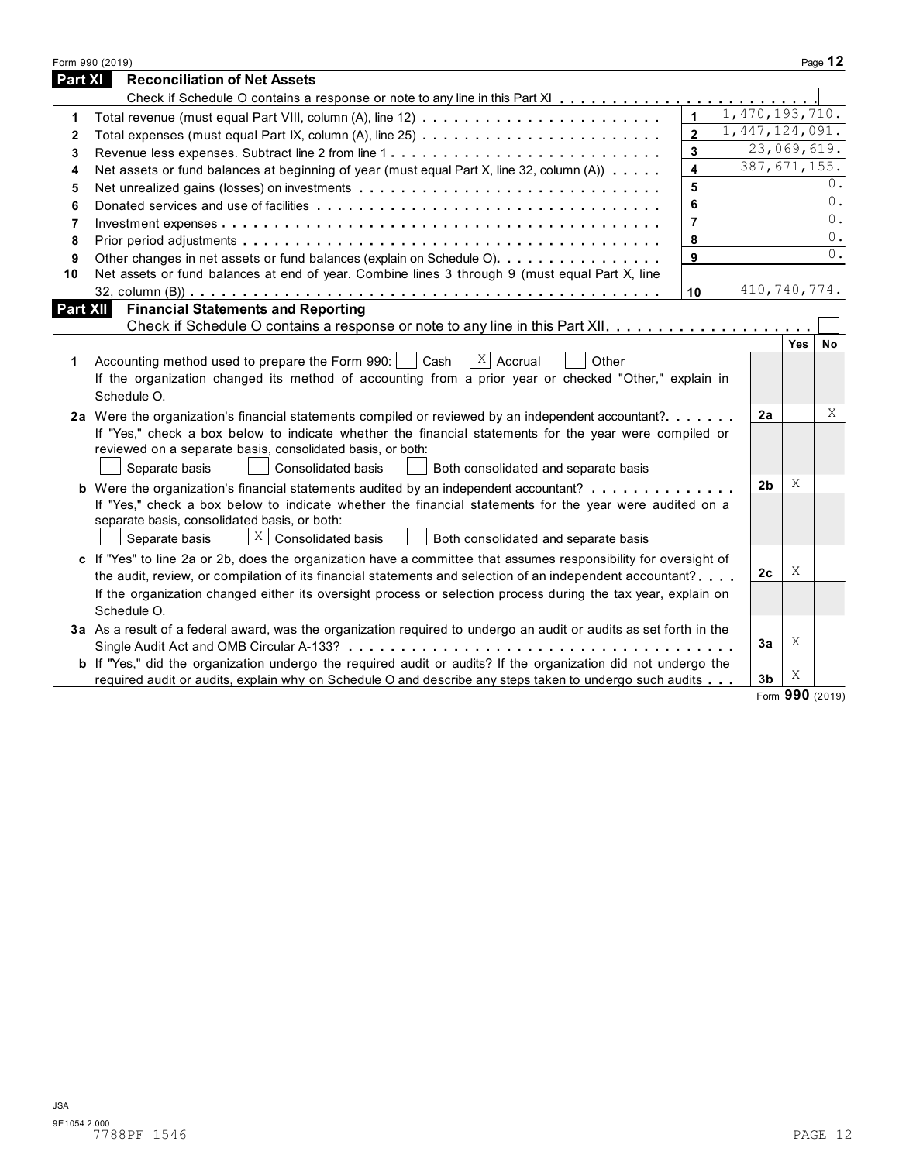|        | Form 990 (2019)<br><b>Part XI</b><br><b>Reconciliation of Net Assets</b>                                                                                                                                                      |                                |                                        |   | Page 12  |
|--------|-------------------------------------------------------------------------------------------------------------------------------------------------------------------------------------------------------------------------------|--------------------------------|----------------------------------------|---|----------|
|        |                                                                                                                                                                                                                               |                                |                                        |   |          |
| 1      |                                                                                                                                                                                                                               | $\mathbf{1}$                   | 1, 470, 193, 710.<br>1, 447, 124, 091. |   |          |
| 2<br>3 |                                                                                                                                                                                                                               | $\overline{2}$<br>$\mathbf{3}$ | 23,069,619.                            |   |          |
| 4      | Net assets or fund balances at beginning of year (must equal Part X, line 32, column (A))                                                                                                                                     | $\overline{4}$                 | 387, 671, 155.                         |   |          |
| 5      |                                                                                                                                                                                                                               | $5\phantom{.0}$                |                                        |   | 0.       |
|        |                                                                                                                                                                                                                               | 6<br>$\overline{7}$            |                                        |   | 0.<br>0. |
|        |                                                                                                                                                                                                                               | 8                              |                                        |   | 0.       |
| 10     | Other changes in net assets or fund balances (explain on Schedule O).<br>Net assets or fund balances at end of year. Combine lines 3 through 9 (must equal Part X, line                                                       | 9                              |                                        |   | 0.       |
|        | Part XII<br><b>Financial Statements and Reporting</b>                                                                                                                                                                         | 10                             | 410,740,774.                           |   |          |
|        |                                                                                                                                                                                                                               |                                |                                        |   |          |
|        |                                                                                                                                                                                                                               |                                |                                        |   | Yes No   |
|        | $\sqrt{X}$ Accrual<br>Accounting method used to prepare the Form 990:     Cash<br>Other<br>If the organization changed its method of accounting from a prior year or checked "Other," explain in                              |                                |                                        |   |          |
|        | Schedule O.                                                                                                                                                                                                                   |                                |                                        |   |          |
|        | 2a Were the organization's financial statements compiled or reviewed by an independent accountant?.<br>If "Yes," check a box below to indicate whether the financial statements for the year were compiled or                 |                                | 2a                                     |   | Χ        |
|        | reviewed on a separate basis, consolidated basis, or both:<br>Separate basis<br><b>Consolidated basis</b><br>Both consolidated and separate basis                                                                             |                                |                                        |   |          |
|        | <b>b</b> Were the organization's financial statements audited by an independent accountant? $\ldots \ldots \ldots \ldots$                                                                                                     |                                | 2 <sub>b</sub>                         | X |          |
|        | If "Yes," check a box below to indicate whether the financial statements for the year were audited on a<br>separate basis, consolidated basis, or both:                                                                       |                                |                                        |   |          |
|        | $\lfloor X \rfloor$ Consolidated basis<br>Separate basis<br>Both consolidated and separate basis                                                                                                                              |                                |                                        |   |          |
|        | c If "Yes" to line 2a or 2b, does the organization have a committee that assumes responsibility for oversight of<br>the audit, review, or compilation of its financial statements and selection of an independent accountant? |                                | 2c                                     | X |          |
|        | If the organization changed either its oversight process or selection process during the tax year, explain on<br>Schedule O.                                                                                                  |                                |                                        |   |          |
|        | 3a As a result of a federal award, was the organization required to undergo an audit or audits as set forth in the                                                                                                            |                                |                                        |   |          |
|        |                                                                                                                                                                                                                               |                                | 3a                                     | Χ |          |
|        |                                                                                                                                                                                                                               |                                |                                        |   |          |
|        | b If "Yes," did the organization undergo the required audit or audits? If the organization did not undergo the<br>required audit or audits, explain why on Schedule O and describe any steps taken to undergo such audits     |                                | 3 <sub>b</sub>                         | Χ |          |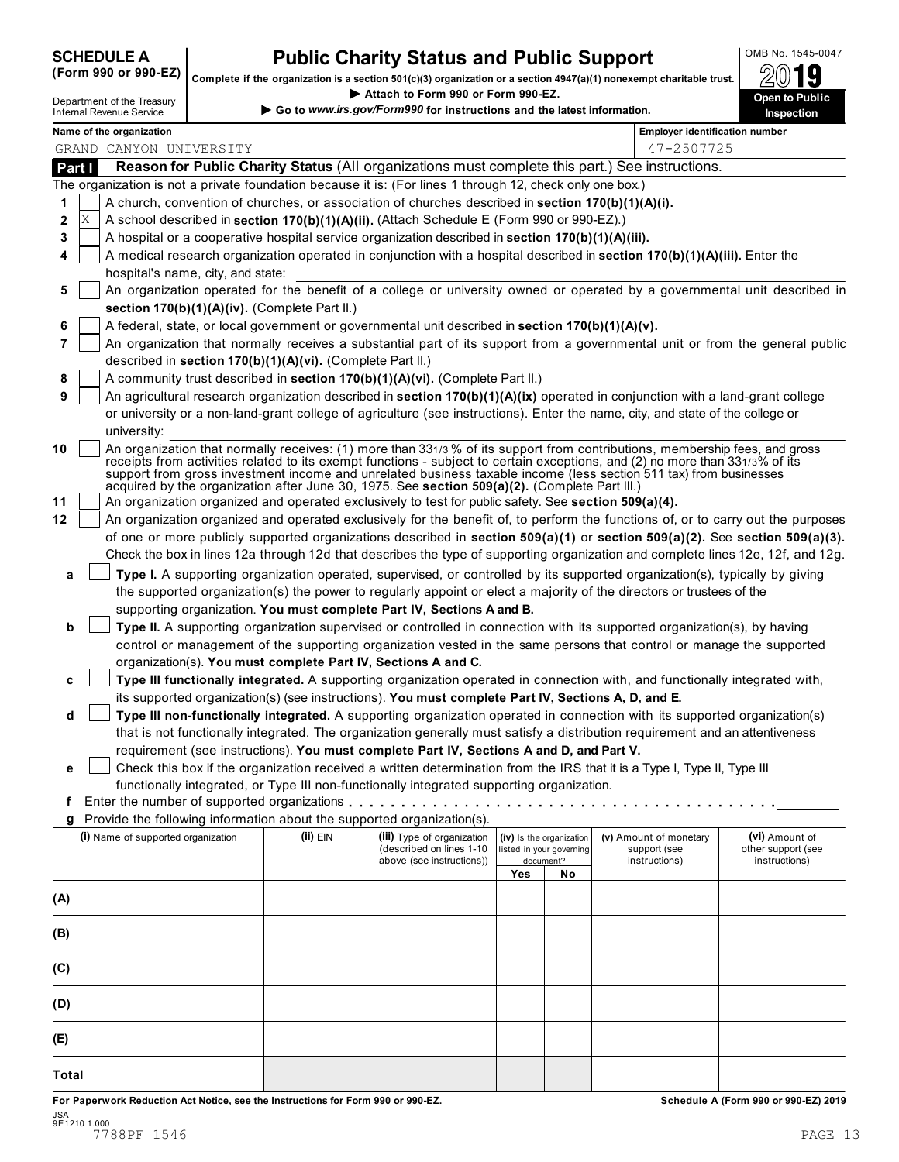| <b>Employer identification number</b><br>47-2507725<br>Reason for Public Charity Status (All organizations must complete this part.) See instructions.<br>Part I<br>A church, convention of churches, or association of churches described in section 170(b)(1)(A)(i).<br>1<br>$\mathbf{2}$<br>IX.<br>A school described in section 170(b)(1)(A)(ii). (Attach Schedule E (Form 990 or 990-EZ).)<br>3<br>A hospital or a cooperative hospital service organization described in section 170(b)(1)(A)(iii).<br>A medical research organization operated in conjunction with a hospital described in section 170(b)(1)(A)(iii). Enter the<br>4<br>hospital's name, city, and state:<br>5<br>section 170(b)(1)(A)(iv). (Complete Part II.)<br>A federal, state, or local government or governmental unit described in section 170(b)(1)(A)(v).<br>$\overline{7}$<br>described in section 170(b)(1)(A)(vi). (Complete Part II.)<br>8<br>A community trust described in section 170(b)(1)(A)(vi). (Complete Part II.)<br>9<br>An agricultural research organization described in section 170(b)(1)(A)(ix) operated in conjunction with a land-grant college<br>or university or a non-land-grant college of agriculture (see instructions). Enter the name, city, and state of the college or<br>university:<br>An organization that normally receives: (1) more than 331/3 % of its support from contributions, membership fees, and gross<br>receipts from activities related to its exempt functions - subject to certain exceptions, and (2) no more than 331/3% of its<br>support from gross investment income and unrelated business taxable income (less section 511 tax) from businesses<br>acquired by the organization after June 30, 1975. See section 509(a)(2). (Complete Part III.)<br>An organization organized and operated exclusively to test for public safety. See section 509(a)(4).<br>Type I. A supporting organization operated, supervised, or controlled by its supported organization(s), typically by giving<br>a<br>the supported organization(s) the power to regularly appoint or elect a majority of the directors or trustees of the<br>supporting organization. You must complete Part IV, Sections A and B.<br>Type II. A supporting organization supervised or controlled in connection with its supported organization(s), by having<br>b<br>control or management of the supporting organization vested in the same persons that control or manage the supported<br>organization(s). You must complete Part IV, Sections A and C.<br>Type III functionally integrated. A supporting organization operated in connection with, and functionally integrated with,<br>$\mathbf{c}$<br>its supported organization(s) (see instructions). You must complete Part IV, Sections A, D, and E.<br>Type III non-functionally integrated. A supporting organization operated in connection with its supported organization(s)<br>d<br>that is not functionally integrated. The organization generally must satisfy a distribution requirement and an attentiveness<br>requirement (see instructions). You must complete Part IV, Sections A and D, and Part V.<br>Check this box if the organization received a written determination from the IRS that it is a Type I, Type II, Type III<br>e.<br>functionally integrated, or Type III non-functionally integrated supporting organization. | Name of the organization<br>GRAND CANYON UNIVERSITY<br>The organization is not a private foundation because it is: (For lines 1 through 12, check only one box.)<br>An organization operated for the benefit of a college or university owned or operated by a governmental unit described in<br>An organization that normally receives a substantial part of its support from a governmental unit or from the general public<br>10<br>11<br>$12 \,$<br>An organization organized and operated exclusively for the benefit of, to perform the functions of, or to carry out the purposes<br>of one or more publicly supported organizations described in section 509(a)(1) or section 509(a)(2). See section 509(a)(3).<br>Check the box in lines 12a through 12d that describes the type of supporting organization and complete lines 12e, 12f, and 12g.<br>g Provide the following information about the supported organization(s).<br>(i) Name of supported organization<br>(iv) Is the organization  <br>(ii) EIN<br>(iii) Type of organization<br>(v) Amount of monetary<br>(vi) Amount of<br>(described on lines 1-10<br>other support (see<br>listed in your governing<br>support (see<br>above (see instructions))<br>document?<br>instructions)<br>instructions)<br>Yes<br>No. |              |  |  | ► Go to www.irs.gov/Form990 for instructions and the latest information. | Inspection |
|-------------------------------------------------------------------------------------------------------------------------------------------------------------------------------------------------------------------------------------------------------------------------------------------------------------------------------------------------------------------------------------------------------------------------------------------------------------------------------------------------------------------------------------------------------------------------------------------------------------------------------------------------------------------------------------------------------------------------------------------------------------------------------------------------------------------------------------------------------------------------------------------------------------------------------------------------------------------------------------------------------------------------------------------------------------------------------------------------------------------------------------------------------------------------------------------------------------------------------------------------------------------------------------------------------------------------------------------------------------------------------------------------------------------------------------------------------------------------------------------------------------------------------------------------------------------------------------------------------------------------------------------------------------------------------------------------------------------------------------------------------------------------------------------------------------------------------------------------------------------------------------------------------------------------------------------------------------------------------------------------------------------------------------------------------------------------------------------------------------------------------------------------------------------------------------------------------------------------------------------------------------------------------------------------------------------------------------------------------------------------------------------------------------------------------------------------------------------------------------------------------------------------------------------------------------------------------------------------------------------------------------------------------------------------------------------------------------------------------------------------------------------------------------------------------------------------------------------------------------------------------------------------------------------------------------------------------------------------------------------------------------------------------------------------------------------------------------------------------------------------------------------------------------------------------------------------------------------------------------------------------------------------------------------------------------------------------------------------------------------------------------------------------------------|------------------------------------------------------------------------------------------------------------------------------------------------------------------------------------------------------------------------------------------------------------------------------------------------------------------------------------------------------------------------------------------------------------------------------------------------------------------------------------------------------------------------------------------------------------------------------------------------------------------------------------------------------------------------------------------------------------------------------------------------------------------------------------------------------------------------------------------------------------------------------------------------------------------------------------------------------------------------------------------------------------------------------------------------------------------------------------------------------------------------------------------------------------------------------------------------------------------------------------------------------------------------------------------|--------------|--|--|--------------------------------------------------------------------------|------------|
|                                                                                                                                                                                                                                                                                                                                                                                                                                                                                                                                                                                                                                                                                                                                                                                                                                                                                                                                                                                                                                                                                                                                                                                                                                                                                                                                                                                                                                                                                                                                                                                                                                                                                                                                                                                                                                                                                                                                                                                                                                                                                                                                                                                                                                                                                                                                                                                                                                                                                                                                                                                                                                                                                                                                                                                                                                                                                                                                                                                                                                                                                                                                                                                                                                                                                                                                                                                                                   |                                                                                                                                                                                                                                                                                                                                                                                                                                                                                                                                                                                                                                                                                                                                                                                                                                                                                                                                                                                                                                                                                                                                                                                                                                                                                          |              |  |  |                                                                          |            |
|                                                                                                                                                                                                                                                                                                                                                                                                                                                                                                                                                                                                                                                                                                                                                                                                                                                                                                                                                                                                                                                                                                                                                                                                                                                                                                                                                                                                                                                                                                                                                                                                                                                                                                                                                                                                                                                                                                                                                                                                                                                                                                                                                                                                                                                                                                                                                                                                                                                                                                                                                                                                                                                                                                                                                                                                                                                                                                                                                                                                                                                                                                                                                                                                                                                                                                                                                                                                                   |                                                                                                                                                                                                                                                                                                                                                                                                                                                                                                                                                                                                                                                                                                                                                                                                                                                                                                                                                                                                                                                                                                                                                                                                                                                                                          |              |  |  |                                                                          |            |
|                                                                                                                                                                                                                                                                                                                                                                                                                                                                                                                                                                                                                                                                                                                                                                                                                                                                                                                                                                                                                                                                                                                                                                                                                                                                                                                                                                                                                                                                                                                                                                                                                                                                                                                                                                                                                                                                                                                                                                                                                                                                                                                                                                                                                                                                                                                                                                                                                                                                                                                                                                                                                                                                                                                                                                                                                                                                                                                                                                                                                                                                                                                                                                                                                                                                                                                                                                                                                   |                                                                                                                                                                                                                                                                                                                                                                                                                                                                                                                                                                                                                                                                                                                                                                                                                                                                                                                                                                                                                                                                                                                                                                                                                                                                                          |              |  |  |                                                                          |            |
|                                                                                                                                                                                                                                                                                                                                                                                                                                                                                                                                                                                                                                                                                                                                                                                                                                                                                                                                                                                                                                                                                                                                                                                                                                                                                                                                                                                                                                                                                                                                                                                                                                                                                                                                                                                                                                                                                                                                                                                                                                                                                                                                                                                                                                                                                                                                                                                                                                                                                                                                                                                                                                                                                                                                                                                                                                                                                                                                                                                                                                                                                                                                                                                                                                                                                                                                                                                                                   |                                                                                                                                                                                                                                                                                                                                                                                                                                                                                                                                                                                                                                                                                                                                                                                                                                                                                                                                                                                                                                                                                                                                                                                                                                                                                          |              |  |  |                                                                          |            |
| (A)                                                                                                                                                                                                                                                                                                                                                                                                                                                                                                                                                                                                                                                                                                                                                                                                                                                                                                                                                                                                                                                                                                                                                                                                                                                                                                                                                                                                                                                                                                                                                                                                                                                                                                                                                                                                                                                                                                                                                                                                                                                                                                                                                                                                                                                                                                                                                                                                                                                                                                                                                                                                                                                                                                                                                                                                                                                                                                                                                                                                                                                                                                                                                                                                                                                                                                                                                                                                               |                                                                                                                                                                                                                                                                                                                                                                                                                                                                                                                                                                                                                                                                                                                                                                                                                                                                                                                                                                                                                                                                                                                                                                                                                                                                                          |              |  |  |                                                                          |            |
|                                                                                                                                                                                                                                                                                                                                                                                                                                                                                                                                                                                                                                                                                                                                                                                                                                                                                                                                                                                                                                                                                                                                                                                                                                                                                                                                                                                                                                                                                                                                                                                                                                                                                                                                                                                                                                                                                                                                                                                                                                                                                                                                                                                                                                                                                                                                                                                                                                                                                                                                                                                                                                                                                                                                                                                                                                                                                                                                                                                                                                                                                                                                                                                                                                                                                                                                                                                                                   | (B)                                                                                                                                                                                                                                                                                                                                                                                                                                                                                                                                                                                                                                                                                                                                                                                                                                                                                                                                                                                                                                                                                                                                                                                                                                                                                      |              |  |  |                                                                          |            |
|                                                                                                                                                                                                                                                                                                                                                                                                                                                                                                                                                                                                                                                                                                                                                                                                                                                                                                                                                                                                                                                                                                                                                                                                                                                                                                                                                                                                                                                                                                                                                                                                                                                                                                                                                                                                                                                                                                                                                                                                                                                                                                                                                                                                                                                                                                                                                                                                                                                                                                                                                                                                                                                                                                                                                                                                                                                                                                                                                                                                                                                                                                                                                                                                                                                                                                                                                                                                                   | (C)                                                                                                                                                                                                                                                                                                                                                                                                                                                                                                                                                                                                                                                                                                                                                                                                                                                                                                                                                                                                                                                                                                                                                                                                                                                                                      |              |  |  |                                                                          |            |
|                                                                                                                                                                                                                                                                                                                                                                                                                                                                                                                                                                                                                                                                                                                                                                                                                                                                                                                                                                                                                                                                                                                                                                                                                                                                                                                                                                                                                                                                                                                                                                                                                                                                                                                                                                                                                                                                                                                                                                                                                                                                                                                                                                                                                                                                                                                                                                                                                                                                                                                                                                                                                                                                                                                                                                                                                                                                                                                                                                                                                                                                                                                                                                                                                                                                                                                                                                                                                   | (D)                                                                                                                                                                                                                                                                                                                                                                                                                                                                                                                                                                                                                                                                                                                                                                                                                                                                                                                                                                                                                                                                                                                                                                                                                                                                                      |              |  |  |                                                                          |            |
|                                                                                                                                                                                                                                                                                                                                                                                                                                                                                                                                                                                                                                                                                                                                                                                                                                                                                                                                                                                                                                                                                                                                                                                                                                                                                                                                                                                                                                                                                                                                                                                                                                                                                                                                                                                                                                                                                                                                                                                                                                                                                                                                                                                                                                                                                                                                                                                                                                                                                                                                                                                                                                                                                                                                                                                                                                                                                                                                                                                                                                                                                                                                                                                                                                                                                                                                                                                                                   | (E)                                                                                                                                                                                                                                                                                                                                                                                                                                                                                                                                                                                                                                                                                                                                                                                                                                                                                                                                                                                                                                                                                                                                                                                                                                                                                      | <b>Total</b> |  |  |                                                                          |            |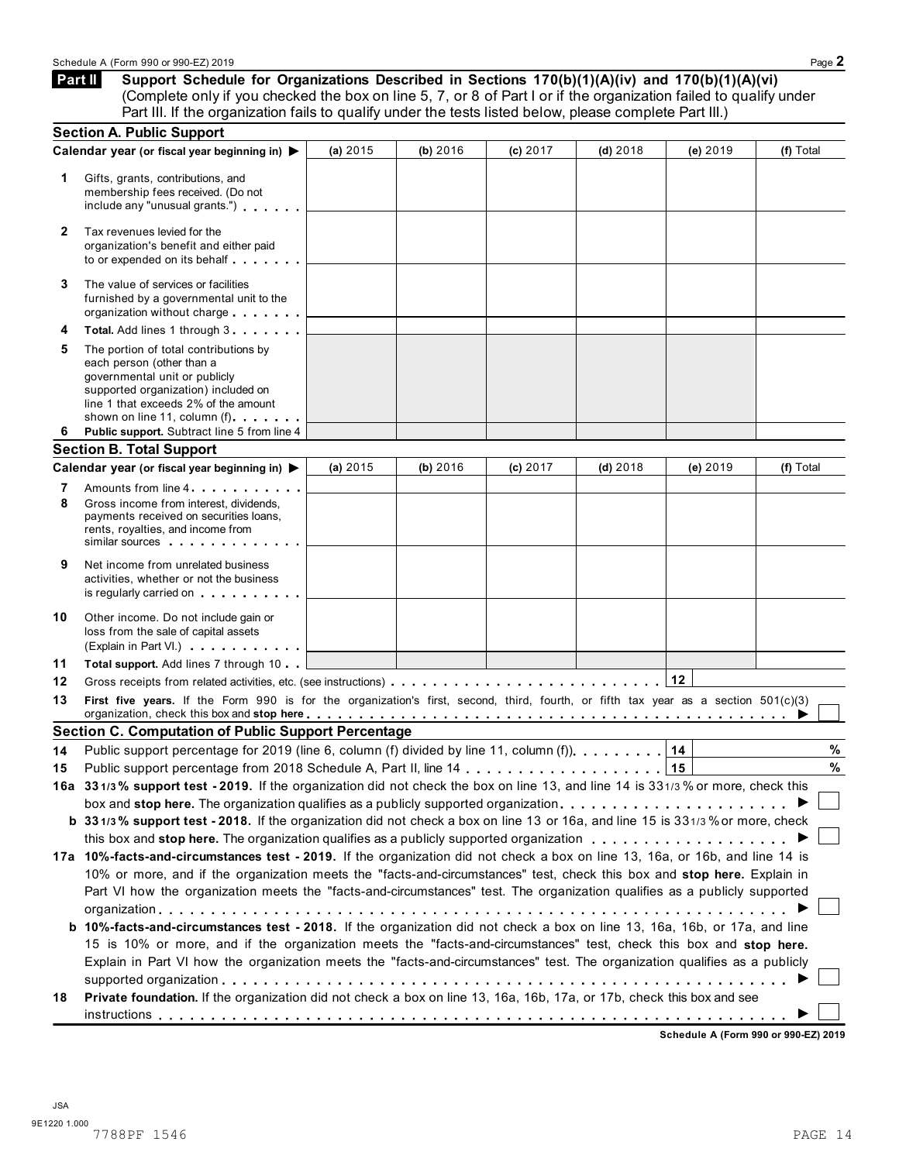| <b>Part II</b> | Schedule A (Form 990 or 990-EZ) 2019<br>Support Schedule for Organizations Described in Sections 170(b)(1)(A)(iv) and 170(b)(1)(A)(vi)                                                                                                                                                                                                                                               |            |          |          |            |                                                                                                                                                                                                                                                     | Page 2    |
|----------------|--------------------------------------------------------------------------------------------------------------------------------------------------------------------------------------------------------------------------------------------------------------------------------------------------------------------------------------------------------------------------------------|------------|----------|----------|------------|-----------------------------------------------------------------------------------------------------------------------------------------------------------------------------------------------------------------------------------------------------|-----------|
|                | (Complete only if you checked the box on line 5, 7, or 8 of Part I or if the organization failed to qualify under<br>Part III. If the organization fails to qualify under the tests listed below, please complete Part III.)                                                                                                                                                         |            |          |          |            |                                                                                                                                                                                                                                                     |           |
|                | <b>Section A. Public Support</b><br>Calendar year (or fiscal year beginning in) ▶                                                                                                                                                                                                                                                                                                    | (a) $2015$ | (b) 2016 | (c) 2017 | $(d)$ 2018 | (e) 2019                                                                                                                                                                                                                                            | (f) Total |
| -1             | Gifts, grants, contributions, and<br>membership fees received. (Do not<br>include any "unusual grants.")                                                                                                                                                                                                                                                                             |            |          |          |            |                                                                                                                                                                                                                                                     |           |
| $\overline{2}$ | Tax revenues levied for the<br>organization's benefit and either paid<br>to or expended on its behalf                                                                                                                                                                                                                                                                                |            |          |          |            |                                                                                                                                                                                                                                                     |           |
| 3              | The value of services or facilities<br>furnished by a governmental unit to the<br>organization without charge                                                                                                                                                                                                                                                                        |            |          |          |            |                                                                                                                                                                                                                                                     |           |
|                | Total. Add lines 1 through 3.<br>The portion of total contributions by<br>each person (other than a<br>governmental unit or publicly<br>supported organization) included on<br>line 1 that exceeds 2% of the amount                                                                                                                                                                  |            |          |          |            |                                                                                                                                                                                                                                                     |           |
| 6              | shown on line 11, column $(f)$ .<br>Public support. Subtract line 5 from line 4                                                                                                                                                                                                                                                                                                      |            |          |          |            |                                                                                                                                                                                                                                                     |           |
|                | <b>Section B. Total Support</b>                                                                                                                                                                                                                                                                                                                                                      |            |          |          |            |                                                                                                                                                                                                                                                     |           |
|                | Calendar year (or fiscal year beginning in) $\blacktriangleright$                                                                                                                                                                                                                                                                                                                    | (a) $2015$ | (b) 2016 | (c) 2017 | $(d)$ 2018 | (e) 2019                                                                                                                                                                                                                                            | (f) Total |
|                | Amounts from line 4.<br>Gross income from interest, dividends.<br>payments received on securities loans,<br>rents, royalties, and income from<br>similar sources                                                                                                                                                                                                                     |            |          |          |            |                                                                                                                                                                                                                                                     |           |
|                | Net income from unrelated business<br>activities, whether or not the business<br>is regularly carried on                                                                                                                                                                                                                                                                             |            |          |          |            |                                                                                                                                                                                                                                                     |           |
| 10             | Other income. Do not include gain or<br>loss from the sale of capital assets<br>(Explain in Part VI.)                                                                                                                                                                                                                                                                                |            |          |          |            |                                                                                                                                                                                                                                                     |           |
| 11<br>12       | Total support. Add lines 7 through 10                                                                                                                                                                                                                                                                                                                                                |            |          |          |            |                                                                                                                                                                                                                                                     |           |
| 13             | First five years. If the Form 990 is for the organization's first, second, third, fourth, or fifth tax year as a section 501(c)(3)                                                                                                                                                                                                                                                   |            |          |          |            |                                                                                                                                                                                                                                                     |           |
|                | organization, check this box and stop here $\ldots \ldots \ldots \ldots \ldots \ldots \ldots \ldots \ldots \ldots \ldots \ldots \ldots$<br><b>Section C. Computation of Public Support Percentage</b>                                                                                                                                                                                |            |          |          |            |                                                                                                                                                                                                                                                     |           |
| 14             | Public support percentage for 2019 (line 6, column (f) divided by line 11, column (f)). 14                                                                                                                                                                                                                                                                                           |            |          |          |            |                                                                                                                                                                                                                                                     | %         |
| 15             | 16a 331/3% support test - 2019. If the organization did not check the box on line 13, and line 14 is 331/3% or more, check this                                                                                                                                                                                                                                                      |            |          |          |            |                                                                                                                                                                                                                                                     | %         |
|                |                                                                                                                                                                                                                                                                                                                                                                                      |            |          |          |            |                                                                                                                                                                                                                                                     |           |
|                | b 331/3% support test - 2018. If the organization did not check a box on line 13 or 16a, and line 15 is 331/3% or more, check                                                                                                                                                                                                                                                        |            |          |          |            |                                                                                                                                                                                                                                                     |           |
|                | 17a 10%-facts-and-circumstances test - 2019. If the organization did not check a box on line 13, 16a, or 16b, and line 14 is<br>10% or more, and if the organization meets the "facts-and-circumstances" test, check this box and stop here. Explain in<br>Part VI how the organization meets the "facts-and-circumstances" test. The organization qualifies as a publicly supported |            |          |          |            |                                                                                                                                                                                                                                                     |           |
|                | b 10%-facts-and-circumstances test - 2018. If the organization did not check a box on line 13, 16a, 16b, or 17a, and line<br>15 is 10% or more, and if the organization meets the "facts-and-circumstances" test, check this box and stop here.                                                                                                                                      |            |          |          |            |                                                                                                                                                                                                                                                     |           |
|                |                                                                                                                                                                                                                                                                                                                                                                                      |            |          |          |            | Explain in Part VI how the organization meets the "facts-and-circumstances" test. The organization qualifies as a publicly<br>Private foundation. If the organization did not check a box on line 13, 16a, 16b, 17a, or 17b, check this box and see |           |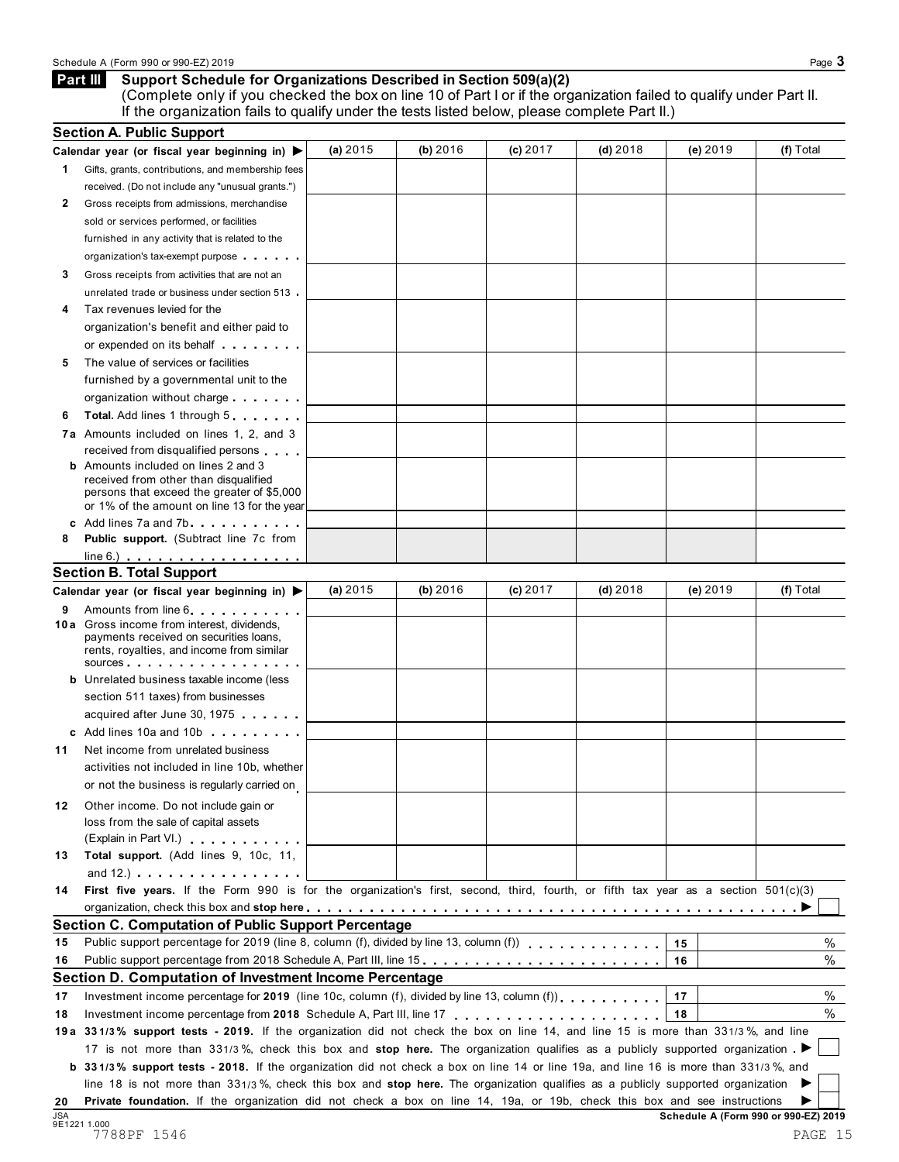| Page 3<br>Schedule A (Form 990 or 990-EZ) 2019<br>Support Schedule for Organizations Described in Section 509(a)(2)<br>Part III<br>(Complete only if you checked the box on line 10 of Part I or if the organization failed to qualify under Part II.<br>If the organization fails to qualify under the tests listed below, please complete Part II.)<br><b>Section A. Public Support</b><br>$(e)$ 2019<br>(a) $2015$<br>(b) $2016$<br>$(c)$ 2017<br>(d) $2018$<br>(f) Total<br>Calendar year (or fiscal year beginning in) ▶<br>1 Gifts, grants, contributions, and membership fees<br>received. (Do not include any "unusual grants.")<br>2 Gross receipts from admissions, merchandise<br>sold or services performed, or facilities<br>furnished in any activity that is related to the<br>organization's tax-exempt purpose<br>Gross receipts from activities that are not an<br>3<br>unrelated trade or business under section 513<br>Tax revenues levied for the<br>4<br>organization's benefit and either paid to<br>or expended on its behalf<br>The value of services or facilities<br>5.<br>furnished by a governmental unit to the<br>organization without charge<br>6 Total. Add lines 1 through 5.<br>7a Amounts included on lines 1, 2, and 3<br>received from disqualified persons<br><b>b</b> Amounts included on lines 2 and 3<br>received from other than disqualified<br>persons that exceed the greater of \$5,000<br>or 1% of the amount on line 13 for the year<br>c Add lines 7a and 7b.<br>8 Public support. (Subtract line 7c from<br>$line 6.)$ $\ldots$ $\ldots$ $\ldots$ $\ldots$ $\ldots$ $\ldots$ $\ldots$<br><b>Section B. Total Support</b><br>(a) $2015$<br>(b) 2016<br>$(c)$ 2017<br>$(d)$ 2018<br>$(e)$ 2019<br>(f) Total<br>Calendar year (or fiscal year beginning in)<br>9 Amounts from line 6.<br>10 a Gross income from interest, dividends,<br>payments received on securities loans,<br>rents, royalties, and income from similar<br>sources.<br><b>b</b> Unrelated business taxable income (less<br>section 511 taxes) from businesses<br>acquired after June 30, 1975<br>c Add lines 10a and 10b $\ldots$ , $\ldots$<br>11 Net income from unrelated business<br>activities not included in line 10b, whether<br>or not the business is regularly carried on<br>12 Other income. Do not include gain or<br>loss from the sale of capital assets<br>(Explain in Part VI.)<br>13 Total support. (Add lines 9, 10c, 11,<br>and $12.$ ) $\ldots$ $\ldots$ $\ldots$ $\ldots$ $\ldots$ $\ldots$<br>14 First five years. If the Form 990 is for the organization's first, second, third, fourth, or fifth tax year as a section 501(c)(3)<br><b>Section C. Computation of Public Support Percentage</b><br>15 Public support percentage for 2019 (line 8, column (f), divided by line 13, column (f)<br>$\%$<br>15<br>%<br>16<br>Section D. Computation of Investment Income Percentage<br>17 Investment income percentage for 2019 (line 10c, column (f), divided by line 13, column (f)). 17<br>$\%$<br>$\%$<br>18<br>18<br>19a 331/3% support tests - 2019. If the organization did not check the box on line 14, and line 15 is more than 331/3%, and line<br>17 is not more than 331/3%, check this box and stop here. The organization qualifies as a publicly supported organization.<br><b>b</b> 331/3% support tests - 2018. If the organization did not check a box on line 14 or line 19a, and line 16 is more than 331/3%, and<br>line 18 is not more than 331/3%, check this box and stop here. The organization qualifies as a publicly supported organization<br>▸<br>Private foundation. If the organization did not check a box on line 14, 19a, or 19b, check this box and see instructions<br>▶<br>20<br>JSA<br>Schedule A (Form 990 or 990-EZ) 2019<br>9E1221 1.000<br>7788PF 1546<br>PAGE 15 |  |  |  |  |
|--------------------------------------------------------------------------------------------------------------------------------------------------------------------------------------------------------------------------------------------------------------------------------------------------------------------------------------------------------------------------------------------------------------------------------------------------------------------------------------------------------------------------------------------------------------------------------------------------------------------------------------------------------------------------------------------------------------------------------------------------------------------------------------------------------------------------------------------------------------------------------------------------------------------------------------------------------------------------------------------------------------------------------------------------------------------------------------------------------------------------------------------------------------------------------------------------------------------------------------------------------------------------------------------------------------------------------------------------------------------------------------------------------------------------------------------------------------------------------------------------------------------------------------------------------------------------------------------------------------------------------------------------------------------------------------------------------------------------------------------------------------------------------------------------------------------------------------------------------------------------------------------------------------------------------------------------------------------------------------------------------------------------------------------------------------------------------------------------------------------------------------------------------------------------------------------------------------------------------------------------------------------------------------------------------------------------------------------------------------------------------------------------------------------------------------------------------------------------------------------------------------------------------------------------------------------------------------------------------------------------------------------------------------------------------------------------------------------------------------------------------------------------------------------------------------------------------------------------------------------------------------------------------------------------------------------------------------------------------------------------------------------------------------------------------------------------------------------------------------------------------------------------------------------------------------------------------------------------------------------------------------------------------------------------------------------------------------------------------------------------------------------------------------------------------------------------------------------------------------------------------------------------------------------------------------------------------------------------------------------------------------------------------------------------------------------------------------------------------------------------------------------------------------------------------------------------------------------------------|--|--|--|--|
|                                                                                                                                                                                                                                                                                                                                                                                                                                                                                                                                                                                                                                                                                                                                                                                                                                                                                                                                                                                                                                                                                                                                                                                                                                                                                                                                                                                                                                                                                                                                                                                                                                                                                                                                                                                                                                                                                                                                                                                                                                                                                                                                                                                                                                                                                                                                                                                                                                                                                                                                                                                                                                                                                                                                                                                                                                                                                                                                                                                                                                                                                                                                                                                                                                                                                                                                                                                                                                                                                                                                                                                                                                                                                                                                                                                                                                                        |  |  |  |  |
|                                                                                                                                                                                                                                                                                                                                                                                                                                                                                                                                                                                                                                                                                                                                                                                                                                                                                                                                                                                                                                                                                                                                                                                                                                                                                                                                                                                                                                                                                                                                                                                                                                                                                                                                                                                                                                                                                                                                                                                                                                                                                                                                                                                                                                                                                                                                                                                                                                                                                                                                                                                                                                                                                                                                                                                                                                                                                                                                                                                                                                                                                                                                                                                                                                                                                                                                                                                                                                                                                                                                                                                                                                                                                                                                                                                                                                                        |  |  |  |  |
|                                                                                                                                                                                                                                                                                                                                                                                                                                                                                                                                                                                                                                                                                                                                                                                                                                                                                                                                                                                                                                                                                                                                                                                                                                                                                                                                                                                                                                                                                                                                                                                                                                                                                                                                                                                                                                                                                                                                                                                                                                                                                                                                                                                                                                                                                                                                                                                                                                                                                                                                                                                                                                                                                                                                                                                                                                                                                                                                                                                                                                                                                                                                                                                                                                                                                                                                                                                                                                                                                                                                                                                                                                                                                                                                                                                                                                                        |  |  |  |  |
|                                                                                                                                                                                                                                                                                                                                                                                                                                                                                                                                                                                                                                                                                                                                                                                                                                                                                                                                                                                                                                                                                                                                                                                                                                                                                                                                                                                                                                                                                                                                                                                                                                                                                                                                                                                                                                                                                                                                                                                                                                                                                                                                                                                                                                                                                                                                                                                                                                                                                                                                                                                                                                                                                                                                                                                                                                                                                                                                                                                                                                                                                                                                                                                                                                                                                                                                                                                                                                                                                                                                                                                                                                                                                                                                                                                                                                                        |  |  |  |  |
|                                                                                                                                                                                                                                                                                                                                                                                                                                                                                                                                                                                                                                                                                                                                                                                                                                                                                                                                                                                                                                                                                                                                                                                                                                                                                                                                                                                                                                                                                                                                                                                                                                                                                                                                                                                                                                                                                                                                                                                                                                                                                                                                                                                                                                                                                                                                                                                                                                                                                                                                                                                                                                                                                                                                                                                                                                                                                                                                                                                                                                                                                                                                                                                                                                                                                                                                                                                                                                                                                                                                                                                                                                                                                                                                                                                                                                                        |  |  |  |  |
|                                                                                                                                                                                                                                                                                                                                                                                                                                                                                                                                                                                                                                                                                                                                                                                                                                                                                                                                                                                                                                                                                                                                                                                                                                                                                                                                                                                                                                                                                                                                                                                                                                                                                                                                                                                                                                                                                                                                                                                                                                                                                                                                                                                                                                                                                                                                                                                                                                                                                                                                                                                                                                                                                                                                                                                                                                                                                                                                                                                                                                                                                                                                                                                                                                                                                                                                                                                                                                                                                                                                                                                                                                                                                                                                                                                                                                                        |  |  |  |  |
|                                                                                                                                                                                                                                                                                                                                                                                                                                                                                                                                                                                                                                                                                                                                                                                                                                                                                                                                                                                                                                                                                                                                                                                                                                                                                                                                                                                                                                                                                                                                                                                                                                                                                                                                                                                                                                                                                                                                                                                                                                                                                                                                                                                                                                                                                                                                                                                                                                                                                                                                                                                                                                                                                                                                                                                                                                                                                                                                                                                                                                                                                                                                                                                                                                                                                                                                                                                                                                                                                                                                                                                                                                                                                                                                                                                                                                                        |  |  |  |  |
|                                                                                                                                                                                                                                                                                                                                                                                                                                                                                                                                                                                                                                                                                                                                                                                                                                                                                                                                                                                                                                                                                                                                                                                                                                                                                                                                                                                                                                                                                                                                                                                                                                                                                                                                                                                                                                                                                                                                                                                                                                                                                                                                                                                                                                                                                                                                                                                                                                                                                                                                                                                                                                                                                                                                                                                                                                                                                                                                                                                                                                                                                                                                                                                                                                                                                                                                                                                                                                                                                                                                                                                                                                                                                                                                                                                                                                                        |  |  |  |  |
|                                                                                                                                                                                                                                                                                                                                                                                                                                                                                                                                                                                                                                                                                                                                                                                                                                                                                                                                                                                                                                                                                                                                                                                                                                                                                                                                                                                                                                                                                                                                                                                                                                                                                                                                                                                                                                                                                                                                                                                                                                                                                                                                                                                                                                                                                                                                                                                                                                                                                                                                                                                                                                                                                                                                                                                                                                                                                                                                                                                                                                                                                                                                                                                                                                                                                                                                                                                                                                                                                                                                                                                                                                                                                                                                                                                                                                                        |  |  |  |  |
|                                                                                                                                                                                                                                                                                                                                                                                                                                                                                                                                                                                                                                                                                                                                                                                                                                                                                                                                                                                                                                                                                                                                                                                                                                                                                                                                                                                                                                                                                                                                                                                                                                                                                                                                                                                                                                                                                                                                                                                                                                                                                                                                                                                                                                                                                                                                                                                                                                                                                                                                                                                                                                                                                                                                                                                                                                                                                                                                                                                                                                                                                                                                                                                                                                                                                                                                                                                                                                                                                                                                                                                                                                                                                                                                                                                                                                                        |  |  |  |  |
|                                                                                                                                                                                                                                                                                                                                                                                                                                                                                                                                                                                                                                                                                                                                                                                                                                                                                                                                                                                                                                                                                                                                                                                                                                                                                                                                                                                                                                                                                                                                                                                                                                                                                                                                                                                                                                                                                                                                                                                                                                                                                                                                                                                                                                                                                                                                                                                                                                                                                                                                                                                                                                                                                                                                                                                                                                                                                                                                                                                                                                                                                                                                                                                                                                                                                                                                                                                                                                                                                                                                                                                                                                                                                                                                                                                                                                                        |  |  |  |  |
|                                                                                                                                                                                                                                                                                                                                                                                                                                                                                                                                                                                                                                                                                                                                                                                                                                                                                                                                                                                                                                                                                                                                                                                                                                                                                                                                                                                                                                                                                                                                                                                                                                                                                                                                                                                                                                                                                                                                                                                                                                                                                                                                                                                                                                                                                                                                                                                                                                                                                                                                                                                                                                                                                                                                                                                                                                                                                                                                                                                                                                                                                                                                                                                                                                                                                                                                                                                                                                                                                                                                                                                                                                                                                                                                                                                                                                                        |  |  |  |  |
|                                                                                                                                                                                                                                                                                                                                                                                                                                                                                                                                                                                                                                                                                                                                                                                                                                                                                                                                                                                                                                                                                                                                                                                                                                                                                                                                                                                                                                                                                                                                                                                                                                                                                                                                                                                                                                                                                                                                                                                                                                                                                                                                                                                                                                                                                                                                                                                                                                                                                                                                                                                                                                                                                                                                                                                                                                                                                                                                                                                                                                                                                                                                                                                                                                                                                                                                                                                                                                                                                                                                                                                                                                                                                                                                                                                                                                                        |  |  |  |  |
|                                                                                                                                                                                                                                                                                                                                                                                                                                                                                                                                                                                                                                                                                                                                                                                                                                                                                                                                                                                                                                                                                                                                                                                                                                                                                                                                                                                                                                                                                                                                                                                                                                                                                                                                                                                                                                                                                                                                                                                                                                                                                                                                                                                                                                                                                                                                                                                                                                                                                                                                                                                                                                                                                                                                                                                                                                                                                                                                                                                                                                                                                                                                                                                                                                                                                                                                                                                                                                                                                                                                                                                                                                                                                                                                                                                                                                                        |  |  |  |  |
|                                                                                                                                                                                                                                                                                                                                                                                                                                                                                                                                                                                                                                                                                                                                                                                                                                                                                                                                                                                                                                                                                                                                                                                                                                                                                                                                                                                                                                                                                                                                                                                                                                                                                                                                                                                                                                                                                                                                                                                                                                                                                                                                                                                                                                                                                                                                                                                                                                                                                                                                                                                                                                                                                                                                                                                                                                                                                                                                                                                                                                                                                                                                                                                                                                                                                                                                                                                                                                                                                                                                                                                                                                                                                                                                                                                                                                                        |  |  |  |  |
|                                                                                                                                                                                                                                                                                                                                                                                                                                                                                                                                                                                                                                                                                                                                                                                                                                                                                                                                                                                                                                                                                                                                                                                                                                                                                                                                                                                                                                                                                                                                                                                                                                                                                                                                                                                                                                                                                                                                                                                                                                                                                                                                                                                                                                                                                                                                                                                                                                                                                                                                                                                                                                                                                                                                                                                                                                                                                                                                                                                                                                                                                                                                                                                                                                                                                                                                                                                                                                                                                                                                                                                                                                                                                                                                                                                                                                                        |  |  |  |  |
|                                                                                                                                                                                                                                                                                                                                                                                                                                                                                                                                                                                                                                                                                                                                                                                                                                                                                                                                                                                                                                                                                                                                                                                                                                                                                                                                                                                                                                                                                                                                                                                                                                                                                                                                                                                                                                                                                                                                                                                                                                                                                                                                                                                                                                                                                                                                                                                                                                                                                                                                                                                                                                                                                                                                                                                                                                                                                                                                                                                                                                                                                                                                                                                                                                                                                                                                                                                                                                                                                                                                                                                                                                                                                                                                                                                                                                                        |  |  |  |  |
|                                                                                                                                                                                                                                                                                                                                                                                                                                                                                                                                                                                                                                                                                                                                                                                                                                                                                                                                                                                                                                                                                                                                                                                                                                                                                                                                                                                                                                                                                                                                                                                                                                                                                                                                                                                                                                                                                                                                                                                                                                                                                                                                                                                                                                                                                                                                                                                                                                                                                                                                                                                                                                                                                                                                                                                                                                                                                                                                                                                                                                                                                                                                                                                                                                                                                                                                                                                                                                                                                                                                                                                                                                                                                                                                                                                                                                                        |  |  |  |  |
|                                                                                                                                                                                                                                                                                                                                                                                                                                                                                                                                                                                                                                                                                                                                                                                                                                                                                                                                                                                                                                                                                                                                                                                                                                                                                                                                                                                                                                                                                                                                                                                                                                                                                                                                                                                                                                                                                                                                                                                                                                                                                                                                                                                                                                                                                                                                                                                                                                                                                                                                                                                                                                                                                                                                                                                                                                                                                                                                                                                                                                                                                                                                                                                                                                                                                                                                                                                                                                                                                                                                                                                                                                                                                                                                                                                                                                                        |  |  |  |  |
|                                                                                                                                                                                                                                                                                                                                                                                                                                                                                                                                                                                                                                                                                                                                                                                                                                                                                                                                                                                                                                                                                                                                                                                                                                                                                                                                                                                                                                                                                                                                                                                                                                                                                                                                                                                                                                                                                                                                                                                                                                                                                                                                                                                                                                                                                                                                                                                                                                                                                                                                                                                                                                                                                                                                                                                                                                                                                                                                                                                                                                                                                                                                                                                                                                                                                                                                                                                                                                                                                                                                                                                                                                                                                                                                                                                                                                                        |  |  |  |  |
|                                                                                                                                                                                                                                                                                                                                                                                                                                                                                                                                                                                                                                                                                                                                                                                                                                                                                                                                                                                                                                                                                                                                                                                                                                                                                                                                                                                                                                                                                                                                                                                                                                                                                                                                                                                                                                                                                                                                                                                                                                                                                                                                                                                                                                                                                                                                                                                                                                                                                                                                                                                                                                                                                                                                                                                                                                                                                                                                                                                                                                                                                                                                                                                                                                                                                                                                                                                                                                                                                                                                                                                                                                                                                                                                                                                                                                                        |  |  |  |  |
|                                                                                                                                                                                                                                                                                                                                                                                                                                                                                                                                                                                                                                                                                                                                                                                                                                                                                                                                                                                                                                                                                                                                                                                                                                                                                                                                                                                                                                                                                                                                                                                                                                                                                                                                                                                                                                                                                                                                                                                                                                                                                                                                                                                                                                                                                                                                                                                                                                                                                                                                                                                                                                                                                                                                                                                                                                                                                                                                                                                                                                                                                                                                                                                                                                                                                                                                                                                                                                                                                                                                                                                                                                                                                                                                                                                                                                                        |  |  |  |  |
|                                                                                                                                                                                                                                                                                                                                                                                                                                                                                                                                                                                                                                                                                                                                                                                                                                                                                                                                                                                                                                                                                                                                                                                                                                                                                                                                                                                                                                                                                                                                                                                                                                                                                                                                                                                                                                                                                                                                                                                                                                                                                                                                                                                                                                                                                                                                                                                                                                                                                                                                                                                                                                                                                                                                                                                                                                                                                                                                                                                                                                                                                                                                                                                                                                                                                                                                                                                                                                                                                                                                                                                                                                                                                                                                                                                                                                                        |  |  |  |  |
|                                                                                                                                                                                                                                                                                                                                                                                                                                                                                                                                                                                                                                                                                                                                                                                                                                                                                                                                                                                                                                                                                                                                                                                                                                                                                                                                                                                                                                                                                                                                                                                                                                                                                                                                                                                                                                                                                                                                                                                                                                                                                                                                                                                                                                                                                                                                                                                                                                                                                                                                                                                                                                                                                                                                                                                                                                                                                                                                                                                                                                                                                                                                                                                                                                                                                                                                                                                                                                                                                                                                                                                                                                                                                                                                                                                                                                                        |  |  |  |  |
|                                                                                                                                                                                                                                                                                                                                                                                                                                                                                                                                                                                                                                                                                                                                                                                                                                                                                                                                                                                                                                                                                                                                                                                                                                                                                                                                                                                                                                                                                                                                                                                                                                                                                                                                                                                                                                                                                                                                                                                                                                                                                                                                                                                                                                                                                                                                                                                                                                                                                                                                                                                                                                                                                                                                                                                                                                                                                                                                                                                                                                                                                                                                                                                                                                                                                                                                                                                                                                                                                                                                                                                                                                                                                                                                                                                                                                                        |  |  |  |  |
|                                                                                                                                                                                                                                                                                                                                                                                                                                                                                                                                                                                                                                                                                                                                                                                                                                                                                                                                                                                                                                                                                                                                                                                                                                                                                                                                                                                                                                                                                                                                                                                                                                                                                                                                                                                                                                                                                                                                                                                                                                                                                                                                                                                                                                                                                                                                                                                                                                                                                                                                                                                                                                                                                                                                                                                                                                                                                                                                                                                                                                                                                                                                                                                                                                                                                                                                                                                                                                                                                                                                                                                                                                                                                                                                                                                                                                                        |  |  |  |  |
|                                                                                                                                                                                                                                                                                                                                                                                                                                                                                                                                                                                                                                                                                                                                                                                                                                                                                                                                                                                                                                                                                                                                                                                                                                                                                                                                                                                                                                                                                                                                                                                                                                                                                                                                                                                                                                                                                                                                                                                                                                                                                                                                                                                                                                                                                                                                                                                                                                                                                                                                                                                                                                                                                                                                                                                                                                                                                                                                                                                                                                                                                                                                                                                                                                                                                                                                                                                                                                                                                                                                                                                                                                                                                                                                                                                                                                                        |  |  |  |  |
|                                                                                                                                                                                                                                                                                                                                                                                                                                                                                                                                                                                                                                                                                                                                                                                                                                                                                                                                                                                                                                                                                                                                                                                                                                                                                                                                                                                                                                                                                                                                                                                                                                                                                                                                                                                                                                                                                                                                                                                                                                                                                                                                                                                                                                                                                                                                                                                                                                                                                                                                                                                                                                                                                                                                                                                                                                                                                                                                                                                                                                                                                                                                                                                                                                                                                                                                                                                                                                                                                                                                                                                                                                                                                                                                                                                                                                                        |  |  |  |  |
|                                                                                                                                                                                                                                                                                                                                                                                                                                                                                                                                                                                                                                                                                                                                                                                                                                                                                                                                                                                                                                                                                                                                                                                                                                                                                                                                                                                                                                                                                                                                                                                                                                                                                                                                                                                                                                                                                                                                                                                                                                                                                                                                                                                                                                                                                                                                                                                                                                                                                                                                                                                                                                                                                                                                                                                                                                                                                                                                                                                                                                                                                                                                                                                                                                                                                                                                                                                                                                                                                                                                                                                                                                                                                                                                                                                                                                                        |  |  |  |  |
|                                                                                                                                                                                                                                                                                                                                                                                                                                                                                                                                                                                                                                                                                                                                                                                                                                                                                                                                                                                                                                                                                                                                                                                                                                                                                                                                                                                                                                                                                                                                                                                                                                                                                                                                                                                                                                                                                                                                                                                                                                                                                                                                                                                                                                                                                                                                                                                                                                                                                                                                                                                                                                                                                                                                                                                                                                                                                                                                                                                                                                                                                                                                                                                                                                                                                                                                                                                                                                                                                                                                                                                                                                                                                                                                                                                                                                                        |  |  |  |  |
|                                                                                                                                                                                                                                                                                                                                                                                                                                                                                                                                                                                                                                                                                                                                                                                                                                                                                                                                                                                                                                                                                                                                                                                                                                                                                                                                                                                                                                                                                                                                                                                                                                                                                                                                                                                                                                                                                                                                                                                                                                                                                                                                                                                                                                                                                                                                                                                                                                                                                                                                                                                                                                                                                                                                                                                                                                                                                                                                                                                                                                                                                                                                                                                                                                                                                                                                                                                                                                                                                                                                                                                                                                                                                                                                                                                                                                                        |  |  |  |  |
|                                                                                                                                                                                                                                                                                                                                                                                                                                                                                                                                                                                                                                                                                                                                                                                                                                                                                                                                                                                                                                                                                                                                                                                                                                                                                                                                                                                                                                                                                                                                                                                                                                                                                                                                                                                                                                                                                                                                                                                                                                                                                                                                                                                                                                                                                                                                                                                                                                                                                                                                                                                                                                                                                                                                                                                                                                                                                                                                                                                                                                                                                                                                                                                                                                                                                                                                                                                                                                                                                                                                                                                                                                                                                                                                                                                                                                                        |  |  |  |  |
|                                                                                                                                                                                                                                                                                                                                                                                                                                                                                                                                                                                                                                                                                                                                                                                                                                                                                                                                                                                                                                                                                                                                                                                                                                                                                                                                                                                                                                                                                                                                                                                                                                                                                                                                                                                                                                                                                                                                                                                                                                                                                                                                                                                                                                                                                                                                                                                                                                                                                                                                                                                                                                                                                                                                                                                                                                                                                                                                                                                                                                                                                                                                                                                                                                                                                                                                                                                                                                                                                                                                                                                                                                                                                                                                                                                                                                                        |  |  |  |  |
|                                                                                                                                                                                                                                                                                                                                                                                                                                                                                                                                                                                                                                                                                                                                                                                                                                                                                                                                                                                                                                                                                                                                                                                                                                                                                                                                                                                                                                                                                                                                                                                                                                                                                                                                                                                                                                                                                                                                                                                                                                                                                                                                                                                                                                                                                                                                                                                                                                                                                                                                                                                                                                                                                                                                                                                                                                                                                                                                                                                                                                                                                                                                                                                                                                                                                                                                                                                                                                                                                                                                                                                                                                                                                                                                                                                                                                                        |  |  |  |  |
|                                                                                                                                                                                                                                                                                                                                                                                                                                                                                                                                                                                                                                                                                                                                                                                                                                                                                                                                                                                                                                                                                                                                                                                                                                                                                                                                                                                                                                                                                                                                                                                                                                                                                                                                                                                                                                                                                                                                                                                                                                                                                                                                                                                                                                                                                                                                                                                                                                                                                                                                                                                                                                                                                                                                                                                                                                                                                                                                                                                                                                                                                                                                                                                                                                                                                                                                                                                                                                                                                                                                                                                                                                                                                                                                                                                                                                                        |  |  |  |  |
|                                                                                                                                                                                                                                                                                                                                                                                                                                                                                                                                                                                                                                                                                                                                                                                                                                                                                                                                                                                                                                                                                                                                                                                                                                                                                                                                                                                                                                                                                                                                                                                                                                                                                                                                                                                                                                                                                                                                                                                                                                                                                                                                                                                                                                                                                                                                                                                                                                                                                                                                                                                                                                                                                                                                                                                                                                                                                                                                                                                                                                                                                                                                                                                                                                                                                                                                                                                                                                                                                                                                                                                                                                                                                                                                                                                                                                                        |  |  |  |  |
|                                                                                                                                                                                                                                                                                                                                                                                                                                                                                                                                                                                                                                                                                                                                                                                                                                                                                                                                                                                                                                                                                                                                                                                                                                                                                                                                                                                                                                                                                                                                                                                                                                                                                                                                                                                                                                                                                                                                                                                                                                                                                                                                                                                                                                                                                                                                                                                                                                                                                                                                                                                                                                                                                                                                                                                                                                                                                                                                                                                                                                                                                                                                                                                                                                                                                                                                                                                                                                                                                                                                                                                                                                                                                                                                                                                                                                                        |  |  |  |  |
|                                                                                                                                                                                                                                                                                                                                                                                                                                                                                                                                                                                                                                                                                                                                                                                                                                                                                                                                                                                                                                                                                                                                                                                                                                                                                                                                                                                                                                                                                                                                                                                                                                                                                                                                                                                                                                                                                                                                                                                                                                                                                                                                                                                                                                                                                                                                                                                                                                                                                                                                                                                                                                                                                                                                                                                                                                                                                                                                                                                                                                                                                                                                                                                                                                                                                                                                                                                                                                                                                                                                                                                                                                                                                                                                                                                                                                                        |  |  |  |  |
|                                                                                                                                                                                                                                                                                                                                                                                                                                                                                                                                                                                                                                                                                                                                                                                                                                                                                                                                                                                                                                                                                                                                                                                                                                                                                                                                                                                                                                                                                                                                                                                                                                                                                                                                                                                                                                                                                                                                                                                                                                                                                                                                                                                                                                                                                                                                                                                                                                                                                                                                                                                                                                                                                                                                                                                                                                                                                                                                                                                                                                                                                                                                                                                                                                                                                                                                                                                                                                                                                                                                                                                                                                                                                                                                                                                                                                                        |  |  |  |  |
|                                                                                                                                                                                                                                                                                                                                                                                                                                                                                                                                                                                                                                                                                                                                                                                                                                                                                                                                                                                                                                                                                                                                                                                                                                                                                                                                                                                                                                                                                                                                                                                                                                                                                                                                                                                                                                                                                                                                                                                                                                                                                                                                                                                                                                                                                                                                                                                                                                                                                                                                                                                                                                                                                                                                                                                                                                                                                                                                                                                                                                                                                                                                                                                                                                                                                                                                                                                                                                                                                                                                                                                                                                                                                                                                                                                                                                                        |  |  |  |  |
|                                                                                                                                                                                                                                                                                                                                                                                                                                                                                                                                                                                                                                                                                                                                                                                                                                                                                                                                                                                                                                                                                                                                                                                                                                                                                                                                                                                                                                                                                                                                                                                                                                                                                                                                                                                                                                                                                                                                                                                                                                                                                                                                                                                                                                                                                                                                                                                                                                                                                                                                                                                                                                                                                                                                                                                                                                                                                                                                                                                                                                                                                                                                                                                                                                                                                                                                                                                                                                                                                                                                                                                                                                                                                                                                                                                                                                                        |  |  |  |  |
|                                                                                                                                                                                                                                                                                                                                                                                                                                                                                                                                                                                                                                                                                                                                                                                                                                                                                                                                                                                                                                                                                                                                                                                                                                                                                                                                                                                                                                                                                                                                                                                                                                                                                                                                                                                                                                                                                                                                                                                                                                                                                                                                                                                                                                                                                                                                                                                                                                                                                                                                                                                                                                                                                                                                                                                                                                                                                                                                                                                                                                                                                                                                                                                                                                                                                                                                                                                                                                                                                                                                                                                                                                                                                                                                                                                                                                                        |  |  |  |  |
|                                                                                                                                                                                                                                                                                                                                                                                                                                                                                                                                                                                                                                                                                                                                                                                                                                                                                                                                                                                                                                                                                                                                                                                                                                                                                                                                                                                                                                                                                                                                                                                                                                                                                                                                                                                                                                                                                                                                                                                                                                                                                                                                                                                                                                                                                                                                                                                                                                                                                                                                                                                                                                                                                                                                                                                                                                                                                                                                                                                                                                                                                                                                                                                                                                                                                                                                                                                                                                                                                                                                                                                                                                                                                                                                                                                                                                                        |  |  |  |  |
|                                                                                                                                                                                                                                                                                                                                                                                                                                                                                                                                                                                                                                                                                                                                                                                                                                                                                                                                                                                                                                                                                                                                                                                                                                                                                                                                                                                                                                                                                                                                                                                                                                                                                                                                                                                                                                                                                                                                                                                                                                                                                                                                                                                                                                                                                                                                                                                                                                                                                                                                                                                                                                                                                                                                                                                                                                                                                                                                                                                                                                                                                                                                                                                                                                                                                                                                                                                                                                                                                                                                                                                                                                                                                                                                                                                                                                                        |  |  |  |  |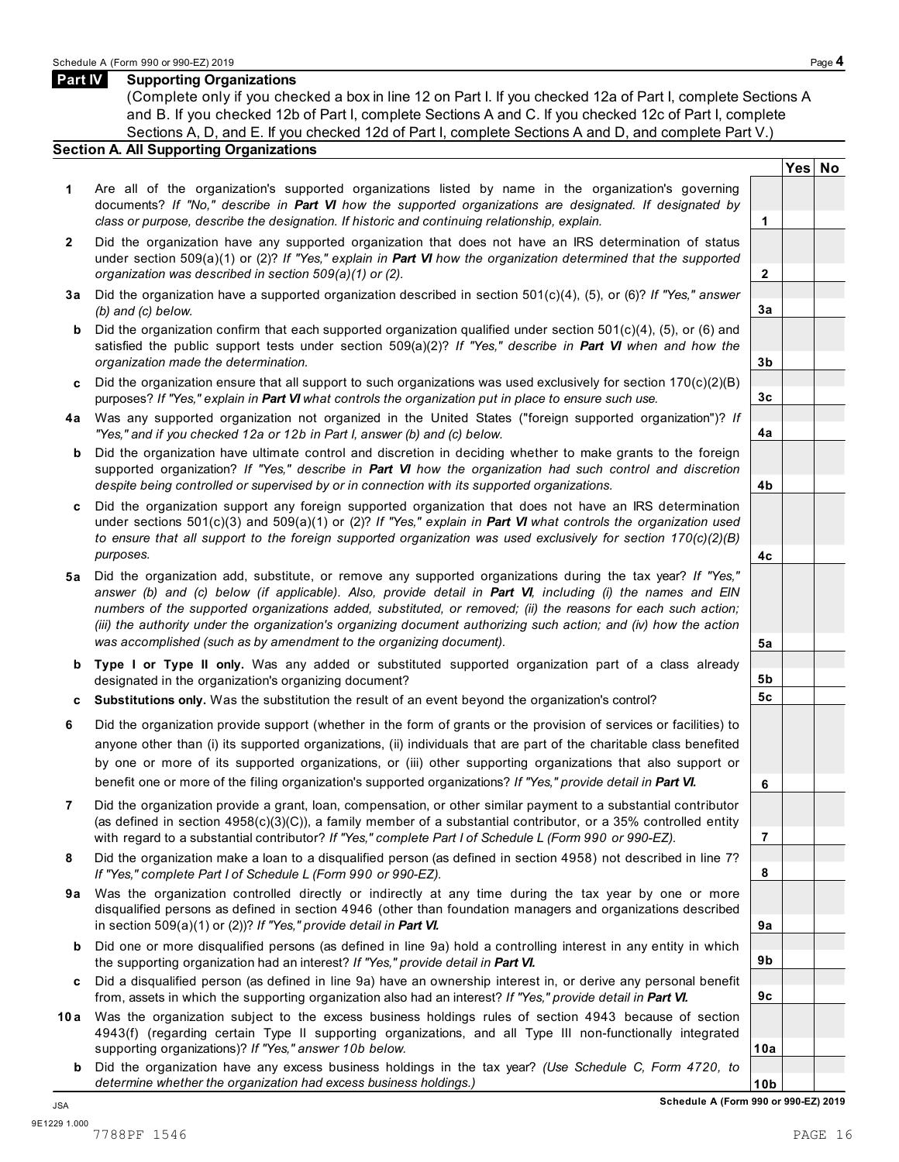Schedule A (Form 990 or 990-EZ) 2019<br> **Exact M**<br> **Supporting Organizations**<br>
(Complete only if you checked a box in line 12 on Part I. If you checked 12a of Part I, complete Sections A<br>
and B. If you checked 12b of Part I, Schedule A (Form 990 or 990-EZ) 2019<br> **Part IV** Supporting Organizations<br>
(Complete only if you checked a box in line 12 on Part I. If you checked 12a of Part I, c<br>
and B. If you checked 12b of Part I, complete Sections A Page 4<br>
Supporting Organizations<br>
(Complete only if you checked a box in line 12 on Part I. If you checked 12a of Part I, complete Sections A<br>
Sections A, D, and E. If you checked 12d of Part I, complete Sections A and C. m 990 or 990-EZ) 2019<br> **Supporting Organizations**<br>
(Complete only if you checked a box in line 12 on Part I. If you checked 12a of Part I, complete Sections A<br>
and B. If you checked 12b of Part I, complete Sections A and C m 990 or 990-EZ) 2019<br> **Supporting Organizations**<br>
(Complete only if you checked a box in line 12 on Part I. If you checked 12a of Part I, complete Sections A<br>
Sections A, D, and E. If you checked 12d of Part I, complete S Page 4<br>
The American Section 1991<br>
Tes | No A (Form 990 or 990-E2) 2019<br> **Are all of the organizations**<br>
Complete only if you checked a box in line 12 on Part I. If you checked 12a of Part I, complete Sections A<br>
and B. If you checked 12b of Part I, complete Sectio **A** (Form 990 or 990-E2) 2019<br> **Complete only if you checked a box in line 12 on Part I. If you checked 12a of Part I, complete Sections A<br>
and B. If you checked 12b of Part I, complete Sections A and C. If you checked 12** Exam 990 or 990-E7) 2019<br> **Complete only if you checked a box in line 12 on Part I. If you checked 12a of Part I, complete Sections A<br>
clomplete Sections A<br>
and B. If you checked 12b of Part I, complete Sections A and C. I** Exam 990 or 990-E2) 2019<br> **Complete only if you checked a box in line 12 on Part I. If you checked 12a of Part I, complete Sections A<br>
and B. If you checked 12b of Part I, complete Sections A and C. If you checked 12c of Example 10 or 1990 argo-E2) 2019**<br> **Example the only if you checked a box in line 12 on Part I. If you checked 12a of Part I, complete Sections A<br>
and B. If you checked 12d of Part I, complete Sections A and C. If you ch A** (Form 990 or 990-E2) 2019<br> **Complete only if you checked a box in line 12 on Part I. If you checked 12a of Part I, complete Sections A<br>
and B. If you checked 20 of Part I, complete Sections A and C. If you checked 12c** A (from 990 a 990-E2) 2019<br>
(Complete only if you checked a box in line 12 on Part I. If you checked 12a of Part I, complete Sections A<br>
and B. If you checked 12b of Part I, complete Sections A and C. If you checked 12c o A (Form 990 or 990-EZ) 2019<br> **Complete only if you checked a box in line 12 on Part I. If you checked 12a of**<br> **Complete only if you checked 12b of Part I**, complete Sections A and C. If you checked<br>
Sections A, D, and E. A (Form 990 or 900-E2) 2019<br>
(Complete only if you checked a box in line 12 on Part I. If you checked 12a of Part I, complete Sections A<br>
and B. If you checked 12b of Part I, complete Sections A and C. If you checked 12c **same the public support of the public support the public statisfied the public supporting Organizations A complete Sections A and C. If you checked 12c of Part I, complete Sections A and C. If you checked 12c of Part I,** A (Form 990 or 990-EZ) 2019<br> **Complete only if you checked a boxin line 12 on Part I. If you checked 12a of Part I, complete Sections A and C. If you checked 12c of Part I and B. If you checked 12c of Part I, complete Sec** A from see or section organizations  $\frac{\log_{10} 4}{\log_{10} 1}$  (Complete only if you checked a box in line 12 on Part I. If you checked 12a of Part I, complete Sections A and C. If you checked 12a of Part I, complete Carcins A from 990 or 990 ED 2019<br>
(Complete only if you checked a box in line 12 on Part I. If you checked 12a of Part I, complete Sections A<br>
and B. If you checked 12b of Part I, complete Sections A and C. If you checked 12c of A from 999 or 99042) 2019<br>
(Complete only if you checked a box in line 12 on Part I. If you checked 12a of Part I, complete Sections A<br>
and B. If you checked 12b of Part I, complete Sections A and C. If you checked 12c of A (Form 999 or 900-E2) 2019<br>
Supporting Organizations<br>
Complete only if you checked a box in line 12 on Part I. If you checked 12a of Part I, complete Sections A<br>
and B. If you checked 120 of Part I, complete Sections A an **Solution Organization environmental and the original organization for the original in the organization for the organization in the organization of the organization in the organization in the organization in the organizat** 

- Schedule A (Form 990 or 990-EZ) 2019<br> **Exity**<br>
Supporting Organizations<br>
(Complete only if you checked a box in line 12 on Part I. If you checked 12a of Part I, com<br>
and B. If you checked 12b of Part I, complete Sections 1 Are all of the organization's supported organizations listed by name in the organization's governing
	- 2 Did the organization have any supported organization that does not have an IRS determination of status
	- 3a Did the organization have a supported org
	- **b** Did the organization confirm that each supported organization qualified under section  $501(c)(4)$ , (5), or (6) and
	- c Did the organization ensure that all support to such organizations was used exclusively for section  $170(c)(2)(B)$
	- 4a Was any supported organization not org
	- **b** Did the organization have ultimate control and discretion in deciding whether to make grants to the foreign
	- c Did the organization support any foreign supported organization that does not have an IRS determination (Complete orly if you checked a box in line 12 on Part I. If you checked 12a of Part I, complete Sections A<br>such sections A such celected 120 of Part I, complete Sections A and C. If you checked 12c of Part I, complete in despite being the interest or supervised or the organization and C. If you checked 12c of Part I, complete<br>
	Sections A.D. and E. If you checked 12d of Part I, complete Sections A and C. If you checked 12c of Part I, comple Sections A, D, and E. If you checked 12d of Part I, complete Sections A and D, and complete Part V.)<br>
	Are all of the organizations supported organizations listed by name in the organization's governing<br>
	Are all of the org In A. All Supporting Organizations supported organizations issed by name in the organizations governing<br>
	Are all of the organization free are are with now the supported organizations are designate. If designated by<br>
	dess purposes.
	- 5a Did the organization add, substitute, or i The studient of the organization's supported organizations listed by name in the organization's governing<br>
	decoursents? *If* 700, "describe in Part W how the supported organizations are designate. If designated by<br>
	design The organization and the organization in the organization and continue present or removed, the organization and controllation and controllation and controllation and controllation in the organization have any supported or channel and the computed or spanishing and the method of the negative of the negative of the negative of the negative of the negative of the continues of the the spanishing real on the net of the termination of state<br>Unde Number of the supported organization have any supported organization that does not have an IRS determination of status under section 503(a)(1) or (2)? If "Yes," explain in Part Whow the organization determined that the sup Under organization have any supported organizations and tools hot have an links determined or statis<br>
	Under organization have a supported organization durations that consider an links determined that the supported<br>
	Under under section outs) any low ref in the supported organization of the organization of the organization and the organization and the organization and collect to the organization and collect as supported organization describe Did the organization have a supported organization described in section 501(c)(4), (5), or (6)? If "Yes," answer<br>
	(b) and (c) below.<br>
	Clud the organization confirm that each supported organization qualified under section Did the organization sole methal and substitute of the organization was used exclusively for section  $\beta$  or (b) and (c) below.<br>
	Delay of places and the organization confirm that each supported organization qualified unde Did the organization confirm that each supported organization qualified under section 501(-)(4), (5), or (6) and<br>substitute line public support tests under section 509(a)(2)? If "Yes," describe in Part VI when and how the statistical the public support least under section 509(a)(2)? If "Yes," describe in Part VI when end how the Did the organization means that also upport to such the particular when the support or the provision of the orga organization meas the determination. The distance of the contractions was used exclusively for section 170(c)(2)(8)<br>purposes? T/<sup>4</sup>exs<sup>+</sup> section in Part W which controls the organization put in place to ensure such use.<br>W Did the organization ensure that all support to such organizations was used excitatively for section 170(c)(2)(8)<br>Displaces, 7 "Yes," explain in Part W what controls the organization put in place to ensure such that<br>Vis sa purposes r rest explore the state of the filing or more of the filing or more or energy and the filing or more of the filing or the filing or the filing or the filing or the filing or the filing or the filing or the filing The organization provide support of the organization is entirely and (b) below.<br>The similar between the predicted a grant and discrete the organization in deciding whether to make grants to the foreign<br>applied the organiz Four you would be the formulate control in distribution in distribution with the originalization for distribution of a substantial control and distretion in the section 4958 (c) for a substantial control and such control Dia the dugalitation finite will have been there is the dugalitation in the comparization has substantial controlled by or in complete that and the comparisons of the comparison of the comparison of the comparison of the despite being controlled or supervised by or in connection with its supported organizations.<br>Did the organization support any foreign supported organization in did ose or than e an RS determination and<br>under sections 50 (i ID the regarization support any foreign supported organization that does not have an IRS determination<br>under sections 501(c)(3) and 508(a)(1) or (2): If "Yes," explain in Part W wiat contrasts the regarization used<br>to ens under sections 50 ((c)) and 508(s)(t)) or (2)<sup>2</sup>*H* ( $W \approx 2$  september of the organization sets or experimentation controlled directly or the organization controlled directly or the organization controlled directly for sec not example that all support to the foreign supported organization was used exclusively for section 170(c)(2)(8)<br>plot the organization and, substitute, or remove any supported organizations during (the harmon section 1991) in concernent the may be the film of the simple of the may apply the section of the system of the may apply the matter of the matter of the system of the system of the system of the system of the system of the system of th Did the organization add, substitute, or remove any supported organizations during the tax year? If "Yes,"<br>answer (b) and (c) below (if applicable). Also, provide defini in **Far IV**, including (i) the neares and EN<br>number
	- **b** Type I or Type II only. Was any added or substituted supported organization part of a class already
	- c Substitutions only. Was the substitution the result of an event beyond the organization's control?
- Live the supplication from the supportion of the supportion of the support of the support of the support of the support of the support of the support of the support of the support of the support of the support of the suppo numbers of the supported operations added, substituted, or removed; (ii) the reasons for each such action;<br>(ii) the euthody under the organization's organizing document suthorizing such action; and (b) how the action;<br>was (iii) the euthority under the organization's organizing document authorizing such action; and (ii) how the action<br>was accomplished (actio as by annordinal to the organization gocument).<br>
Type 1 or Type II only. Was any add was a completion of the organization controlled or exception of the exception of the consistered organization subsective of subsective of subsective of subsective organization subsective of section and the excess of solid Type 1 or Type II only. Was any added or substituted supported organization part of a class already<br>
Substitutions only. Was the substitution for eresult of an event beyond the organization's contro?<br>
Did the organization The Tot Type If Tomay, was any added the substituted supported organization part of a cass substitutions). We are substitution the example of the more the byport diversion control?<br>
Substitutions only, was the substitution **Considered** in economic in the organization have any except the organization is only the organization provide support (whether in the form of grants or the provision of serives for dollates the particular anyon enter the **Substitutions only.** was the substitution freshold in line of the organizations of the organization provide support (Whether in the form of grants or the provision of services or facilities) to<br>appear on more of its suppo SDid the organization provide support (whether in the form of granks or the provision of services or facilities) to<br>
anyone cher than (i) its supported organizations, (or (iii) oliver supporting organizations that a labo anyone other than (i) its supported organizations, (ii) individuals that are part of the charitable dest benefits<br>
by one or more of its supported organizations, or (iii) other supported organizations that also support or
	- 7 Did the organization provide a grant, loan, compensation, or other similar payment to a substantial contributor
	- 8 Did the organization make a loan to a disqualified person (as defined in section 4958) not described in line 7?
	- 9a Was the organization controlled directly
	- **b** Did one or more disqualified persons (as defined in line 9a) hold a controlling interest in any entity in which
	- c Did a disqualified person (as defined in line 9a) have an ownership interest in, or derive any personal benefit
	- 10a Was the organization subject to the excess business holdings rules of section 4943 because of section
		-

2 |  $\qquad$  |  $\qquad$  |  $\qquad$  |  $\qquad$  |  $\qquad$  |  $\qquad$  |  $\qquad$  |  $\qquad$  |  $\qquad$  |  $\qquad$  |  $\qquad$  |  $\qquad$  |  $\qquad$  |  $\qquad$  |  $\qquad$  |  $\qquad$  |  $\qquad$  |  $\qquad$  |  $\qquad$  |  $\qquad$  |  $\qquad$  |  $\qquad$  |  $\qquad$  |  $\qquad$  |  $\qquad$  |  $\qquad$  |  $\qquad$  |

3a

3c

4a

4c

5a

6

7

8

9a

9c

10a

10b

9b

5b 5c

4b

3b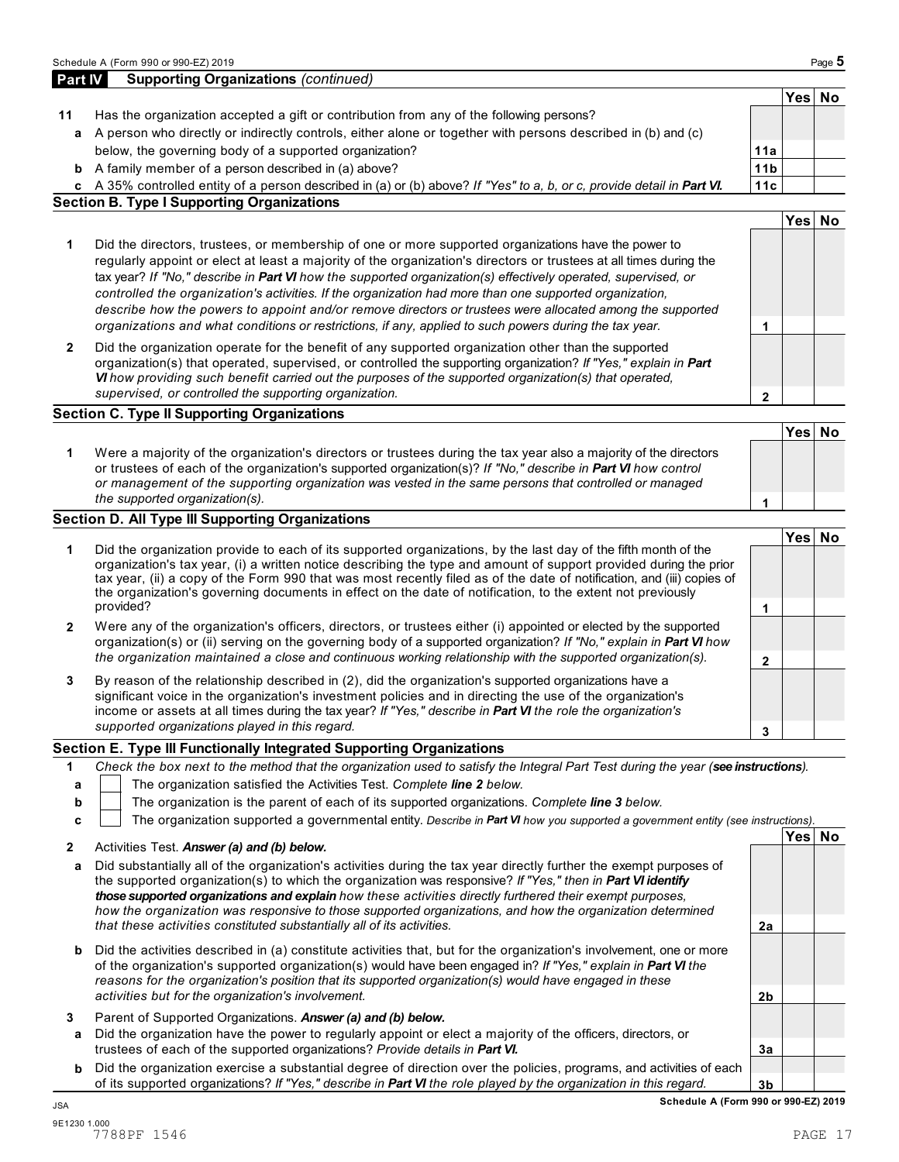| Part IV      | Schedule A (Form 990 or 990-EZ) 2019<br><b>Supporting Organizations (continued)</b>                                                                                                                                                                                                                                                                                                                                                                                                      |                | Page $5$ |
|--------------|------------------------------------------------------------------------------------------------------------------------------------------------------------------------------------------------------------------------------------------------------------------------------------------------------------------------------------------------------------------------------------------------------------------------------------------------------------------------------------------|----------------|----------|
|              |                                                                                                                                                                                                                                                                                                                                                                                                                                                                                          |                | Yes No   |
| 11           | Has the organization accepted a gift or contribution from any of the following persons?                                                                                                                                                                                                                                                                                                                                                                                                  |                |          |
|              | a A person who directly or indirectly controls, either alone or together with persons described in (b) and (c)<br>below, the governing body of a supported organization?                                                                                                                                                                                                                                                                                                                 | 11a            |          |
|              | <b>b</b> A family member of a person described in (a) above?                                                                                                                                                                                                                                                                                                                                                                                                                             | 11b            |          |
|              | c A 35% controlled entity of a person described in (a) or (b) above? If "Yes" to a, b, or c, provide detail in Part VI.<br><b>Section B. Type I Supporting Organizations</b>                                                                                                                                                                                                                                                                                                             | 11c            |          |
|              |                                                                                                                                                                                                                                                                                                                                                                                                                                                                                          |                | Yes No   |
|              | Did the directors, trustees, or membership of one or more supported organizations have the power to                                                                                                                                                                                                                                                                                                                                                                                      |                |          |
|              | regularly appoint or elect at least a majority of the organization's directors or trustees at all times during the<br>tax year? If "No," describe in Part VI how the supported organization(s) effectively operated, supervised, or                                                                                                                                                                                                                                                      |                |          |
|              | controlled the organization's activities. If the organization had more than one supported organization,                                                                                                                                                                                                                                                                                                                                                                                  |                |          |
|              | describe how the powers to appoint and/or remove directors or trustees were allocated among the supported                                                                                                                                                                                                                                                                                                                                                                                | -1             |          |
| 2            | organizations and what conditions or restrictions, if any, applied to such powers during the tax year.<br>Did the organization operate for the benefit of any supported organization other than the supported                                                                                                                                                                                                                                                                            |                |          |
|              | organization(s) that operated, supervised, or controlled the supporting organization? If "Yes," explain in Part                                                                                                                                                                                                                                                                                                                                                                          |                |          |
|              | VI how providing such benefit carried out the purposes of the supported organization(s) that operated,<br>supervised, or controlled the supporting organization.                                                                                                                                                                                                                                                                                                                         | $\overline{2}$ |          |
|              | <b>Section C. Type II Supporting Organizations</b>                                                                                                                                                                                                                                                                                                                                                                                                                                       |                |          |
|              |                                                                                                                                                                                                                                                                                                                                                                                                                                                                                          |                | Yes No   |
|              | Were a majority of the organization's directors or trustees during the tax year also a majority of the directors<br>or trustees of each of the organization's supported organization(s)? If "No," describe in Part VI how control<br>or management of the supporting organization was vested in the same persons that controlled or managed                                                                                                                                              |                |          |
|              | the supported organization(s).<br><b>Section D. All Type III Supporting Organizations</b>                                                                                                                                                                                                                                                                                                                                                                                                | $\mathbf 1$    |          |
|              |                                                                                                                                                                                                                                                                                                                                                                                                                                                                                          |                | Yes No   |
|              | Did the organization provide to each of its supported organizations, by the last day of the fifth month of the<br>organization's tax year, (i) a written notice describing the type and amount of support provided during the prior<br>tax year, (ii) a copy of the Form 990 that was most recently filed as of the date of notification, and (iii) copies of<br>the organization's governing documents in effect on the date of notification, to the extent not previously<br>provided? |                |          |
| $\mathbf{2}$ | Were any of the organization's officers, directors, or trustees either (i) appointed or elected by the supported                                                                                                                                                                                                                                                                                                                                                                         | 1              |          |
|              | organization(s) or (ii) serving on the governing body of a supported organization? If "No," explain in Part VI how                                                                                                                                                                                                                                                                                                                                                                       |                |          |
| 3            | the organization maintained a close and continuous working relationship with the supported organization(s).<br>By reason of the relationship described in (2), did the organization's supported organizations have a                                                                                                                                                                                                                                                                     | $\overline{2}$ |          |
|              | significant voice in the organization's investment policies and in directing the use of the organization's<br>income or assets at all times during the tax year? If "Yes," describe in Part VI the role the organization's<br>supported organizations played in this regard.                                                                                                                                                                                                             | 3              |          |
|              | Section E. Type III Functionally Integrated Supporting Organizations                                                                                                                                                                                                                                                                                                                                                                                                                     |                |          |
| a            | Check the box next to the method that the organization used to satisfy the Integral Part Test during the year (see instructions).<br>The organization satisfied the Activities Test. Complete line 2 below.                                                                                                                                                                                                                                                                              |                |          |
| b            | The organization is the parent of each of its supported organizations. Complete line 3 below.                                                                                                                                                                                                                                                                                                                                                                                            |                |          |
| C            | The organization supported a governmental entity. Describe in Part VI how you supported a government entity (see instructions).                                                                                                                                                                                                                                                                                                                                                          |                |          |
| 2.           | Activities Test. Answer (a) and (b) below.                                                                                                                                                                                                                                                                                                                                                                                                                                               |                | Yes No   |
| a            | Did substantially all of the organization's activities during the tax year directly further the exempt purposes of                                                                                                                                                                                                                                                                                                                                                                       |                |          |
|              | the supported organization(s) to which the organization was responsive? If "Yes," then in Part VI identify<br>those supported organizations and explain how these activities directly furthered their exempt purposes,                                                                                                                                                                                                                                                                   |                |          |
|              | how the organization was responsive to those supported organizations, and how the organization determined<br>that these activities constituted substantially all of its activities.                                                                                                                                                                                                                                                                                                      | 2a             |          |
|              |                                                                                                                                                                                                                                                                                                                                                                                                                                                                                          |                |          |
| b            | Did the activities described in (a) constitute activities that, but for the organization's involvement, one or more<br>of the organization's supported organization(s) would have been engaged in? If "Yes," explain in Part VI the<br>reasons for the organization's position that its supported organization(s) would have engaged in these<br>activities but for the organization's involvement.                                                                                      | 2 <sub>b</sub> |          |
| 3            | Parent of Supported Organizations. Answer (a) and (b) below.                                                                                                                                                                                                                                                                                                                                                                                                                             |                |          |
|              | a Did the organization have the power to regularly appoint or elect a majority of the officers, directors, or<br>trustees of each of the supported organizations? Provide details in Part VI.                                                                                                                                                                                                                                                                                            | 3a             |          |
|              | <b>b</b> Did the organization exercise a substantial degree of direction over the policies, programs, and activities of each                                                                                                                                                                                                                                                                                                                                                             |                |          |
|              | of its supported organizations? If "Yes," describe in Part VI the role played by the organization in this regard.                                                                                                                                                                                                                                                                                                                                                                        | 3 <sub>b</sub> |          |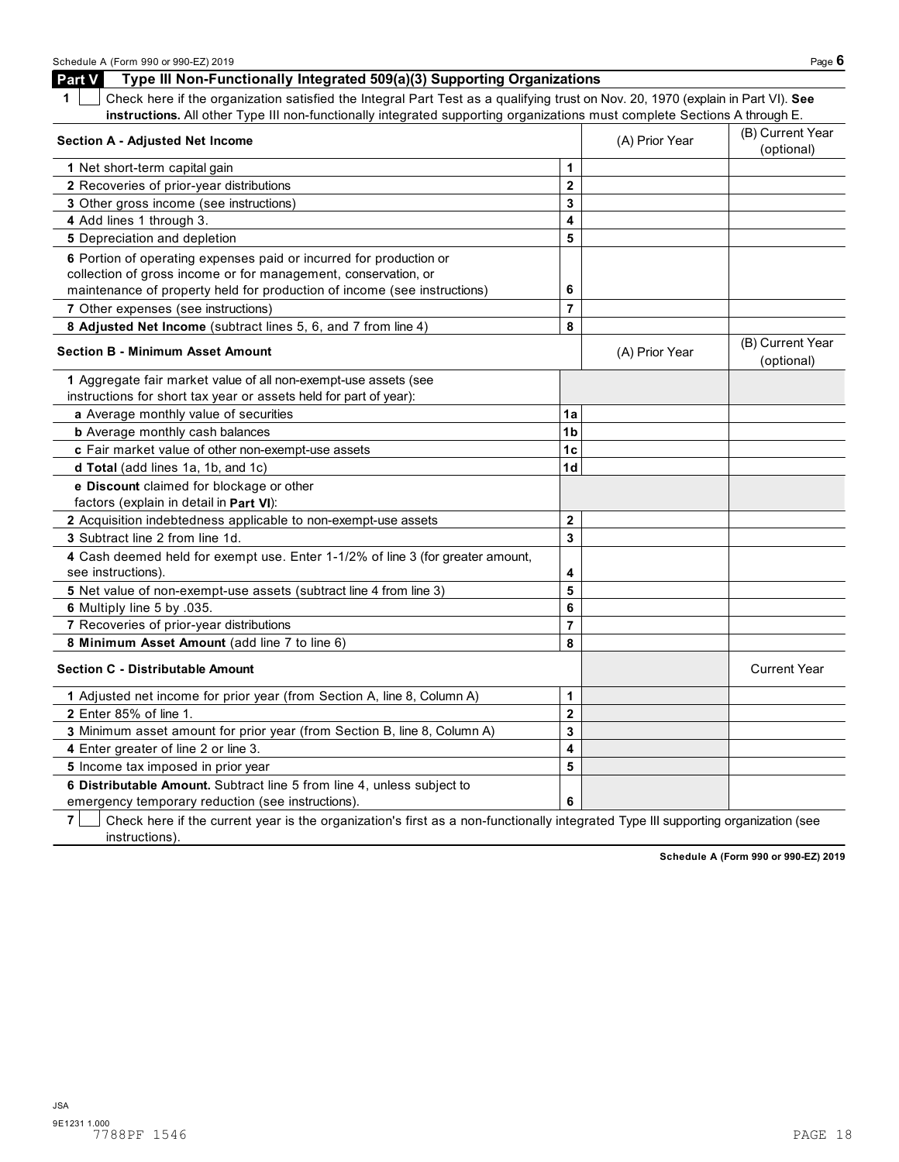| Type III Non-Functionally Integrated 509(a)(3) Supporting Organizations<br>Check here if the organization satisfied the Integral Part Test as a qualifying trust on Nov. 20, 1970 (explain in Part VI). See<br>$\mathbf 1$<br>instructions. All other Type III non-functionally integrated supporting organizations must complete Sections A through E.<br>(A) Prior Year<br>(optional)<br>1 Net short-term capital gain<br>$\mathbf{1}$<br>$\mathbf{2}$<br>2 Recoveries of prior-year distributions<br>$\mathbf{3}$<br>3 Other gross income (see instructions)<br>4 Add lines 1 through 3.<br>4<br>5<br>5 Depreciation and depletion<br>6 Portion of operating expenses paid or incurred for production or<br>collection of gross income or for management, conservation, or<br>6<br>maintenance of property held for production of income (see instructions)<br>$\overline{7}$<br>7 Other expenses (see instructions)<br>8<br>8 Adjusted Net Income (subtract lines 5, 6, and 7 from line 4)<br>(A) Prior Year<br>(optional)<br>1 Aggregate fair market value of all non-exempt-use assets (see<br>instructions for short tax year or assets held for part of year):<br>a Average monthly value of securities<br>1a<br>1 <sub>b</sub><br><b>b</b> Average monthly cash balances<br>1 <sub>c</sub><br>c Fair market value of other non-exempt-use assets<br>1d<br>d Total (add lines 1a, 1b, and 1c)<br>e Discount claimed for blockage or other<br>factors (explain in detail in Part VI):<br>$\mathbf{2}$<br>2 Acquisition indebtedness applicable to non-exempt-use assets<br>$\mathbf{3}$<br>3 Subtract line 2 from line 1d.<br>4 Cash deemed held for exempt use. Enter 1-1/2% of line 3 (for greater amount,<br>see instructions).<br>4<br>$5\phantom{a}$<br>5 Net value of non-exempt-use assets (subtract line 4 from line 3)<br>6<br>6 Multiply line 5 by .035.<br>$\overline{7}$<br>7 Recoveries of prior-year distributions<br>8<br>8 Minimum Asset Amount (add line 7 to line 6)<br>1 Adjusted net income for prior year (from Section A, line 8, Column A)<br>$\mathbf{1}$ | Schedule A (Form 990 or 990-EZ) 2019<br>Part V<br><b>Section A - Adjusted Net Income</b><br><b>Section B - Minimum Asset Amount</b><br><b>Section C - Distributable Amount</b><br>$\mathbf{2}$<br>2 Enter 85% of line 1.<br>$\mathbf{3}$<br>3 Minimum asset amount for prior year (from Section B, line 8, Column A)<br>4<br>4 Enter greater of line 2 or line 3.<br>5<br>5 Income tax imposed in prior year<br>6 Distributable Amount. Subtract line 5 from line 4, unless subject to<br>emergency temporary reduction (see instructions).<br>6<br>Check here if the current year is the organization's first as a non-functionally integrated Type III supporting organization (see<br>7 | Page 6<br>(B) Current Year<br>(B) Current Year |
|------------------------------------------------------------------------------------------------------------------------------------------------------------------------------------------------------------------------------------------------------------------------------------------------------------------------------------------------------------------------------------------------------------------------------------------------------------------------------------------------------------------------------------------------------------------------------------------------------------------------------------------------------------------------------------------------------------------------------------------------------------------------------------------------------------------------------------------------------------------------------------------------------------------------------------------------------------------------------------------------------------------------------------------------------------------------------------------------------------------------------------------------------------------------------------------------------------------------------------------------------------------------------------------------------------------------------------------------------------------------------------------------------------------------------------------------------------------------------------------------------------------------------------------------------------------------------------------------------------------------------------------------------------------------------------------------------------------------------------------------------------------------------------------------------------------------------------------------------------------------------------------------------------------------------------------------------------------------------------------------------------------------------------------------------------------------------------------|--------------------------------------------------------------------------------------------------------------------------------------------------------------------------------------------------------------------------------------------------------------------------------------------------------------------------------------------------------------------------------------------------------------------------------------------------------------------------------------------------------------------------------------------------------------------------------------------------------------------------------------------------------------------------------------------|------------------------------------------------|
|                                                                                                                                                                                                                                                                                                                                                                                                                                                                                                                                                                                                                                                                                                                                                                                                                                                                                                                                                                                                                                                                                                                                                                                                                                                                                                                                                                                                                                                                                                                                                                                                                                                                                                                                                                                                                                                                                                                                                                                                                                                                                          |                                                                                                                                                                                                                                                                                                                                                                                                                                                                                                                                                                                                                                                                                            |                                                |
|                                                                                                                                                                                                                                                                                                                                                                                                                                                                                                                                                                                                                                                                                                                                                                                                                                                                                                                                                                                                                                                                                                                                                                                                                                                                                                                                                                                                                                                                                                                                                                                                                                                                                                                                                                                                                                                                                                                                                                                                                                                                                          |                                                                                                                                                                                                                                                                                                                                                                                                                                                                                                                                                                                                                                                                                            |                                                |
|                                                                                                                                                                                                                                                                                                                                                                                                                                                                                                                                                                                                                                                                                                                                                                                                                                                                                                                                                                                                                                                                                                                                                                                                                                                                                                                                                                                                                                                                                                                                                                                                                                                                                                                                                                                                                                                                                                                                                                                                                                                                                          |                                                                                                                                                                                                                                                                                                                                                                                                                                                                                                                                                                                                                                                                                            |                                                |
|                                                                                                                                                                                                                                                                                                                                                                                                                                                                                                                                                                                                                                                                                                                                                                                                                                                                                                                                                                                                                                                                                                                                                                                                                                                                                                                                                                                                                                                                                                                                                                                                                                                                                                                                                                                                                                                                                                                                                                                                                                                                                          |                                                                                                                                                                                                                                                                                                                                                                                                                                                                                                                                                                                                                                                                                            |                                                |
|                                                                                                                                                                                                                                                                                                                                                                                                                                                                                                                                                                                                                                                                                                                                                                                                                                                                                                                                                                                                                                                                                                                                                                                                                                                                                                                                                                                                                                                                                                                                                                                                                                                                                                                                                                                                                                                                                                                                                                                                                                                                                          |                                                                                                                                                                                                                                                                                                                                                                                                                                                                                                                                                                                                                                                                                            |                                                |
|                                                                                                                                                                                                                                                                                                                                                                                                                                                                                                                                                                                                                                                                                                                                                                                                                                                                                                                                                                                                                                                                                                                                                                                                                                                                                                                                                                                                                                                                                                                                                                                                                                                                                                                                                                                                                                                                                                                                                                                                                                                                                          |                                                                                                                                                                                                                                                                                                                                                                                                                                                                                                                                                                                                                                                                                            |                                                |
|                                                                                                                                                                                                                                                                                                                                                                                                                                                                                                                                                                                                                                                                                                                                                                                                                                                                                                                                                                                                                                                                                                                                                                                                                                                                                                                                                                                                                                                                                                                                                                                                                                                                                                                                                                                                                                                                                                                                                                                                                                                                                          |                                                                                                                                                                                                                                                                                                                                                                                                                                                                                                                                                                                                                                                                                            |                                                |
|                                                                                                                                                                                                                                                                                                                                                                                                                                                                                                                                                                                                                                                                                                                                                                                                                                                                                                                                                                                                                                                                                                                                                                                                                                                                                                                                                                                                                                                                                                                                                                                                                                                                                                                                                                                                                                                                                                                                                                                                                                                                                          |                                                                                                                                                                                                                                                                                                                                                                                                                                                                                                                                                                                                                                                                                            |                                                |
|                                                                                                                                                                                                                                                                                                                                                                                                                                                                                                                                                                                                                                                                                                                                                                                                                                                                                                                                                                                                                                                                                                                                                                                                                                                                                                                                                                                                                                                                                                                                                                                                                                                                                                                                                                                                                                                                                                                                                                                                                                                                                          |                                                                                                                                                                                                                                                                                                                                                                                                                                                                                                                                                                                                                                                                                            |                                                |
|                                                                                                                                                                                                                                                                                                                                                                                                                                                                                                                                                                                                                                                                                                                                                                                                                                                                                                                                                                                                                                                                                                                                                                                                                                                                                                                                                                                                                                                                                                                                                                                                                                                                                                                                                                                                                                                                                                                                                                                                                                                                                          |                                                                                                                                                                                                                                                                                                                                                                                                                                                                                                                                                                                                                                                                                            |                                                |
|                                                                                                                                                                                                                                                                                                                                                                                                                                                                                                                                                                                                                                                                                                                                                                                                                                                                                                                                                                                                                                                                                                                                                                                                                                                                                                                                                                                                                                                                                                                                                                                                                                                                                                                                                                                                                                                                                                                                                                                                                                                                                          |                                                                                                                                                                                                                                                                                                                                                                                                                                                                                                                                                                                                                                                                                            |                                                |
|                                                                                                                                                                                                                                                                                                                                                                                                                                                                                                                                                                                                                                                                                                                                                                                                                                                                                                                                                                                                                                                                                                                                                                                                                                                                                                                                                                                                                                                                                                                                                                                                                                                                                                                                                                                                                                                                                                                                                                                                                                                                                          |                                                                                                                                                                                                                                                                                                                                                                                                                                                                                                                                                                                                                                                                                            |                                                |
|                                                                                                                                                                                                                                                                                                                                                                                                                                                                                                                                                                                                                                                                                                                                                                                                                                                                                                                                                                                                                                                                                                                                                                                                                                                                                                                                                                                                                                                                                                                                                                                                                                                                                                                                                                                                                                                                                                                                                                                                                                                                                          |                                                                                                                                                                                                                                                                                                                                                                                                                                                                                                                                                                                                                                                                                            |                                                |
|                                                                                                                                                                                                                                                                                                                                                                                                                                                                                                                                                                                                                                                                                                                                                                                                                                                                                                                                                                                                                                                                                                                                                                                                                                                                                                                                                                                                                                                                                                                                                                                                                                                                                                                                                                                                                                                                                                                                                                                                                                                                                          |                                                                                                                                                                                                                                                                                                                                                                                                                                                                                                                                                                                                                                                                                            |                                                |
|                                                                                                                                                                                                                                                                                                                                                                                                                                                                                                                                                                                                                                                                                                                                                                                                                                                                                                                                                                                                                                                                                                                                                                                                                                                                                                                                                                                                                                                                                                                                                                                                                                                                                                                                                                                                                                                                                                                                                                                                                                                                                          |                                                                                                                                                                                                                                                                                                                                                                                                                                                                                                                                                                                                                                                                                            |                                                |
|                                                                                                                                                                                                                                                                                                                                                                                                                                                                                                                                                                                                                                                                                                                                                                                                                                                                                                                                                                                                                                                                                                                                                                                                                                                                                                                                                                                                                                                                                                                                                                                                                                                                                                                                                                                                                                                                                                                                                                                                                                                                                          |                                                                                                                                                                                                                                                                                                                                                                                                                                                                                                                                                                                                                                                                                            |                                                |
|                                                                                                                                                                                                                                                                                                                                                                                                                                                                                                                                                                                                                                                                                                                                                                                                                                                                                                                                                                                                                                                                                                                                                                                                                                                                                                                                                                                                                                                                                                                                                                                                                                                                                                                                                                                                                                                                                                                                                                                                                                                                                          |                                                                                                                                                                                                                                                                                                                                                                                                                                                                                                                                                                                                                                                                                            |                                                |
|                                                                                                                                                                                                                                                                                                                                                                                                                                                                                                                                                                                                                                                                                                                                                                                                                                                                                                                                                                                                                                                                                                                                                                                                                                                                                                                                                                                                                                                                                                                                                                                                                                                                                                                                                                                                                                                                                                                                                                                                                                                                                          |                                                                                                                                                                                                                                                                                                                                                                                                                                                                                                                                                                                                                                                                                            |                                                |
|                                                                                                                                                                                                                                                                                                                                                                                                                                                                                                                                                                                                                                                                                                                                                                                                                                                                                                                                                                                                                                                                                                                                                                                                                                                                                                                                                                                                                                                                                                                                                                                                                                                                                                                                                                                                                                                                                                                                                                                                                                                                                          |                                                                                                                                                                                                                                                                                                                                                                                                                                                                                                                                                                                                                                                                                            |                                                |
|                                                                                                                                                                                                                                                                                                                                                                                                                                                                                                                                                                                                                                                                                                                                                                                                                                                                                                                                                                                                                                                                                                                                                                                                                                                                                                                                                                                                                                                                                                                                                                                                                                                                                                                                                                                                                                                                                                                                                                                                                                                                                          |                                                                                                                                                                                                                                                                                                                                                                                                                                                                                                                                                                                                                                                                                            |                                                |
|                                                                                                                                                                                                                                                                                                                                                                                                                                                                                                                                                                                                                                                                                                                                                                                                                                                                                                                                                                                                                                                                                                                                                                                                                                                                                                                                                                                                                                                                                                                                                                                                                                                                                                                                                                                                                                                                                                                                                                                                                                                                                          |                                                                                                                                                                                                                                                                                                                                                                                                                                                                                                                                                                                                                                                                                            |                                                |
|                                                                                                                                                                                                                                                                                                                                                                                                                                                                                                                                                                                                                                                                                                                                                                                                                                                                                                                                                                                                                                                                                                                                                                                                                                                                                                                                                                                                                                                                                                                                                                                                                                                                                                                                                                                                                                                                                                                                                                                                                                                                                          |                                                                                                                                                                                                                                                                                                                                                                                                                                                                                                                                                                                                                                                                                            |                                                |
|                                                                                                                                                                                                                                                                                                                                                                                                                                                                                                                                                                                                                                                                                                                                                                                                                                                                                                                                                                                                                                                                                                                                                                                                                                                                                                                                                                                                                                                                                                                                                                                                                                                                                                                                                                                                                                                                                                                                                                                                                                                                                          |                                                                                                                                                                                                                                                                                                                                                                                                                                                                                                                                                                                                                                                                                            |                                                |
|                                                                                                                                                                                                                                                                                                                                                                                                                                                                                                                                                                                                                                                                                                                                                                                                                                                                                                                                                                                                                                                                                                                                                                                                                                                                                                                                                                                                                                                                                                                                                                                                                                                                                                                                                                                                                                                                                                                                                                                                                                                                                          |                                                                                                                                                                                                                                                                                                                                                                                                                                                                                                                                                                                                                                                                                            |                                                |
|                                                                                                                                                                                                                                                                                                                                                                                                                                                                                                                                                                                                                                                                                                                                                                                                                                                                                                                                                                                                                                                                                                                                                                                                                                                                                                                                                                                                                                                                                                                                                                                                                                                                                                                                                                                                                                                                                                                                                                                                                                                                                          |                                                                                                                                                                                                                                                                                                                                                                                                                                                                                                                                                                                                                                                                                            | <b>Current Year</b>                            |
|                                                                                                                                                                                                                                                                                                                                                                                                                                                                                                                                                                                                                                                                                                                                                                                                                                                                                                                                                                                                                                                                                                                                                                                                                                                                                                                                                                                                                                                                                                                                                                                                                                                                                                                                                                                                                                                                                                                                                                                                                                                                                          |                                                                                                                                                                                                                                                                                                                                                                                                                                                                                                                                                                                                                                                                                            |                                                |
|                                                                                                                                                                                                                                                                                                                                                                                                                                                                                                                                                                                                                                                                                                                                                                                                                                                                                                                                                                                                                                                                                                                                                                                                                                                                                                                                                                                                                                                                                                                                                                                                                                                                                                                                                                                                                                                                                                                                                                                                                                                                                          |                                                                                                                                                                                                                                                                                                                                                                                                                                                                                                                                                                                                                                                                                            |                                                |
|                                                                                                                                                                                                                                                                                                                                                                                                                                                                                                                                                                                                                                                                                                                                                                                                                                                                                                                                                                                                                                                                                                                                                                                                                                                                                                                                                                                                                                                                                                                                                                                                                                                                                                                                                                                                                                                                                                                                                                                                                                                                                          |                                                                                                                                                                                                                                                                                                                                                                                                                                                                                                                                                                                                                                                                                            |                                                |
|                                                                                                                                                                                                                                                                                                                                                                                                                                                                                                                                                                                                                                                                                                                                                                                                                                                                                                                                                                                                                                                                                                                                                                                                                                                                                                                                                                                                                                                                                                                                                                                                                                                                                                                                                                                                                                                                                                                                                                                                                                                                                          |                                                                                                                                                                                                                                                                                                                                                                                                                                                                                                                                                                                                                                                                                            |                                                |
|                                                                                                                                                                                                                                                                                                                                                                                                                                                                                                                                                                                                                                                                                                                                                                                                                                                                                                                                                                                                                                                                                                                                                                                                                                                                                                                                                                                                                                                                                                                                                                                                                                                                                                                                                                                                                                                                                                                                                                                                                                                                                          |                                                                                                                                                                                                                                                                                                                                                                                                                                                                                                                                                                                                                                                                                            |                                                |
|                                                                                                                                                                                                                                                                                                                                                                                                                                                                                                                                                                                                                                                                                                                                                                                                                                                                                                                                                                                                                                                                                                                                                                                                                                                                                                                                                                                                                                                                                                                                                                                                                                                                                                                                                                                                                                                                                                                                                                                                                                                                                          |                                                                                                                                                                                                                                                                                                                                                                                                                                                                                                                                                                                                                                                                                            |                                                |
| instructions).                                                                                                                                                                                                                                                                                                                                                                                                                                                                                                                                                                                                                                                                                                                                                                                                                                                                                                                                                                                                                                                                                                                                                                                                                                                                                                                                                                                                                                                                                                                                                                                                                                                                                                                                                                                                                                                                                                                                                                                                                                                                           |                                                                                                                                                                                                                                                                                                                                                                                                                                                                                                                                                                                                                                                                                            |                                                |
|                                                                                                                                                                                                                                                                                                                                                                                                                                                                                                                                                                                                                                                                                                                                                                                                                                                                                                                                                                                                                                                                                                                                                                                                                                                                                                                                                                                                                                                                                                                                                                                                                                                                                                                                                                                                                                                                                                                                                                                                                                                                                          | Schedule A (Form 990 or 990-EZ) 2019                                                                                                                                                                                                                                                                                                                                                                                                                                                                                                                                                                                                                                                       |                                                |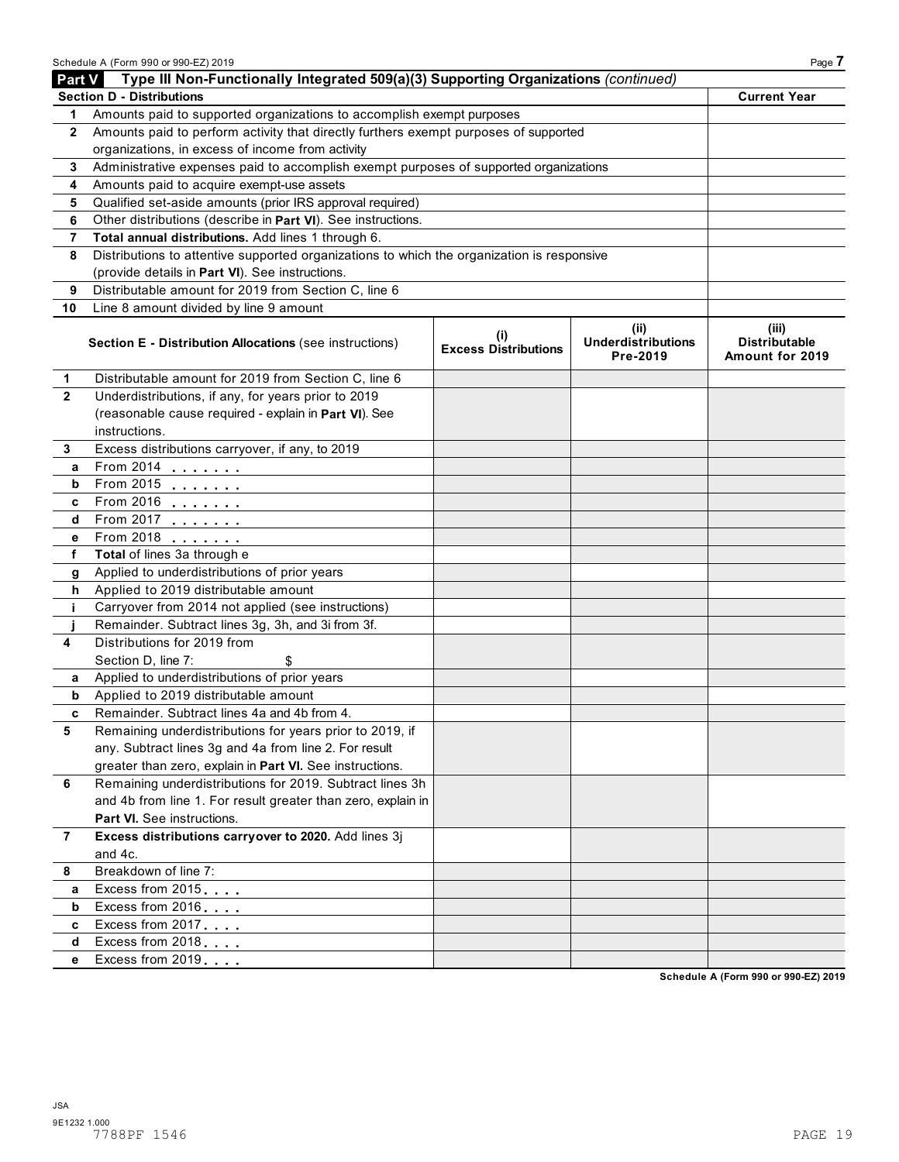| <b>Part V</b>   | Type III Non-Functionally Integrated 509(a)(3) Supporting Organizations (continued)                                                           |                                    |                                               | Page 7                                           |
|-----------------|-----------------------------------------------------------------------------------------------------------------------------------------------|------------------------------------|-----------------------------------------------|--------------------------------------------------|
|                 | <b>Section D - Distributions</b>                                                                                                              |                                    |                                               | <b>Current Year</b>                              |
| 1               | Amounts paid to supported organizations to accomplish exempt purposes                                                                         |                                    |                                               |                                                  |
| $\mathbf{2}$    | Amounts paid to perform activity that directly furthers exempt purposes of supported                                                          |                                    |                                               |                                                  |
|                 | organizations, in excess of income from activity                                                                                              |                                    |                                               |                                                  |
| 4               | 3 Administrative expenses paid to accomplish exempt purposes of supported organizations<br>Amounts paid to acquire exempt-use assets          |                                    |                                               |                                                  |
| 5               | Qualified set-aside amounts (prior IRS approval required)                                                                                     |                                    |                                               |                                                  |
| 6               | Other distributions (describe in Part VI). See instructions.                                                                                  |                                    |                                               |                                                  |
| $7^{\circ}$     | Total annual distributions. Add lines 1 through 6.                                                                                            |                                    |                                               |                                                  |
| 8               | Distributions to attentive supported organizations to which the organization is responsive<br>(provide details in Part VI). See instructions. |                                    |                                               |                                                  |
|                 | 9 Distributable amount for 2019 from Section C, line 6                                                                                        |                                    |                                               |                                                  |
| 10              | Line 8 amount divided by line 9 amount                                                                                                        |                                    |                                               |                                                  |
|                 | Section E - Distribution Allocations (see instructions)                                                                                       | (i)<br><b>Excess Distributions</b> | (ii)<br><b>Underdistributions</b><br>Pre-2019 | (iii)<br><b>Distributable</b><br>Amount for 2019 |
| $\overline{1}$  | Distributable amount for 2019 from Section C, line 6                                                                                          |                                    |                                               |                                                  |
| $\overline{2}$  | Underdistributions, if any, for years prior to 2019                                                                                           |                                    |                                               |                                                  |
|                 | (reasonable cause required - explain in Part VI). See<br>instructions.                                                                        |                                    |                                               |                                                  |
| $3\phantom{.0}$ | Excess distributions carryover, if any, to 2019                                                                                               |                                    |                                               |                                                  |
| a               | From 2014 $\ldots$                                                                                                                            |                                    |                                               |                                                  |
| b               | From $2015$                                                                                                                                   |                                    |                                               |                                                  |
| C<br>d          | From $2016$<br>From 2017 $\ldots$                                                                                                             |                                    |                                               |                                                  |
| е               | $\overline{\text{From}}$ 2018                                                                                                                 |                                    |                                               |                                                  |
| f               | Total of lines 3a through e                                                                                                                   |                                    |                                               |                                                  |
| g               | Applied to underdistributions of prior years                                                                                                  |                                    |                                               |                                                  |
| h.              | Applied to 2019 distributable amount<br>Carryover from 2014 not applied (see instructions)                                                    |                                    |                                               |                                                  |
| j.              | Remainder. Subtract lines 3g, 3h, and 3i from 3f.                                                                                             |                                    |                                               |                                                  |
| 4               | Distributions for 2019 from                                                                                                                   |                                    |                                               |                                                  |
|                 | Section D, line 7:<br>\$                                                                                                                      |                                    |                                               |                                                  |
|                 | a Applied to underdistributions of prior years<br>Applied to 2019 distributable amount                                                        |                                    |                                               |                                                  |
| b<br>C          | Remainder. Subtract lines 4a and 4b from 4.                                                                                                   |                                    |                                               |                                                  |
| 5               | Remaining underdistributions for years prior to 2019, if                                                                                      |                                    |                                               |                                                  |
|                 | any. Subtract lines 3g and 4a from line 2. For result                                                                                         |                                    |                                               |                                                  |
| 6               | greater than zero, explain in Part VI. See instructions.<br>Remaining underdistributions for 2019. Subtract lines 3h                          |                                    |                                               |                                                  |
|                 | and 4b from line 1. For result greater than zero, explain in                                                                                  |                                    |                                               |                                                  |
|                 | Part VI. See instructions.                                                                                                                    |                                    |                                               |                                                  |
|                 |                                                                                                                                               |                                    |                                               |                                                  |
| $\overline{7}$  | Excess distributions carryover to 2020. Add lines 3j                                                                                          |                                    |                                               |                                                  |
|                 | and 4c.                                                                                                                                       |                                    |                                               |                                                  |
| 8               | Breakdown of line 7:                                                                                                                          |                                    |                                               |                                                  |
| a<br>b          | Excess from 2015<br>Excess from 2016.                                                                                                         |                                    |                                               |                                                  |
| C               | Excess from 2017                                                                                                                              |                                    |                                               |                                                  |
| d               | Excess from 2018.<br>$\overline{e}$ Excess from 2019.                                                                                         |                                    |                                               |                                                  |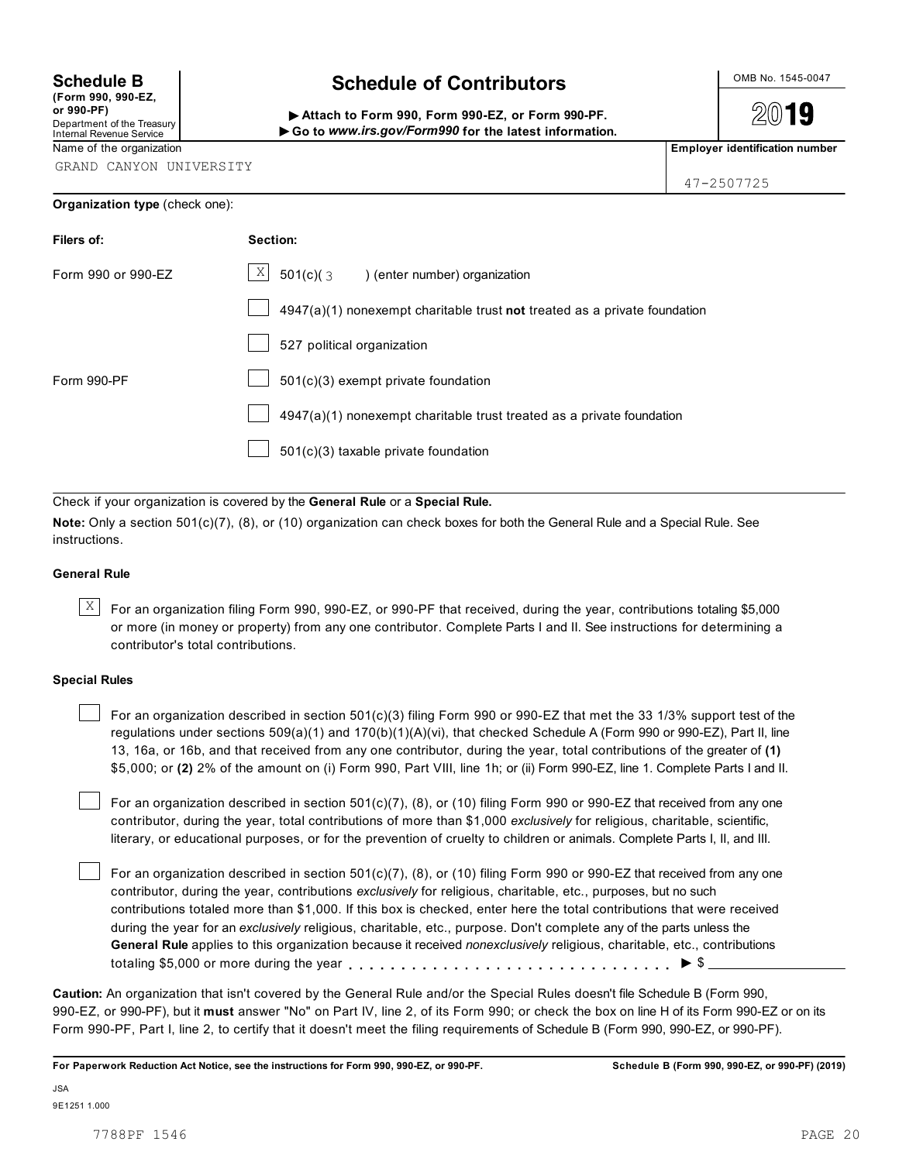Schedule B<br>
(Form 990, 990-EZ,<br>
OMB No. 1545-0047<br>
OMB No. 1545-0047<br>
OMB No. 1545-0047<br>
OMB No. 1545-0047<br>
OMB No. 1545-0047<br>
OMB No. 1545-0047<br>
OMB No. 1545-0047<br>
OMB No. 1545-0047<br>
OMB No. 1545-0047<br>
OMB No. 1545-0047<br> Schedule B<br>
(Form 990, 990-EZ,<br>
or 990-PF)<br>
Department of the Treasury<br>
Internal Revenue Service<br>
Name of the organization<br>
GRAND CANYON UNIVERSITY Schedule B<br>
(Form 990, 990-EZ,<br>
or 990-PF)<br>
Department of the Treasury<br>
Internal Revenue Service<br>
Name of the organization<br>
GRAND CANYON UNIVERSITY<br>
CRAND CANYON UNIVERSITY Schedule B<br>
(Form 990, 990-EZ,<br>
Department of the Treasury<br>
Department of the Treasury<br>
Department of the Treasury<br>
Department of the organization<br>
GRAND CANYON UNIVERSITY<br>
Organization type (check one):<br>
Organization type Schedule B<br>
(Form 990, 990-EZ,<br>
Or 990-PF)<br>
Department of the Treasury<br>
Name of the organization<br>
Name of the organization<br>
GRAND CANYON UNIVERSITY<br>
Organization type (check one):<br>
Organization type (check one): Schedule of Contributors<br>Attach to Form 990, Form 990-EZ, or Form 990-PF.<br>
o to www.irs.gov/Form990 for the latest information.<br>
Employer identification number<br>  $47-2507725$ Schedule of Contributors<br>
Attach to Form 990, Form 990-EZ, or Form 990-PF.<br>
Go to www.irs.gov/Form990 for the latest information.<br>
Employer identification number<br>
47-2507725

| 47-2507725 |  |  |
|------------|--|--|

| <b>Schedule B</b><br>(Form 990, 990-EZ,                              | <b>Schedule of Contributors</b>                                                                                                                                                                                                                                                                                                                                                                                                                                                                           | OMB No. 1545-0047                            |
|----------------------------------------------------------------------|-----------------------------------------------------------------------------------------------------------------------------------------------------------------------------------------------------------------------------------------------------------------------------------------------------------------------------------------------------------------------------------------------------------------------------------------------------------------------------------------------------------|----------------------------------------------|
| or 990-PF)<br>Department of the Treasury<br>Internal Revenue Service | Attach to Form 990, Form 990-EZ, or Form 990-PF.<br>Go to www.irs.gov/Form990 for the latest information.                                                                                                                                                                                                                                                                                                                                                                                                 | 2019                                         |
| Name of the organization<br>GRAND CANYON UNIVERSITY                  |                                                                                                                                                                                                                                                                                                                                                                                                                                                                                                           | Employer identification number<br>47-2507725 |
| Organization type (check one):                                       |                                                                                                                                                                                                                                                                                                                                                                                                                                                                                                           |                                              |
| Filers of:                                                           | Section:                                                                                                                                                                                                                                                                                                                                                                                                                                                                                                  |                                              |
| Form 990 or 990-EZ                                                   | $\vert X \vert$<br>$501(c)$ $(3)$<br>) (enter number) organization                                                                                                                                                                                                                                                                                                                                                                                                                                        |                                              |
|                                                                      | 4947(a)(1) nonexempt charitable trust not treated as a private foundation                                                                                                                                                                                                                                                                                                                                                                                                                                 |                                              |
|                                                                      | 527 political organization                                                                                                                                                                                                                                                                                                                                                                                                                                                                                |                                              |
| Form 990-PF                                                          | 501(c)(3) exempt private foundation                                                                                                                                                                                                                                                                                                                                                                                                                                                                       |                                              |
|                                                                      | 4947(a)(1) nonexempt charitable trust treated as a private foundation                                                                                                                                                                                                                                                                                                                                                                                                                                     |                                              |
|                                                                      | 501(c)(3) taxable private foundation                                                                                                                                                                                                                                                                                                                                                                                                                                                                      |                                              |
|                                                                      | Check if your organization is covered by the General Rule or a Special Rule.                                                                                                                                                                                                                                                                                                                                                                                                                              |                                              |
| instructions.                                                        | Note: Only a section 501(c)(7), (8), or (10) organization can check boxes for both the General Rule and a Special Rule. See                                                                                                                                                                                                                                                                                                                                                                               |                                              |
| <b>General Rule</b>                                                  |                                                                                                                                                                                                                                                                                                                                                                                                                                                                                                           |                                              |
| $\boxed{X}$                                                          | For an organization filing Form 990, 990-EZ, or 990-PF that received, during the year, contributions totaling \$5,000<br>or more (in money or property) from any one contributor. Complete Parts I and II. See instructions for determining a<br>contributor's total contributions.                                                                                                                                                                                                                       |                                              |
| <b>Special Rules</b>                                                 |                                                                                                                                                                                                                                                                                                                                                                                                                                                                                                           |                                              |
|                                                                      | For an organization described in section 501(c)(3) filing Form 990 or 990-EZ that met the 33 1/3% support test of the<br>regulations under sections 509(a)(1) and 170(b)(1)(A)(vi), that checked Schedule A (Form 990 or 990-EZ), Part II, line<br>13, 16a, or 16b, and that received from any one contributor, during the year, total contributions of the greater of (1)<br>\$5,000; or (2) 2% of the amount on (i) Form 990, Part VIII, line 1h; or (ii) Form 990-EZ, line 1. Complete Parts I and II. |                                              |
|                                                                      | For an organization described in section 501(c)(7), (8), or (10) filing Form 990 or 990-EZ that received from any one<br>contributor, during the year, total contributions of more than \$1,000 exclusively for religious, charitable, scientific,<br>literary, or educational purposes, or for the prevention of cruelty to children or animals. Complete Parts I, II, and III.                                                                                                                          |                                              |

For an organization discrete by the **General Rule or a Special Rule.**<br>For an organization is covered by the **General Rule or a Special Rule.**<br>The section 501(c)(7), (8), or (10) organization can check boxes for both the G ing solution is covered by the General Rule or a Special Rule.<br>
Survey a section 501(c)(7), (8), or (10) organization can check boxes for both the General Rule and a Special Rule. See<br>
Sus.<br>
Survey a section 501(c)(7), (

our correct by the **General Rule or a Special Rule.**<br> **Solution** Step and Special Rule or a Special Rule.<br> **Solution** Step and Special Rule or a Special Rule of the Denemal Rule and a Special Rule. See<br> **Example 2014**<br> **E** our organization is covered by the General Rule or a Special Rule.<br>
For an organization filing Form 990, 990-EZ, or 990-PF that received, during the year, contributions totaling \$5,000<br>
EFor an organization filing Form 990 y a section 501(c)(7), (8), or (10) organization can check boxes for both the General Rule and a Special Rule, See<br>
s.<br>
s.<br>
s.<br>
s.<br>
contributor's total contributions.<br>
For an organization discributions exclusively from any y a security of the properties of the predictions of the properties and the second more than \$1,000 is the second more than \$1,000. If the second more than \$1,000 is the second more to the more than \$1,000 or the more to during the year, only and the year, contributions and the year for an exclusively religious, charitable, etc., purposes the particular only and the station of the station of the particular or any one contributions. Complet For an organization filing Form 990, 990-EZ, or 990-PF that received, during the year, contributions totaling \$5,000<br>contributor's total contributions.<br>General (in money or property) from any one contributor. Complete Part For an organization filing Form 990, 990-EZ, or 990-PF that raceived, during the year, contributions tolaling \$5,000<br>or more (in money or property) from any one contributor: Complete Parts I and II. See instructions for d Caution: An originarization that is not the section of the Caution Caution Caution Caution Caution Caution Caution Caution Caution Caution Caution Caution Caution Caution Caution Caution Caution Caution Caution Caution Ca or entity or elastic motions and the section of the section of the section and the section and the section and the section and the section and the section specifical specific and the section specific and the section specif Form an organization described in section 501(c)(3) fling Form 990 or 990-EZ that met the 33 1/3% support test of the<br>regulations under sections 509(a)(1) and 170(b)(1)(A)(v), that checked Schedule A (Form 990 or 990-EZ) Spectra Reduction Activities in section 501(c)(3) flling Form 990 or 990-EZ that met the 33.1/3% support test of the<br>regulations under sections 508(a)(1) and 170(b)(1)(A)(v), that checked Schedule A (Form 990 or 990-EZ), regulations under sections  $509(a)(1)$  and  $170(b)(1)(A)(vi)$ , that checked Sched<br>13, 16a, or 16b, and that received from any one contributor, during the year, to<br>\$5,000; or (2)  $2\%$  of the amount on (i) Form 990, Part VIII, li For an organization described in section 501(c)(7), (8), or (10) filing Form 990 or 990-EZ that received from any one<br>contributor, during the year, total contributions of more than \$1,000 exclosively for religious, charit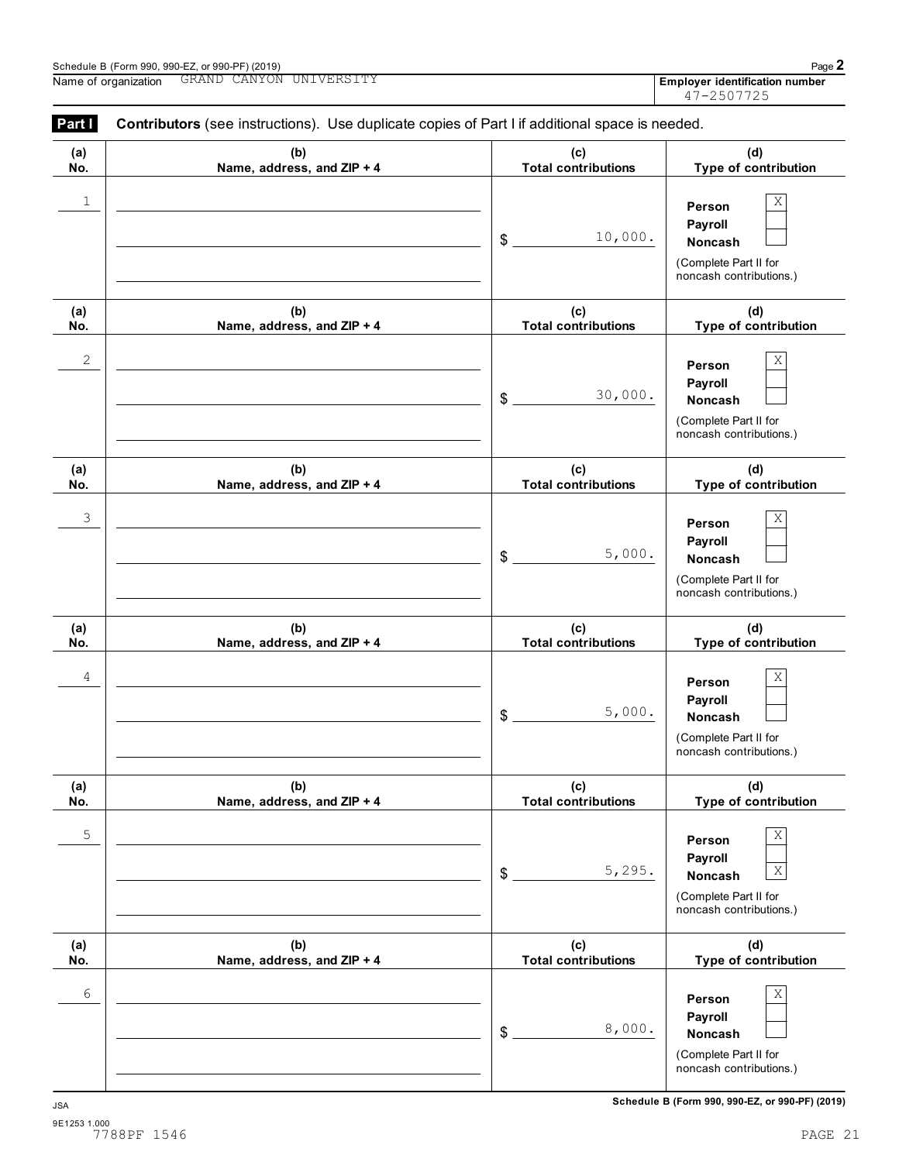| noncash contributions.)                         |
|-------------------------------------------------|
| Schedule B (Form 990, 990-EZ, or 990-PF) (2019) |

|                 | Schedule B (Form 990, 990-EZ, or 990-PF) (2019)<br>GRAND CANYON UNIVERSITY<br>Name of organization |                                   | Page 2<br><b>Employer identification number</b><br>$47 - 2507725$                                                     |
|-----------------|----------------------------------------------------------------------------------------------------|-----------------------------------|-----------------------------------------------------------------------------------------------------------------------|
| Part I          | Contributors (see instructions). Use duplicate copies of Part I if additional space is needed.     |                                   |                                                                                                                       |
| (a)<br>No.      | (b)<br>Name, address, and ZIP + 4                                                                  | (c)<br><b>Total contributions</b> | (d)<br>Type of contribution                                                                                           |
| 1               |                                                                                                    | 10,000.<br>\$                     | $\mathbf X$<br>Person<br>Payroll<br>Noncash<br>(Complete Part II for<br>noncash contributions.)                       |
| (a)<br>No.      | (b)<br>Name, address, and ZIP + 4                                                                  | (c)<br><b>Total contributions</b> | (d)<br>Type of contribution                                                                                           |
| $\mathbf{2}$    |                                                                                                    | 30,000.<br>\$                     | $\overline{\mathbf{X}}$<br>Person<br>Payroll<br>Noncash<br>(Complete Part II for<br>noncash contributions.)           |
| (a)<br>No.      | (b)<br>Name, address, and ZIP + 4                                                                  | (c)<br><b>Total contributions</b> | (d)<br>Type of contribution                                                                                           |
| $\mathcal{S}$   |                                                                                                    | 5,000.<br>\$                      | $\,$ X<br>Person<br>Payroll<br>Noncash<br>(Complete Part II for<br>noncash contributions.)                            |
| (a)<br>No.      | (b)<br>Name, address, and ZIP + 4                                                                  | (c)<br><b>Total contributions</b> | (d)<br>Type of contribution                                                                                           |
| $\overline{4}$  |                                                                                                    | 5,000.<br>$\frac{1}{2}$           | $\mathbf X$<br>Person<br>Payroll<br>Noncash<br>(Complete Part II for<br>noncash contributions.)                       |
| (a)<br>No.      | (b)<br>Name, address, and ZIP + 4                                                                  | (c)<br><b>Total contributions</b> | (d)<br>Type of contribution                                                                                           |
| $5\phantom{.0}$ |                                                                                                    | 5,295.<br>$\frac{1}{2}$           | $\mathbf X$<br>Person<br>Payroll<br>$\boxed{\text{X}}$<br>Noncash<br>(Complete Part II for<br>noncash contributions.) |
| (a)<br>No.      | (b)<br>Name, address, and ZIP + 4                                                                  | (c)<br><b>Total contributions</b> | (d)<br>Type of contribution                                                                                           |
| $6\,$           |                                                                                                    | 8,000.<br>$\$\$                   | $\boxed{X}$<br>Person<br>Payroll<br><b>Noncash</b><br>(Complete Part II for<br>noncash contributions.)                |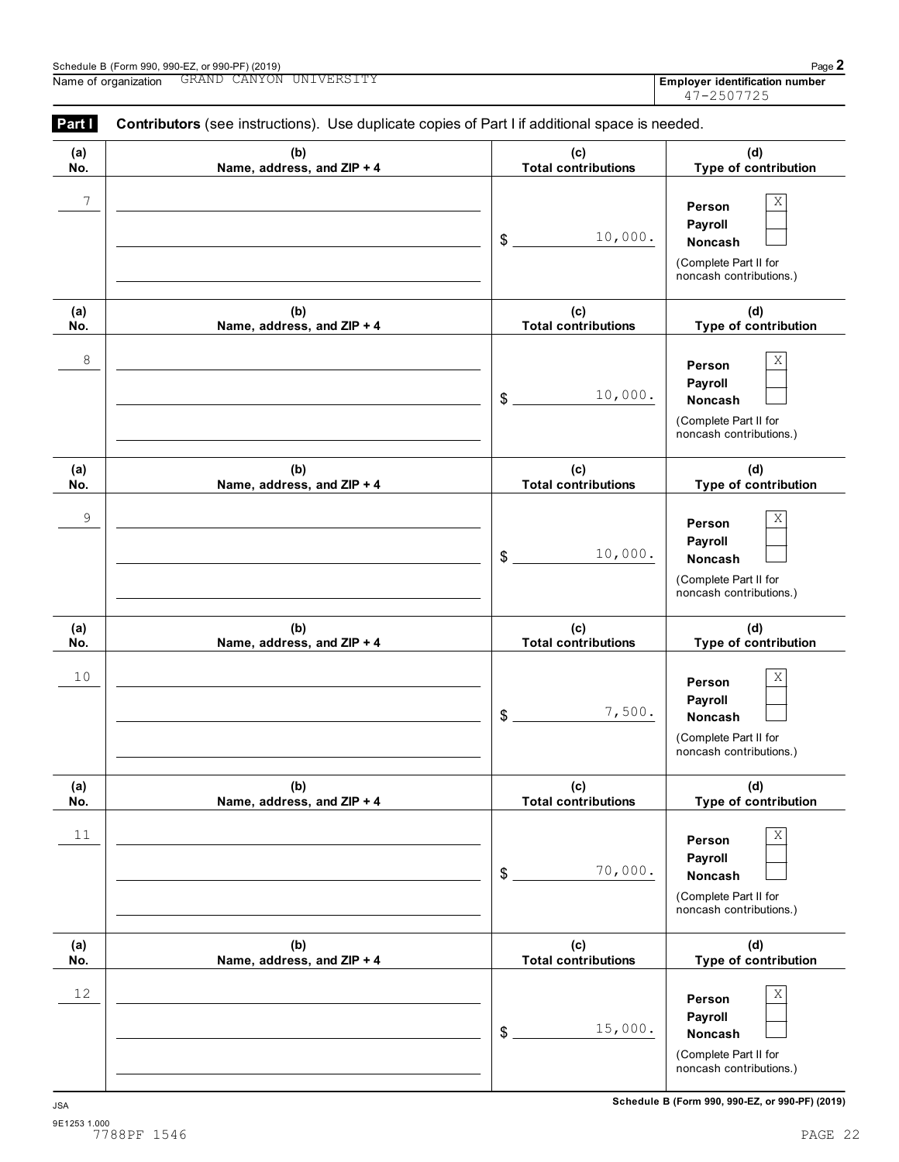| Part I<br>Contributors (see instructions). Use duplicate copies of Part I if additional space is needed.<br>(d)<br>(b)<br>(c)<br>(a)<br>Name, address, and ZIP + 4<br><b>Total contributions</b><br>Type of contribution<br>No.<br>7<br>$\mathbf X$<br>Person<br>Payroll<br>10,000.<br>\$<br>Noncash<br>(Complete Part II for<br>noncash contributions.)<br>(b)<br>(c)<br>(d)<br>(a)<br>Name, address, and ZIP + 4<br>Type of contribution<br>No.<br><b>Total contributions</b><br>$\,8\,$<br>$\mathbf X$<br>Person<br>Payroll<br>10,000.<br>\$<br>Noncash<br>(Complete Part II for<br>noncash contributions.)<br>(b)<br>(c)<br>(d)<br>(a)<br>Name, address, and ZIP + 4<br>Type of contribution<br>No.<br><b>Total contributions</b><br>$\mathcal{G}$<br>$\mathbf X$<br>Person<br>Payroll<br>10,000.<br>\$<br>Noncash<br>(Complete Part II for<br>noncash contributions.)<br>(b)<br>(d)<br>(c)<br>(a)<br>Type of contribution<br>Name, address, and ZIP + 4<br><b>Total contributions</b><br>No.<br>$10$<br>Χ<br>Person<br>Payroll<br>7,500.<br>\$<br>Noncash<br>(Complete Part II for<br>noncash contributions.)<br>(b)<br>(d)<br>(c)<br>(a)<br>Type of contribution<br>No.<br>Name, address, and ZIP + 4<br><b>Total contributions</b><br>$\overline{\mathbf{X}}$<br>11<br>Person<br>Payroll<br>70,000.<br>\$<br>Noncash<br>(Complete Part II for<br>noncash contributions.)<br>(b)<br>(c)<br>(d)<br>(a)<br>Type of contribution<br>No.<br>Name, address, and ZIP + 4<br><b>Total contributions</b><br>12<br>$\mathbf X$<br>Person<br>Payroll<br>15,000.<br>\$<br>Noncash<br>(Complete Part II for<br>noncash contributions.) |  | Name of organization GRAND CANYON UNIVERSITY | <b>Employer identification number</b><br>$47 - 2507725$ |
|----------------------------------------------------------------------------------------------------------------------------------------------------------------------------------------------------------------------------------------------------------------------------------------------------------------------------------------------------------------------------------------------------------------------------------------------------------------------------------------------------------------------------------------------------------------------------------------------------------------------------------------------------------------------------------------------------------------------------------------------------------------------------------------------------------------------------------------------------------------------------------------------------------------------------------------------------------------------------------------------------------------------------------------------------------------------------------------------------------------------------------------------------------------------------------------------------------------------------------------------------------------------------------------------------------------------------------------------------------------------------------------------------------------------------------------------------------------------------------------------------------------------------------------------------------------------------------------------------------------------------------|--|----------------------------------------------|---------------------------------------------------------|
|                                                                                                                                                                                                                                                                                                                                                                                                                                                                                                                                                                                                                                                                                                                                                                                                                                                                                                                                                                                                                                                                                                                                                                                                                                                                                                                                                                                                                                                                                                                                                                                                                                  |  |                                              |                                                         |
|                                                                                                                                                                                                                                                                                                                                                                                                                                                                                                                                                                                                                                                                                                                                                                                                                                                                                                                                                                                                                                                                                                                                                                                                                                                                                                                                                                                                                                                                                                                                                                                                                                  |  |                                              |                                                         |
|                                                                                                                                                                                                                                                                                                                                                                                                                                                                                                                                                                                                                                                                                                                                                                                                                                                                                                                                                                                                                                                                                                                                                                                                                                                                                                                                                                                                                                                                                                                                                                                                                                  |  |                                              |                                                         |
|                                                                                                                                                                                                                                                                                                                                                                                                                                                                                                                                                                                                                                                                                                                                                                                                                                                                                                                                                                                                                                                                                                                                                                                                                                                                                                                                                                                                                                                                                                                                                                                                                                  |  |                                              |                                                         |
|                                                                                                                                                                                                                                                                                                                                                                                                                                                                                                                                                                                                                                                                                                                                                                                                                                                                                                                                                                                                                                                                                                                                                                                                                                                                                                                                                                                                                                                                                                                                                                                                                                  |  |                                              |                                                         |
|                                                                                                                                                                                                                                                                                                                                                                                                                                                                                                                                                                                                                                                                                                                                                                                                                                                                                                                                                                                                                                                                                                                                                                                                                                                                                                                                                                                                                                                                                                                                                                                                                                  |  |                                              |                                                         |
|                                                                                                                                                                                                                                                                                                                                                                                                                                                                                                                                                                                                                                                                                                                                                                                                                                                                                                                                                                                                                                                                                                                                                                                                                                                                                                                                                                                                                                                                                                                                                                                                                                  |  |                                              |                                                         |
|                                                                                                                                                                                                                                                                                                                                                                                                                                                                                                                                                                                                                                                                                                                                                                                                                                                                                                                                                                                                                                                                                                                                                                                                                                                                                                                                                                                                                                                                                                                                                                                                                                  |  |                                              |                                                         |
|                                                                                                                                                                                                                                                                                                                                                                                                                                                                                                                                                                                                                                                                                                                                                                                                                                                                                                                                                                                                                                                                                                                                                                                                                                                                                                                                                                                                                                                                                                                                                                                                                                  |  |                                              |                                                         |
|                                                                                                                                                                                                                                                                                                                                                                                                                                                                                                                                                                                                                                                                                                                                                                                                                                                                                                                                                                                                                                                                                                                                                                                                                                                                                                                                                                                                                                                                                                                                                                                                                                  |  |                                              |                                                         |
|                                                                                                                                                                                                                                                                                                                                                                                                                                                                                                                                                                                                                                                                                                                                                                                                                                                                                                                                                                                                                                                                                                                                                                                                                                                                                                                                                                                                                                                                                                                                                                                                                                  |  |                                              |                                                         |
|                                                                                                                                                                                                                                                                                                                                                                                                                                                                                                                                                                                                                                                                                                                                                                                                                                                                                                                                                                                                                                                                                                                                                                                                                                                                                                                                                                                                                                                                                                                                                                                                                                  |  |                                              |                                                         |
|                                                                                                                                                                                                                                                                                                                                                                                                                                                                                                                                                                                                                                                                                                                                                                                                                                                                                                                                                                                                                                                                                                                                                                                                                                                                                                                                                                                                                                                                                                                                                                                                                                  |  |                                              |                                                         |
|                                                                                                                                                                                                                                                                                                                                                                                                                                                                                                                                                                                                                                                                                                                                                                                                                                                                                                                                                                                                                                                                                                                                                                                                                                                                                                                                                                                                                                                                                                                                                                                                                                  |  |                                              |                                                         |
|                                                                                                                                                                                                                                                                                                                                                                                                                                                                                                                                                                                                                                                                                                                                                                                                                                                                                                                                                                                                                                                                                                                                                                                                                                                                                                                                                                                                                                                                                                                                                                                                                                  |  |                                              |                                                         |
|                                                                                                                                                                                                                                                                                                                                                                                                                                                                                                                                                                                                                                                                                                                                                                                                                                                                                                                                                                                                                                                                                                                                                                                                                                                                                                                                                                                                                                                                                                                                                                                                                                  |  |                                              |                                                         |
|                                                                                                                                                                                                                                                                                                                                                                                                                                                                                                                                                                                                                                                                                                                                                                                                                                                                                                                                                                                                                                                                                                                                                                                                                                                                                                                                                                                                                                                                                                                                                                                                                                  |  |                                              |                                                         |
|                                                                                                                                                                                                                                                                                                                                                                                                                                                                                                                                                                                                                                                                                                                                                                                                                                                                                                                                                                                                                                                                                                                                                                                                                                                                                                                                                                                                                                                                                                                                                                                                                                  |  |                                              |                                                         |
|                                                                                                                                                                                                                                                                                                                                                                                                                                                                                                                                                                                                                                                                                                                                                                                                                                                                                                                                                                                                                                                                                                                                                                                                                                                                                                                                                                                                                                                                                                                                                                                                                                  |  |                                              |                                                         |
|                                                                                                                                                                                                                                                                                                                                                                                                                                                                                                                                                                                                                                                                                                                                                                                                                                                                                                                                                                                                                                                                                                                                                                                                                                                                                                                                                                                                                                                                                                                                                                                                                                  |  |                                              |                                                         |
|                                                                                                                                                                                                                                                                                                                                                                                                                                                                                                                                                                                                                                                                                                                                                                                                                                                                                                                                                                                                                                                                                                                                                                                                                                                                                                                                                                                                                                                                                                                                                                                                                                  |  |                                              |                                                         |
|                                                                                                                                                                                                                                                                                                                                                                                                                                                                                                                                                                                                                                                                                                                                                                                                                                                                                                                                                                                                                                                                                                                                                                                                                                                                                                                                                                                                                                                                                                                                                                                                                                  |  |                                              |                                                         |
|                                                                                                                                                                                                                                                                                                                                                                                                                                                                                                                                                                                                                                                                                                                                                                                                                                                                                                                                                                                                                                                                                                                                                                                                                                                                                                                                                                                                                                                                                                                                                                                                                                  |  |                                              |                                                         |
|                                                                                                                                                                                                                                                                                                                                                                                                                                                                                                                                                                                                                                                                                                                                                                                                                                                                                                                                                                                                                                                                                                                                                                                                                                                                                                                                                                                                                                                                                                                                                                                                                                  |  |                                              |                                                         |
|                                                                                                                                                                                                                                                                                                                                                                                                                                                                                                                                                                                                                                                                                                                                                                                                                                                                                                                                                                                                                                                                                                                                                                                                                                                                                                                                                                                                                                                                                                                                                                                                                                  |  |                                              |                                                         |
|                                                                                                                                                                                                                                                                                                                                                                                                                                                                                                                                                                                                                                                                                                                                                                                                                                                                                                                                                                                                                                                                                                                                                                                                                                                                                                                                                                                                                                                                                                                                                                                                                                  |  |                                              |                                                         |
|                                                                                                                                                                                                                                                                                                                                                                                                                                                                                                                                                                                                                                                                                                                                                                                                                                                                                                                                                                                                                                                                                                                                                                                                                                                                                                                                                                                                                                                                                                                                                                                                                                  |  |                                              |                                                         |
|                                                                                                                                                                                                                                                                                                                                                                                                                                                                                                                                                                                                                                                                                                                                                                                                                                                                                                                                                                                                                                                                                                                                                                                                                                                                                                                                                                                                                                                                                                                                                                                                                                  |  |                                              |                                                         |
|                                                                                                                                                                                                                                                                                                                                                                                                                                                                                                                                                                                                                                                                                                                                                                                                                                                                                                                                                                                                                                                                                                                                                                                                                                                                                                                                                                                                                                                                                                                                                                                                                                  |  |                                              |                                                         |
|                                                                                                                                                                                                                                                                                                                                                                                                                                                                                                                                                                                                                                                                                                                                                                                                                                                                                                                                                                                                                                                                                                                                                                                                                                                                                                                                                                                                                                                                                                                                                                                                                                  |  |                                              |                                                         |
|                                                                                                                                                                                                                                                                                                                                                                                                                                                                                                                                                                                                                                                                                                                                                                                                                                                                                                                                                                                                                                                                                                                                                                                                                                                                                                                                                                                                                                                                                                                                                                                                                                  |  |                                              |                                                         |
|                                                                                                                                                                                                                                                                                                                                                                                                                                                                                                                                                                                                                                                                                                                                                                                                                                                                                                                                                                                                                                                                                                                                                                                                                                                                                                                                                                                                                                                                                                                                                                                                                                  |  |                                              |                                                         |
|                                                                                                                                                                                                                                                                                                                                                                                                                                                                                                                                                                                                                                                                                                                                                                                                                                                                                                                                                                                                                                                                                                                                                                                                                                                                                                                                                                                                                                                                                                                                                                                                                                  |  |                                              |                                                         |
|                                                                                                                                                                                                                                                                                                                                                                                                                                                                                                                                                                                                                                                                                                                                                                                                                                                                                                                                                                                                                                                                                                                                                                                                                                                                                                                                                                                                                                                                                                                                                                                                                                  |  |                                              |                                                         |
| Schedule B (Form 990, 990-EZ, or 990-PF) (2019)                                                                                                                                                                                                                                                                                                                                                                                                                                                                                                                                                                                                                                                                                                                                                                                                                                                                                                                                                                                                                                                                                                                                                                                                                                                                                                                                                                                                                                                                                                                                                                                  |  |                                              |                                                         |

Schedule B (Form 990, 990-EZ, or 990-PF) (2019)<br>
Name of organization GRAND CANYON UNTVERSTTY<br>
Page 2<br>
Part | Contributors (see instructions). Use duplicate copies of Part | if additional space is needed.<br>
(a) (c) (d) Schedule B (Form 990, 990-EZ, or 990-PF) (2019)<br>
Name of organization GRAND CANYON UNIVERSITY<br> **Part II** Contributors (see instructions). Use duplicate copies of Part I if additional space is needed.<br>
(a) (b) (c) (d) Total Part I Contributors (see instructions). Use duplicate copies of Part I if additional space is needed.<br>
(a) No. Name, address, and ZIP + 4 The Contributors (see instructions). Use duplicate copies of Part I if additional sp GRAND CANYON UNIVERSITY e B (Form 990, 990-EZ, α 990-FF) (2019)<br>
of organization CRKND CANYON UNTVERSTTY<br> **12** Contributors (see instructions). Use duplicate copies of Part I if additional space is needed.<br>
(d)<br> **12 Contributors**<br> **12 Contribut** 

90-PF) (2019)<br>
D CANYON UNIVERSITY<br>
ee instructions). Use duplicate copies of Part I if additional space is needed.<br>
(b)<br>
Name, address, and ZIP + 4<br>  $\begin{array}{|c|c|c|c|}\n\hline\n\textbf{(a)} & \textbf{(b)} & \textbf{(c)} & \textbf{(d)}\n\hline\n\textbf{(d)} & \textbf{(e)} & \textbf$ Employer identification number<br>  $\frac{Page 2}{47-2507725}$ <br>
Fadditional space is needed.<br>
(c)<br>
Total contributions<br>
Type of contribution<br>
Person<br>
Payroll<br>
Noncash<br>
Complete Part II for<br>
Complete Part II for Page 2<br>
yer identification number<br>
7-2507725<br>
d.<br>
(d)<br>
Type of contribution<br>
erson<br>
ayroll<br>
loncash<br>
mplete Part II for  $\begin{tabular}{l} \bf \textit{player identification number} \end{tabular} \vspace{0.05cm} \begin{tabular}{l} \bf \textit{Page 2} \end{tabular} \vspace{0.05cm} \begin{tabular}{l} \bf \textit{edge 2} \end{tabular} \vspace{0.05cm} \begin{tabular}{l} \bf \textit{C} \bf \textit{C} \bf \textit{C} \bf \textit{C} \bf \textit{C} \bf \textit{C} \bf \textit{C} \bf \textit{C} \bf \textit{C} \bf \textit{C} \bf \textit{C} \bf \textit{C} \bf \textit{C} \bf \textit{$  $\begin{tabular}{l} \multicolumn{1}{l} \multicolumn{1}{l} \multicolumn{1}{l} \multicolumn{1}{l} \multicolumn{1}{l} \multicolumn{1}{l} \multicolumn{1}{l} \multicolumn{1}{l} \multicolumn{1}{l} \multicolumn{1}{l} \multicolumn{1}{l} \multicolumn{1}{l} \multicolumn{1}{l} \multicolumn{1}{l} \multicolumn{1}{l} \multicolumn{1}{l} \multicolumn{1}{l} \multicolumn{1}{l} \multicolumn{1}{l} \multicolumn{1}{l} \multicolumn{1}{l} \multicolumn{1}{l} \multicolumn{1}{l} \multicolumn{$ Name, address, and ZIP + 4  $\begin{tabular}{|c|c|} \hline \textbf{Employee 2}\\ \hline \textbf{Fmplayer identification number}\\ \hline 47–2507725\\ \hline \textbf{f additional space is needed.} \\ \hline \textbf{Total contributions} & Type of contribution \\ \hline \textbf{Person} & \times \\ \hline \textbf{Payroll} & \textbf{Noncash \\ (Complete Part II for noncaash contributions.)\\ \hline \textbf{(c)} & \textbf{(d)} \\ \hline \textbf{Total contributions} & Type of contribution \\ \hline \textbf{Peyroll} & \textbf{Payroll} \\ \hline \textbf{10,000.} & \textbf{Payroll} & \textbf{Payroll} \\ \hline \textbf{$  $\begin{tabular}{|c|c|} \hline \multicolumn{1}{|c|}{Page 2} \cr \hline \multicolumn{1}{|c|}{\hline \multicolumn{1}{|c|}{\hline \multicolumn{1}{|c|}{\hline \multicolumn{1}{|c|}{\hline \multicolumn{1}{|c|}{\hline \multicolumn{1}{|c|}{\hline \multicolumn{1}{|c|}{\hline \multicolumn{1}{|c|}{\hline \multicolumn{1}{|c|}{\hline \multicolumn{1}{|c|}{\hline \multicolumn{1}{|c|}{\hline \multicolumn{1}{|c|}{\hline \multicolumn{1}{|c|}{\hline \multic$ may be provided a matrice of the Page 2<br>
ded.<br>
(d)<br>
Type of contribution<br>
Person<br>
Payroll<br>
Noncash<br>
(Complete Part II for<br>
noncash contributions.)<br>
Person<br>
Payroll<br>
Noncash<br>
(Complete Part II for<br>
noncash contribution<br>
(d matrical provides are the proof of the proof of the proof of the proof of the proof of the proof of the proof of the proof of the proof of the proof of the proof of the proof of the proof of the proof of the proof of the 47-2507725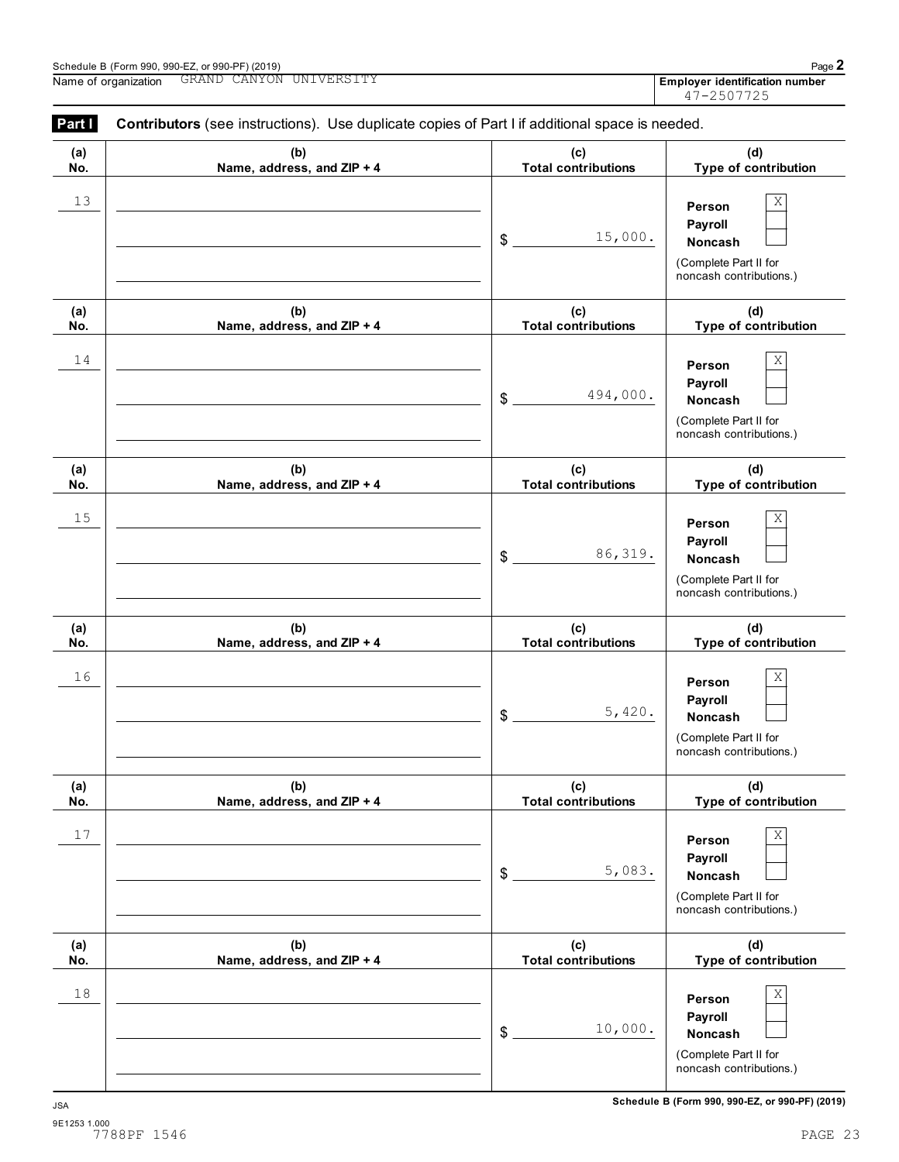|            | Schedule B (Form 990, 990-EZ, or 990-PF) (2019)<br>Name of organization GRAND CANYON UNIVERSITY |                                   | Page 2<br>Employer identification number<br>$47 - 2507725$                                                  |
|------------|-------------------------------------------------------------------------------------------------|-----------------------------------|-------------------------------------------------------------------------------------------------------------|
| Part I     | Contributors (see instructions). Use duplicate copies of Part I if additional space is needed.  |                                   |                                                                                                             |
| (a)<br>No. | (b)<br>Name, address, and ZIP + 4                                                               | (c)<br><b>Total contributions</b> | (d)<br>Type of contribution                                                                                 |
| 13         |                                                                                                 | 15,000.<br>\$                     | $\mathbf X$<br>Person<br>Payroll<br>Noncash<br>(Complete Part II for<br>noncash contributions.)             |
| (a)<br>No. | (b)<br>Name, address, and ZIP + 4                                                               | (c)<br><b>Total contributions</b> | (d)<br>Type of contribution                                                                                 |
| 14         |                                                                                                 | 494,000.<br>\$                    | X<br>Person<br>Payroll<br>Noncash<br>(Complete Part II for<br>noncash contributions.)                       |
| (a)<br>No. | (b)<br>Name, address, and ZIP + 4                                                               | (c)<br><b>Total contributions</b> | (d)<br>Type of contribution                                                                                 |
| 15         |                                                                                                 | 86,319.<br>\$                     | $\mathbf X$<br>Person<br>Payroll<br>Noncash<br>(Complete Part II for<br>noncash contributions.)             |
| (a)<br>No. | (b)<br>Name, address, and ZIP + 4                                                               | (c)<br><b>Total contributions</b> | (d)<br>Type of contribution                                                                                 |
| 16         |                                                                                                 | 5,420.<br>\$                      | $\overline{\mathbf{X}}$<br>Person<br>Payroll<br>Noncash<br>(Complete Part II for<br>noncash contributions.) |
| (a)<br>No. | (b)<br>Name, address, and ZIP + 4                                                               | (c)<br><b>Total contributions</b> | (d)<br>Type of contribution                                                                                 |
| 17         |                                                                                                 | 5,083.<br>\$                      | $\mathbf X$<br>Person<br>Payroll<br>Noncash<br>(Complete Part II for<br>noncash contributions.)             |
| (a)<br>No. | (b)<br>Name, address, and ZIP + 4                                                               | (c)<br><b>Total contributions</b> | (d)<br>Type of contribution                                                                                 |
| 18         |                                                                                                 | 10,000.<br>\$                     | $\mathbf X$<br>Person<br>Payroll<br>Noncash<br>(Complete Part II for<br>noncash contributions.)             |

90-PF) (2019)<br>
D CANYON UNIVERSITY<br>
ee instructions). Use duplicate copies of Part I if additional space is needed.<br>
(b)<br>
Name, address, and ZIP + 4<br>  $\begin{array}{|c|c|c|c|}\n\hline\n\textbf{(a)} & \textbf{(b)} & \textbf{(c)} & \textbf{(d)}\n\hline\n\textbf{(d)} & \textbf{(e)} & \textbf$ Employer identification number<br>  $\frac{Page 2}{47-2507725}$ <br>
Fadditional space is needed.<br>
(c)<br>
Total contributions<br>
Type of contribution<br>
Person<br>
Payroll<br>
Noncash<br>
Complete Part II for<br>
Complete Part II for  $\begin{tabular}{l} \bf 2 \end{tabular} \vspace{0.1cm} \begin{tabular}{l} \bf 2 \end{tabular} \vspace{0.1cm} \begin{tabular}{l} \bf 3 \end{tabular} \vspace{0.1cm} \begin{tabular}{l} \bf 7-2507725 \end{tabular} \vspace{0.1cm} \vspace{0.1cm} \begin{tabular}{l} \bf 1. \end{tabular} \vspace{0.1cm} \begin{tabular}{l} \bf 2. \end{tabular} \vspace{0.1cm} \hline \hline \bf 3. \end{tabular} \vspace{0.1cm} \begin{tabular}{l} \bf 4.$  $\begin{array}{l} \text{Page 2} \\ 47-2507725 \\ \text{ded.} \\ \text{(d)} \\ \hline \text{Type of contribution} \\ \text{Person} \\ \text{Payroll} \\ \text{Noncash} \\ \text{(Complete Part II for noncash contributions.)} \\ \text{(d)} \\ \hline \text{Type of contribution} \\ \end{array}$  $\begin{tabular}{l} \multicolumn{1}{l} \multicolumn{1}{l} \multicolumn{1}{l} \multicolumn{1}{l} \multicolumn{1}{l} \multicolumn{1}{l} \multicolumn{1}{l} \multicolumn{1}{l} \multicolumn{1}{l} \multicolumn{1}{l} \multicolumn{1}{l} \multicolumn{1}{l} \multicolumn{1}{l} \multicolumn{1}{l} \multicolumn{1}{l} \multicolumn{1}{l} \multicolumn{1}{l} \multicolumn{1}{l} \multicolumn{1}{l} \multicolumn{1}{l} \multicolumn{1}{l} \multicolumn{1}{l} \multicolumn{1}{l} \multicolumn{$ 47-2507725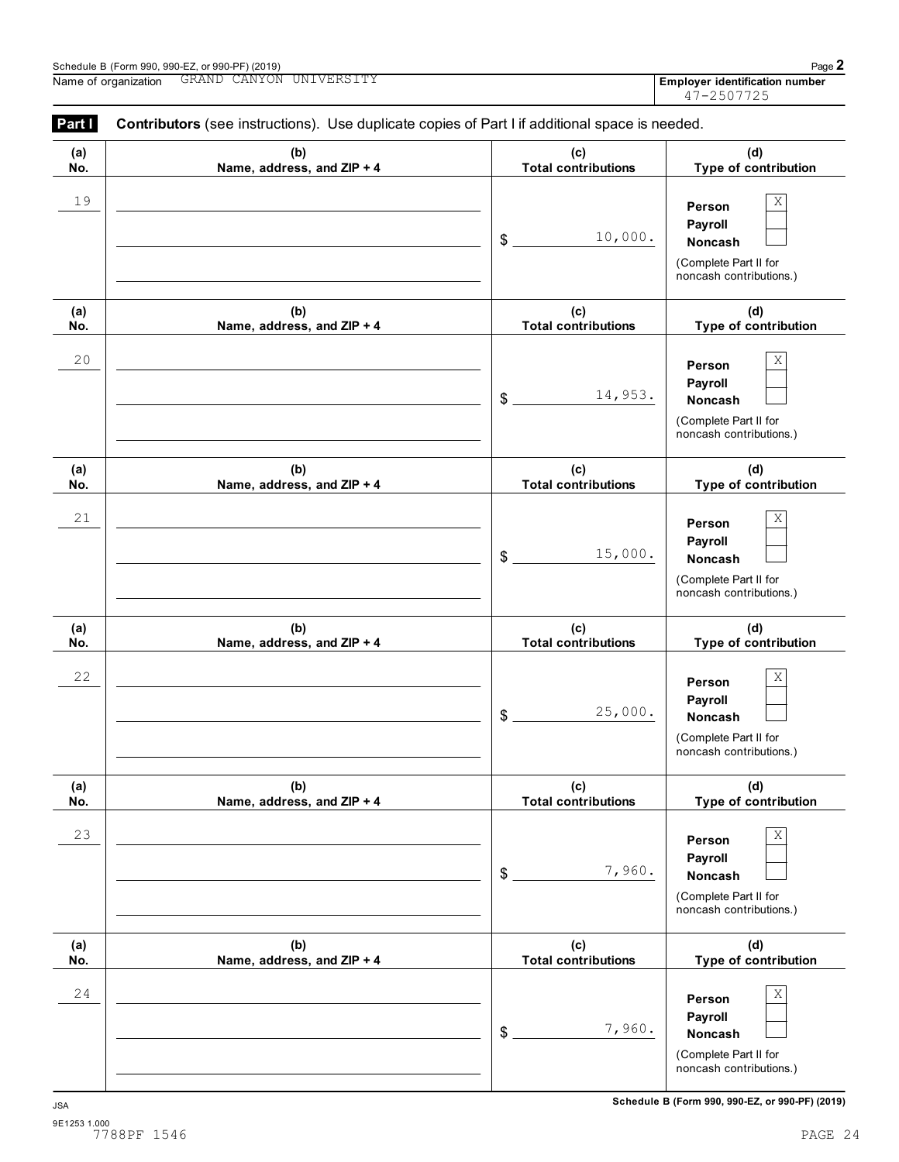| 23 |  |
|----|--|
|    |  |
|    |  |

| ISA         |                 |  |  |  |
|-------------|-----------------|--|--|--|
| E1253 1.000 | $7788DT$ $1516$ |  |  |  |

| (b)<br>(c)<br>(d)<br>(a)<br>Type of contribution<br>No.<br>Name, address, and ZIP + 4<br><b>Total contributions</b><br>22<br>$\overline{\mathbf{X}}$<br>Person<br>Payroll<br>25,000.<br>$\frac{1}{2}$<br>Noncash<br>(Complete Part II for<br>noncash contributions.)<br>(b)<br>(c)<br>(d)<br>(a)<br>No.<br><b>Total contributions</b><br>Type of contribution<br>Name, address, and ZIP + 4<br>23<br>$\overline{\mathbf{X}}$<br>Person<br>Payroll<br>7,960.<br>\$<br>Noncash<br>(Complete Part II for<br>noncash contributions.)<br>(b)<br>(c)<br>(d)<br>(a)<br>No.<br>Type of contribution<br>Name, address, and ZIP + 4<br><b>Total contributions</b><br>24<br>$\mathbf X$<br>Person<br>Payroll<br>7,960.<br>$\boldsymbol{\mathsf{S}}$<br>Noncash<br>(Complete Part II for<br>noncash contributions.)<br>Schedule B (Form 990, 990-EZ, or 990-PF) (2019)<br>JSA<br>9E1253 1.000<br>7788PF 1546<br>PAGE 24 | 21 | 15,000.<br>$\boldsymbol{\mathsf{S}}$ | $\mathbf X$<br>Person<br>Payroll<br>Noncash<br>(Complete Part II for<br>noncash contributions.) |
|-------------------------------------------------------------------------------------------------------------------------------------------------------------------------------------------------------------------------------------------------------------------------------------------------------------------------------------------------------------------------------------------------------------------------------------------------------------------------------------------------------------------------------------------------------------------------------------------------------------------------------------------------------------------------------------------------------------------------------------------------------------------------------------------------------------------------------------------------------------------------------------------------------------|----|--------------------------------------|-------------------------------------------------------------------------------------------------|
|                                                                                                                                                                                                                                                                                                                                                                                                                                                                                                                                                                                                                                                                                                                                                                                                                                                                                                             |    |                                      |                                                                                                 |
|                                                                                                                                                                                                                                                                                                                                                                                                                                                                                                                                                                                                                                                                                                                                                                                                                                                                                                             |    |                                      |                                                                                                 |
|                                                                                                                                                                                                                                                                                                                                                                                                                                                                                                                                                                                                                                                                                                                                                                                                                                                                                                             |    |                                      |                                                                                                 |
|                                                                                                                                                                                                                                                                                                                                                                                                                                                                                                                                                                                                                                                                                                                                                                                                                                                                                                             |    |                                      |                                                                                                 |
|                                                                                                                                                                                                                                                                                                                                                                                                                                                                                                                                                                                                                                                                                                                                                                                                                                                                                                             |    |                                      |                                                                                                 |
|                                                                                                                                                                                                                                                                                                                                                                                                                                                                                                                                                                                                                                                                                                                                                                                                                                                                                                             |    |                                      |                                                                                                 |
|                                                                                                                                                                                                                                                                                                                                                                                                                                                                                                                                                                                                                                                                                                                                                                                                                                                                                                             |    |                                      |                                                                                                 |
|                                                                                                                                                                                                                                                                                                                                                                                                                                                                                                                                                                                                                                                                                                                                                                                                                                                                                                             |    |                                      |                                                                                                 |

| Name of organization | Schedule B (Form 990, 990-EZ, or 990-PF) (2019)<br>GRAND CANYON UNIVERSITY                     |                                       | Page 2<br><b>Employer identification number</b>  |
|----------------------|------------------------------------------------------------------------------------------------|---------------------------------------|--------------------------------------------------|
| Part I               | Contributors (see instructions). Use duplicate copies of Part I if additional space is needed. |                                       | 47-2507725                                       |
| (a)                  | (b)                                                                                            | (c)                                   | (d)                                              |
| No.                  | Name, address, and ZIP + 4                                                                     | <b>Total contributions</b>            | Type of contribution                             |
| 19                   |                                                                                                |                                       | Χ<br>Person<br>Payroll                           |
|                      |                                                                                                | 10,000.<br>\$                         | Noncash<br>(Complete Part II for                 |
|                      |                                                                                                |                                       | noncash contributions.)                          |
| (a)<br>No.           | (b)<br>Name, address, and ZIP + 4                                                              | (c)<br><b>Total contributions</b>     | (d)<br>Type of contribution                      |
| 20                   |                                                                                                |                                       | $\overline{\mathbf{X}}$<br>Person                |
|                      |                                                                                                | 14,953.<br>$\boldsymbol{\mathsf{\$}}$ | Payroll<br>Noncash                               |
|                      |                                                                                                |                                       | (Complete Part II for<br>noncash contributions.) |
| (a)                  | (b)                                                                                            | (c)                                   | (d)                                              |
| No.                  | Name, address, and ZIP + 4                                                                     | <b>Total contributions</b>            | Type of contribution                             |
| 21                   |                                                                                                |                                       | $\,$ X<br>Person<br>Payroll                      |
|                      |                                                                                                | 15,000.<br>$\frac{1}{2}$              | Noncash<br>(Complete Part II for                 |
|                      |                                                                                                |                                       | noncash contributions.)                          |
| (a)<br>No.           | (b)<br>Name, address, and ZIP + 4                                                              | (c)<br><b>Total contributions</b>     | (d)<br>Type of contribution                      |
| 22                   |                                                                                                |                                       | $\overline{\mathbf{X}}$<br>Person                |
|                      |                                                                                                | 25,000.<br>$\frac{1}{2}$              | Payroll<br>Noncash                               |
|                      |                                                                                                |                                       | (Complete Part II for<br>noncash contributions.) |
| (a)                  | (b)                                                                                            | (c)                                   | (d)                                              |
| No.                  | Name, address, and ZIP + 4                                                                     | <b>Total contributions</b>            | Type of contribution                             |
| 23                   |                                                                                                |                                       | $\,$ X<br>Person<br>Payroll                      |
|                      |                                                                                                | 7,960.<br>$\frac{1}{2}$               | Noncash<br>(Complete Part II for                 |
|                      |                                                                                                |                                       | noncash contributions.)                          |
| (a)<br>No.           | (b)<br>Name, address, and ZIP + 4                                                              | (c)<br><b>Total contributions</b>     | (d)<br>Type of contribution                      |
| $2\,4$               |                                                                                                |                                       | $\boxed{X}$<br>Person                            |
|                      |                                                                                                | 7,960.<br>$\frac{1}{2}$               | Payroll<br>Noncash                               |
|                      |                                                                                                |                                       | Complete Part II for                             |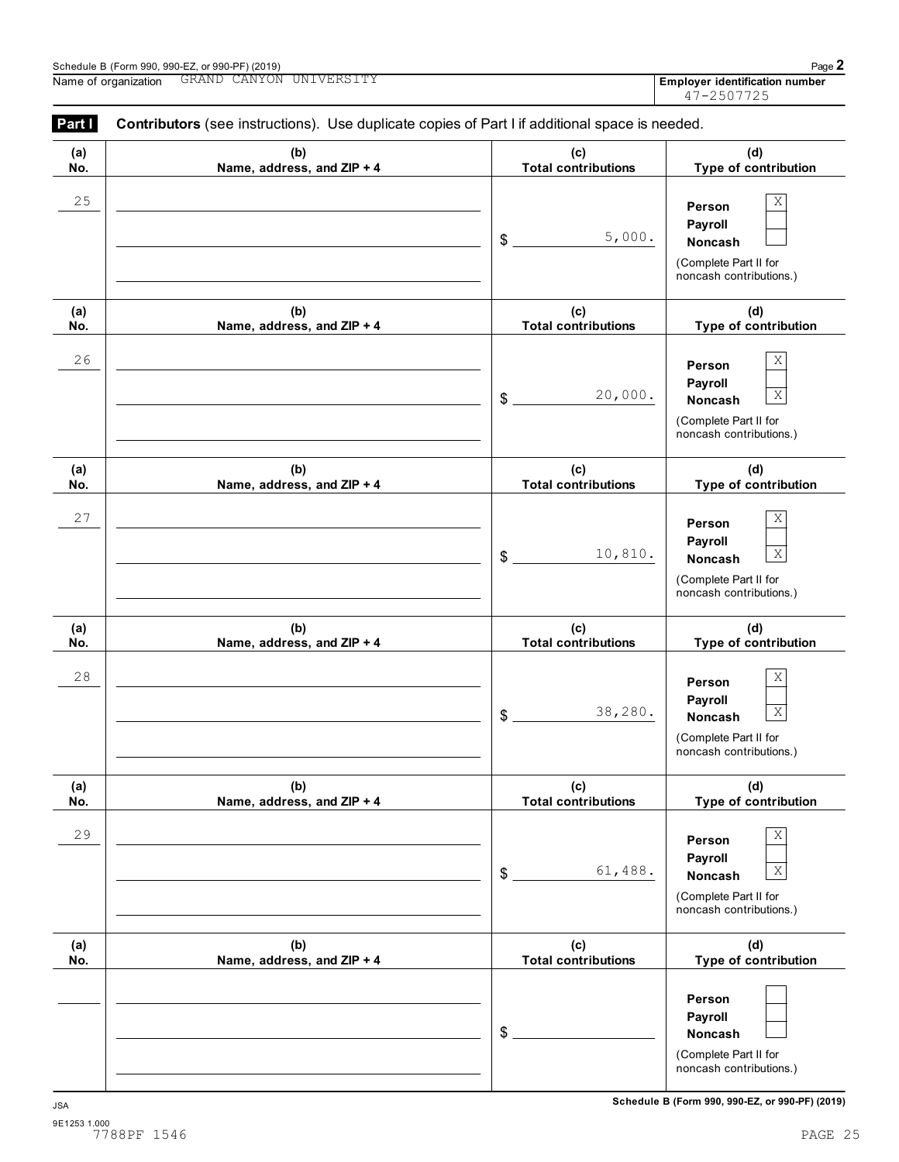|        | Schedule B (Form 990, 990-EZ, or 990-PF) (2019)                                                |     | Page 2                                              |
|--------|------------------------------------------------------------------------------------------------|-----|-----------------------------------------------------|
|        | GRAND CANYON UNIVERSITY<br>Name of organization                                                |     | <b>Employer identification number</b><br>47-2507725 |
| Part I | Contributors (see instructions). Use duplicate copies of Part I if additional space is needed. |     |                                                     |
| (a)    | (b)                                                                                            | (c) | (d)                                                 |

|            | GRAND CANYON UNIVERSITY<br>Name of organization                                                       |                                      | <b>Employer identification number</b><br>47-2507725                                                                               |
|------------|-------------------------------------------------------------------------------------------------------|--------------------------------------|-----------------------------------------------------------------------------------------------------------------------------------|
| Part I     | Contributors (see instructions). Use duplicate copies of Part I if additional space is needed.<br>(b) | (c)                                  | (d)                                                                                                                               |
| (a)<br>No. | Name, address, and ZIP + 4                                                                            | <b>Total contributions</b>           | Type of contribution                                                                                                              |
| 25         |                                                                                                       | 5,000.<br>\$                         | $\mathbf X$<br>Person<br>Payroll<br>Noncash<br>(Complete Part II for<br>noncash contributions.)                                   |
| (a)<br>No. | (b)<br>Name, address, and ZIP + 4                                                                     | (c)<br><b>Total contributions</b>    | (d)<br>Type of contribution                                                                                                       |
| 26         |                                                                                                       | 20,000.<br>$\boldsymbol{\mathsf{S}}$ | $\boxed{\text{X}}$<br>Person<br>Payroll<br>$\boxed{\text{X}}$<br>Noncash<br>(Complete Part II for<br>noncash contributions.)      |
| (a)<br>No. | (b)<br>Name, address, and ZIP + 4                                                                     | (c)<br><b>Total contributions</b>    | (d)<br>Type of contribution                                                                                                       |
| 27         |                                                                                                       | 10,810.<br>$\boldsymbol{\mathsf{S}}$ | $\overline{\mathbf{X}}$<br>Person<br>Payroll<br>$\boxed{\text{X}}$<br>Noncash<br>(Complete Part II for<br>noncash contributions.) |
| (a)<br>No. | (b)<br>Name, address, and ZIP + 4                                                                     | (c)<br><b>Total contributions</b>    | (d)<br>Type of contribution                                                                                                       |
| 28         |                                                                                                       | 38,280.<br>$\frac{1}{2}$             | $\overline{\mathbf{X}}$<br>Person<br>Payroll<br>$\boxed{\text{X}}$<br>Noncash<br>(Complete Part II for<br>noncash contributions.) |
| (a)<br>No. | (b)<br>Name, address, and ZIP + 4                                                                     | (c)<br><b>Total contributions</b>    | (d)<br>Type of contribution                                                                                                       |
| 29         |                                                                                                       | 61,488.<br>$\frac{1}{2}$             | $\overline{\mathbf{X}}$<br>Person<br>Payroll<br>$\boxed{\text{X}}$<br>Noncash<br>(Complete Part II for<br>noncash contributions.) |
| (a)<br>No. | (b)<br>Name, address, and ZIP + 4                                                                     | (c)<br><b>Total contributions</b>    | (d)<br>Type of contribution                                                                                                       |
|            |                                                                                                       | \$                                   | Person<br>Payroll<br>Noncash<br>(Complete Part II for<br>noncash contributions.)                                                  |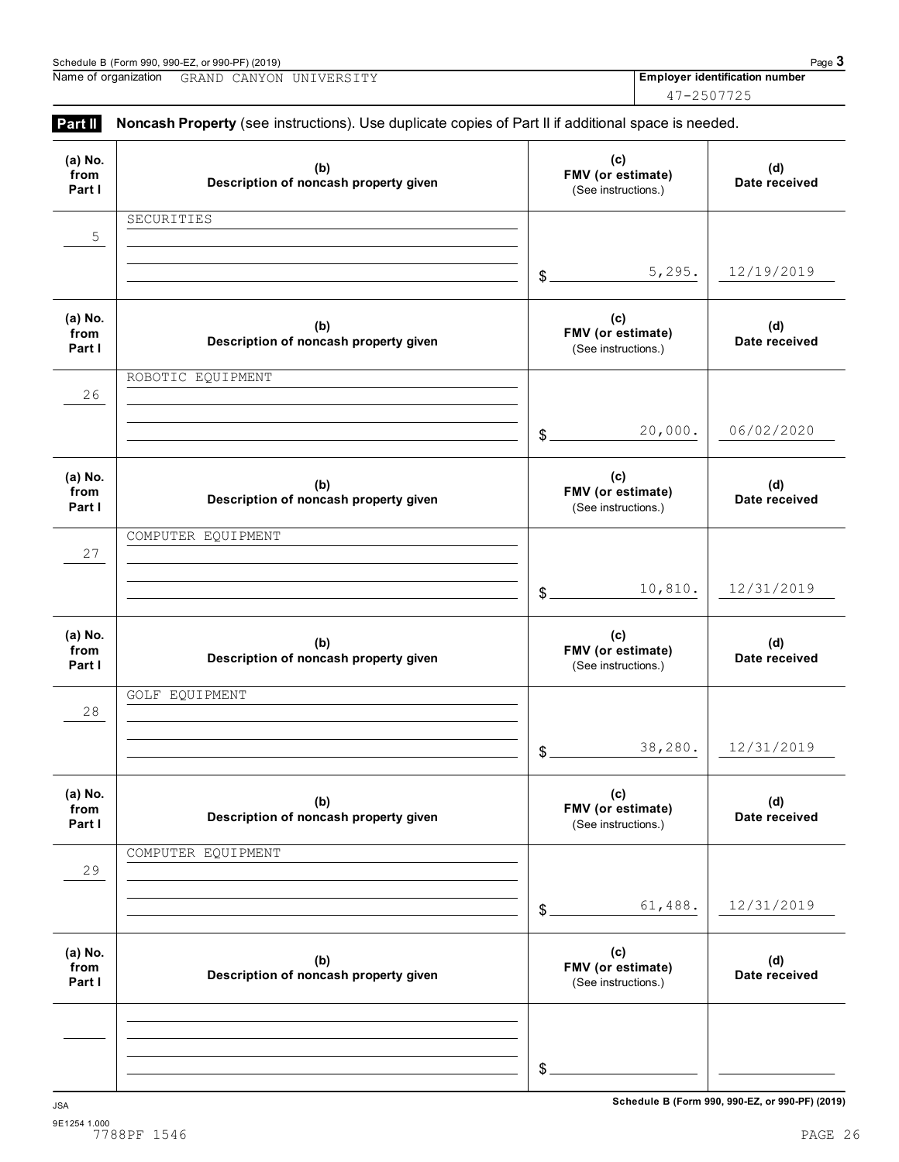|  | Schedule B (Form 990, 990-EZ, or 990-PF) (2019) |  |
|--|-------------------------------------------------|--|
|  |                                                 |  |
|  |                                                 |  |

| Name of organization       | Schedule B (Form 990, 990-EZ, or 990-PF) (2019)<br>GRAND CANYON UNIVERSITY                                                                          |                                                        | Page 3<br>Employer identification number<br>47-2507725 |
|----------------------------|-----------------------------------------------------------------------------------------------------------------------------------------------------|--------------------------------------------------------|--------------------------------------------------------|
| Part II<br>(a) No.<br>from | Noncash Property (see instructions). Use duplicate copies of Part II if additional space is needed.<br>(b)<br>Description of noncash property given | (c)<br>FMV (or estimate)                               | (d)<br>Date received                                   |
| Part I                     | SECURITIES                                                                                                                                          | (See instructions.)                                    |                                                        |
| $5\phantom{.0}$            |                                                                                                                                                     | 5,295.<br>$\boldsymbol{\mathsf{S}}$                    | 12/19/2019                                             |
| (a) No.<br>from<br>Part I  | (b)<br>Description of noncash property given                                                                                                        | (c)<br><b>FMV (or estimate)</b><br>(See instructions.) | (d)<br>Date received                                   |
| 26                         | ROBOTIC EQUIPMENT                                                                                                                                   |                                                        |                                                        |
|                            |                                                                                                                                                     | 20,000.<br>$\$\$ .                                     | 06/02/2020                                             |
| (a) No.<br>from<br>Part I  | (b)<br>Description of noncash property given                                                                                                        | (c)<br>FMV (or estimate)<br>(See instructions.)        | (d)<br>Date received                                   |
| 27                         | COMPUTER EQUIPMENT                                                                                                                                  |                                                        |                                                        |
|                            |                                                                                                                                                     | 10,810.<br>$\$\$ .                                     | 12/31/2019                                             |
| (a) No.<br>from<br>Part I  | (b)<br>Description of noncash property given                                                                                                        | (c)<br>FMV (or estimate)<br>(See instructions.)        | (d)<br>Date received                                   |
| 28                         | GOLF EQUIPMENT                                                                                                                                      |                                                        |                                                        |
|                            |                                                                                                                                                     | 38,280.<br>$\$\$ .                                     | 12/31/2019                                             |
| (a) No.<br>from<br>Part I  | (b)<br>Description of noncash property given                                                                                                        | (c)<br>FMV (or estimate)<br>(See instructions.)        | (d)<br>Date received                                   |
| 29                         | COMPUTER EQUIPMENT                                                                                                                                  |                                                        |                                                        |
|                            |                                                                                                                                                     | 61,488.<br>$\$\$ .                                     | 12/31/2019                                             |
| (a) No.<br>from<br>Part I  | (b)<br>Description of noncash property given                                                                                                        | (c)<br>FMV (or estimate)<br>(See instructions.)        | (d)<br>Date received                                   |
|                            |                                                                                                                                                     |                                                        |                                                        |
|                            |                                                                                                                                                     | \$                                                     |                                                        |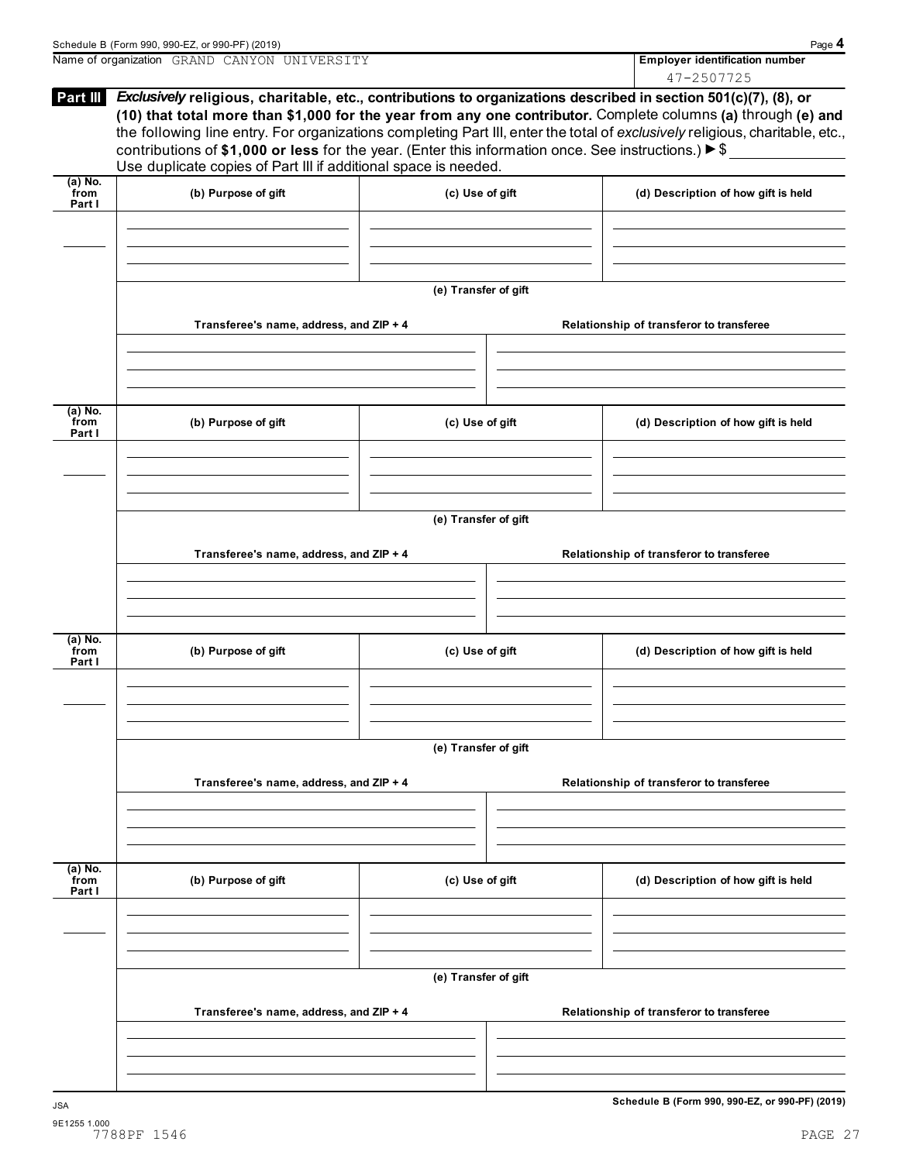| Schedule B (Form 990, 990-EZ, or 990-PF) (2019) | Page 4                                |
|-------------------------------------------------|---------------------------------------|
| Name of organization GRAND CANYON UNIVERSITY    | <b>Employer identification number</b> |
|                                                 | O E A T T O E                         |

|                             | Schedule B (Form 990, 990-EZ, or 990-PF) (2019)<br>Name of organization GRAND CANYON UNIVERSITY                                                                                                                                                                                                                |                      | Page 4<br>Employer identification number                                                                                                                                                                                                                    |
|-----------------------------|----------------------------------------------------------------------------------------------------------------------------------------------------------------------------------------------------------------------------------------------------------------------------------------------------------------|----------------------|-------------------------------------------------------------------------------------------------------------------------------------------------------------------------------------------------------------------------------------------------------------|
| Part III                    | Exclusively religious, charitable, etc., contributions to organizations described in section 501(c)(7), (8), or<br>contributions of \$1,000 or less for the year. (Enter this information once. See instructions.) $\blacktriangleright$ \$<br>Use duplicate copies of Part III if additional space is needed. |                      | 47-2507725<br>(10) that total more than \$1,000 for the year from any one contributor. Complete columns (a) through (e) and<br>the following line entry. For organizations completing Part III, enter the total of exclusively religious, charitable, etc., |
| $(a)$ No.<br>from<br>Part I | (b) Purpose of gift                                                                                                                                                                                                                                                                                            | (c) Use of gift      | (d) Description of how gift is held                                                                                                                                                                                                                         |
|                             | Transferee's name, address, and ZIP + 4                                                                                                                                                                                                                                                                        | (e) Transfer of gift | Relationship of transferor to transferee                                                                                                                                                                                                                    |
| $(a)$ No.<br>from<br>Part I | (b) Purpose of gift                                                                                                                                                                                                                                                                                            | (c) Use of gift      | (d) Description of how gift is held                                                                                                                                                                                                                         |
|                             | Transferee's name, address, and ZIP + 4                                                                                                                                                                                                                                                                        | (e) Transfer of gift | Relationship of transferor to transferee                                                                                                                                                                                                                    |
| $(a)$ No.<br>from<br>Part I | (b) Purpose of gift                                                                                                                                                                                                                                                                                            | (c) Use of gift      | (d) Description of how gift is held                                                                                                                                                                                                                         |
|                             |                                                                                                                                                                                                                                                                                                                | (e) Transfer of gift |                                                                                                                                                                                                                                                             |
|                             | Transferee's name, address, and ZIP + 4                                                                                                                                                                                                                                                                        |                      | Relationship of transferor to transferee                                                                                                                                                                                                                    |
| (a) No.<br>from<br>Part I   | (b) Purpose of gift                                                                                                                                                                                                                                                                                            | (c) Use of gift      | (d) Description of how gift is held                                                                                                                                                                                                                         |
|                             |                                                                                                                                                                                                                                                                                                                | (e) Transfer of gift |                                                                                                                                                                                                                                                             |
|                             | Transferee's name, address, and ZIP + 4                                                                                                                                                                                                                                                                        |                      | Relationship of transferor to transferee                                                                                                                                                                                                                    |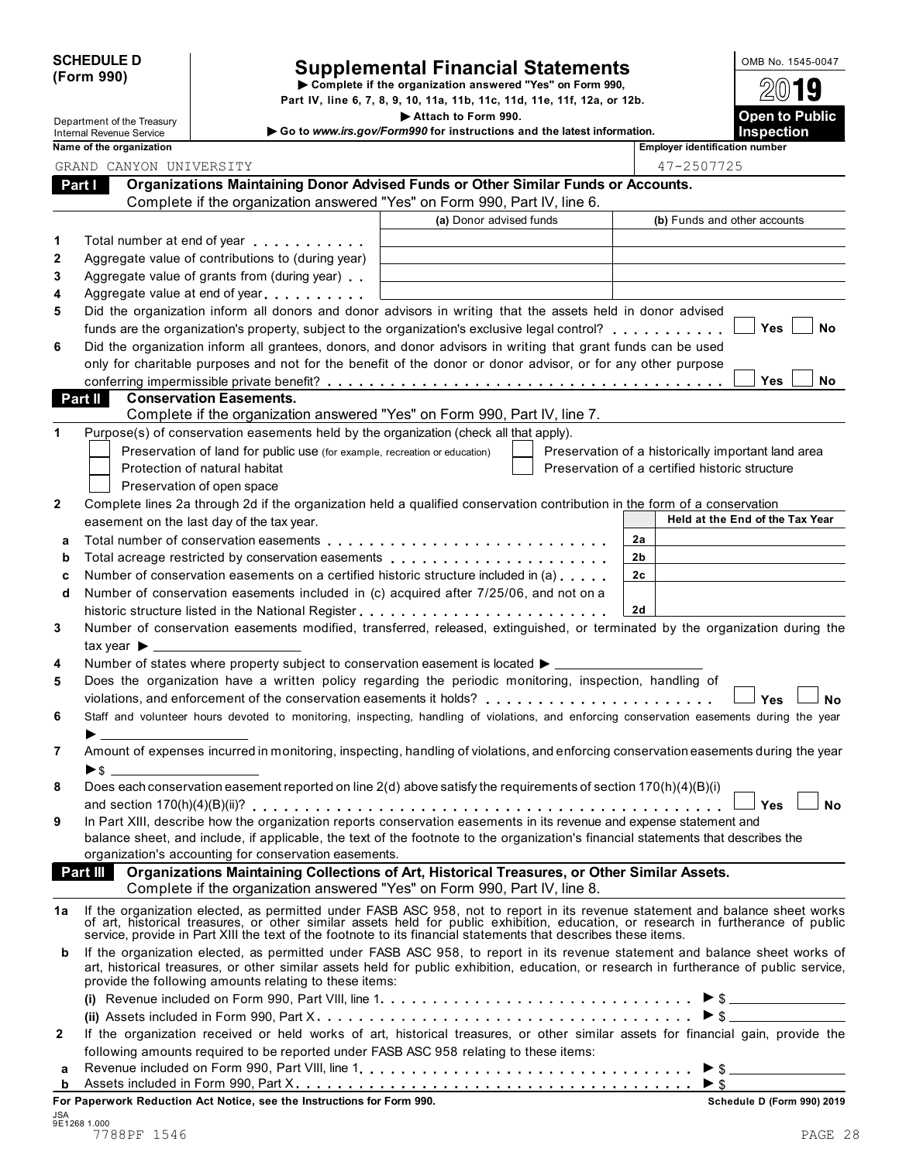|                | <b>SCHEDULE D</b><br>(Form 990)                        | <b>Supplemental Financial Statements</b>                                                                                                                                                                                                                                                                                         |                | OMB No. 1545-0047                                                                                    |           |
|----------------|--------------------------------------------------------|----------------------------------------------------------------------------------------------------------------------------------------------------------------------------------------------------------------------------------------------------------------------------------------------------------------------------------|----------------|------------------------------------------------------------------------------------------------------|-----------|
|                |                                                        | Complete if the organization answered "Yes" on Form 990,<br>Part IV, line 6, 7, 8, 9, 10, 11a, 11b, 11c, 11d, 11e, 11f, 12a, or 12b.                                                                                                                                                                                             |                | 2019                                                                                                 |           |
|                | Department of the Treasury<br>Internal Revenue Service | Attach to Form 990.<br>Go to www.irs.gov/Form990 for instructions and the latest information.                                                                                                                                                                                                                                    |                | <b>Open to Public</b><br>Inspection                                                                  |           |
|                | Name of the organization                               |                                                                                                                                                                                                                                                                                                                                  |                | <b>Employer identification number</b>                                                                |           |
|                | GRAND CANYON UNIVERSITY<br>Part I                      | Organizations Maintaining Donor Advised Funds or Other Similar Funds or Accounts.                                                                                                                                                                                                                                                |                | 47-2507725                                                                                           |           |
|                |                                                        | Complete if the organization answered "Yes" on Form 990, Part IV, line 6.                                                                                                                                                                                                                                                        |                |                                                                                                      |           |
|                |                                                        | (a) Donor advised funds<br>Total number at end of year                                                                                                                                                                                                                                                                           |                | (b) Funds and other accounts                                                                         |           |
| 2              |                                                        | Aggregate value of contributions to (during year)                                                                                                                                                                                                                                                                                |                |                                                                                                      |           |
| 3              |                                                        | Aggregate value of grants from (during year).                                                                                                                                                                                                                                                                                    |                |                                                                                                      |           |
|                |                                                        | Aggregate value at end of year<br>Did the organization inform all donors and donor advisors in writing that the assets held in donor advised                                                                                                                                                                                     |                |                                                                                                      |           |
|                |                                                        | funds are the organization's property, subject to the organization's exclusive legal control?                                                                                                                                                                                                                                    |                | Yes                                                                                                  | No        |
|                |                                                        | Did the organization inform all grantees, donors, and donor advisors in writing that grant funds can be used<br>only for charitable purposes and not for the benefit of the donor or donor advisor, or for any other purpose                                                                                                     |                |                                                                                                      |           |
|                |                                                        |                                                                                                                                                                                                                                                                                                                                  |                | Yes                                                                                                  | <b>No</b> |
|                | Part II                                                | <b>Conservation Easements.</b><br>Complete if the organization answered "Yes" on Form 990, Part IV, line 7.                                                                                                                                                                                                                      |                |                                                                                                      |           |
|                |                                                        | Purpose(s) of conservation easements held by the organization (check all that apply).                                                                                                                                                                                                                                            |                |                                                                                                      |           |
|                |                                                        | Preservation of land for public use (for example, recreation or education)<br>Protection of natural habitat                                                                                                                                                                                                                      |                | Preservation of a historically important land area<br>Preservation of a certified historic structure |           |
|                |                                                        | Preservation of open space                                                                                                                                                                                                                                                                                                       |                |                                                                                                      |           |
| $\mathbf{2}$   |                                                        | Complete lines 2a through 2d if the organization held a qualified conservation contribution in the form of a conservation                                                                                                                                                                                                        |                | Held at the End of the Tax Year                                                                      |           |
|                |                                                        | easement on the last day of the tax year.                                                                                                                                                                                                                                                                                        | 2a             |                                                                                                      |           |
|                |                                                        | $\overline{a}$ acreage restricted by conservation easements $\overline{a}$ , $\overline{a}$ , $\overline{a}$ , $\overline{a}$ , $\overline{a}$ , $\overline{a}$ , $\overline{a}$ , $\overline{a}$ , $\overline{a}$ , $\overline{a}$ , $\overline{a}$ , $\overline{a}$ , $\overline{a}$ , $\overline{a}$ , $\overline{a}$ , $\$   | 2 <sub>b</sub> |                                                                                                      |           |
|                |                                                        | Number of conservation easements on a certified historic structure included in $(a) \ldots$ .                                                                                                                                                                                                                                    | 2c             |                                                                                                      |           |
|                |                                                        | Number of conservation easements included in (c) acquired after 7/25/06, and not on a                                                                                                                                                                                                                                            | 2d             |                                                                                                      |           |
| 3              |                                                        | Number of conservation easements modified, transferred, released, extinguished, or terminated by the organization during the                                                                                                                                                                                                     |                |                                                                                                      |           |
|                | tax year $\blacktriangleright$                         | Number of states where property subject to conservation easement is located $\blacktriangleright$                                                                                                                                                                                                                                |                |                                                                                                      |           |
| 5              |                                                        | Does the organization have a written policy regarding the periodic monitoring, inspection, handling of                                                                                                                                                                                                                           |                |                                                                                                      |           |
| 6              |                                                        | Staff and volunteer hours devoted to monitoring, inspecting, handling of violations, and enforcing conservation easements during the year                                                                                                                                                                                        |                |                                                                                                      |           |
|                |                                                        |                                                                                                                                                                                                                                                                                                                                  |                |                                                                                                      |           |
| $\overline{7}$ | $\blacktriangleright$ \$                               | Amount of expenses incurred in monitoring, inspecting, handling of violations, and enforcing conservation easements during the year                                                                                                                                                                                              |                |                                                                                                      |           |
| 8              |                                                        | Does each conservation easement reported on line 2(d) above satisfy the requirements of section 170(h)(4)(B)(i)                                                                                                                                                                                                                  |                |                                                                                                      |           |
| 9              |                                                        | In Part XIII, describe how the organization reports conservation easements in its revenue and expense statement and                                                                                                                                                                                                              |                | ∣Yes L                                                                                               |           |
|                |                                                        | balance sheet, and include, if applicable, the text of the footnote to the organization's financial statements that describes the<br>organization's accounting for conservation easements.                                                                                                                                       |                |                                                                                                      |           |
|                | Part III I                                             | Organizations Maintaining Collections of Art, Historical Treasures, or Other Similar Assets.<br>Complete if the organization answered "Yes" on Form 990, Part IV, line 8.                                                                                                                                                        |                |                                                                                                      |           |
| 1a             |                                                        | If the organization elected, as permitted under FASB ASC 958, not to report in its revenue statement and balance sheet works<br>of art, historical treasures, or other similar assets held for public exhibition, education, or r                                                                                                |                |                                                                                                      |           |
|                |                                                        | If the organization elected, as permitted under FASB ASC 958, to report in its revenue statement and balance sheet works of<br>art, historical treasures, or other similar assets held for public exhibition, education, or research in furtherance of public service,<br>provide the following amounts relating to these items: |                |                                                                                                      |           |
| b              |                                                        |                                                                                                                                                                                                                                                                                                                                  |                |                                                                                                      |           |
|                |                                                        |                                                                                                                                                                                                                                                                                                                                  |                |                                                                                                      |           |
| $\mathbf{2}$   |                                                        | If the organization received or held works of art, historical treasures, or other similar assets for financial gain, provide the                                                                                                                                                                                                 |                |                                                                                                      |           |

| Does each conservation easement reported on line 2(d) above satisfy the requirements of section 170(h)(4)(B)(i) $\quad \overline{\quad}$ |                     |  |
|------------------------------------------------------------------------------------------------------------------------------------------|---------------------|--|
|                                                                                                                                          | $\Box$ Yes $\Box$ I |  |

| 1a If the organization elected, as permitted under FASB ASC 958, not to report in its revenue statement and balance sheet works   |
|-----------------------------------------------------------------------------------------------------------------------------------|
| of art. historical treasures, or other similar assets held for public exhibition, education, or research in furtherance of public |
| service, provide in Part XIII the text of the footnote to its financial statements that describes these items.                    |
|                                                                                                                                   |

| <b>b</b> If the organization elected, as permitted under FASB ASC 958, to report in its revenue statement and balance sheet works of    |
|-----------------------------------------------------------------------------------------------------------------------------------------|
| art, historical treasures, or other similar assets held for public exhibition, education, or research in furtherance of public service, |
| provide the following amounts relating to these items:                                                                                  |
|                                                                                                                                         |

| Number of conservation easements modified, transferred, released, extinguished, or terminated by the organization during the<br>3<br>$\mathsf{tax} \mathsf{year} \blacktriangleright$<br>Number of states where property subject to conservation easement is located ▶ _____________________<br>4<br>Does the organization have a written policy regarding the periodic monitoring, inspection, handling of<br>J Yes⊣<br>Staff and volunteer hours devoted to monitoring, inspecting, handling of violations, and enforcing conservation easements during the year<br>6<br>Amount of expenses incurred in monitoring, inspecting, handling of violations, and enforcing conservation easements during the year<br>Does each conservation easement reported on line 2(d) above satisfy the requirements of section 170(h)(4)(B)(i)<br>8<br>In Part XIII, describe how the organization reports conservation easements in its revenue and expense statement and<br>9<br>balance sheet, and include, if applicable, the text of the footnote to the organization's financial statements that describes the<br>organization's accounting for conservation easements.<br>Part III  Organizations Maintaining Collections of Art, Historical Treasures, or Other Similar Assets.<br>Complete if the organization answered "Yes" on Form 990, Part IV, line 8.<br>If the organization elected, as permitted under FASB ASC 958, not to report in its revenue statement and balance sheet works<br>of art, historical treasures, or other similar assets held for public exhibition, education, or r<br>1a<br>service, provide in Part XIII the text of the footnote to its financial statements that describes these items.<br><b>b</b> If the organization elected, as permitted under FASB ASC 958, to report in its revenue statement and balance sheet works of<br>art, historical treasures, or other similar assets held for public exhibition, education, or research in furtherance of public service,<br>provide the following amounts relating to these items:<br>2 <sup>7</sup><br>If the organization received or held works of art, historical treasures, or other similar assets for financial gain, provide the<br>following amounts required to be reported under FASB ASC 958 relating to these items:<br>a<br>Assets included in Form 990, Part X $\dots\dots\dots\dots\dots\dots\dots\dots\dots\dots\dots\dots\dots\dots\blacktriangleright$ \$<br>h.<br>For Paperwork Reduction Act Notice, see the Instructions for Form 990.<br>Schedule D (Form 990) 2019<br>JSA<br>9E1268 1.000<br>7788PF 1546 |  |
|-----------------------------------------------------------------------------------------------------------------------------------------------------------------------------------------------------------------------------------------------------------------------------------------------------------------------------------------------------------------------------------------------------------------------------------------------------------------------------------------------------------------------------------------------------------------------------------------------------------------------------------------------------------------------------------------------------------------------------------------------------------------------------------------------------------------------------------------------------------------------------------------------------------------------------------------------------------------------------------------------------------------------------------------------------------------------------------------------------------------------------------------------------------------------------------------------------------------------------------------------------------------------------------------------------------------------------------------------------------------------------------------------------------------------------------------------------------------------------------------------------------------------------------------------------------------------------------------------------------------------------------------------------------------------------------------------------------------------------------------------------------------------------------------------------------------------------------------------------------------------------------------------------------------------------------------------------------------------------------------------------------------------------------------------------------------------------------------------------------------------------------------------------------------------------------------------------------------------------------------------------------------------------------------------------------------------------------------------------------------------------------------------------------------------------------------------------------------------------------------------------------------------------------------------------------------------------------------------------------------|--|
|                                                                                                                                                                                                                                                                                                                                                                                                                                                                                                                                                                                                                                                                                                                                                                                                                                                                                                                                                                                                                                                                                                                                                                                                                                                                                                                                                                                                                                                                                                                                                                                                                                                                                                                                                                                                                                                                                                                                                                                                                                                                                                                                                                                                                                                                                                                                                                                                                                                                                                                                                                                                                 |  |
|                                                                                                                                                                                                                                                                                                                                                                                                                                                                                                                                                                                                                                                                                                                                                                                                                                                                                                                                                                                                                                                                                                                                                                                                                                                                                                                                                                                                                                                                                                                                                                                                                                                                                                                                                                                                                                                                                                                                                                                                                                                                                                                                                                                                                                                                                                                                                                                                                                                                                                                                                                                                                 |  |
|                                                                                                                                                                                                                                                                                                                                                                                                                                                                                                                                                                                                                                                                                                                                                                                                                                                                                                                                                                                                                                                                                                                                                                                                                                                                                                                                                                                                                                                                                                                                                                                                                                                                                                                                                                                                                                                                                                                                                                                                                                                                                                                                                                                                                                                                                                                                                                                                                                                                                                                                                                                                                 |  |
|                                                                                                                                                                                                                                                                                                                                                                                                                                                                                                                                                                                                                                                                                                                                                                                                                                                                                                                                                                                                                                                                                                                                                                                                                                                                                                                                                                                                                                                                                                                                                                                                                                                                                                                                                                                                                                                                                                                                                                                                                                                                                                                                                                                                                                                                                                                                                                                                                                                                                                                                                                                                                 |  |
|                                                                                                                                                                                                                                                                                                                                                                                                                                                                                                                                                                                                                                                                                                                                                                                                                                                                                                                                                                                                                                                                                                                                                                                                                                                                                                                                                                                                                                                                                                                                                                                                                                                                                                                                                                                                                                                                                                                                                                                                                                                                                                                                                                                                                                                                                                                                                                                                                                                                                                                                                                                                                 |  |
| PAGE 28                                                                                                                                                                                                                                                                                                                                                                                                                                                                                                                                                                                                                                                                                                                                                                                                                                                                                                                                                                                                                                                                                                                                                                                                                                                                                                                                                                                                                                                                                                                                                                                                                                                                                                                                                                                                                                                                                                                                                                                                                                                                                                                                                                                                                                                                                                                                                                                                                                                                                                                                                                                                         |  |
|                                                                                                                                                                                                                                                                                                                                                                                                                                                                                                                                                                                                                                                                                                                                                                                                                                                                                                                                                                                                                                                                                                                                                                                                                                                                                                                                                                                                                                                                                                                                                                                                                                                                                                                                                                                                                                                                                                                                                                                                                                                                                                                                                                                                                                                                                                                                                                                                                                                                                                                                                                                                                 |  |
|                                                                                                                                                                                                                                                                                                                                                                                                                                                                                                                                                                                                                                                                                                                                                                                                                                                                                                                                                                                                                                                                                                                                                                                                                                                                                                                                                                                                                                                                                                                                                                                                                                                                                                                                                                                                                                                                                                                                                                                                                                                                                                                                                                                                                                                                                                                                                                                                                                                                                                                                                                                                                 |  |
|                                                                                                                                                                                                                                                                                                                                                                                                                                                                                                                                                                                                                                                                                                                                                                                                                                                                                                                                                                                                                                                                                                                                                                                                                                                                                                                                                                                                                                                                                                                                                                                                                                                                                                                                                                                                                                                                                                                                                                                                                                                                                                                                                                                                                                                                                                                                                                                                                                                                                                                                                                                                                 |  |
|                                                                                                                                                                                                                                                                                                                                                                                                                                                                                                                                                                                                                                                                                                                                                                                                                                                                                                                                                                                                                                                                                                                                                                                                                                                                                                                                                                                                                                                                                                                                                                                                                                                                                                                                                                                                                                                                                                                                                                                                                                                                                                                                                                                                                                                                                                                                                                                                                                                                                                                                                                                                                 |  |
|                                                                                                                                                                                                                                                                                                                                                                                                                                                                                                                                                                                                                                                                                                                                                                                                                                                                                                                                                                                                                                                                                                                                                                                                                                                                                                                                                                                                                                                                                                                                                                                                                                                                                                                                                                                                                                                                                                                                                                                                                                                                                                                                                                                                                                                                                                                                                                                                                                                                                                                                                                                                                 |  |
|                                                                                                                                                                                                                                                                                                                                                                                                                                                                                                                                                                                                                                                                                                                                                                                                                                                                                                                                                                                                                                                                                                                                                                                                                                                                                                                                                                                                                                                                                                                                                                                                                                                                                                                                                                                                                                                                                                                                                                                                                                                                                                                                                                                                                                                                                                                                                                                                                                                                                                                                                                                                                 |  |
|                                                                                                                                                                                                                                                                                                                                                                                                                                                                                                                                                                                                                                                                                                                                                                                                                                                                                                                                                                                                                                                                                                                                                                                                                                                                                                                                                                                                                                                                                                                                                                                                                                                                                                                                                                                                                                                                                                                                                                                                                                                                                                                                                                                                                                                                                                                                                                                                                                                                                                                                                                                                                 |  |
|                                                                                                                                                                                                                                                                                                                                                                                                                                                                                                                                                                                                                                                                                                                                                                                                                                                                                                                                                                                                                                                                                                                                                                                                                                                                                                                                                                                                                                                                                                                                                                                                                                                                                                                                                                                                                                                                                                                                                                                                                                                                                                                                                                                                                                                                                                                                                                                                                                                                                                                                                                                                                 |  |
|                                                                                                                                                                                                                                                                                                                                                                                                                                                                                                                                                                                                                                                                                                                                                                                                                                                                                                                                                                                                                                                                                                                                                                                                                                                                                                                                                                                                                                                                                                                                                                                                                                                                                                                                                                                                                                                                                                                                                                                                                                                                                                                                                                                                                                                                                                                                                                                                                                                                                                                                                                                                                 |  |
|                                                                                                                                                                                                                                                                                                                                                                                                                                                                                                                                                                                                                                                                                                                                                                                                                                                                                                                                                                                                                                                                                                                                                                                                                                                                                                                                                                                                                                                                                                                                                                                                                                                                                                                                                                                                                                                                                                                                                                                                                                                                                                                                                                                                                                                                                                                                                                                                                                                                                                                                                                                                                 |  |
|                                                                                                                                                                                                                                                                                                                                                                                                                                                                                                                                                                                                                                                                                                                                                                                                                                                                                                                                                                                                                                                                                                                                                                                                                                                                                                                                                                                                                                                                                                                                                                                                                                                                                                                                                                                                                                                                                                                                                                                                                                                                                                                                                                                                                                                                                                                                                                                                                                                                                                                                                                                                                 |  |
|                                                                                                                                                                                                                                                                                                                                                                                                                                                                                                                                                                                                                                                                                                                                                                                                                                                                                                                                                                                                                                                                                                                                                                                                                                                                                                                                                                                                                                                                                                                                                                                                                                                                                                                                                                                                                                                                                                                                                                                                                                                                                                                                                                                                                                                                                                                                                                                                                                                                                                                                                                                                                 |  |
|                                                                                                                                                                                                                                                                                                                                                                                                                                                                                                                                                                                                                                                                                                                                                                                                                                                                                                                                                                                                                                                                                                                                                                                                                                                                                                                                                                                                                                                                                                                                                                                                                                                                                                                                                                                                                                                                                                                                                                                                                                                                                                                                                                                                                                                                                                                                                                                                                                                                                                                                                                                                                 |  |
|                                                                                                                                                                                                                                                                                                                                                                                                                                                                                                                                                                                                                                                                                                                                                                                                                                                                                                                                                                                                                                                                                                                                                                                                                                                                                                                                                                                                                                                                                                                                                                                                                                                                                                                                                                                                                                                                                                                                                                                                                                                                                                                                                                                                                                                                                                                                                                                                                                                                                                                                                                                                                 |  |
|                                                                                                                                                                                                                                                                                                                                                                                                                                                                                                                                                                                                                                                                                                                                                                                                                                                                                                                                                                                                                                                                                                                                                                                                                                                                                                                                                                                                                                                                                                                                                                                                                                                                                                                                                                                                                                                                                                                                                                                                                                                                                                                                                                                                                                                                                                                                                                                                                                                                                                                                                                                                                 |  |
|                                                                                                                                                                                                                                                                                                                                                                                                                                                                                                                                                                                                                                                                                                                                                                                                                                                                                                                                                                                                                                                                                                                                                                                                                                                                                                                                                                                                                                                                                                                                                                                                                                                                                                                                                                                                                                                                                                                                                                                                                                                                                                                                                                                                                                                                                                                                                                                                                                                                                                                                                                                                                 |  |
|                                                                                                                                                                                                                                                                                                                                                                                                                                                                                                                                                                                                                                                                                                                                                                                                                                                                                                                                                                                                                                                                                                                                                                                                                                                                                                                                                                                                                                                                                                                                                                                                                                                                                                                                                                                                                                                                                                                                                                                                                                                                                                                                                                                                                                                                                                                                                                                                                                                                                                                                                                                                                 |  |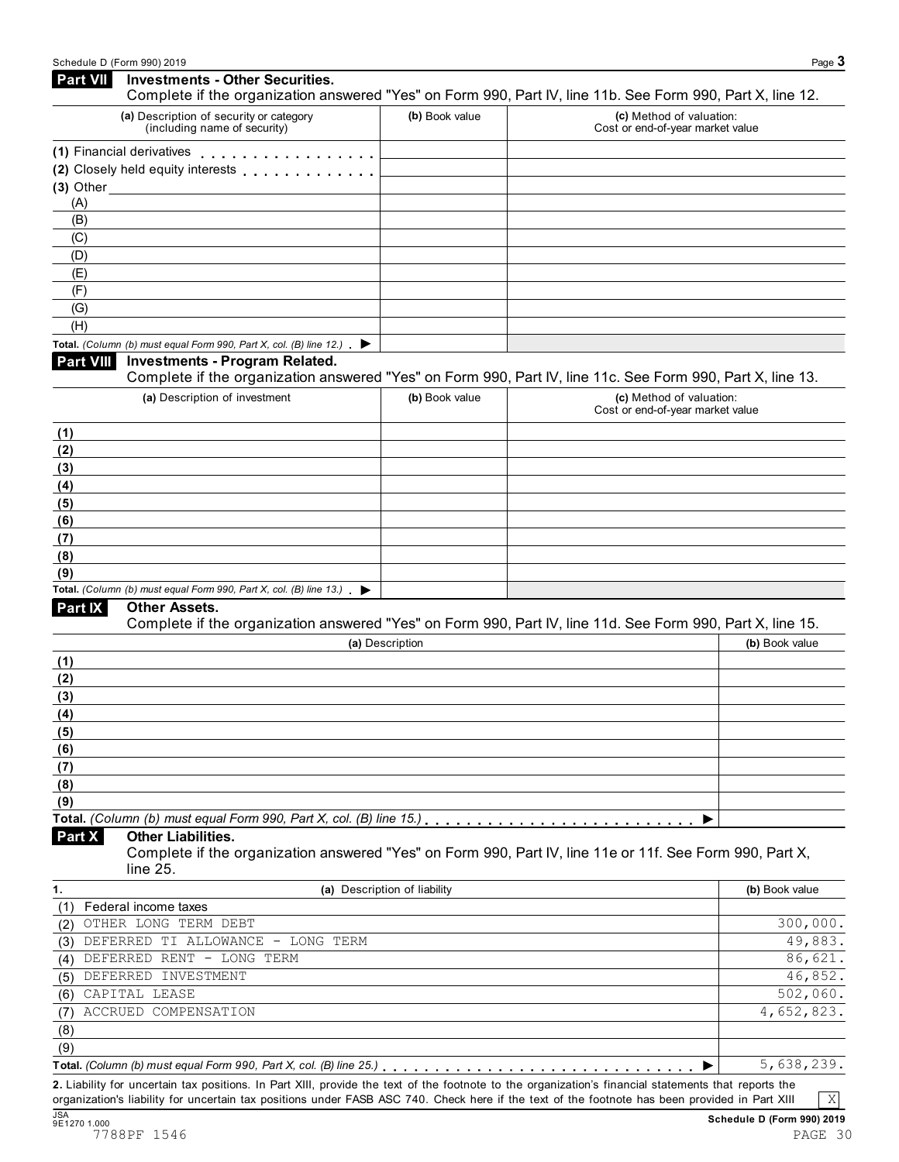# Schedule D (Form 990) 2019<br> **Exact VII** Investments - Other Securities.<br>
Complete if the organization answered "Yes" on Form 990, Part IV, line 11b. See Form 990, Part X, line 12.<br>
(a) Description of security or category ( Form 990) 2019<br> **Investments - Other Securities.**<br>
Complete if the organization answered "Yes" on Form 990, Part IV, line 11b. See Form 990, Part<br>
a) Description of security or category<br>
(including name of security)<br>
(incl m 990) 2019<br>
Investments - Other Securities.<br>
Complete if the organization answered "Yes" on Form 990, Part IV, line 11b. See Form 990, Part X, line 12.<br>
(including name of security)<br>
(including name of security)<br>
derivati Schedule D (Form 990) 2019<br> **Part VII** Investments - Other Securities.<br>
Complete if the organization answered "Yes" on Form 990, Part IV, I<br>
(a) Description of security or category<br>
(including name of security)<br>
1) Financi orm 990) 2019<br> **Investments - Other Securities.**<br>
Complete if the organization answered "Yes" on Form 990, Part IV, line 11b. See Form 990, Part<br>
(a) Description of security or category<br>
(b) Book value<br>
(including name of (a) 2019<br>
Supplete if the organization answered "Yes" on Form 990, Part IV, line 11b. See Form 990,<br>
secription of security or category<br>
(including name of security)<br>
(b) Book value<br>
(c) Method of valuation<br>
Cost or end-of Page 3<br>
S" on Form 990, Part IV, line 11b. See Form 990, Part X, line 12.<br>
(b) Book value (c) Method of valuation:<br>
Cost or end-of-year market value Page 3<br>
11b. See Form 990, Part X, line 12.<br>
(c) Method of valuation:<br>
Cost or end-of-year market value Schedule D (Form 990) 2019<br> **Existed Universitenents - Other Securities.**<br>
Complete if the organization answered "Yes" on Form 990, Part IV, line 11<br>
(a) Description of security or category<br>
(b) Book value<br>
(1) Financial d Schedule D (Form 990) 2019<br> **Part VII** Investments - Other Securities.<br>
Complete if the organization answered "Yes" on Form 990, Part IV, line 11b. See Fc<br>
(a) Description of security or category<br>
(b) Book value<br>
(b) Book (3) Other  $(A)$ (B)  $(C)$ (D)  $(E)$  $(F)$  $(G)$  $(H)$ Total. (Column (b) must equal Form 990, Part X, col. (B) line 12.) Investments - Other Securities.<br>
Investments - Other Securities.<br>
(Complete if the organization answered "Yes" on Form 990, Part IV, line 11b. See Form 990, Part it<br>
(including name of security)<br>
(including name of securi Complete if the organization answered "Yes" on Form 990, Part IV, line 11c. See Form 990, Part X, line 12.<br>
Complete if the organization answered "Yes" on Form 990, Part IV, line 11c. See Form 990, Part X, line 12.<br>
(c) M Schedule D (Form 990) 2019<br>
Decembent B - Other Securities.<br>
Complete if the organization answered "Yes" on Form 990, Part IV, I<br>
(a) Description of security or category<br>
1) Financial derive interests<br>
2) Closely held equ (a) Description of investments - Other Securities.<br>
Description of investigation answered "Yes" on Form 990, Part IV, line 11b. See Form 990, Part X, line 12.<br>
(including name of security)<br>
(including name of security)<br>
( Page 3<br>
11b. See Form 990, Part X, line 12.<br>
Cost or end-of-year market value<br>
<br>
Cost or end-of-year market value<br>
<br>
Cost or end-of-year market value<br>
Cost or end-of-year market value  $(1)$ (2)  $(3)$ (4)  $(5)$ (6) (7) (8) (9) Total. (Column (b) must equal Form 990, Part X, col. (B) ile tr 2.).<br>
(Col)<br>
(Col)<br> **Example is the organization answered "Yes" on Form 990, Part IV, line 11c. See Form 990, Part X, line 14.<br>
(col) Description of investme** (b) must equal Form 990, Part X, col. (B) line 12.)<br> **Investments - Program Related.**<br>
Complete if the organization answered "Yes" on Form 990, Part IV, line 11c. See<br>
(a) Description of investment<br>
(b) Book value<br>
(c) Ho Complete if the organization answered "Yes" on Form 990, Part IV, line 11d. See Form 990, Part X, line 13.<br>
(a) Description of investment<br>
(b) Book value<br>
(cost or end of yest mated value<br>
(cost or end of yest mated value Part IX (a) Description<br>
The United State of the Markov of State of Method of Valuation:<br>
Color of end-of-year market value<br>
Cost or end-of-year market value<br>
Cost or end-of-year market value<br>
Cost or end-of-year market value<br>
Co (1) (2) (3) (4) (5) (6) (7) (8) (9) Total. (Column (b) must equal Form 990, Part X, col. (B) line 15.) (b) must equal Form 990, Part X, col. (B) line 13.)<br> **Other Assets.**<br>
Complete if the organization answered "Yes" on Form 990, Part IV, line 11d. See<br>
(a) Description<br>
(a) Description<br>
The propositive of Complete if the or **Other Assets.**<br>
Complete if the organization answered "Yes" on Form 990, Part IV, line 11d. See Form 990, Part X, line 15.<br>
(a) Description<br>
(a) Description<br>
(b) must equal Form 990, Part X, col. (b) line 15.<br>
Other Lia (b) must equal Form 990, Part X, col. (B) line 13.)<br>
Other Assets.<br>
Complete if the organization answered "Yes" on Form 990, Part IV, line 11d. S.<br>
(a) Description<br>
(b) must equal Form 990, Part X, col. (B) line 15.)<br>
.... Part X 19<br>
(6)<br>
(8)<br>
(8)<br>
(8)<br>
(8)<br>
(8)<br>
Come (Column (b) must equal Form 990. Part X, sol. (8) line 15.<br>
Complete if the organization answered "Yes" on Form 990, Part IV, line 11d. See Form 990, Part X, line 15.<br>
(1)<br>
(8)<br>
(8)<br> (1) Federal income taxes (2) OTHER LONG TERM DEBT (3) DEFERRED TI ALLOWANCE - LONG TERM (4) DEFERRED RENT - LONG TERM (5) DEFERRED INVESTMENT (6) CAPITAL LEASE (7) ACCRUED COMPENSATION (8) (9) Column (b) must equal Form 990, Part X, col. (B) line 13.)<br> **EXP Other Assets.**<br>
Complete if the organization answered "Yes" on Form 990, Part IV, line 11d. See F<br>
(a) Description<br>
(a) Description<br>
(b) must equal Form 990, Total. (Column (b) must equal Form 990, Part X, col. (B) line 25.) 2. Liability for uncertain tax positions. In Part XII, provide the text of the form of the form of the form of the form of the oriental statements.<br>
(a) ORIENCING THE UNITED COMP (COMPTIBITION: THE ORIENT CONTRACT CONTRAC **(5)**<br>
(6)<br>
(8)<br>
(8)<br> **Call (Column (b)** must equal Form 990, Part X, col. (8) line 15.).<br> **Call Call Column (b)** must equal Form 990, Part X, col. (8) line 15.).<br>
(a) Baserighton of liability<br>
(a) Baserighton of liabilit Course (8) Rouss equal Form 99, Part X, cal (8) Breed TVes" on Form 990, Part IV, line 11d. See Form 990, Part X, line 15.<br>
Complete if the organization answered "Yes" on Form 990, Part IV, line 11d. See Form 990, Part X, **EXECUTION THE SECTION CONTROLL CONTROLL CONTROLL CONTROLL CONTROLL CONTROLL CONTROLL CONTROLL CONTROLL CONTROLL CONTROLL CONTROLL CONTROLL CONTROLL CONTROLL CONTROLL CONTROLL CONTROLL CONTROLL CONTROLL CONTROLL CONTROLL** Converted the organization answered "Yes" on Form 990, Part IV, line 11d. See Form 990, Part X, line 15.<br>
(a) Description<br>
(a) Description<br>
(b) Book value<br>
(D) Book value<br>
(D) Description<br>
Converted Income texts<br>
Concept a Column (b) must equal Form 990, Part X, col. (b) line 15.).<br>
(Column (b) must equal Form 990, Part X, col. (b) line 15.).<br>
(Column (b) must equal Form 990, Part X, col. (b) line 15.).<br>
(Dependent of lability<br>
Conception o Column (b) must equal Form 990, Part X, col. (b) line 15.),<br>
Column (b) must equal Form 990, Part X, col. (b) line 15.),<br>
Complete if the organization answered "Yes" on Form 990, Part IV, line 11e or 11f. See Form 990, Pa ACCRUED COMPENSATION 4,652,823. 5,638,239. 7788PF 1546 PAGE 30

 $X$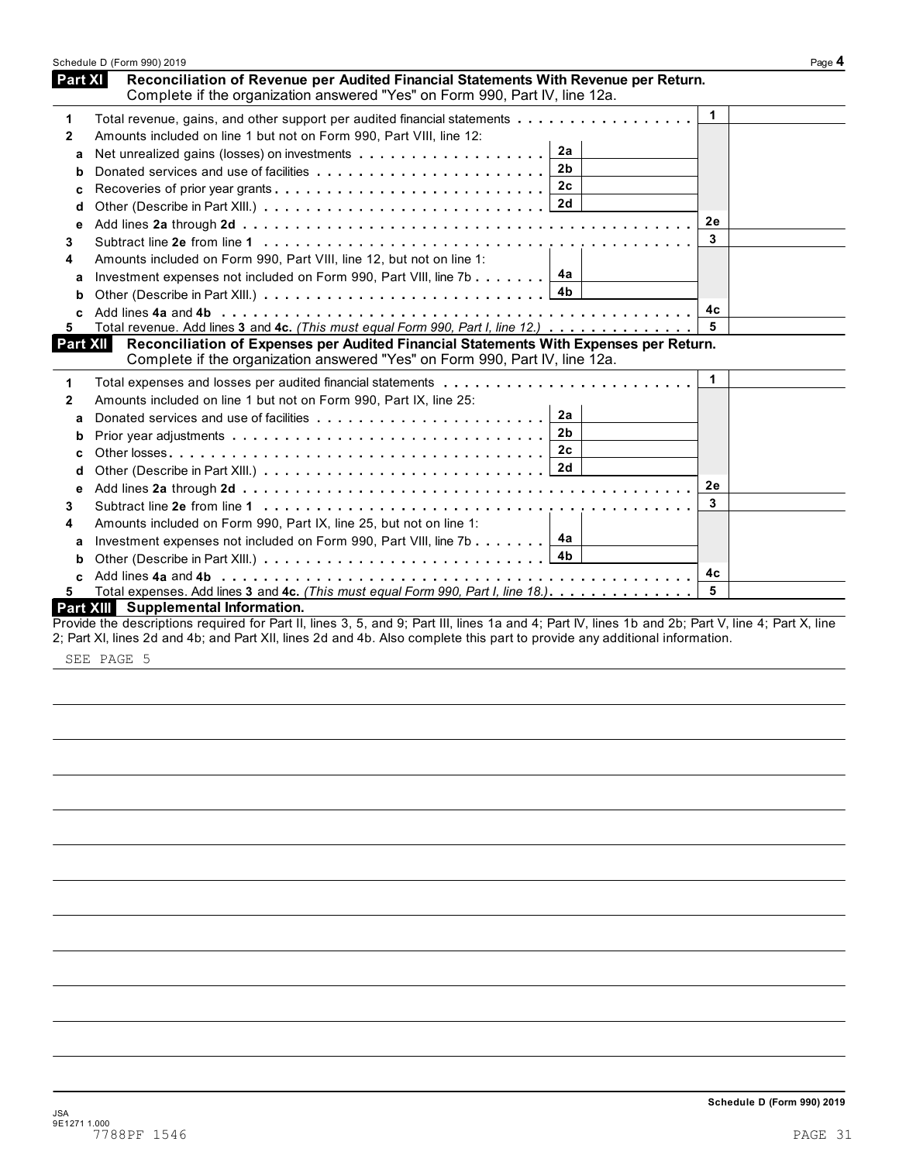|              | Schedule D (Form 990) 2019                                                                                                                                                                                                                                                       |                      | Page 4 |
|--------------|----------------------------------------------------------------------------------------------------------------------------------------------------------------------------------------------------------------------------------------------------------------------------------|----------------------|--------|
| Part XI      | Reconciliation of Revenue per Audited Financial Statements With Revenue per Return.<br>Complete if the organization answered "Yes" on Form 990, Part IV, line 12a.                                                                                                               |                      |        |
|              |                                                                                                                                                                                                                                                                                  |                      |        |
|              | Total revenue, gains, and other support per audited financial statements                                                                                                                                                                                                         | $\blacktriangleleft$ |        |
| 2            | Amounts included on line 1 but not on Form 990, Part VIII, line 12:                                                                                                                                                                                                              |                      |        |
| a            | 2b                                                                                                                                                                                                                                                                               |                      |        |
| b            |                                                                                                                                                                                                                                                                                  |                      |        |
| c            |                                                                                                                                                                                                                                                                                  |                      |        |
| d<br>е       |                                                                                                                                                                                                                                                                                  | 2е                   |        |
| 3            |                                                                                                                                                                                                                                                                                  | 3                    |        |
|              | Amounts included on Form 990, Part VIII, line 12, but not on line 1:                                                                                                                                                                                                             |                      |        |
| a            | Investment expenses not included on Form 990, Part VIII, line 7b $\boxed{4a}$                                                                                                                                                                                                    |                      |        |
| b            | 4 <sub>b</sub>                                                                                                                                                                                                                                                                   |                      |        |
|              |                                                                                                                                                                                                                                                                                  | 4с                   |        |
|              | Total revenue. Add lines 3 and 4c. (This must equal Form 990, Part I, line 12.)                                                                                                                                                                                                  | 5                    |        |
| Part XII     | Reconciliation of Expenses per Audited Financial Statements With Expenses per Return.                                                                                                                                                                                            |                      |        |
|              | Complete if the organization answered "Yes" on Form 990, Part IV, line 12a.                                                                                                                                                                                                      |                      |        |
|              |                                                                                                                                                                                                                                                                                  | $\mathbf 1$          |        |
| $\mathbf{2}$ | Amounts included on line 1 but not on Form 990, Part IX, line 25:                                                                                                                                                                                                                |                      |        |
| a            |                                                                                                                                                                                                                                                                                  |                      |        |
| b            |                                                                                                                                                                                                                                                                                  |                      |        |
| c            |                                                                                                                                                                                                                                                                                  |                      |        |
| d            |                                                                                                                                                                                                                                                                                  | 2e                   |        |
| е<br>3       |                                                                                                                                                                                                                                                                                  | 3                    |        |
|              | Amounts included on Form 990, Part IX, line 25, but not on line 1:                                                                                                                                                                                                               |                      |        |
| a            | Investment expenses not included on Form 990, Part VIII, line 7b $\boxed{4a}$                                                                                                                                                                                                    |                      |        |
| b            |                                                                                                                                                                                                                                                                                  |                      |        |
| c            |                                                                                                                                                                                                                                                                                  | 4 <sup>c</sup>       |        |
| 5            | Total expenses. Add lines 3 and 4c. (This must equal Form 990, Part I, line 18.).                                                                                                                                                                                                | 5                    |        |
|              | Part XIII Supplemental Information.                                                                                                                                                                                                                                              |                      |        |
|              | Provide the descriptions required for Part II, lines 3, 5, and 9; Part III, lines 1a and 4; Part IV, lines 1b and 2b; Part V, line 4; Part X, line<br>2; Part XI, lines 2d and 4b; and Part XII, lines 2d and 4b. Also complete this part to provide any additional information. |                      |        |
|              | SEE PAGE 5                                                                                                                                                                                                                                                                       |                      |        |
|              |                                                                                                                                                                                                                                                                                  |                      |        |
|              |                                                                                                                                                                                                                                                                                  |                      |        |
|              |                                                                                                                                                                                                                                                                                  |                      |        |
|              |                                                                                                                                                                                                                                                                                  |                      |        |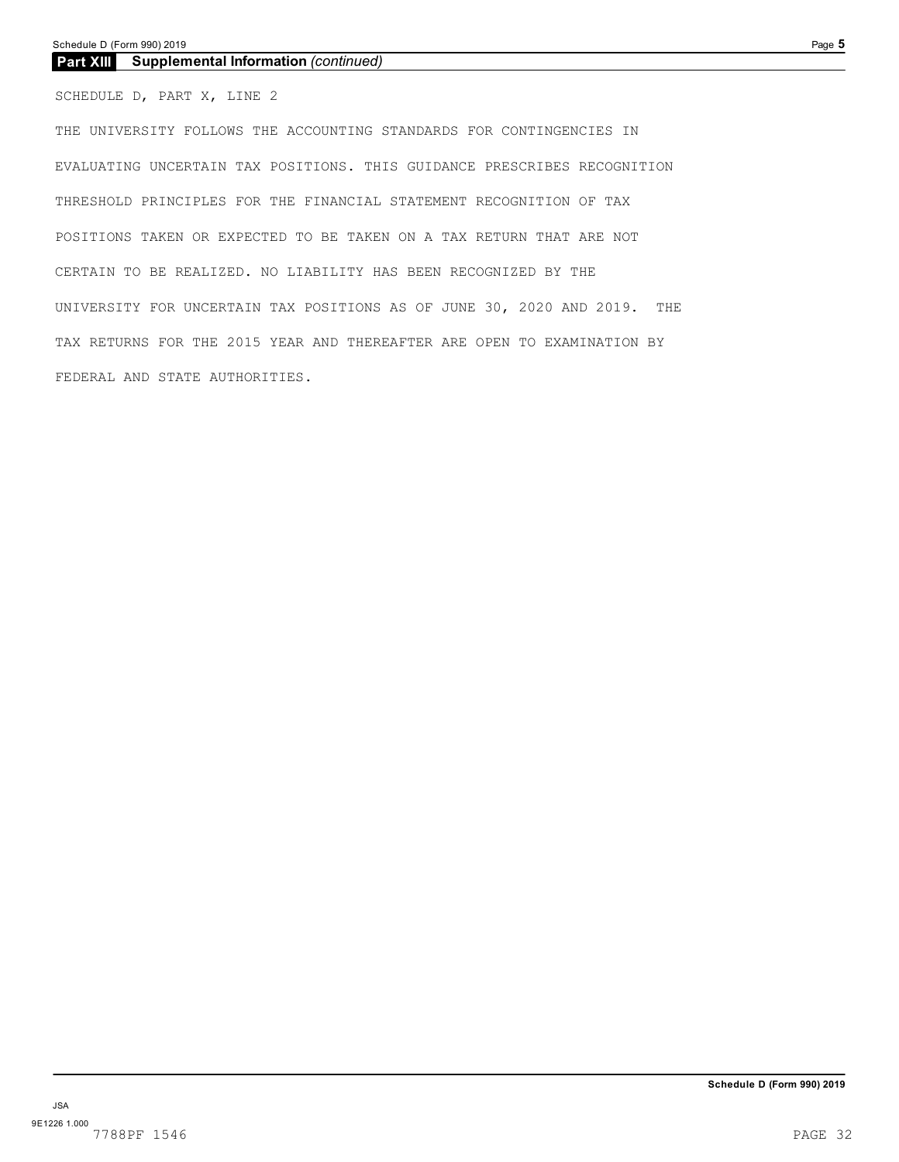SCHEDULE D, PART X, LINE 2

Schedule D (Form 990) 2019<br> **Part XIII Supplemental Information (continued)**<br>
SCHEDULE D, PART X, LINE 2<br>
THE UNIVERSITY FOLLOWS THE ACCOUNTING STANDARDS FOR CONTINGENCIES IN Schedule D (Form 990) 2019<br>P<mark>art XIII Supplemental Information (co*ntinued)*<br>SCHEDULE D, PART X, LINE 2<br>THE UNIVERSITY FOLLOWS THE ACCOUNTING STANDARDS FOR CONTINGENCIES IN</mark> THE UNIVERSITY FOLLOWS THE ACCOUNTING STANDARDS FOR CONTINGENCIES IN EVALUATING UNCERTAIN TAX POSITIONS. THIS GUIDANCE PRESCRIBES RECOGNITION THRESHOLD PRINCIPLES FOR THE FINANCIAL STATEMENT RECOGNITION OF TAX POSITIONS TAKEN OR EXPECTED TO BE TAKEN ON A TAX RETURN THAT ARE NOT CERTAIN TO BE REALIZED. NO LIABILITY HAS BEEN RECOGNIZED BY THE UNIVERSITY FOR UNCERTAIN TAX POSITIONS AS OF JUNE 30, 2020 AND 2019. THE TAX RETURNS FOR THE 2015 YEAR AND THEREAFTER ARE OPEN TO EXAMINATION BY FEDERAL AND STATE AUTHORITIES.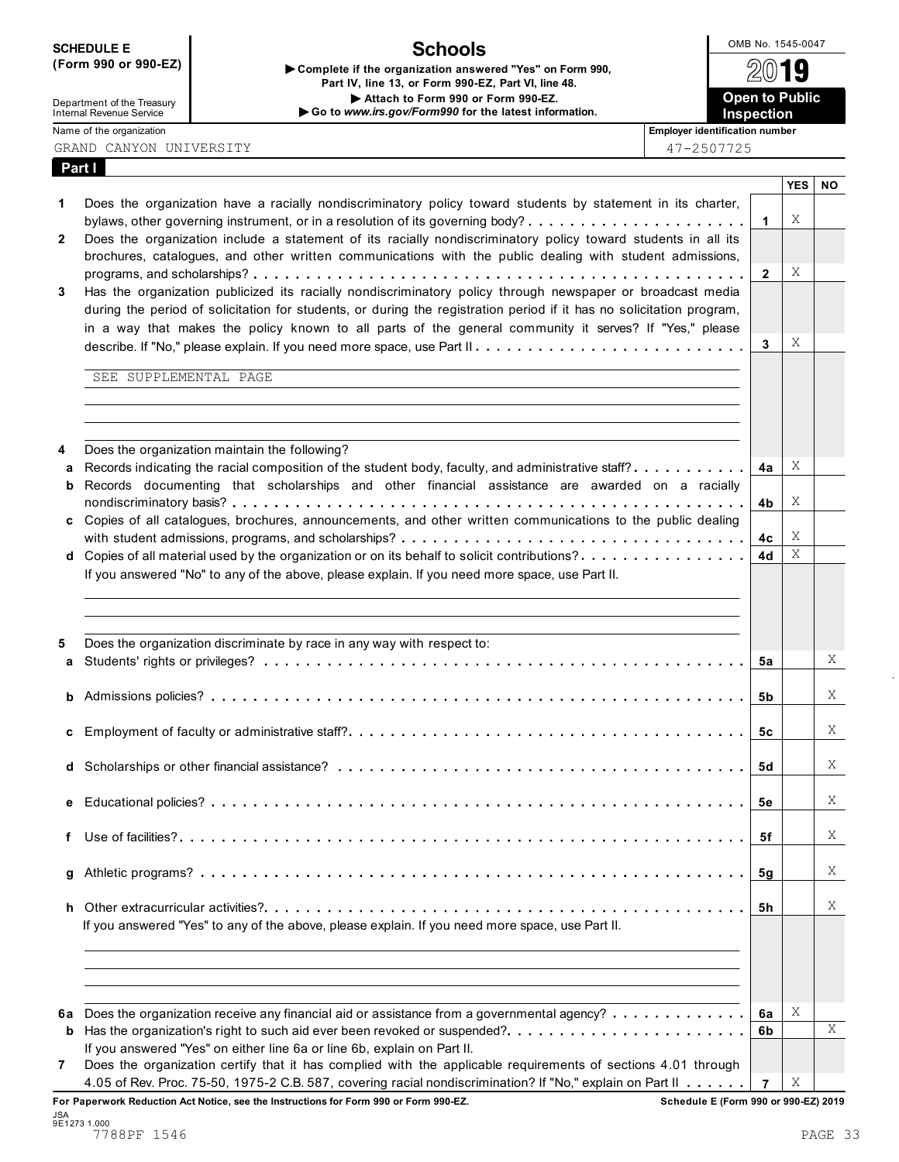| <b>SCHEDULE E</b>                                      | <b>Schools</b>                                                                                                                                     | OMB No. 1545-0047                                                 |
|--------------------------------------------------------|----------------------------------------------------------------------------------------------------------------------------------------------------|-------------------------------------------------------------------|
| (Form 990 or 990-EZ)                                   | Complete if the organization answered "Yes" on Form 990,                                                                                           | 2019                                                              |
| Department of the Treasury<br>Internal Revenue Service | Part IV, line 13, or Form 990-EZ, Part VI, line 48.<br>Attach to Form 990 or Form 990-EZ.<br>Go to www.irs.gov/Form990 for the latest information. | <b>Open to Public</b>                                             |
| Name of the organization<br>GRAND CANYON UNIVERSITY    |                                                                                                                                                    | Inspection<br><b>Employer identification number</b><br>47-2507725 |



|              | (Form 990 or 990-EZ)<br>Department of the Treasury<br><b>Internal Revenue Service</b> | Complete if the organization answered "Yes" on Form 990,<br>Part IV, line 13, or Form 990-EZ, Part VI, line 48.<br>Attach to Form 990 or Form 990-EZ.<br>Go to www.irs.gov/Form990 for the latest information.                 |                                                     | <b>Open to Public</b><br><b>Inspection</b> | 2019 |          |
|--------------|---------------------------------------------------------------------------------------|--------------------------------------------------------------------------------------------------------------------------------------------------------------------------------------------------------------------------------|-----------------------------------------------------|--------------------------------------------|------|----------|
|              | Name of the organization<br>GRAND CANYON UNIVERSITY                                   |                                                                                                                                                                                                                                | <b>Employer identification number</b><br>47-2507725 |                                            |      |          |
| Part I       |                                                                                       |                                                                                                                                                                                                                                |                                                     |                                            |      |          |
|              |                                                                                       | Does the organization have a racially nondiscriminatory policy toward students by statement in its charter,                                                                                                                    |                                                     |                                            |      | YES   NO |
|              |                                                                                       |                                                                                                                                                                                                                                |                                                     | $\overline{1}$                             | Χ    |          |
| $\mathbf{2}$ |                                                                                       | Does the organization include a statement of its racially nondiscriminatory policy toward students in all its<br>brochures, catalogues, and other written communications with the public dealing with student admissions,      |                                                     |                                            |      |          |
|              |                                                                                       |                                                                                                                                                                                                                                |                                                     |                                            | X    |          |
| 3            |                                                                                       | Has the organization publicized its racially nondiscriminatory policy through newspaper or broadcast media                                                                                                                     |                                                     |                                            |      |          |
|              |                                                                                       | during the period of solicitation for students, or during the registration period if it has no solicitation program,<br>in a way that makes the policy known to all parts of the general community it serves? If "Yes," please |                                                     |                                            |      |          |
|              |                                                                                       |                                                                                                                                                                                                                                |                                                     | $\mathbf{3}$                               | X    |          |
|              | SEE SUPPLEMENTAL PAGE                                                                 |                                                                                                                                                                                                                                |                                                     |                                            |      |          |
|              |                                                                                       |                                                                                                                                                                                                                                |                                                     |                                            |      |          |
|              |                                                                                       |                                                                                                                                                                                                                                |                                                     |                                            |      |          |
|              | Does the organization maintain the following?                                         |                                                                                                                                                                                                                                |                                                     |                                            |      |          |
|              |                                                                                       | <b>a</b> Records indicating the racial composition of the student body, faculty, and administrative staff?<br><b>b</b> Records documenting that scholarships and other financial assistance are awarded on a racially          |                                                     |                                            | X    |          |
|              |                                                                                       |                                                                                                                                                                                                                                |                                                     |                                            | X    |          |
|              |                                                                                       | c Copies of all catalogues, brochures, announcements, and other written communications to the public dealing                                                                                                                   |                                                     |                                            | X    |          |
|              |                                                                                       |                                                                                                                                                                                                                                |                                                     |                                            | X    |          |
|              |                                                                                       | If you answered "No" to any of the above, please explain. If you need more space, use Part II.                                                                                                                                 |                                                     |                                            |      |          |
|              |                                                                                       |                                                                                                                                                                                                                                |                                                     |                                            |      |          |
|              |                                                                                       | Does the organization discriminate by race in any way with respect to:                                                                                                                                                         |                                                     |                                            |      |          |
|              |                                                                                       |                                                                                                                                                                                                                                |                                                     |                                            |      | Χ        |
|              |                                                                                       |                                                                                                                                                                                                                                |                                                     |                                            |      |          |
|              |                                                                                       |                                                                                                                                                                                                                                |                                                     |                                            |      |          |
|              |                                                                                       |                                                                                                                                                                                                                                |                                                     |                                            |      | X        |
|              |                                                                                       |                                                                                                                                                                                                                                |                                                     |                                            |      | Χ        |
|              |                                                                                       |                                                                                                                                                                                                                                |                                                     |                                            |      | X        |
|              |                                                                                       |                                                                                                                                                                                                                                |                                                     |                                            |      |          |
|              |                                                                                       |                                                                                                                                                                                                                                |                                                     |                                            |      | X        |
|              |                                                                                       |                                                                                                                                                                                                                                |                                                     |                                            |      | Χ        |
|              |                                                                                       |                                                                                                                                                                                                                                |                                                     |                                            |      | X        |
|              |                                                                                       |                                                                                                                                                                                                                                |                                                     |                                            |      |          |
|              |                                                                                       |                                                                                                                                                                                                                                |                                                     |                                            |      | Χ        |
|              |                                                                                       | If you answered "Yes" to any of the above, please explain. If you need more space, use Part II.                                                                                                                                |                                                     |                                            |      |          |
|              |                                                                                       |                                                                                                                                                                                                                                |                                                     |                                            |      |          |
|              |                                                                                       |                                                                                                                                                                                                                                |                                                     |                                            |      |          |
|              |                                                                                       | 6a Does the organization receive any financial aid or assistance from a governmental agency? 6a                                                                                                                                |                                                     |                                            | X    |          |
|              |                                                                                       | If you answered "Yes" on either line 6a or line 6b, explain on Part II.                                                                                                                                                        |                                                     |                                            |      | Χ        |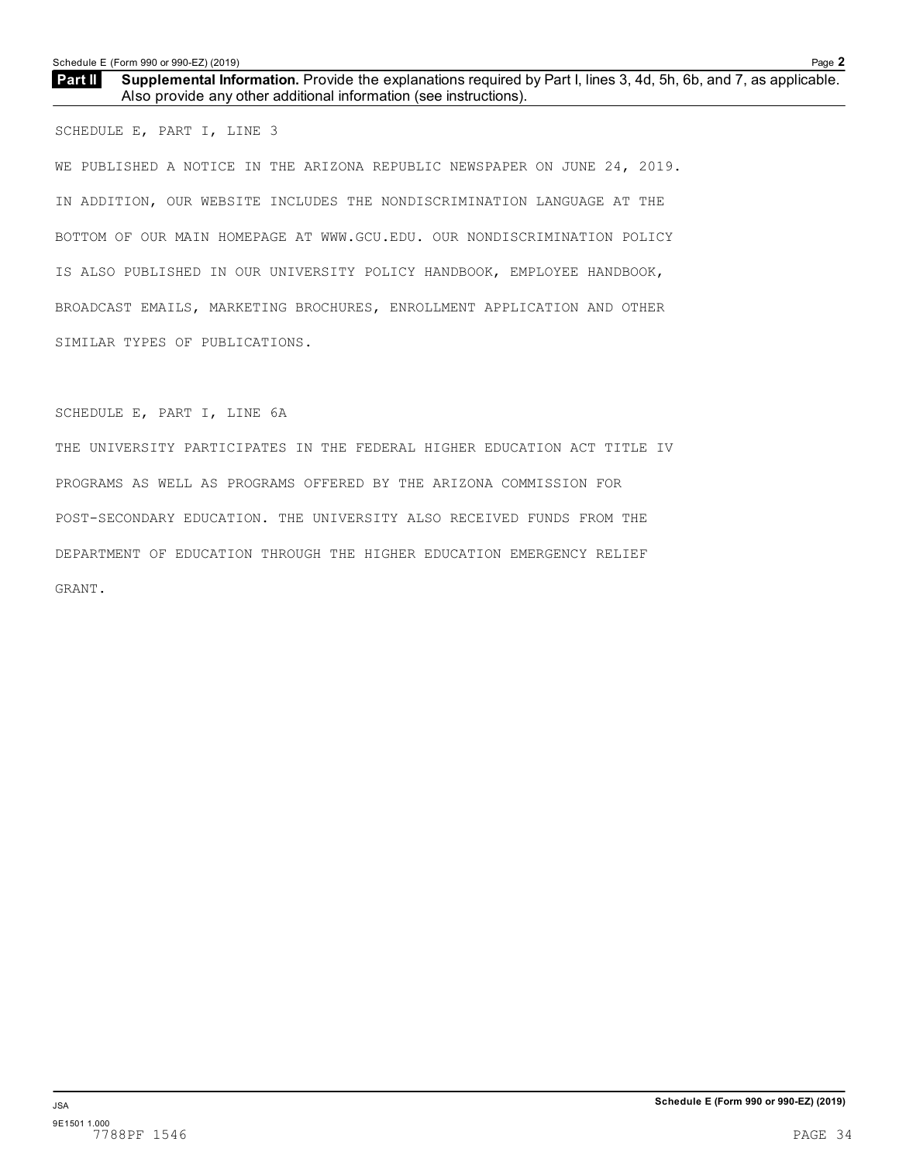SCHEDULE E, PART I, LINE 3

WE PUBLISHED A NOTICE IN THE ARIZONA REPUBLIC NEWSPAPER ON JUNE 24, 2019. IN ADDITION, OUR WEBSITE INCLUDES THE NONDISCRIMINATION LANGUAGE AT THE BOTTOM OF OUR MAIN HOMEPAGE AT WWW.GCU.EDU. OUR NONDISCRIMINATION POLICY IS ALSO PUBLISHED IN OUR UNIVERSITY POLICY HANDBOOK, EMPLOYEE HANDBOOK, BROADCAST EMAILS, MARKETING BROCHURES, ENROLLMENT APPLICATION AND OTHER SIMILAR TYPES OF PUBLICATIONS.

SCHEDULE E, PART I, LINE 6A

THE UNIVERSITY PARTICIPATES IN THE FEDERAL HIGHER EDUCATION ACT TITLE IV PROGRAMS AS WELL AS PROGRAMS OFFERED BY THE ARIZONA COMMISSION FOR POST-SECONDARY EDUCATION. THE UNIVERSITY ALSO RECEIVED FUNDS FROM THE DEPARTMENT OF EDUCATION THROUGH THE HIGHER EDUCATION EMERGENCY RELIEF GRANT.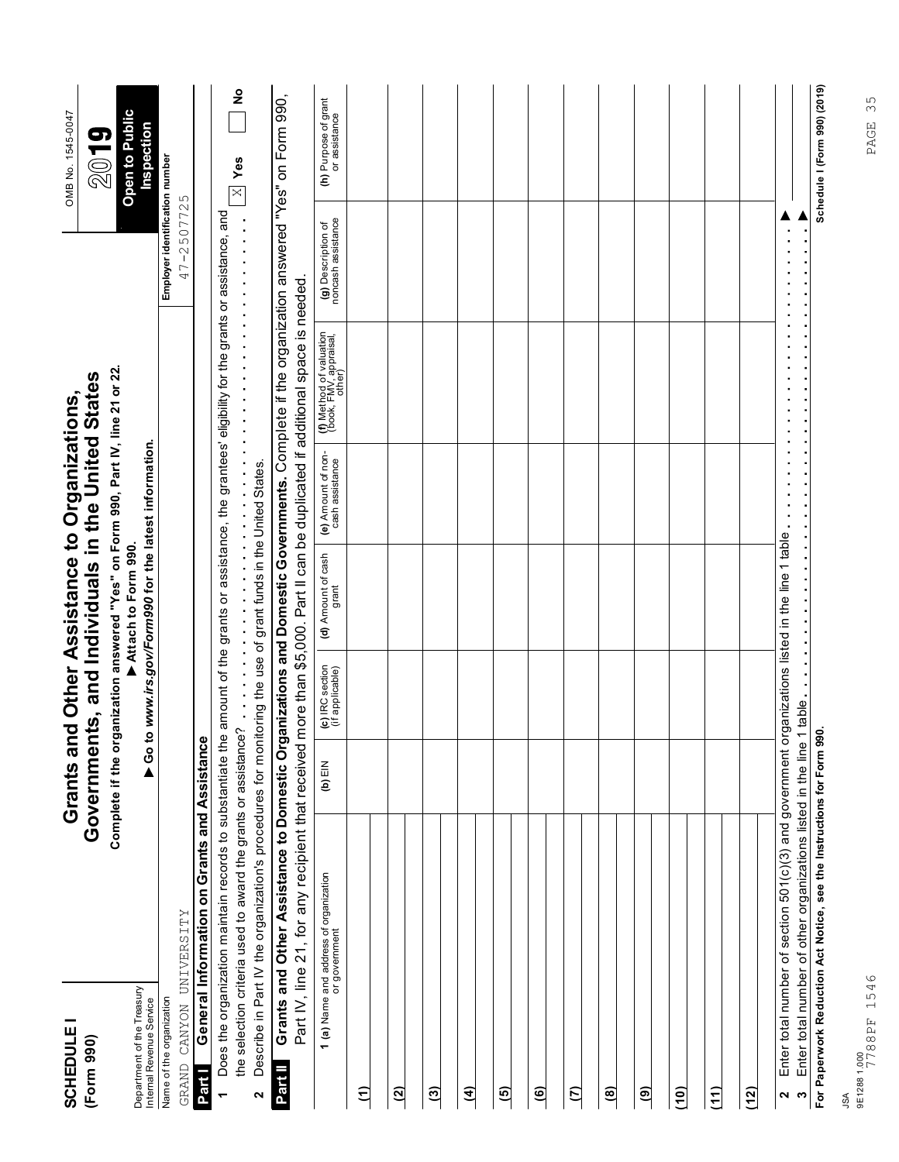| Complete if the organization answered "Yes" on Form 990, Part IV, line 21 or 22.<br>▶ Attach to Form 990.<br>▶ Go to www. <i>irs.gov/Form990</i> for the latest information.<br><b>General Information on Grants and Assistance</b><br>ΣZ<br><b>UNIVERSI</b><br>Department of the Treasury<br>Internal Revenue Service<br>Name of the organization<br>GRAND CANYON<br>Part I | Grants and Other Assistance to Organizations,<br>Governments, and Individuals in the United States |                                                                         |                                                                                                                                      |                                              |
|------------------------------------------------------------------------------------------------------------------------------------------------------------------------------------------------------------------------------------------------------------------------------------------------------------------------------------------------------------------------------|----------------------------------------------------------------------------------------------------|-------------------------------------------------------------------------|--------------------------------------------------------------------------------------------------------------------------------------|----------------------------------------------|
|                                                                                                                                                                                                                                                                                                                                                                              |                                                                                                    |                                                                         |                                                                                                                                      | <b>Open to Public</b><br><u>ဇာ</u><br>.<br>N |
|                                                                                                                                                                                                                                                                                                                                                                              |                                                                                                    |                                                                         |                                                                                                                                      | <b>Inspectio</b>                             |
|                                                                                                                                                                                                                                                                                                                                                                              |                                                                                                    |                                                                         | Employer identification number<br>$-2507725$<br>47                                                                                   |                                              |
|                                                                                                                                                                                                                                                                                                                                                                              |                                                                                                    |                                                                         |                                                                                                                                      |                                              |
| 1 Does the organization maintain records to substantiate the amount of the grants or assistance, the grantees' eligibility for<br>the selection criteria used to award the grants or assistance?<br>2 Describe in Part IV the organization's procedures for monitoring the use of grant funds in the United States.                                                          |                                                                                                    |                                                                         | sex $\boxed{\times}$ and $\boxed{\times}$<br>the grants or assistance, and                                                           | $rac{6}{\pi}$                                |
| Grants and Other Assistance to Domestic Organizations and Domestic Governments. Complete if the organization answered "Yes" on Form 990,<br>Part IV, line 21, for any recipient that received more than \$5,000. Part II can be duplicated if additional space is needed.<br>Part II                                                                                         |                                                                                                    |                                                                         |                                                                                                                                      |                                              |
| (c) IRC section<br>(if applicable)<br>(b) EIN<br><b>1 (a)</b> Name and address of organization<br>or government                                                                                                                                                                                                                                                              | (e) Amount of non-<br>cash assistance<br>(d) Amount of cash<br>grant                               | (f) Method of valuation<br>(book, FMV, appraisal,<br>other)             | (g) Description of<br>noncash assistance                                                                                             | (h) Purpose of grant<br>or assistance        |
| $\vert \vec{z} \vert$                                                                                                                                                                                                                                                                                                                                                        |                                                                                                    |                                                                         |                                                                                                                                      |                                              |
|                                                                                                                                                                                                                                                                                                                                                                              |                                                                                                    |                                                                         |                                                                                                                                      |                                              |
|                                                                                                                                                                                                                                                                                                                                                                              |                                                                                                    |                                                                         |                                                                                                                                      |                                              |
|                                                                                                                                                                                                                                                                                                                                                                              |                                                                                                    |                                                                         |                                                                                                                                      |                                              |
|                                                                                                                                                                                                                                                                                                                                                                              |                                                                                                    |                                                                         |                                                                                                                                      |                                              |
|                                                                                                                                                                                                                                                                                                                                                                              |                                                                                                    |                                                                         |                                                                                                                                      |                                              |
|                                                                                                                                                                                                                                                                                                                                                                              |                                                                                                    |                                                                         |                                                                                                                                      |                                              |
|                                                                                                                                                                                                                                                                                                                                                                              |                                                                                                    |                                                                         |                                                                                                                                      |                                              |
|                                                                                                                                                                                                                                                                                                                                                                              |                                                                                                    |                                                                         |                                                                                                                                      |                                              |
|                                                                                                                                                                                                                                                                                                                                                                              |                                                                                                    |                                                                         |                                                                                                                                      |                                              |
|                                                                                                                                                                                                                                                                                                                                                                              |                                                                                                    |                                                                         |                                                                                                                                      |                                              |
|                                                                                                                                                                                                                                                                                                                                                                              |                                                                                                    |                                                                         |                                                                                                                                      |                                              |
|                                                                                                                                                                                                                                                                                                                                                                              |                                                                                                    |                                                                         |                                                                                                                                      |                                              |
|                                                                                                                                                                                                                                                                                                                                                                              |                                                                                                    |                                                                         |                                                                                                                                      |                                              |
| Enter total number of section 501(c)(3) and government organizations listed in the line 1 table $\ldots \ldots$<br>Enter total number of other organizations listed in the line 1 table.                                                                                                                                                                                     |                                                                                                    | $\bullet$<br>$\blacksquare$<br>$\blacksquare$<br>$\bullet$<br>$\bullet$ | ▲<br>$\bullet$<br>$\blacksquare$<br>$\blacksquare$<br>$\bullet$<br>$\blacksquare$<br>$\blacksquare$<br>$\bullet$ .<br>$\blacksquare$ |                                              |
| For Paperwork Reduction Act Notice, see the Instructions for Form 990.                                                                                                                                                                                                                                                                                                       |                                                                                                    |                                                                         |                                                                                                                                      | Schedule I (Form 990) (2019)                 |
|                                                                                                                                                                                                                                                                                                                                                                              |                                                                                                    |                                                                         |                                                                                                                                      |                                              |
| <br>9E12881.000<br>7788PF 1546                                                                                                                                                                                                                                                                                                                                               |                                                                                                    |                                                                         |                                                                                                                                      | 35<br>PAGE                                   |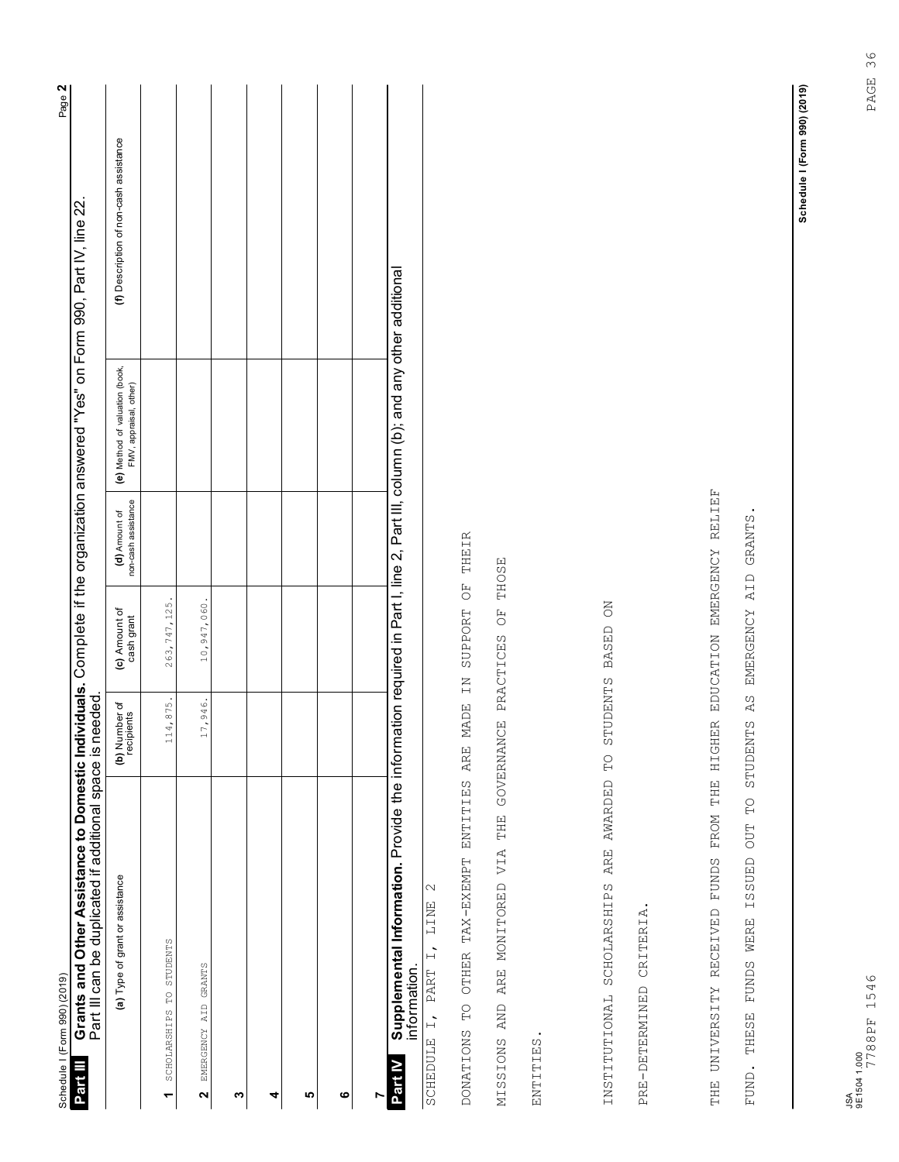| $\frac{8}{3}$<br>Schedule I (Form 990) (2019)<br>Supplemental Information. Provide the information required in Part I, line 2, Part III, column (b); and any other additional<br>information.<br>RECEIVED FUNDS FROM THE HIGHER EDUCATION EMERGENCY RELIEF<br>GRANTS.<br>DONATIONS TO OTHER TAX-EXEMPT ENTITIES ARE MADE IN SUPPORT OF THEIR<br>THOSE<br>AID<br>INSTITUTIONAL SCHOLARSHIPS ARE AWARDED TO STUDENTS BASED ON<br>263, 747, 125.<br>10,947,060<br>MISSIONS AND ARE MONITORED VIA THE GOVERNANCE PRACTICES OF<br>EMERGENCY<br>A <sub>S</sub><br>114,875.<br>17,946.<br>STUDENTS<br>$\Gamma$<br><b>DUT</b><br>ISSUED<br>$\sim$<br>I, LINE<br>PRE-DETERMINED CRITERIA.<br><b>WERE</b><br>SCHOLARSHIPS TO STUDENTS<br><b>FUNDS</b><br>AID GRANTS<br>$\overline{\text{PART}}$<br>THE UNIVERSITY<br>SCHEDULE I,<br>THESE<br>ЮY<br>ENTITIES.<br>EMERGEN<br>$\frac{7}{10}$<br>$\sim$<br>FUND. | <b>Grants and Other Assistance to Domestic Individuals.</b> Complete if the organization answered "Yes" on Form 990, Part IV, line 22.<br>Part III can be duplicated if additional space is needed. |                             |                             |                                      |                                                              |                                        |
|----------------------------------------------------------------------------------------------------------------------------------------------------------------------------------------------------------------------------------------------------------------------------------------------------------------------------------------------------------------------------------------------------------------------------------------------------------------------------------------------------------------------------------------------------------------------------------------------------------------------------------------------------------------------------------------------------------------------------------------------------------------------------------------------------------------------------------------------------------------------------------------------------|-----------------------------------------------------------------------------------------------------------------------------------------------------------------------------------------------------|-----------------------------|-----------------------------|--------------------------------------|--------------------------------------------------------------|----------------------------------------|
|                                                                                                                                                                                                                                                                                                                                                                                                                                                                                                                                                                                                                                                                                                                                                                                                                                                                                                    | (a) Type of grant or assistance                                                                                                                                                                     | (b) Number of<br>recipients | (c) Amount of<br>cash grant | (d) Amount of<br>non-cash assistance | ook,<br>(e) Method of valuation (b<br>FMV, appraisal, other) | (f) Description of non-cash assistance |
|                                                                                                                                                                                                                                                                                                                                                                                                                                                                                                                                                                                                                                                                                                                                                                                                                                                                                                    |                                                                                                                                                                                                     |                             |                             |                                      |                                                              |                                        |
|                                                                                                                                                                                                                                                                                                                                                                                                                                                                                                                                                                                                                                                                                                                                                                                                                                                                                                    |                                                                                                                                                                                                     |                             |                             |                                      |                                                              |                                        |
|                                                                                                                                                                                                                                                                                                                                                                                                                                                                                                                                                                                                                                                                                                                                                                                                                                                                                                    |                                                                                                                                                                                                     |                             |                             |                                      |                                                              |                                        |
|                                                                                                                                                                                                                                                                                                                                                                                                                                                                                                                                                                                                                                                                                                                                                                                                                                                                                                    |                                                                                                                                                                                                     |                             |                             |                                      |                                                              |                                        |
|                                                                                                                                                                                                                                                                                                                                                                                                                                                                                                                                                                                                                                                                                                                                                                                                                                                                                                    |                                                                                                                                                                                                     |                             |                             |                                      |                                                              |                                        |
|                                                                                                                                                                                                                                                                                                                                                                                                                                                                                                                                                                                                                                                                                                                                                                                                                                                                                                    |                                                                                                                                                                                                     |                             |                             |                                      |                                                              |                                        |
|                                                                                                                                                                                                                                                                                                                                                                                                                                                                                                                                                                                                                                                                                                                                                                                                                                                                                                    |                                                                                                                                                                                                     |                             |                             |                                      |                                                              |                                        |
|                                                                                                                                                                                                                                                                                                                                                                                                                                                                                                                                                                                                                                                                                                                                                                                                                                                                                                    |                                                                                                                                                                                                     |                             |                             |                                      |                                                              |                                        |
|                                                                                                                                                                                                                                                                                                                                                                                                                                                                                                                                                                                                                                                                                                                                                                                                                                                                                                    |                                                                                                                                                                                                     |                             |                             |                                      |                                                              |                                        |
|                                                                                                                                                                                                                                                                                                                                                                                                                                                                                                                                                                                                                                                                                                                                                                                                                                                                                                    |                                                                                                                                                                                                     |                             |                             |                                      |                                                              |                                        |
|                                                                                                                                                                                                                                                                                                                                                                                                                                                                                                                                                                                                                                                                                                                                                                                                                                                                                                    |                                                                                                                                                                                                     |                             |                             |                                      |                                                              |                                        |
|                                                                                                                                                                                                                                                                                                                                                                                                                                                                                                                                                                                                                                                                                                                                                                                                                                                                                                    |                                                                                                                                                                                                     |                             |                             |                                      |                                                              |                                        |
|                                                                                                                                                                                                                                                                                                                                                                                                                                                                                                                                                                                                                                                                                                                                                                                                                                                                                                    |                                                                                                                                                                                                     |                             |                             |                                      |                                                              |                                        |
|                                                                                                                                                                                                                                                                                                                                                                                                                                                                                                                                                                                                                                                                                                                                                                                                                                                                                                    |                                                                                                                                                                                                     |                             |                             |                                      |                                                              |                                        |
|                                                                                                                                                                                                                                                                                                                                                                                                                                                                                                                                                                                                                                                                                                                                                                                                                                                                                                    |                                                                                                                                                                                                     |                             |                             |                                      |                                                              |                                        |
|                                                                                                                                                                                                                                                                                                                                                                                                                                                                                                                                                                                                                                                                                                                                                                                                                                                                                                    |                                                                                                                                                                                                     |                             |                             |                                      |                                                              |                                        |
|                                                                                                                                                                                                                                                                                                                                                                                                                                                                                                                                                                                                                                                                                                                                                                                                                                                                                                    |                                                                                                                                                                                                     |                             |                             |                                      |                                                              |                                        |
|                                                                                                                                                                                                                                                                                                                                                                                                                                                                                                                                                                                                                                                                                                                                                                                                                                                                                                    |                                                                                                                                                                                                     |                             |                             |                                      |                                                              |                                        |
|                                                                                                                                                                                                                                                                                                                                                                                                                                                                                                                                                                                                                                                                                                                                                                                                                                                                                                    |                                                                                                                                                                                                     |                             |                             |                                      |                                                              |                                        |
|                                                                                                                                                                                                                                                                                                                                                                                                                                                                                                                                                                                                                                                                                                                                                                                                                                                                                                    | 1546<br>JSA<br>9E1504 1.000<br>7788PF                                                                                                                                                               |                             |                             |                                      |                                                              | PAGE                                   |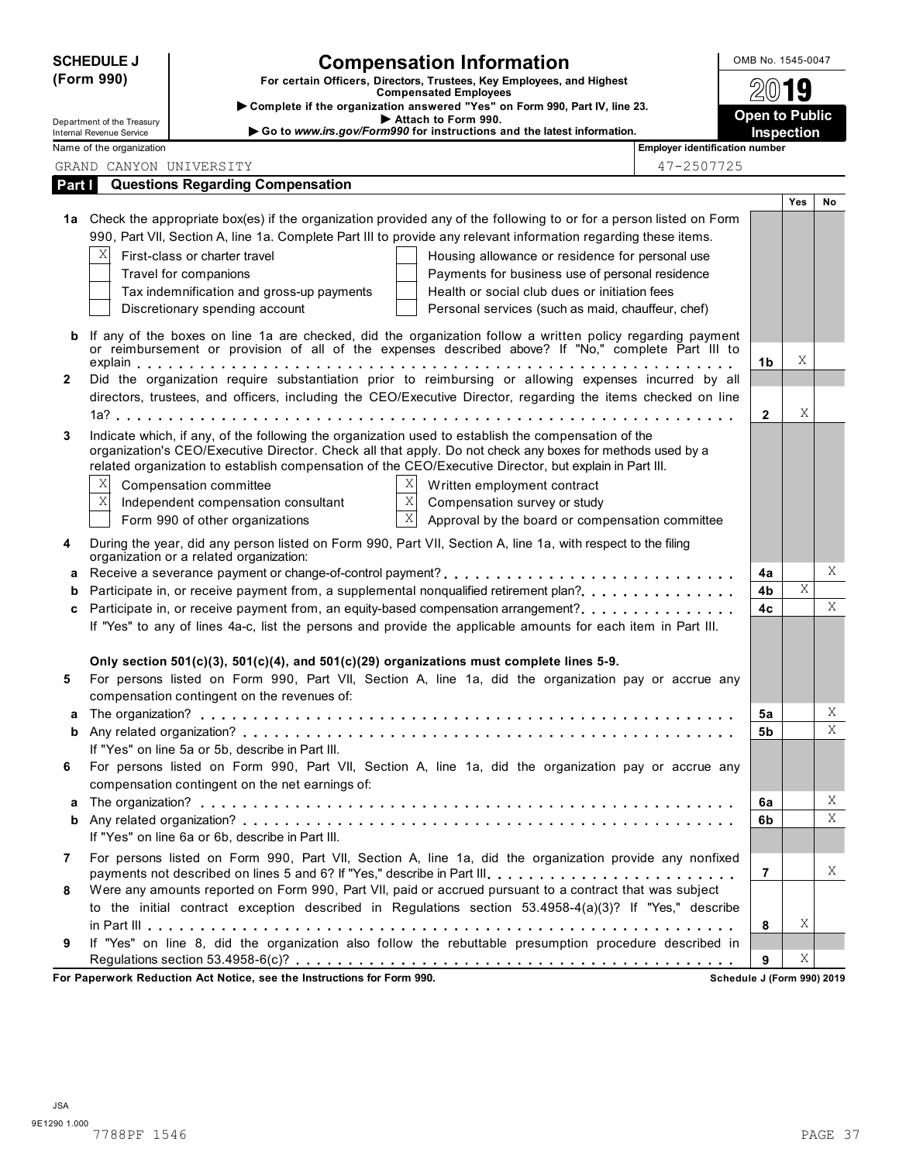|              |                                                        |                                                                                                                                                                                                                            | For certain Officers, Directors, Trustees, Key Employees, and Highest<br><b>Compensated Employees</b><br>► Complete if the organization answered "Yes" on Form 990, Part IV, line 23. |                                                     | 2019                 |                       |
|--------------|--------------------------------------------------------|----------------------------------------------------------------------------------------------------------------------------------------------------------------------------------------------------------------------------|---------------------------------------------------------------------------------------------------------------------------------------------------------------------------------------|-----------------------------------------------------|----------------------|-----------------------|
|              | Department of the Treasury<br>Internal Revenue Service |                                                                                                                                                                                                                            | Attach to Form 990.<br>Go to www.irs.gov/Form990 for instructions and the latest information.                                                                                         |                                                     | Inspection           | <b>Open to Public</b> |
|              | Name of the organization<br>GRAND CANYON UNIVERSITY    |                                                                                                                                                                                                                            |                                                                                                                                                                                       | <b>Employer identification number</b><br>47-2507725 |                      |                       |
| Part I       |                                                        | <b>Questions Regarding Compensation</b>                                                                                                                                                                                    |                                                                                                                                                                                       |                                                     |                      |                       |
|              |                                                        | 1a Check the appropriate box(es) if the organization provided any of the following to or for a person listed on Form                                                                                                       |                                                                                                                                                                                       |                                                     |                      | No<br>Yes             |
|              |                                                        | 990, Part VII, Section A, line 1a. Complete Part III to provide any relevant information regarding these items.                                                                                                            |                                                                                                                                                                                       |                                                     |                      |                       |
|              | Travel for companions                                  | First-class or charter travel                                                                                                                                                                                              | Housing allowance or residence for personal use<br>Payments for business use of personal residence                                                                                    |                                                     |                      |                       |
|              |                                                        | Tax indemnification and gross-up payments                                                                                                                                                                                  | Health or social club dues or initiation fees                                                                                                                                         |                                                     |                      |                       |
|              |                                                        | Discretionary spending account                                                                                                                                                                                             | Personal services (such as maid, chauffeur, chef)                                                                                                                                     |                                                     |                      |                       |
|              |                                                        | <b>b</b> If any of the boxes on line 1a are checked, did the organization follow a written policy regarding payment<br>or reimbursement or provision of all of the expenses described above? If "No," complete Part III to |                                                                                                                                                                                       |                                                     |                      | Χ                     |
| $\mathbf{2}$ |                                                        | Did the organization require substantiation prior to reimbursing or allowing expenses incurred by all                                                                                                                      |                                                                                                                                                                                       |                                                     | 1b                   |                       |
|              |                                                        | directors, trustees, and officers, including the CEO/Executive Director, regarding the items checked on line                                                                                                               |                                                                                                                                                                                       |                                                     |                      | X                     |
|              |                                                        | Indicate which, if any, of the following the organization used to establish the compensation of the                                                                                                                        |                                                                                                                                                                                       |                                                     | $\overline{2}$       |                       |
|              |                                                        | organization's CEO/Executive Director. Check all that apply. Do not check any boxes for methods used by a<br>related organization to establish compensation of the CEO/Executive Director, but explain in Part III.        |                                                                                                                                                                                       |                                                     |                      |                       |
|              |                                                        | Compensation committee                                                                                                                                                                                                     | - XI<br>Written employment contract                                                                                                                                                   |                                                     |                      |                       |
|              |                                                        | Independent compensation consultant                                                                                                                                                                                        | $\vert X \vert$<br>Compensation survey or study                                                                                                                                       |                                                     |                      |                       |
|              |                                                        | Form 990 of other organizations<br>During the year, did any person listed on Form 990, Part VII, Section A, line 1a, with respect to the filing                                                                            | X<br>Approval by the board or compensation committee                                                                                                                                  |                                                     |                      |                       |
|              |                                                        | organization or a related organization:                                                                                                                                                                                    |                                                                                                                                                                                       |                                                     |                      |                       |
| a            |                                                        | Participate in, or receive payment from, a supplemental nonqualified retirement plan?.                                                                                                                                     |                                                                                                                                                                                       |                                                     | 4a<br>4 <sub>b</sub> | Χ<br>X                |
|              |                                                        | c Participate in, or receive payment from, an equity-based compensation arrangement?.                                                                                                                                      |                                                                                                                                                                                       |                                                     | 4c                   | $\mathbf{X}$          |
|              |                                                        | If "Yes" to any of lines 4a-c, list the persons and provide the applicable amounts for each item in Part III.                                                                                                              |                                                                                                                                                                                       |                                                     |                      |                       |
|              |                                                        | Only section $501(c)(3)$ , $501(c)(4)$ , and $501(c)(29)$ organizations must complete lines 5-9.                                                                                                                           |                                                                                                                                                                                       |                                                     |                      |                       |
|              |                                                        | For persons listed on Form 990, Part VII, Section A, line 1a, did the organization pay or accrue any<br>compensation contingent on the revenues of:                                                                        |                                                                                                                                                                                       |                                                     |                      |                       |
|              |                                                        |                                                                                                                                                                                                                            |                                                                                                                                                                                       |                                                     | 5а                   | Χ<br>X                |
|              |                                                        | If "Yes" on line 5a or 5b, describe in Part III.                                                                                                                                                                           |                                                                                                                                                                                       |                                                     | 5b                   |                       |
|              |                                                        | For persons listed on Form 990, Part VII, Section A, line 1a, did the organization pay or accrue any                                                                                                                       |                                                                                                                                                                                       |                                                     |                      |                       |
|              |                                                        | compensation contingent on the net earnings of:                                                                                                                                                                            |                                                                                                                                                                                       |                                                     | 6а                   | Χ                     |
|              |                                                        |                                                                                                                                                                                                                            |                                                                                                                                                                                       |                                                     | 6b                   | X                     |
|              |                                                        |                                                                                                                                                                                                                            |                                                                                                                                                                                       |                                                     |                      |                       |
| 7            | If "Yes" on line 6a or 6b, describe in Part III.       |                                                                                                                                                                                                                            |                                                                                                                                                                                       |                                                     |                      |                       |
|              |                                                        | For persons listed on Form 990, Part VII, Section A, line 1a, did the organization provide any nonfixed                                                                                                                    |                                                                                                                                                                                       |                                                     | $\overline{7}$       | X                     |
| 8            |                                                        | Were any amounts reported on Form 990, Part VII, paid or accrued pursuant to a contract that was subject<br>to the initial contract exception described in Regulations section $53.4958-4(a)(3)?$ If "Yes," describe       |                                                                                                                                                                                       |                                                     |                      |                       |
|              |                                                        |                                                                                                                                                                                                                            |                                                                                                                                                                                       |                                                     | 8                    | Χ                     |
| 9            |                                                        | If "Yes" on line 8, did the organization also follow the rebuttable presumption procedure described in                                                                                                                     |                                                                                                                                                                                       |                                                     | 9                    | X                     |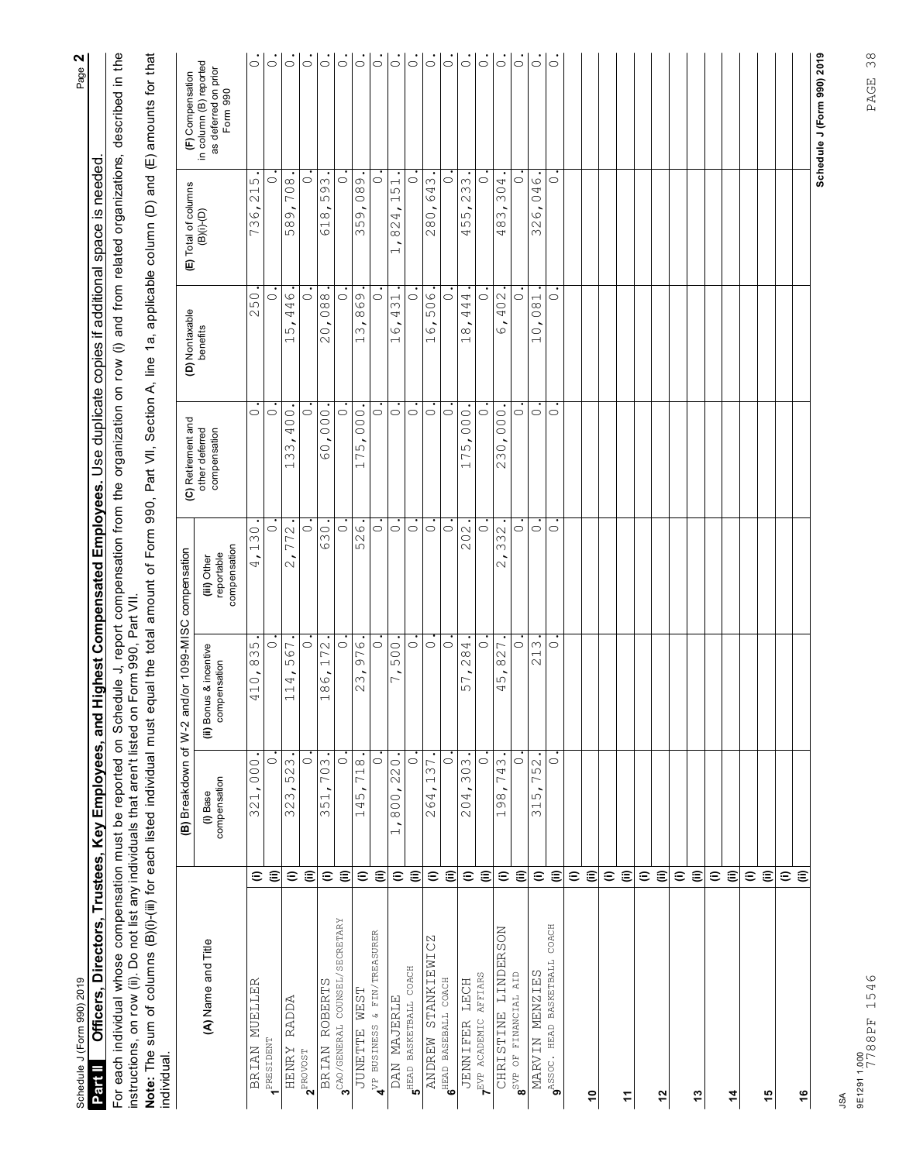| $\widehat{\equiv}$<br>≘∣<br>$\widehat{=}$<br>Ξ<br>€<br>$\frac{\text{BRIAN ROBERTS}}{\textit{s}^{\text{CAO/GENERAL COUNSEL/SECRETARY}}}$<br>(A) Name and Title<br>LER<br>RADDA<br>MUELI<br>$1$ NESIDENT<br>BRIAN<br>$\frac{\text{HENRY}}{\text{X}^{\text{PROVOST}}}$        | (B) Breakdown of W-2 and/or 1099-MISC compensation            |                                         |                                           |                                                                             | taxable                                                               |                                                                                                                                      |                                                                                |
|----------------------------------------------------------------------------------------------------------------------------------------------------------------------------------------------------------------------------------------------------------------------------|---------------------------------------------------------------|-----------------------------------------|-------------------------------------------|-----------------------------------------------------------------------------|-----------------------------------------------------------------------|--------------------------------------------------------------------------------------------------------------------------------------|--------------------------------------------------------------------------------|
|                                                                                                                                                                                                                                                                            | (i) Base<br>compensation                                      | (iii) Bonus & incentive<br>compensation | (iii) Other<br>reportable<br>compensation | (C) Retirement and<br>other deferred<br>compensation                        | (D) Nontaxal<br>benefits                                              | (E) Total of columns<br>(B)(i)-(D)                                                                                                   | (F) Compensation<br>in column (B) reported<br>as deferred on prior<br>Form 990 |
|                                                                                                                                                                                                                                                                            | $\frac{321,000}{0}$                                           | $\frac{410,835}{0}$                     | $\frac{4,130}{0}$ .                       | $\circ$ $\circ$                                                             | $\circ$ $\circ$<br>∣ഥ∩<br>$\sim$                                      | n 0<br>$\overline{21}$<br>$ \frac{36}{ } $<br>lr-                                                                                    | $\circ$ $\circ$                                                                |
|                                                                                                                                                                                                                                                                            | 323,523.                                                      | $\bullet$<br>114,567                    | 2,772.                                    | 400.<br>$\frac{133}{1}$                                                     | $\circ$<br>4<br>4<br>$\overline{5}$                                   | $\frac{8}{2}$<br>$\overline{\phantom{0}}$<br>$\circ$<br>$\infty$<br>$\sqrt{2}$                                                       | $\circ$                                                                        |
|                                                                                                                                                                                                                                                                            | $ \cdot $                                                     | $\overline{\circ}$                      | $\circ$                                   | $\circ$                                                                     | $\circ$                                                               | $\circ$                                                                                                                              | $ \dot{\circ} $                                                                |
| ε                                                                                                                                                                                                                                                                          | 351,703.<br>$\circ$                                           | 186,172.<br>$\circ$                     | 630.<br>$\circ$                           | 60,000.<br>$\circ$                                                          | $\frac{8}{8}$<br>$\circ$<br>$\circ$<br>$\dot{\circ}$                  | $\dot{\mathcal{S}}$<br>$\circ$<br>ഥ)<br>$\overline{\phantom{a}}$<br>$\infty$<br>$\overline{\phantom{0}}$<br>$\circ$                  | $ \dot{\circ} $                                                                |
| $\widehat{\equiv}$<br>$\begin{array}{lll} {\rm J} {\rm U}{\rm N} {\rm E}{\rm T}{\rm T}{\rm E} & {\rm W}{\rm E}{\rm S}{\rm T} & \\ {\rm W} & {\rm B}{\rm U}{\rm S} {\rm T}{\rm N} & {\rm J} {\rm T} {\rm R} {\rm E}{\rm A}{\rm S} {\rm U}{\rm R}{\rm E}{\rm R} \end{array}$ | 718.<br>145,                                                  | 976.<br>23,                             | 526.                                      | 175,000.                                                                    | $\frac{6}{9}$<br>$ \infty $<br>$\frac{1}{2}$                          | 089.<br>ത<br>∣ഗ<br>$\infty$                                                                                                          | $ \dot{\circ} $                                                                |
| $\widehat{\equiv}$                                                                                                                                                                                                                                                         | $\overline{\circ}$                                            | $\circ$                                 | $\circ$                                   | $\circ$                                                                     | $\circ$                                                               | $\dot{\circ}$                                                                                                                        | $\dot{\circ}$                                                                  |
| $\mathrel{\widehat{=}}$<br>COACH<br>DAN MAJERLE<br>5 <sup>HEAD BASKETBALL (</sup>                                                                                                                                                                                          | 1,800,220.<br>$\circ$                                         | $\frac{1}{7,500}$ .<br>$\circ$          | $\circ$<br>$\circ$                        | $\circ$<br>$\circ$                                                          | 431<br>$\circ$<br>$\dot{\circ}$                                       | $\frac{1}{51}$ .<br>$\circ$<br>$\overline{\phantom{0}}$<br>$\overline{\phantom{a}}$<br>824<br>$\ddot{\phantom{1}}$<br>$\overline{a}$ | $ \dot{\circ} $                                                                |
| $\widehat{\equiv}$<br>ANDREW STANKIEWICZ                                                                                                                                                                                                                                   | 264,137.                                                      | $\circ$                                 | $\circ$                                   | $\circ$                                                                     | 506<br>$\dot{\circ}$                                                  | $\dot{\infty}$<br>64<br>$\overline{80}$<br>$\mathcal{Q}$                                                                             |                                                                                |
| ∣∋ ⊜∣<br>BASEBALL COACH<br>BASEBALL COACH                                                                                                                                                                                                                                  | $\circ$                                                       | $\circ$                                 | $\mid \! \circ \!$                        | $\mid \! \circ \! \mid$                                                     | $\circ$                                                               | $\circ$                                                                                                                              |                                                                                |
| $\epsilon$ and<br>JENNIFER LECH<br>F <sup>VP</sup> ACADEMIC AFFIARS                                                                                                                                                                                                        | 303.<br>$\circ$<br>204,                                       | 284<br>$\circ$<br>57,                   | ○<br>202                                  | 75,000.<br> ○<br>$\overline{\phantom{0}}$                                   | 444<br>$\circ$<br>$\sim$                                              | $\frac{3}{3}$<br>$\circ$<br>$\sim$<br>$\overline{\phantom{a}}$<br>$\sqrt{2}$<br>lu)<br>$\overline{4}$                                |                                                                                |
| $\widehat{=}$<br>LINDERSON<br><b>CHRISTINE</b>                                                                                                                                                                                                                             | $\frac{1}{743}$<br>$\frac{1}{98}$<br>$\overline{\phantom{0}}$ | 827<br>$\frac{1}{5}$<br>$\overline{4}$  | $\frac{2}{3}$<br>$\frac{1}{\infty}$       | $\frac{1}{\sqrt{2}}$<br>$\overline{\frac{30}{}}$<br>$\overline{\mathsf{N}}$ | $\overline{\mathsf{N}}$<br>$\circ$<br>$\overline{4}$<br>$\frac{1}{6}$ | $\sqrt{304}$<br> ო<br>$\infty$<br>$\overline{4}$                                                                                     |                                                                                |
| ≘∣                                                                                                                                                                                                                                                                         | 752.<br>$\circ$<br>$\frac{15}{315}$                           | $\circ$<br>$\overline{z}$               | $\circ$                                   | 000                                                                         | $\circ$<br>$\infty$<br>$\circ$<br>$  \dot{\circ}$                     | $\circ$<br>$\overline{4}$<br> ○<br>$\ddot{\circ}$<br>$\sim$<br>lm.                                                                   |                                                                                |
| ≘∣<br>$\mathrel{\widehat{=}}$<br>MARVIN MENZIES<br>ASSOC. HEAD BASKETBALL COACH                                                                                                                                                                                            | $\circ$                                                       | $ m $ O                                 | $  \circ   \circ$                         |                                                                             | $\circ$<br>⊣∣                                                         | $ \cdot $                                                                                                                            |                                                                                |
| $\widehat{\equiv}$<br>$\mathrel{\widehat{=}}$                                                                                                                                                                                                                              |                                                               |                                         |                                           |                                                                             |                                                                       |                                                                                                                                      |                                                                                |
| $\widehat{\cdot}$                                                                                                                                                                                                                                                          |                                                               |                                         |                                           |                                                                             |                                                                       |                                                                                                                                      |                                                                                |
| $\widehat{\equiv}$                                                                                                                                                                                                                                                         |                                                               |                                         |                                           |                                                                             |                                                                       |                                                                                                                                      |                                                                                |
| $\widehat{\equiv}$<br>Ξ                                                                                                                                                                                                                                                    |                                                               |                                         |                                           |                                                                             |                                                                       |                                                                                                                                      |                                                                                |
| $\widehat{=}$                                                                                                                                                                                                                                                              |                                                               |                                         |                                           |                                                                             |                                                                       |                                                                                                                                      |                                                                                |
| ≘∣                                                                                                                                                                                                                                                                         |                                                               |                                         |                                           |                                                                             |                                                                       |                                                                                                                                      |                                                                                |
|                                                                                                                                                                                                                                                                            |                                                               |                                         |                                           |                                                                             |                                                                       |                                                                                                                                      |                                                                                |
|                                                                                                                                                                                                                                                                            |                                                               |                                         |                                           |                                                                             |                                                                       |                                                                                                                                      |                                                                                |
|                                                                                                                                                                                                                                                                            |                                                               |                                         |                                           |                                                                             |                                                                       |                                                                                                                                      |                                                                                |
| $ \boldsymbol{\varepsilon} $ e e $ \boldsymbol{\varepsilon} $                                                                                                                                                                                                              |                                                               |                                         |                                           |                                                                             |                                                                       |                                                                                                                                      |                                                                                |

Page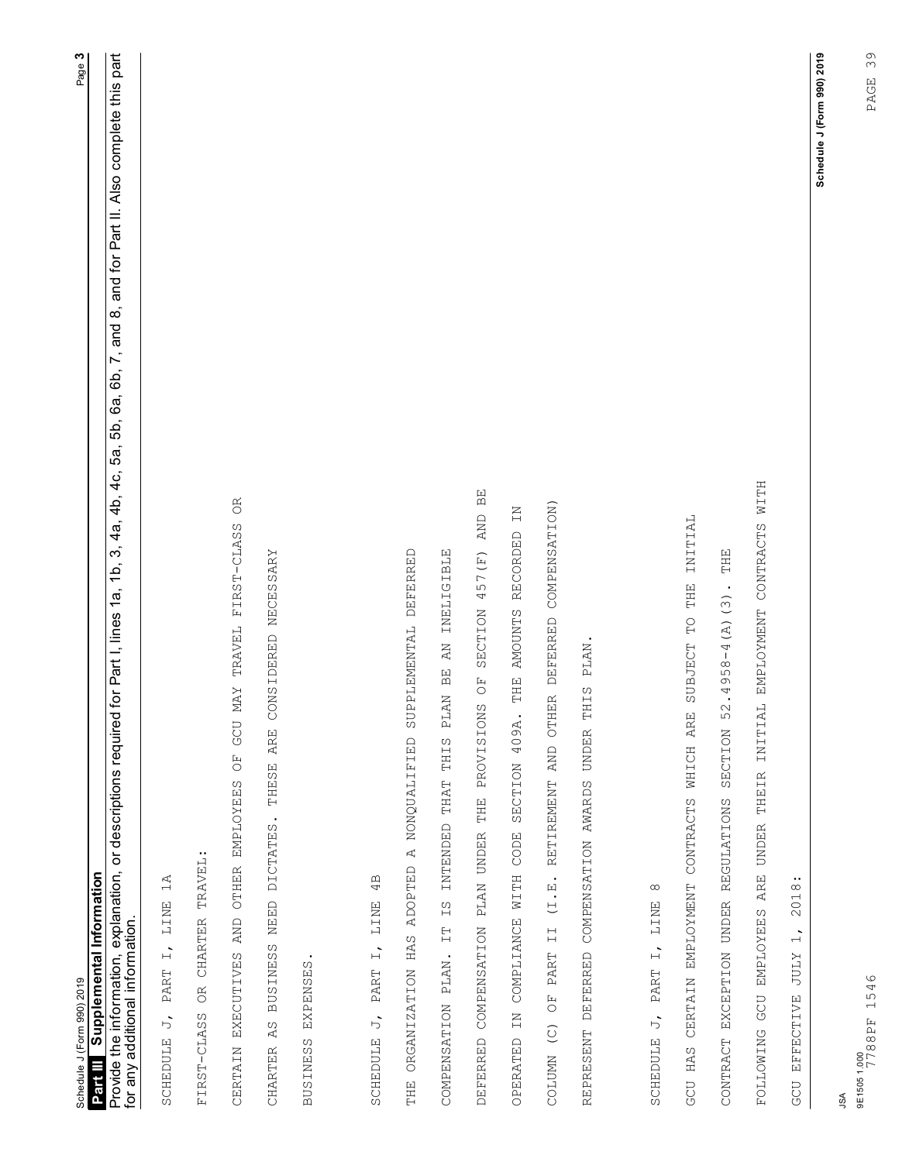| schedule J (Form 990) 2019<br><mark>Part III Supplemental Information</mark><br>for any additional information, explanation, or descriptions required for Part I, lines 1a, 1b, 3, 4a, 4b, 4c, 5a, 5b, 6a, 6b, 7,<br>for any additional informatio<br><b>NITH</b><br>AND BE<br>$\mathfrak S$<br>DEFERRED COMPENSATION)<br>$\Xi$<br>INITIAL<br>FOLLOWING GUU EMPLOYEES ARE UNDER THEIR INITIAL EMPLOYMENT CONTRACTS<br>TRAVEL FIRST-CLASS<br>RECORDED<br>CONSIDERED NECESSARY<br><b>DEFERRED</b><br>INELIGIBLE<br>457 (F)<br>THE<br>SUBJECT TO THE<br>CONTRACT EXCEPTION UNDER REGULATIONS SECTION 52.4958-4(A)(3).<br>SECTION<br><b>AMOUNTS</b><br>SUPPLEMENTAL<br>REPRESENT DEFERRED COMPENSATION AWARDS UNDER THIS PLAN.<br>$\mathbb A\mathbb N$<br>$\mathbb{E}$<br>$\overline{C}$<br>THE<br>KAN OYEES OF GOU MAY<br>(I.E. RETIREMENT AND OTHER<br><b>PLAN</b><br>PROVISIONS<br>GCU HAS CERTAIN EMPLOYMENT CONTRACTS WHICH ARE<br>409A.<br>THESE ARE<br>A NONQUALIFIED<br>THIS<br>SECTION<br>THAT<br>THE<br>DICTATES.<br>INTENDED<br>PLAN UNDER<br>CODE<br>OR CHARTER TRAVEL:<br><b>OTHER</b><br>ADOPTED<br>COMPLIANCE WITH<br>1A<br>4B<br>JULY 1, 2018:<br>$\infty$<br>NEED<br>ΓS<br>LINE<br>LINE<br>LINE<br>CERTAIN EXECUTIVES AND<br>COMPENSATION<br>$\mathbb{H}$<br>$\overline{L}$<br>HAS<br><b>USINESS</b><br>PART I,<br>PART I,<br>$\vec{H}$<br>PART<br>PLAN.<br>ENSES.<br><b>ORGANIZATION</b><br>PART<br>$\overline{C}$<br>GCU EFFECTIVE<br>AS B<br><b>EXP</b><br>COMPENSATION<br>$\Xi$<br>FIRST-CLASS<br>$\vec{D}$<br>$\overline{D}$<br>SCHEDULE J,<br>COLUMN (C)<br>OPERATED<br>SCHEDULE<br><b>DEFERRED</b><br>SCHEDULE<br><b>BUSINESS</b><br>CHARTER<br>THE<br>ASL | Page $3$                                        |
|--------------------------------------------------------------------------------------------------------------------------------------------------------------------------------------------------------------------------------------------------------------------------------------------------------------------------------------------------------------------------------------------------------------------------------------------------------------------------------------------------------------------------------------------------------------------------------------------------------------------------------------------------------------------------------------------------------------------------------------------------------------------------------------------------------------------------------------------------------------------------------------------------------------------------------------------------------------------------------------------------------------------------------------------------------------------------------------------------------------------------------------------------------------------------------------------------------------------------------------------------------------------------------------------------------------------------------------------------------------------------------------------------------------------------------------------------------------------------------------------------------------------------------------------------------------------------------------------------------------------------------------------------------------------------------|-------------------------------------------------|
|                                                                                                                                                                                                                                                                                                                                                                                                                                                                                                                                                                                                                                                                                                                                                                                                                                                                                                                                                                                                                                                                                                                                                                                                                                                                                                                                                                                                                                                                                                                                                                                                                                                                                | and 8, and for Part II. Also complete this part |
|                                                                                                                                                                                                                                                                                                                                                                                                                                                                                                                                                                                                                                                                                                                                                                                                                                                                                                                                                                                                                                                                                                                                                                                                                                                                                                                                                                                                                                                                                                                                                                                                                                                                                |                                                 |
|                                                                                                                                                                                                                                                                                                                                                                                                                                                                                                                                                                                                                                                                                                                                                                                                                                                                                                                                                                                                                                                                                                                                                                                                                                                                                                                                                                                                                                                                                                                                                                                                                                                                                |                                                 |
|                                                                                                                                                                                                                                                                                                                                                                                                                                                                                                                                                                                                                                                                                                                                                                                                                                                                                                                                                                                                                                                                                                                                                                                                                                                                                                                                                                                                                                                                                                                                                                                                                                                                                |                                                 |
|                                                                                                                                                                                                                                                                                                                                                                                                                                                                                                                                                                                                                                                                                                                                                                                                                                                                                                                                                                                                                                                                                                                                                                                                                                                                                                                                                                                                                                                                                                                                                                                                                                                                                |                                                 |
|                                                                                                                                                                                                                                                                                                                                                                                                                                                                                                                                                                                                                                                                                                                                                                                                                                                                                                                                                                                                                                                                                                                                                                                                                                                                                                                                                                                                                                                                                                                                                                                                                                                                                |                                                 |
|                                                                                                                                                                                                                                                                                                                                                                                                                                                                                                                                                                                                                                                                                                                                                                                                                                                                                                                                                                                                                                                                                                                                                                                                                                                                                                                                                                                                                                                                                                                                                                                                                                                                                |                                                 |
|                                                                                                                                                                                                                                                                                                                                                                                                                                                                                                                                                                                                                                                                                                                                                                                                                                                                                                                                                                                                                                                                                                                                                                                                                                                                                                                                                                                                                                                                                                                                                                                                                                                                                |                                                 |
|                                                                                                                                                                                                                                                                                                                                                                                                                                                                                                                                                                                                                                                                                                                                                                                                                                                                                                                                                                                                                                                                                                                                                                                                                                                                                                                                                                                                                                                                                                                                                                                                                                                                                |                                                 |
|                                                                                                                                                                                                                                                                                                                                                                                                                                                                                                                                                                                                                                                                                                                                                                                                                                                                                                                                                                                                                                                                                                                                                                                                                                                                                                                                                                                                                                                                                                                                                                                                                                                                                |                                                 |
|                                                                                                                                                                                                                                                                                                                                                                                                                                                                                                                                                                                                                                                                                                                                                                                                                                                                                                                                                                                                                                                                                                                                                                                                                                                                                                                                                                                                                                                                                                                                                                                                                                                                                |                                                 |
|                                                                                                                                                                                                                                                                                                                                                                                                                                                                                                                                                                                                                                                                                                                                                                                                                                                                                                                                                                                                                                                                                                                                                                                                                                                                                                                                                                                                                                                                                                                                                                                                                                                                                |                                                 |
|                                                                                                                                                                                                                                                                                                                                                                                                                                                                                                                                                                                                                                                                                                                                                                                                                                                                                                                                                                                                                                                                                                                                                                                                                                                                                                                                                                                                                                                                                                                                                                                                                                                                                |                                                 |
|                                                                                                                                                                                                                                                                                                                                                                                                                                                                                                                                                                                                                                                                                                                                                                                                                                                                                                                                                                                                                                                                                                                                                                                                                                                                                                                                                                                                                                                                                                                                                                                                                                                                                |                                                 |
|                                                                                                                                                                                                                                                                                                                                                                                                                                                                                                                                                                                                                                                                                                                                                                                                                                                                                                                                                                                                                                                                                                                                                                                                                                                                                                                                                                                                                                                                                                                                                                                                                                                                                |                                                 |
|                                                                                                                                                                                                                                                                                                                                                                                                                                                                                                                                                                                                                                                                                                                                                                                                                                                                                                                                                                                                                                                                                                                                                                                                                                                                                                                                                                                                                                                                                                                                                                                                                                                                                |                                                 |
|                                                                                                                                                                                                                                                                                                                                                                                                                                                                                                                                                                                                                                                                                                                                                                                                                                                                                                                                                                                                                                                                                                                                                                                                                                                                                                                                                                                                                                                                                                                                                                                                                                                                                |                                                 |
|                                                                                                                                                                                                                                                                                                                                                                                                                                                                                                                                                                                                                                                                                                                                                                                                                                                                                                                                                                                                                                                                                                                                                                                                                                                                                                                                                                                                                                                                                                                                                                                                                                                                                |                                                 |
|                                                                                                                                                                                                                                                                                                                                                                                                                                                                                                                                                                                                                                                                                                                                                                                                                                                                                                                                                                                                                                                                                                                                                                                                                                                                                                                                                                                                                                                                                                                                                                                                                                                                                | Schedule J (Form 990) 2019                      |
| PAGE<br>9E15051.000<br>7788PF 1546                                                                                                                                                                                                                                                                                                                                                                                                                                                                                                                                                                                                                                                                                                                                                                                                                                                                                                                                                                                                                                                                                                                                                                                                                                                                                                                                                                                                                                                                                                                                                                                                                                             | $\frac{1}{3}$                                   |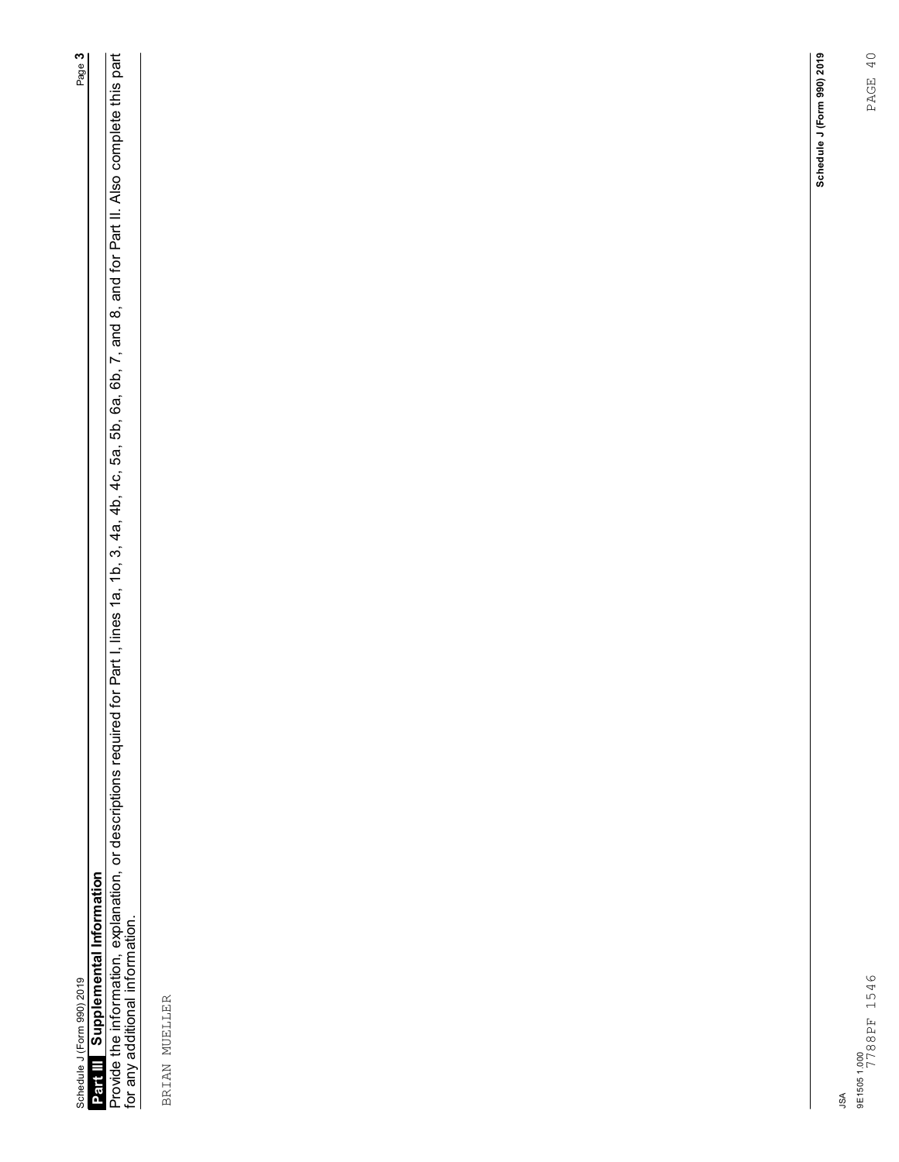| schedule J (Form 990) 2019<br>Provide the information, explanation, or descriptions required for Part I, lines 1a, 1b, 3, 4a, 4b, 4c, 5a, 5b, 6a, 6b, 7, and 8, and for Part II. Also complete this part<br>for any additional infor |                            |
|--------------------------------------------------------------------------------------------------------------------------------------------------------------------------------------------------------------------------------------|----------------------------|
| BRIAN MUELLER                                                                                                                                                                                                                        |                            |
|                                                                                                                                                                                                                                      | Schedule J (Form 990) 2019 |
| 9E15051.000<br>7788PF 1546                                                                                                                                                                                                           | PAGE 40                    |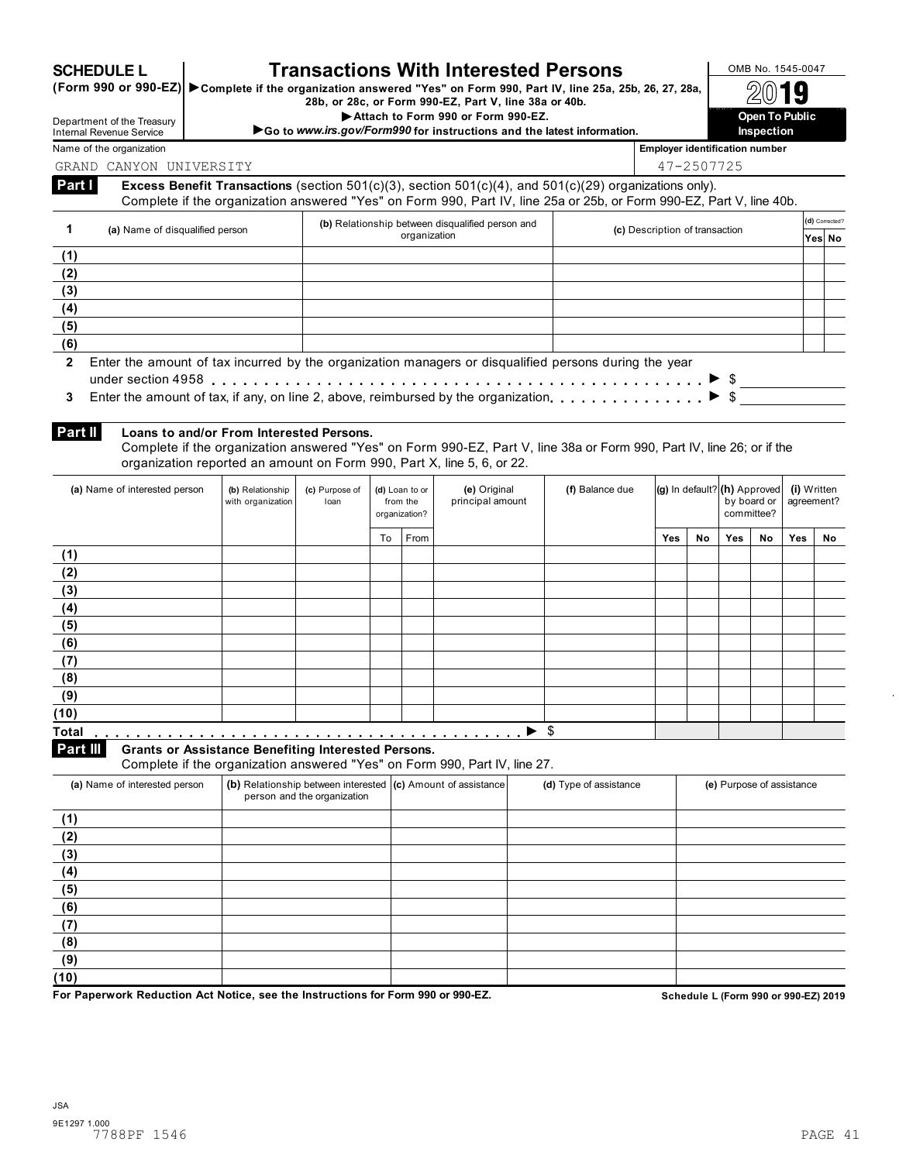| Department of the Treasury<br>Internal Revenue Service |                                                                                                                                          |                                       |                                                              |                            | 28b, or 28c, or Form 990-EZ, Part V, line 38a or 40b.<br>Attach to Form 990 or Form 990-EZ. | Go to www.irs.gov/Form990 for instructions and the latest information.                                                |                                       |     | <b>Open To Public</b><br>Inspection | 19                        |                          |
|--------------------------------------------------------|------------------------------------------------------------------------------------------------------------------------------------------|---------------------------------------|--------------------------------------------------------------|----------------------------|---------------------------------------------------------------------------------------------|-----------------------------------------------------------------------------------------------------------------------|---------------------------------------|-----|-------------------------------------|---------------------------|--------------------------|
| Name of the organization                               |                                                                                                                                          |                                       |                                                              |                            |                                                                                             |                                                                                                                       | <b>Employer identification number</b> |     |                                     |                           |                          |
| Part I                                                 | GRAND CANYON UNIVERSITY                                                                                                                  |                                       |                                                              |                            |                                                                                             | Excess Benefit Transactions (section $501(c)(3)$ , section $501(c)(4)$ , and $501(c)(29)$ organizations only).        | 47-2507725                            |     |                                     |                           |                          |
|                                                        |                                                                                                                                          |                                       |                                                              |                            |                                                                                             | Complete if the organization answered "Yes" on Form 990, Part IV, line 25a or 25b, or Form 990-EZ, Part V, line 40b.  |                                       |     |                                     |                           |                          |
| -1                                                     | (a) Name of disqualified person                                                                                                          |                                       |                                                              | organization               | (b) Relationship between disqualified person and                                            |                                                                                                                       | (c) Description of transaction        |     |                                     |                           | (d) Corrected?<br>Yes No |
| (1)                                                    |                                                                                                                                          |                                       |                                                              |                            |                                                                                             |                                                                                                                       |                                       |     |                                     |                           |                          |
| (2)                                                    |                                                                                                                                          |                                       |                                                              |                            |                                                                                             |                                                                                                                       |                                       |     |                                     |                           |                          |
| (3)<br>(4)                                             |                                                                                                                                          |                                       |                                                              |                            |                                                                                             |                                                                                                                       |                                       |     |                                     |                           |                          |
| (5)                                                    |                                                                                                                                          |                                       |                                                              |                            |                                                                                             |                                                                                                                       |                                       |     |                                     |                           |                          |
| (6)                                                    |                                                                                                                                          |                                       |                                                              |                            |                                                                                             | 2 Enter the amount of tax incurred by the organization managers or disqualified persons during the year               |                                       |     |                                     |                           |                          |
|                                                        |                                                                                                                                          |                                       |                                                              |                            |                                                                                             |                                                                                                                       |                                       |     |                                     |                           |                          |
| 3                                                      |                                                                                                                                          |                                       |                                                              |                            |                                                                                             | Enter the amount of tax, if any, on line 2, above, reimbursed by the organization. $\blacktriangleright \$            |                                       |     |                                     |                           |                          |
| Part II                                                | Loans to and/or From Interested Persons.                                                                                                 |                                       |                                                              |                            |                                                                                             |                                                                                                                       |                                       |     |                                     |                           |                          |
|                                                        |                                                                                                                                          |                                       |                                                              |                            |                                                                                             | Complete if the organization answered "Yes" on Form 990-EZ, Part V, line 38a or Form 990, Part IV, line 26; or if the |                                       |     |                                     |                           |                          |
|                                                        | organization reported an amount on Form 990, Part X, line 5, 6, or 22.                                                                   |                                       |                                                              |                            |                                                                                             |                                                                                                                       |                                       |     |                                     |                           |                          |
|                                                        | (a) Name of interested person                                                                                                            | (b) Relationship<br>with organization | (c) Purpose of<br>loan                                       | (d) Loan to or<br>from the | (e) Original<br>principal amount                                                            | (f) Balance due                                                                                                       | $ $ (g) In default? (h) Approved      |     | by board or                         | (i) Written<br>agreement? |                          |
|                                                        |                                                                                                                                          |                                       |                                                              | organization?              |                                                                                             |                                                                                                                       |                                       |     | committee?                          |                           |                          |
|                                                        |                                                                                                                                          |                                       |                                                              | To From                    |                                                                                             |                                                                                                                       | Yes<br>No                             | Yes | No                                  | Yes                       | No                       |
| (1)<br>(2)                                             |                                                                                                                                          |                                       |                                                              |                            |                                                                                             |                                                                                                                       |                                       |     |                                     |                           |                          |
| (3)                                                    |                                                                                                                                          |                                       |                                                              |                            |                                                                                             |                                                                                                                       |                                       |     |                                     |                           |                          |
| (4)<br>(5)                                             |                                                                                                                                          |                                       |                                                              |                            |                                                                                             |                                                                                                                       |                                       |     |                                     |                           |                          |
| (6)                                                    |                                                                                                                                          |                                       |                                                              |                            |                                                                                             |                                                                                                                       |                                       |     |                                     |                           |                          |
| (7)                                                    |                                                                                                                                          |                                       |                                                              |                            |                                                                                             |                                                                                                                       |                                       |     |                                     |                           |                          |
| (8)<br>(9)                                             |                                                                                                                                          |                                       |                                                              |                            |                                                                                             |                                                                                                                       |                                       |     |                                     |                           |                          |
| (10)                                                   |                                                                                                                                          |                                       |                                                              |                            |                                                                                             |                                                                                                                       |                                       |     |                                     |                           |                          |
| Total                                                  |                                                                                                                                          |                                       |                                                              |                            |                                                                                             |                                                                                                                       |                                       |     |                                     |                           |                          |
| Part III                                               | <b>Grants or Assistance Benefiting Interested Persons.</b><br>Complete if the organization answered "Yes" on Form 990, Part IV, line 27. |                                       |                                                              |                            |                                                                                             |                                                                                                                       |                                       |     |                                     |                           |                          |
|                                                        | (a) Name of interested person                                                                                                            |                                       | (b) Relationship between interested (c) Amount of assistance |                            |                                                                                             | (d) Type of assistance                                                                                                |                                       |     | (e) Purpose of assistance           |                           |                          |
|                                                        |                                                                                                                                          |                                       | person and the organization                                  |                            |                                                                                             |                                                                                                                       |                                       |     |                                     |                           |                          |
|                                                        |                                                                                                                                          |                                       |                                                              |                            |                                                                                             |                                                                                                                       |                                       |     |                                     |                           |                          |
| (1)                                                    |                                                                                                                                          |                                       |                                                              |                            |                                                                                             |                                                                                                                       |                                       |     |                                     |                           |                          |
| (2)                                                    |                                                                                                                                          |                                       |                                                              |                            |                                                                                             |                                                                                                                       |                                       |     |                                     |                           |                          |
| (3)<br>(4)                                             |                                                                                                                                          |                                       |                                                              |                            |                                                                                             |                                                                                                                       |                                       |     |                                     |                           |                          |
| (5)                                                    |                                                                                                                                          |                                       |                                                              |                            |                                                                                             |                                                                                                                       |                                       |     |                                     |                           |                          |
| (6)<br>(7)                                             |                                                                                                                                          |                                       |                                                              |                            |                                                                                             |                                                                                                                       |                                       |     |                                     |                           |                          |
| (8)                                                    |                                                                                                                                          |                                       |                                                              |                            |                                                                                             |                                                                                                                       |                                       |     |                                     |                           |                          |
| (9)<br>(10)                                            |                                                                                                                                          |                                       |                                                              |                            |                                                                                             |                                                                                                                       |                                       |     |                                     |                           |                          |
|                                                        |                                                                                                                                          |                                       |                                                              |                            |                                                                                             |                                                                                                                       |                                       |     |                                     |                           |                          |
|                                                        |                                                                                                                                          |                                       |                                                              |                            |                                                                                             |                                                                                                                       |                                       |     |                                     |                           |                          |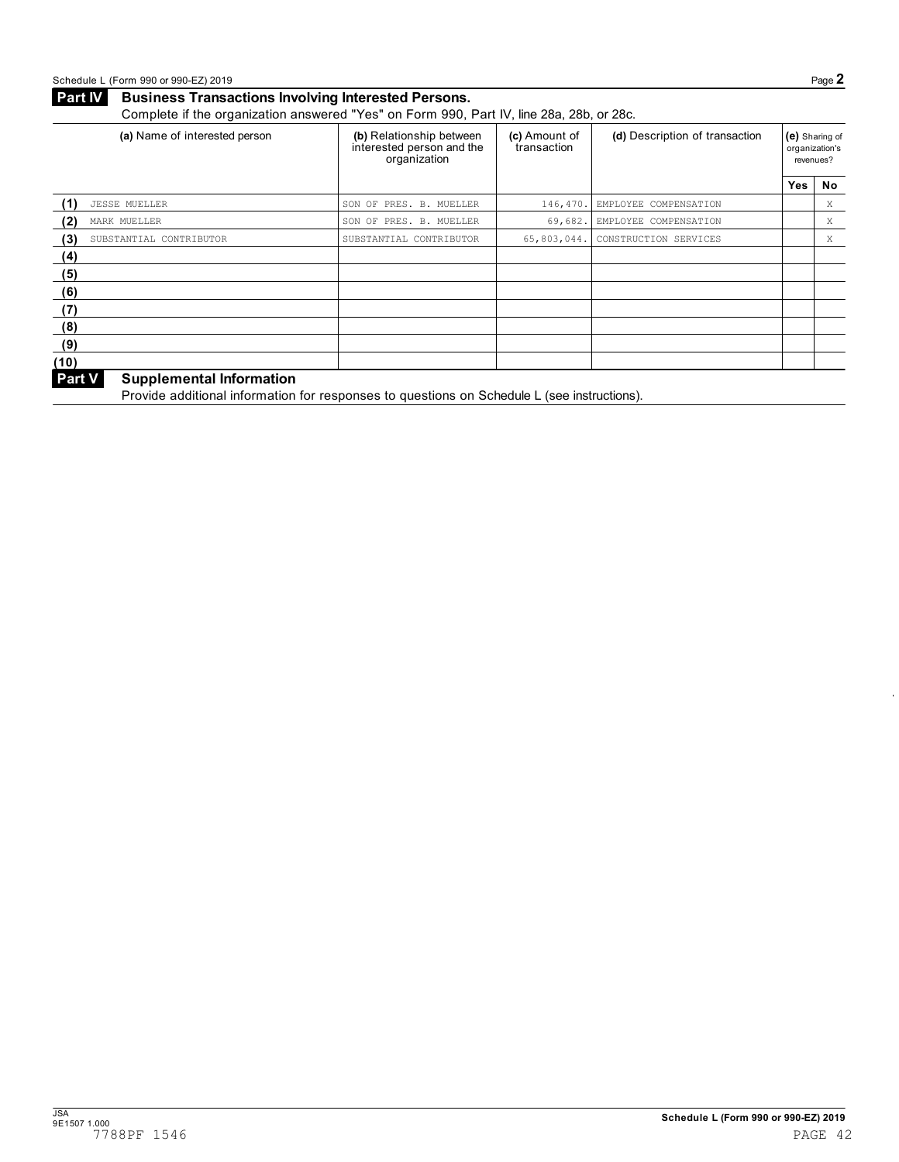| Schedule L (Form 990 or 990-EZ) 2019                             |                                                                                          |                              |                                                                    |                             | Page 2                     |
|------------------------------------------------------------------|------------------------------------------------------------------------------------------|------------------------------|--------------------------------------------------------------------|-----------------------------|----------------------------|
| Part IV Business Transactions Involving Interested Persons.      |                                                                                          |                              |                                                                    |                             |                            |
|                                                                  | Complete if the organization answered "Yes" on Form 990, Part IV, line 28a, 28b, or 28c. |                              |                                                                    |                             |                            |
| (a) Name of interested person                                    | (b) Relationship between<br>interested person and the                                    | (c) Amount of<br>transaction | (d) Description of transaction                                     | (e) Sharing of<br>revenues? | organization's             |
|                                                                  |                                                                                          |                              |                                                                    |                             |                            |
|                                                                  | organization                                                                             |                              |                                                                    |                             |                            |
|                                                                  |                                                                                          |                              |                                                                    | <b>Yes</b>                  | No                         |
|                                                                  | SON OF PRES. B. MUELLER                                                                  |                              | 146,470. EMPLOYEE COMPENSATION                                     |                             | $\mathbf X$                |
| (1) JESSE MUELLER<br>(2) MARK MUELLER<br>SUBSTANTIAL CONTRIBUTOR | SON OF PRES. B. MUELLER<br>SUBSTANTIAL CONTRIBUTOR                                       |                              | 69,682. EMPLOYEE COMPENSATION<br>65,803,044. CONSTRUCTION SERVICES |                             | $\mathbf X$<br>$\mathbf X$ |
|                                                                  |                                                                                          |                              |                                                                    |                             |                            |
|                                                                  |                                                                                          |                              |                                                                    |                             |                            |
|                                                                  |                                                                                          |                              |                                                                    |                             |                            |
|                                                                  |                                                                                          |                              |                                                                    |                             |                            |
| (3)<br>(4)<br>(5)<br>(6)<br>(7)<br>(8)                           |                                                                                          |                              |                                                                    |                             |                            |
|                                                                  |                                                                                          |                              |                                                                    |                             |                            |
| (9)<br>$(10)$<br>Part V                                          |                                                                                          |                              |                                                                    |                             |                            |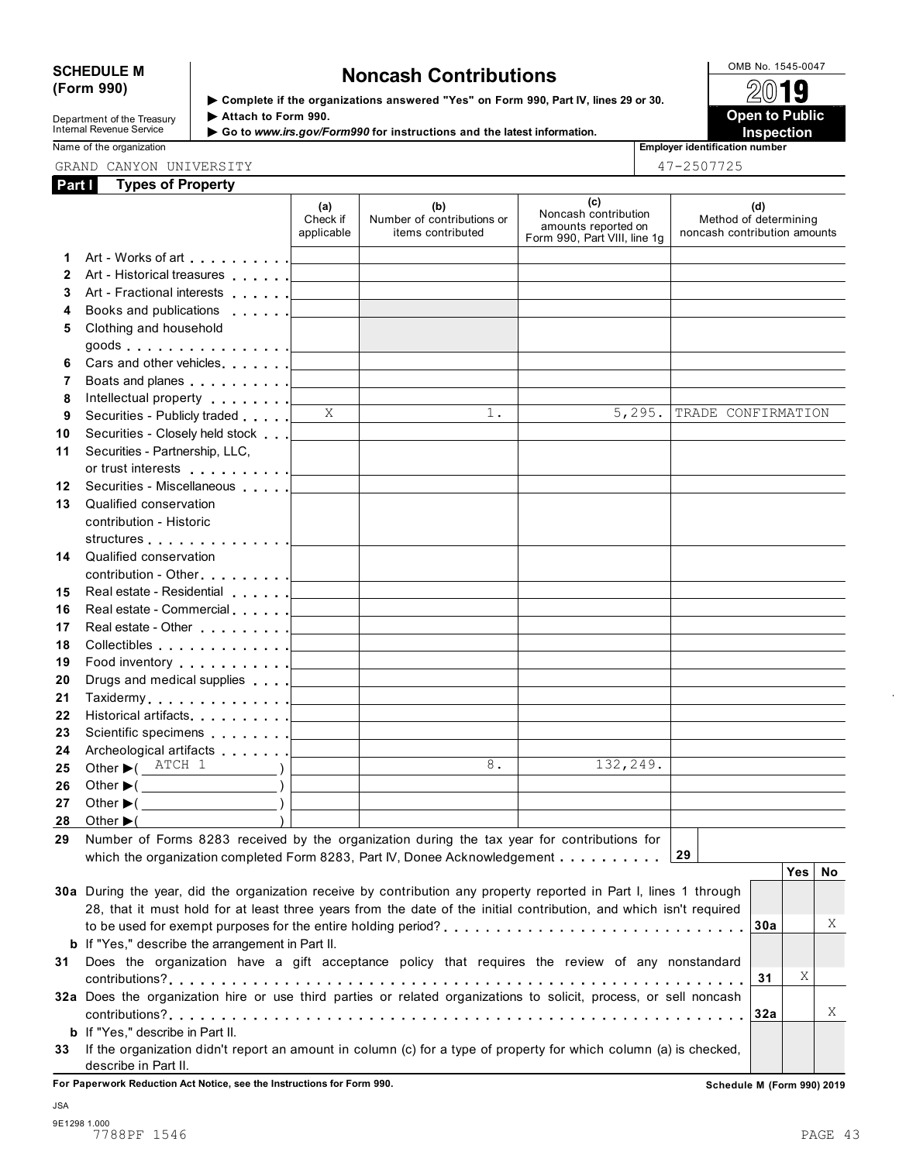| つにハワワつに |  |
|---------|--|

| <b>Internal Revenue Service</b><br>Go to www.irs.gov/Form990 for instructions and the latest information.<br>Inspection<br><b>Employer identification number</b><br>Name of the organization<br>47-2507725<br>GRAND CANYON UNIVERSITY<br><b>Types of Property</b><br>Part I<br>(c)<br>(d)<br>(a)<br>(b)<br>Noncash contribution<br>Check if<br>Number of contributions or<br>Method of determining<br>amounts reported on<br>noncash contribution amounts<br>items contributed<br>applicable<br>Form 990, Part VIII, line 1g<br>Art - Works of art<br>Art - Historical treasures<br>Art - Fractional interests<br>3<br>Books and publications<br>4<br>Clothing and household<br>5<br>goods $\ldots$ $\ldots$ $\ldots$ $\ldots$ $\ldots$ $\ldots$<br>6 Cars and other vehicles.<br>Boats and planes<br>7<br>Intellectual property $\ldots \ldots$ .<br>8<br>X<br>1.<br>5,295. TRADE CONFIRMATION<br>Securities - Publicly traded<br>9<br>Securities - Closely held stock<br>10<br>11 Securities - Partnership, LLC,<br>or trust interests<br>12 Securities - Miscellaneous<br>Qualified conservation<br>13<br>contribution - Historic<br>structures<br>14 Qualified conservation<br>Real estate - Residential<br>15<br>Real estate - Commercial<br>16<br>Real estate - Other<br>17<br>18<br>Collectibles<br>Food inventory<br>19<br>Drugs and medical supplies<br>20<br>Taxidermy<br>21<br>Historical artifacts.<br>22<br>Scientific specimens<br>23<br>Archeological artifacts<br>24<br>8.<br>132,249.<br>Other $\blacktriangleright$ ( $\triangle$ TCH 1<br>25<br>Other $\blacktriangleright$ ( $\_\_\_\_\_\_\_\_$ )<br>26<br>28<br>Other $\blacktriangleright$ (<br>Number of Forms 8283 received by the organization during the tax year for contributions for<br>29<br>which the organization completed Form 8283, Part IV, Donee Acknowledgement 29 |               |
|----------------------------------------------------------------------------------------------------------------------------------------------------------------------------------------------------------------------------------------------------------------------------------------------------------------------------------------------------------------------------------------------------------------------------------------------------------------------------------------------------------------------------------------------------------------------------------------------------------------------------------------------------------------------------------------------------------------------------------------------------------------------------------------------------------------------------------------------------------------------------------------------------------------------------------------------------------------------------------------------------------------------------------------------------------------------------------------------------------------------------------------------------------------------------------------------------------------------------------------------------------------------------------------------------------------------------------------------------------------------------------------------------------------------------------------------------------------------------------------------------------------------------------------------------------------------------------------------------------------------------------------------------------------------------------------------------------------------------------------------------------------------------------------------------------------------------------------------------------|---------------|
|                                                                                                                                                                                                                                                                                                                                                                                                                                                                                                                                                                                                                                                                                                                                                                                                                                                                                                                                                                                                                                                                                                                                                                                                                                                                                                                                                                                                                                                                                                                                                                                                                                                                                                                                                                                                                                                          |               |
|                                                                                                                                                                                                                                                                                                                                                                                                                                                                                                                                                                                                                                                                                                                                                                                                                                                                                                                                                                                                                                                                                                                                                                                                                                                                                                                                                                                                                                                                                                                                                                                                                                                                                                                                                                                                                                                          |               |
|                                                                                                                                                                                                                                                                                                                                                                                                                                                                                                                                                                                                                                                                                                                                                                                                                                                                                                                                                                                                                                                                                                                                                                                                                                                                                                                                                                                                                                                                                                                                                                                                                                                                                                                                                                                                                                                          |               |
|                                                                                                                                                                                                                                                                                                                                                                                                                                                                                                                                                                                                                                                                                                                                                                                                                                                                                                                                                                                                                                                                                                                                                                                                                                                                                                                                                                                                                                                                                                                                                                                                                                                                                                                                                                                                                                                          |               |
|                                                                                                                                                                                                                                                                                                                                                                                                                                                                                                                                                                                                                                                                                                                                                                                                                                                                                                                                                                                                                                                                                                                                                                                                                                                                                                                                                                                                                                                                                                                                                                                                                                                                                                                                                                                                                                                          |               |
|                                                                                                                                                                                                                                                                                                                                                                                                                                                                                                                                                                                                                                                                                                                                                                                                                                                                                                                                                                                                                                                                                                                                                                                                                                                                                                                                                                                                                                                                                                                                                                                                                                                                                                                                                                                                                                                          |               |
|                                                                                                                                                                                                                                                                                                                                                                                                                                                                                                                                                                                                                                                                                                                                                                                                                                                                                                                                                                                                                                                                                                                                                                                                                                                                                                                                                                                                                                                                                                                                                                                                                                                                                                                                                                                                                                                          |               |
|                                                                                                                                                                                                                                                                                                                                                                                                                                                                                                                                                                                                                                                                                                                                                                                                                                                                                                                                                                                                                                                                                                                                                                                                                                                                                                                                                                                                                                                                                                                                                                                                                                                                                                                                                                                                                                                          |               |
|                                                                                                                                                                                                                                                                                                                                                                                                                                                                                                                                                                                                                                                                                                                                                                                                                                                                                                                                                                                                                                                                                                                                                                                                                                                                                                                                                                                                                                                                                                                                                                                                                                                                                                                                                                                                                                                          |               |
|                                                                                                                                                                                                                                                                                                                                                                                                                                                                                                                                                                                                                                                                                                                                                                                                                                                                                                                                                                                                                                                                                                                                                                                                                                                                                                                                                                                                                                                                                                                                                                                                                                                                                                                                                                                                                                                          |               |
|                                                                                                                                                                                                                                                                                                                                                                                                                                                                                                                                                                                                                                                                                                                                                                                                                                                                                                                                                                                                                                                                                                                                                                                                                                                                                                                                                                                                                                                                                                                                                                                                                                                                                                                                                                                                                                                          |               |
|                                                                                                                                                                                                                                                                                                                                                                                                                                                                                                                                                                                                                                                                                                                                                                                                                                                                                                                                                                                                                                                                                                                                                                                                                                                                                                                                                                                                                                                                                                                                                                                                                                                                                                                                                                                                                                                          |               |
|                                                                                                                                                                                                                                                                                                                                                                                                                                                                                                                                                                                                                                                                                                                                                                                                                                                                                                                                                                                                                                                                                                                                                                                                                                                                                                                                                                                                                                                                                                                                                                                                                                                                                                                                                                                                                                                          |               |
|                                                                                                                                                                                                                                                                                                                                                                                                                                                                                                                                                                                                                                                                                                                                                                                                                                                                                                                                                                                                                                                                                                                                                                                                                                                                                                                                                                                                                                                                                                                                                                                                                                                                                                                                                                                                                                                          |               |
|                                                                                                                                                                                                                                                                                                                                                                                                                                                                                                                                                                                                                                                                                                                                                                                                                                                                                                                                                                                                                                                                                                                                                                                                                                                                                                                                                                                                                                                                                                                                                                                                                                                                                                                                                                                                                                                          |               |
|                                                                                                                                                                                                                                                                                                                                                                                                                                                                                                                                                                                                                                                                                                                                                                                                                                                                                                                                                                                                                                                                                                                                                                                                                                                                                                                                                                                                                                                                                                                                                                                                                                                                                                                                                                                                                                                          |               |
|                                                                                                                                                                                                                                                                                                                                                                                                                                                                                                                                                                                                                                                                                                                                                                                                                                                                                                                                                                                                                                                                                                                                                                                                                                                                                                                                                                                                                                                                                                                                                                                                                                                                                                                                                                                                                                                          |               |
|                                                                                                                                                                                                                                                                                                                                                                                                                                                                                                                                                                                                                                                                                                                                                                                                                                                                                                                                                                                                                                                                                                                                                                                                                                                                                                                                                                                                                                                                                                                                                                                                                                                                                                                                                                                                                                                          |               |
|                                                                                                                                                                                                                                                                                                                                                                                                                                                                                                                                                                                                                                                                                                                                                                                                                                                                                                                                                                                                                                                                                                                                                                                                                                                                                                                                                                                                                                                                                                                                                                                                                                                                                                                                                                                                                                                          |               |
|                                                                                                                                                                                                                                                                                                                                                                                                                                                                                                                                                                                                                                                                                                                                                                                                                                                                                                                                                                                                                                                                                                                                                                                                                                                                                                                                                                                                                                                                                                                                                                                                                                                                                                                                                                                                                                                          |               |
|                                                                                                                                                                                                                                                                                                                                                                                                                                                                                                                                                                                                                                                                                                                                                                                                                                                                                                                                                                                                                                                                                                                                                                                                                                                                                                                                                                                                                                                                                                                                                                                                                                                                                                                                                                                                                                                          |               |
|                                                                                                                                                                                                                                                                                                                                                                                                                                                                                                                                                                                                                                                                                                                                                                                                                                                                                                                                                                                                                                                                                                                                                                                                                                                                                                                                                                                                                                                                                                                                                                                                                                                                                                                                                                                                                                                          |               |
|                                                                                                                                                                                                                                                                                                                                                                                                                                                                                                                                                                                                                                                                                                                                                                                                                                                                                                                                                                                                                                                                                                                                                                                                                                                                                                                                                                                                                                                                                                                                                                                                                                                                                                                                                                                                                                                          |               |
|                                                                                                                                                                                                                                                                                                                                                                                                                                                                                                                                                                                                                                                                                                                                                                                                                                                                                                                                                                                                                                                                                                                                                                                                                                                                                                                                                                                                                                                                                                                                                                                                                                                                                                                                                                                                                                                          |               |
|                                                                                                                                                                                                                                                                                                                                                                                                                                                                                                                                                                                                                                                                                                                                                                                                                                                                                                                                                                                                                                                                                                                                                                                                                                                                                                                                                                                                                                                                                                                                                                                                                                                                                                                                                                                                                                                          |               |
|                                                                                                                                                                                                                                                                                                                                                                                                                                                                                                                                                                                                                                                                                                                                                                                                                                                                                                                                                                                                                                                                                                                                                                                                                                                                                                                                                                                                                                                                                                                                                                                                                                                                                                                                                                                                                                                          |               |
|                                                                                                                                                                                                                                                                                                                                                                                                                                                                                                                                                                                                                                                                                                                                                                                                                                                                                                                                                                                                                                                                                                                                                                                                                                                                                                                                                                                                                                                                                                                                                                                                                                                                                                                                                                                                                                                          |               |
|                                                                                                                                                                                                                                                                                                                                                                                                                                                                                                                                                                                                                                                                                                                                                                                                                                                                                                                                                                                                                                                                                                                                                                                                                                                                                                                                                                                                                                                                                                                                                                                                                                                                                                                                                                                                                                                          |               |
|                                                                                                                                                                                                                                                                                                                                                                                                                                                                                                                                                                                                                                                                                                                                                                                                                                                                                                                                                                                                                                                                                                                                                                                                                                                                                                                                                                                                                                                                                                                                                                                                                                                                                                                                                                                                                                                          |               |
| 30a During the year, did the organization receive by contribution any property reported in Part I, lines 1 through                                                                                                                                                                                                                                                                                                                                                                                                                                                                                                                                                                                                                                                                                                                                                                                                                                                                                                                                                                                                                                                                                                                                                                                                                                                                                                                                                                                                                                                                                                                                                                                                                                                                                                                                       | $Yes \mid No$ |
| 28, that it must hold for at least three years from the date of the initial contribution, and which isn't required                                                                                                                                                                                                                                                                                                                                                                                                                                                                                                                                                                                                                                                                                                                                                                                                                                                                                                                                                                                                                                                                                                                                                                                                                                                                                                                                                                                                                                                                                                                                                                                                                                                                                                                                       |               |
| <b>b</b> If "Yes," describe the arrangement in Part II.                                                                                                                                                                                                                                                                                                                                                                                                                                                                                                                                                                                                                                                                                                                                                                                                                                                                                                                                                                                                                                                                                                                                                                                                                                                                                                                                                                                                                                                                                                                                                                                                                                                                                                                                                                                                  | X             |
| 31 Does the organization have a gift acceptance policy that requires the review of any nonstandard                                                                                                                                                                                                                                                                                                                                                                                                                                                                                                                                                                                                                                                                                                                                                                                                                                                                                                                                                                                                                                                                                                                                                                                                                                                                                                                                                                                                                                                                                                                                                                                                                                                                                                                                                       |               |
| 31                                                                                                                                                                                                                                                                                                                                                                                                                                                                                                                                                                                                                                                                                                                                                                                                                                                                                                                                                                                                                                                                                                                                                                                                                                                                                                                                                                                                                                                                                                                                                                                                                                                                                                                                                                                                                                                       | X             |
| 32a Does the organization hire or use third parties or related organizations to solicit, process, or sell noncash<br>32a                                                                                                                                                                                                                                                                                                                                                                                                                                                                                                                                                                                                                                                                                                                                                                                                                                                                                                                                                                                                                                                                                                                                                                                                                                                                                                                                                                                                                                                                                                                                                                                                                                                                                                                                 | X             |
| <b>b</b> If "Yes," describe in Part II.                                                                                                                                                                                                                                                                                                                                                                                                                                                                                                                                                                                                                                                                                                                                                                                                                                                                                                                                                                                                                                                                                                                                                                                                                                                                                                                                                                                                                                                                                                                                                                                                                                                                                                                                                                                                                  |               |
| 33 If the organization didn't report an amount in column (c) for a type of property for which column (a) is checked,                                                                                                                                                                                                                                                                                                                                                                                                                                                                                                                                                                                                                                                                                                                                                                                                                                                                                                                                                                                                                                                                                                                                                                                                                                                                                                                                                                                                                                                                                                                                                                                                                                                                                                                                     |               |
| describe in Part II.<br>For Paperwork Reduction Act Notice, see the Instructions for Form 990.<br>Schedule M (Form 990) 2019                                                                                                                                                                                                                                                                                                                                                                                                                                                                                                                                                                                                                                                                                                                                                                                                                                                                                                                                                                                                                                                                                                                                                                                                                                                                                                                                                                                                                                                                                                                                                                                                                                                                                                                             |               |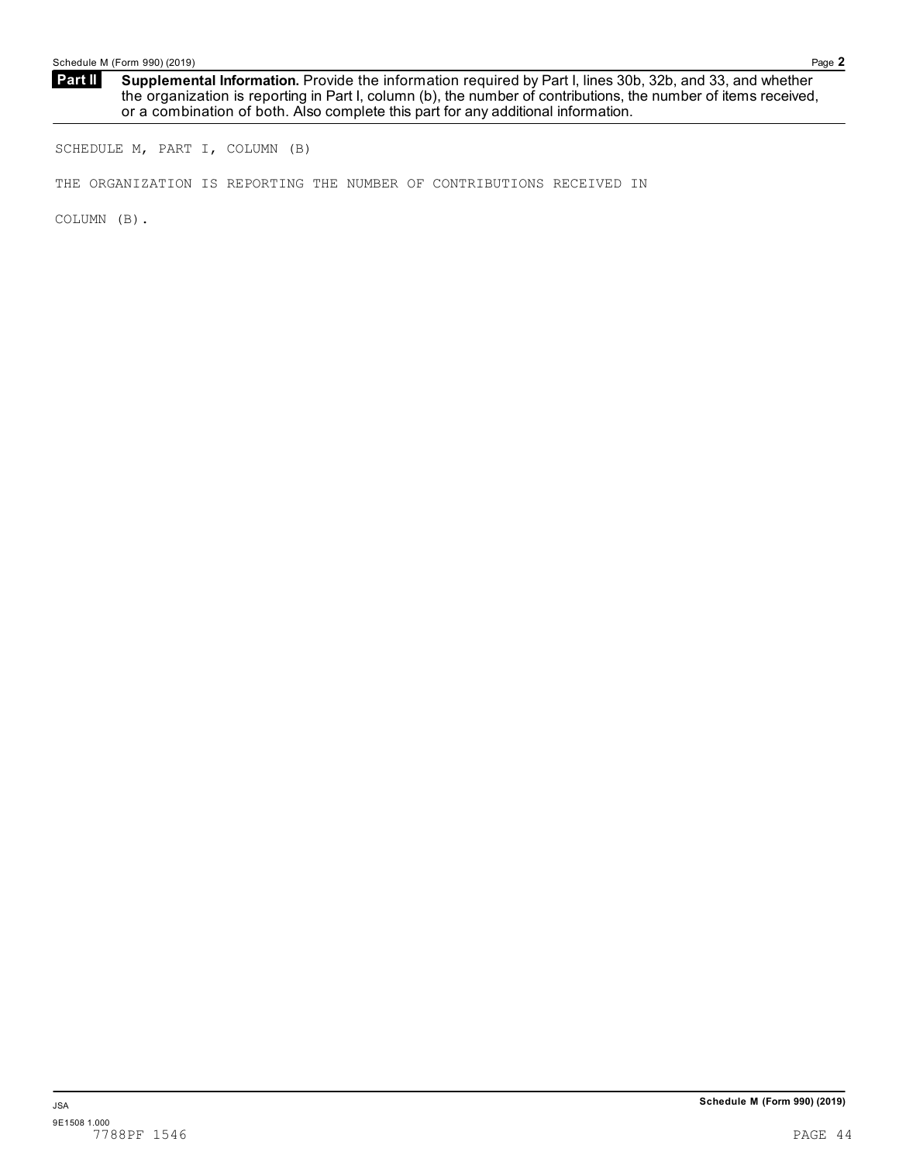Schedule M (Form 990) (2019)<br> **Exail Supplemental Information.** Provide the information required by Part I, lines 30b, 32b, and 33, and whether<br>
the organization is reporting in Part I, column (b), the number of contributi orm 990) (2019)<br> **Supplemental Information.** Provide the information required by Part I, lines 30b, 32b, and 33, and whether<br>
the organization is reporting in Part I, column (b), the number of contributions, the number of orm 990)(2019)<br> **Supplemental Information.** Provide the information required by Part I, lines 30b, 32b, and 33, and whether<br>
the organization is reporting in Part I, column (b), the number of contributions, the number of i orm 990) (2019)<br> **Supplemental Information.** Provide the information required by Part I, lines 30b, 32b, and 33, and whether<br>
the organization is reporting in Part I, column (b), the number of contributions, the number of Schedule M (Form 990) (2019)<br> **Part II** Supplemental Information. Provide the information required by Part<br>
the organization is reporting in Part I, column (b), the number of contr<br>
or a combination of both. Also complete

SCHEDULE M, PART I, COLUMN (B)

THE ORGANIZATION IS REPORTING THE NUMBER OF CONTRIBUTIONS RECEIVED IN

COLUMN (B).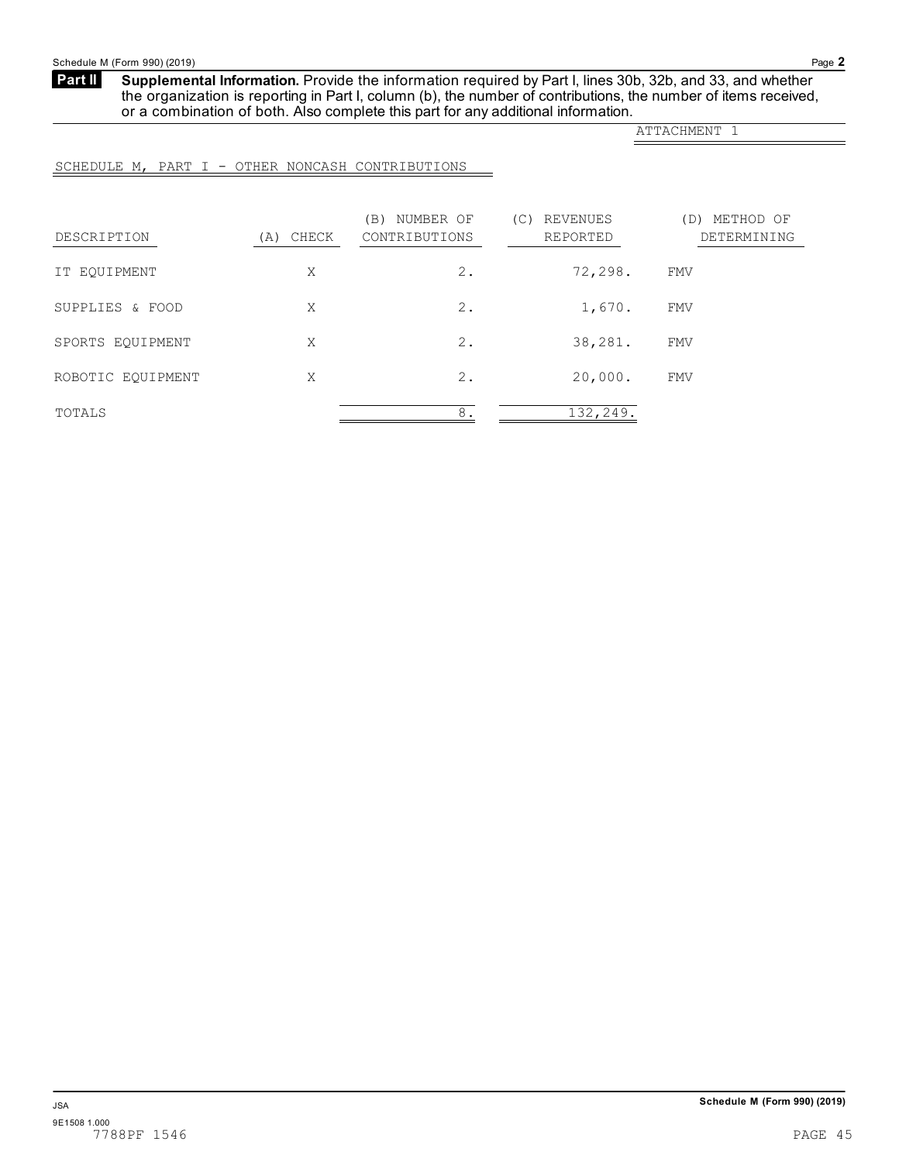Schedule M (Form 990) (2019)<br> **Supplemental Information.** Provide the information required by Part I, lines 30b, 32b, and 33, and whether<br>
the organization is reporting in Part I, column (b), the number of contributions, t

Supplemental Information. Provide the information required by Part I, lines 30b, 32b, and 33, and whether<br>the organization is reporting in Part I, column (b), the number of contributions, the number of items received,<br>or a orm 990) (2019)<br> **Supplemental Information.** Provide the information required by Part I, lines 30b, 32b, and 33, and whether<br>
the organization is reporting in Part I, column (b), the number of contributions, the number of orm 990) (2019)<br> **Supplemental Information.** Provide the information required by Part I, lines 30b, 32b, and 33, and whether<br>
the organization is reporting in Part I, column (b), the number of contributions, the number of Schedule M (Form 990) (2019)<br> **Part II** Supplemental Information. Provide the information required by Part<br>
the organization is reporting in Part I, column (b), the number of contr<br>
or a combination of both. Also complete ATTACHMENT 1 SCHEDULE M, PART I - OTHER NONCASH CONTRIBUTIONS Magne 2<br>
(B) NUMBER OF (C) REVENUES (D) NETHOD OF (B) NUMBER OF (C) REVENUES<br>
(B) NUMBER OF (C) REVENUES<br>
2. 72,298. FMV<br>
2. 38,281. FMV DESCRIPTION (A) CHECK CONTRIBUTIONS REPORTED DETERMINING EXTELLE Supplemental Information. Provide the information required by Part I, lines 30b, 32b, and 33, and whether<br>
the organization is reporting in Part I, column (b), the number of contributions, the number of items recei Schoola M (Form 980) (2019)<br> **EXTILE Supplemental Information.** Provide the information required by Part I, lines 30b, 32b, and 33, and whether<br>
the organization is reporting in Part I, column (b), the number of contribut Schedule M (Form 990) (2019)<br> **EXELU Supplementation Frovide the information required by Part I, lines 30b, 32b, and 3, and whether<br>
the organization is reporting in Part I, column (b), the number of contributions, the num EXTERN SCHEMER SUPPLEMENT CONTROLL AND AN ARTICULAR SUPPLEMENT CONTROLL AND ARROW CONTROLL AND SUPPLEMENT CONTROLL AND SUPPLEMENT CONTROLL AND ARROW CONTROLL AND ARROW CONTROLL AND ARROW CONTROLL AND ARROW CONTROLL AND A EXIMIDE Supplemental Information.** Provide the information required by Part I lines 30b, 32b, and 33, and whether<br>the organization is reporting the Part I column (b), the number of contributions, the number of lines is co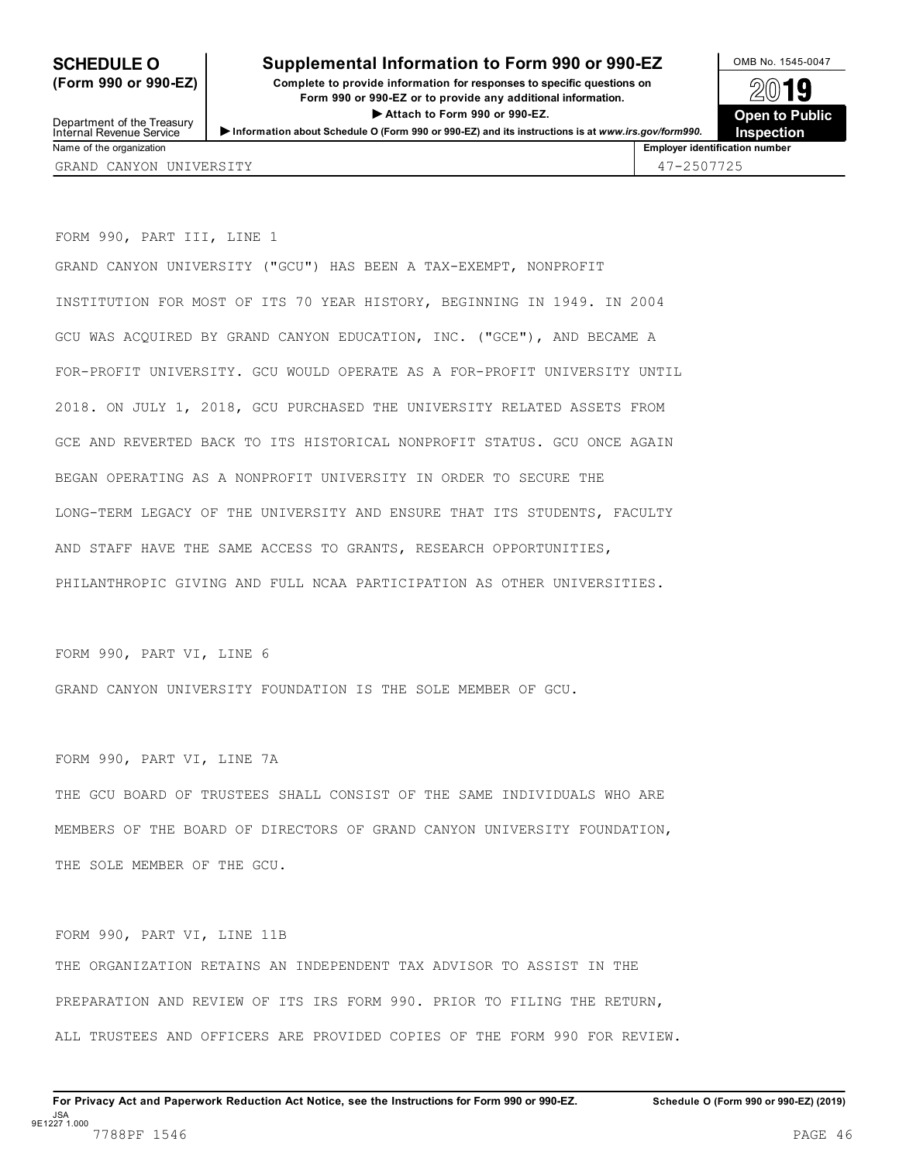

|                                                                                                               |                                                                                                                                                                                                      |                                       | OMB No. 1545-0047             |
|---------------------------------------------------------------------------------------------------------------|------------------------------------------------------------------------------------------------------------------------------------------------------------------------------------------------------|---------------------------------------|-------------------------------|
| <b>SCHEDULE O</b><br>(Form 990 or 990-EZ)                                                                     | Supplemental Information to Form 990 or 990-EZ<br>Complete to provide information for responses to specific questions on                                                                             |                                       |                               |
|                                                                                                               | Form 990 or 990-EZ or to provide any additional information.<br>Attach to Form 990 or 990-EZ.<br>> Information about Schedule O (Form 990 or 990-EZ) and its instructions is at www.irs.gov/form990. |                                       | 2019<br><b>Open to Public</b> |
| Department of the Treasury<br>Internal Revenue Service<br>Name of the organization<br>GRAND CANYON UNIVERSITY |                                                                                                                                                                                                      | <b>Employer identification number</b> | <b>Inspection</b>             |

GRAND CANYON UNIVERSITY ("GCU") HAS BEEN A TAX-EXEMPT, NONPROFIT INSTITUTION FOR MOST OF ITS 70 YEAR HISTORY, BEGINNING IN 1949. IN 2004 GCU WAS ACQUIRED BY GRAND CANYON EDUCATION, INC. ("GCE"), AND BECAME A FOR-PROFIT UNIVERSITY. GCU WOULD OPERATE AS A FOR-PROFIT UNIVERSITY UNTIL 2018. ON JULY 1, 2018, GCU PURCHASED THE UNIVERSITY RELATED ASSETS FROM GCE AND REVERTED BACK TO ITS HISTORICAL NONPROFIT STATUS. GCU ONCE AGAIN BEGAN OPERATING AS A NONPROFIT UNIVERSITY IN ORDER TO SECURE THE LONG-TERM LEGACY OF THE UNIVERSITY AND ENSURE THAT ITS STUDENTS, FACULTY AND STAFF HAVE THE SAME ACCESS TO GRANTS, RESEARCH OPPORTUNITIES, PHILANTHROPIC GIVING AND FULL NCAA PARTICIPATION AS OTHER UNIVERSITIES.

FORM 990, PART VI, LINE 6 GRAND CANYON UNIVERSITY FOUNDATION IS THE SOLE MEMBER OF GCU.

FORM 990, PART VI, LINE 7A

THE GCU BOARD OF TRUSTEES SHALL CONSIST OF THE SAME INDIVIDUALS WHO ARE MEMBERS OF THE BOARD OF DIRECTORS OF GRAND CANYON UNIVERSITY FOUNDATION, THE SOLE MEMBER OF THE GCU.

FORM 990, PRAT VI, LINE 7A<br>THE GCU BOARD OF TRUSTEES SHALL CONSIST OF THE SAME INDIVIDUALS WHO ARE<br>MEMBERS OF THE BOARD OF DIRECTORS OF GRAND CANYON UNIVERSITY FOUNDATION,<br>THE SOLE MEMBER OT THE GCU.<br>FORM 990, PART VI, LIN FORM 990, PART VI, LINE 7A<br>THE GCU BOARD OF TRUSTEES SHALL CONSIST OF THE SAME INDIVI<br>MEMBERS OF THE BOARD OF DIRECTORS OF GRAND CANYON UNIVERS:<br>THE SOLE MEMBER OF THE GCU.<br>FORM 990, PART VI, LINE 11B<br>THE ORGANIZATION RETA FORM 990, PART VI, LINE 11B THE ORGANIZATION RETAINS AN INDEPENDENT TAX ADVISOR TO ASSIST IN THE PREPARATION AND REVIEW OF ITS IRS FORM 990. PRIOR TO FILING THE RETURN, ALL TRUSTEES AND OFFICERS ARE PROVIDED COPIES OF THE FORM 990 FOR REVIEW. SCU BOARD OF TRUSTEES SHALL CONSIST OF THE SAME INDIVIDUALS WHO ARE<br>FRS OF THE BOARD OF DIRECTORS OF GRAND CANYON UNIVERSITY FOUNDATION,<br>SOLE MEMBER OF THE GCU.<br>990, PART VI, LINE 11B<br>RGANIZATION RETAINS AN INDEPENDENT TAX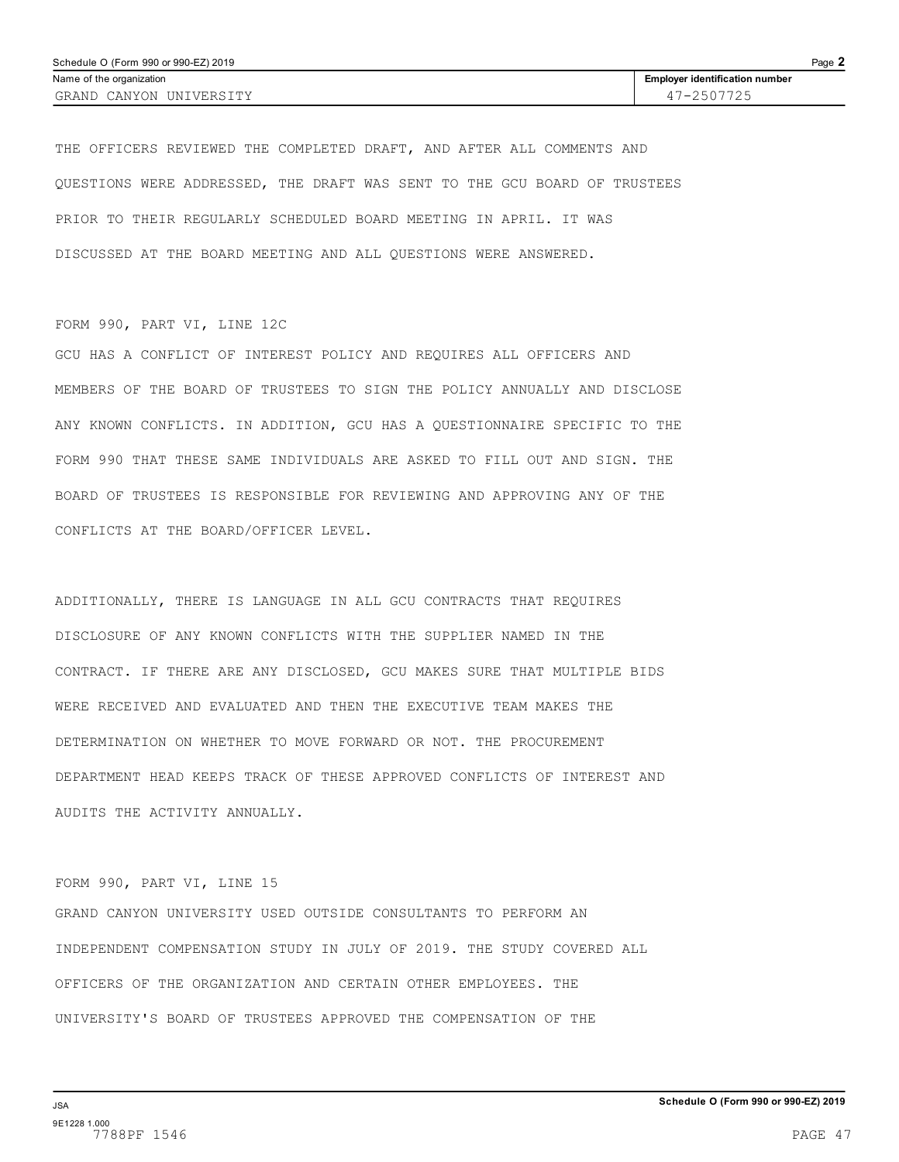Schedule O (Form 990 or 990-EZ) 2019<br>
Vame of the organization<br>
GRAND CANYON UNIVERSITY<br>
THE OFFICERS REVIEWED THE COMPLETED DRAFT, AND AFTER ALL COMMENTS AND<br>
QUESTIONS WERE ADDRESSED, THE DRAFT WAS SENT TO THE GCU BOARD THE OFFICERS REVIEWED THE COMPLETED DRAFT, AND AFTER ALL COMMENTS AND QUESTIONS WERE ADDRESSED, THE DRAFT WAS SENT TO THE GCU BOARD OF TRUSTEES PRIOR TO THEIR REGULARLY SCHEDULED BOARD MEETING IN APRIL. IT WAS DISCUSSED AT THE BOARD MEETING AND ALL QUESTIONS WERE ANSWERED.

# FORM 990, PART VI, LINE 12C

GCU HAS A CONFLICT OF INTEREST POLICY AND REQUIRES ALL OFFICERS AND MEMBERS OF THE BOARD OF TRUSTEES TO SIGN THE POLICY ANNUALLY AND DISCLOSE ANY KNOWN CONFLICTS. IN ADDITION, GCU HAS A QUESTIONNAIRE SPECIFIC TO THE FORM 990 THAT THESE SAME INDIVIDUALS ARE ASKED TO FILL OUT AND SIGN. THE BOARD OF TRUSTEES IS RESPONSIBLE FOR REVIEWING AND APPROVING ANY OF THE CONFLICTS AT THE BOARD/OFFICER LEVEL.

ADDITIONALLY, THERE IS LANGUAGE IN ALL GCU CONTRACTS THAT REQUIRES DISCLOSURE OF ANY KNOWN CONFLICTS WITH THE SUPPLIER NAMED IN THE CONTRACT. IF THERE ARE ANY DISCLOSED, GCU MAKES SURE THAT MULTIPLE BIDS WERE RECEIVED AND EVALUATED AND THEN THE EXECUTIVE TEAM MAKES THE DETERMINATION ON WHETHER TO MOVE FORWARD OR NOT. THE PROCUREMENT DEPARTMENT HEAD KEEPS TRACK OF THESE APPROVED CONFLICTS OF INTEREST AND AUDITS THE ACTIVITY ANNUALLY.

# FORM 990, PART VI, LINE 15

DEPRRMINATION ON WHETHER TO MOVE PORMARD OR NOT. THE PROCUREMENT<br>
DEPARTMENT HEAD KEEPS TRACK OF THESE APPROVED CONFLICTS OF INTEREST AND<br>
NUDITS THE ACTIVITY ANNUALLY.<br>
FORM 990, PART VI, LINE 15<br>
GRAND CANYON UNIVERSITY DETERMINATION ON WHETHER TO MOVE FORWARD OR NOT. THE PROCURE<br>DEPARTMENT HEAD KEEPS TRACK OF THESE APPROVED CONFLICTS OF I<br>AUDITS THE ACTIVITY ANNUALLY.<br>FORM 990, PART VI, LINE 15<br>GRAND CANYON UNIVERSITY USED OUTSIDE CONSUL GRAND CANYON UNIVERSITY USED OUTSIDE CONSULTANTS TO PERFORM AN INDEPENDENT COMPENSATION STUDY IN JULY OF 2019. THE STUDY COVERED ALL OFFICERS OF THE ORGANIZATION AND CERTAIN OTHER EMPLOYEES. THE UNIVERSITY'S BOARD OF TRUSTEES APPROVED THE COMPENSATION OF THE THE ACTIVITY ANNUALLY.<br>
990, PART VI, LINE 15<br>
CANYON UNIVERSITY USED OUTSIDE CONSULTANTS TO PERFORM AN<br>
FENDENT COMPENSATION STUDY IN JULY OF 2019. THE STUDY COVERED ALL<br>
JERS OF THE ORGANIZATION AND CERTAIN OTHER EMPLOYE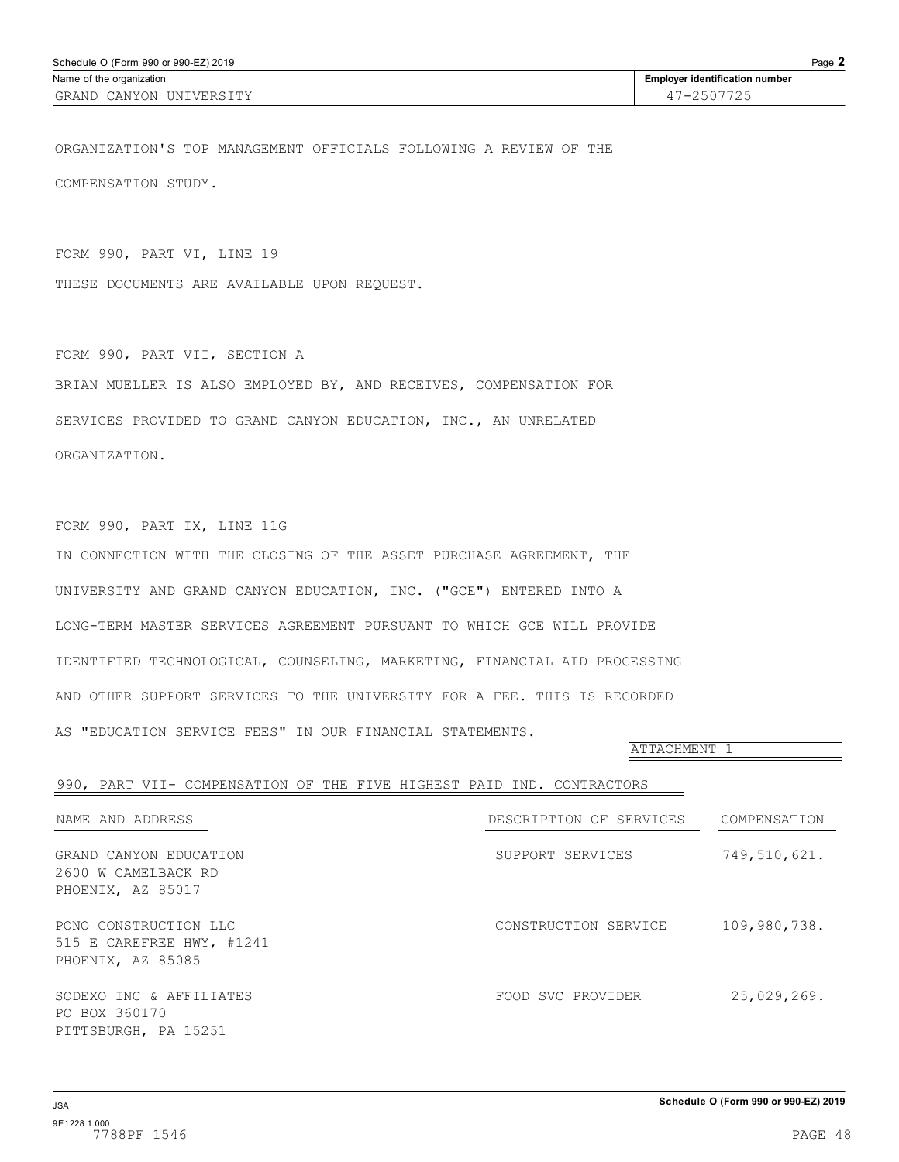ORGANIZATION'S TOP MANAGEMENT OFFICIALS FOLLOWING A REVIEW OF THE COMPENSATION STUDY.

FORM 990, PART VI, LINE 19 THESE DOCUMENTS ARE AVAILABLE UPON REQUEST.

FORM 990, PART VII, SECTION A BRIAN MUELLER IS ALSO EMPLOYED BY, AND RECEIVES, COMPENSATION FOR SERVICES PROVIDED TO GRAND CANYON EDUCATION, INC., AN UNRELATED

ORGANIZATION.

# FORM 990, PART IX, LINE 11G

| FORM 990, PART IX, LINE 11G                                               |                         |                                      |
|---------------------------------------------------------------------------|-------------------------|--------------------------------------|
| IN CONNECTION WITH THE CLOSING OF THE ASSET PURCHASE AGREEMENT, THE       |                         |                                      |
| UNIVERSITY AND GRAND CANYON EDUCATION, INC. ("GCE") ENTERED INTO A        |                         |                                      |
| LONG-TERM MASTER SERVICES AGREEMENT PURSUANT TO WHICH GCE WILL PROVIDE    |                         |                                      |
| IDENTIFIED TECHNOLOGICAL, COUNSELING, MARKETING, FINANCIAL AID PROCESSING |                         |                                      |
| AND OTHER SUPPORT SERVICES TO THE UNIVERSITY FOR A FEE. THIS IS RECORDED  |                         |                                      |
| AS "EDUCATION SERVICE FEES" IN OUR FINANCIAL STATEMENTS.                  |                         |                                      |
|                                                                           | ATTACHMENT 1            |                                      |
| 990, PART VII- COMPENSATION OF THE FIVE HIGHEST PAID IND. CONTRACTORS     |                         |                                      |
| NAME AND ADDRESS                                                          | DESCRIPTION OF SERVICES | COMPENSATION                         |
| GRAND CANYON EDUCATION<br>2600 W CAMELBACK RD<br>PHOENIX, AZ 85017        | SUPPORT SERVICES        | 749,510,621.                         |
| PONO CONSTRUCTION LLC<br>515 E CAREFREE HWY, #1241<br>PHOENIX, AZ 85085   | CONSTRUCTION SERVICE    | 109,980,738.                         |
| SODEXO INC & AFFILIATES<br>PO BOX 360170<br>PITTSBURGH, PA 15251          | FOOD SVC PROVIDER       | 25,029,269.                          |
| <b>JSA</b>                                                                |                         | Schedule O (Form 990 or 990-EZ) 2019 |
| 9E1228 1.000                                                              |                         |                                      |
| 7788PF 1546                                                               |                         | PAGE 48                              |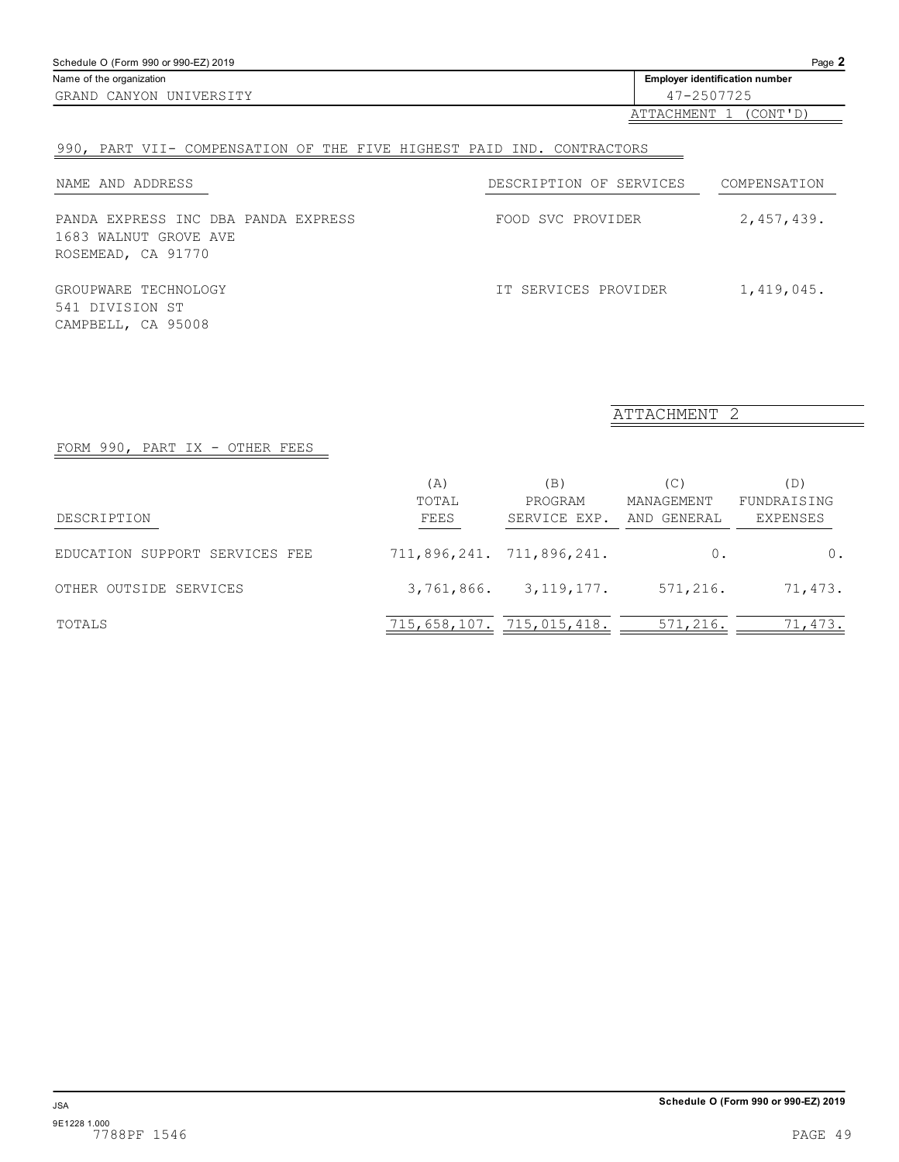# Schedule O (Form 990 or 990-EZ) 2019<br>
Name of the organization<br>
GRAND CANYON UNIVERSITY<br>
990, PART VII- COMPENSATION OF THE FIVE HIGHEST PAID IND. CONTRACTORS<br>
990, PART VII- COMPENSATION OF THE FIVE HIGHEST PAID IND. CONT Schedule O (Form 990 or 990-EZ) 2019<br>
Name of the organization<br>
GRAND CANYON UNIVERSITY<br>
<u>EMPloyer identification number<br>
47-2507725<br>
ATTACHMENT 1 (CONT'D)<br>
990, PART VII- COMPENSATION OF THE FIVE HIGHEST PAID IND. CONTRAC</u> 990, PART VII- COMPENSATION OF THE FIVE HIGHEST PAID IND. CONTRACTORS

| Schedule O (Form 990 or 990-EZ) 2019<br>Name of the organization                   |              |                           |                   | Page 2<br><b>Employer identification number</b> |
|------------------------------------------------------------------------------------|--------------|---------------------------|-------------------|-------------------------------------------------|
| GRAND CANYON UNIVERSITY                                                            |              |                           | ATTACHMENT 1      | 47-2507725<br>(CONT' D)                         |
|                                                                                    |              |                           |                   |                                                 |
| 990, PART VII- COMPENSATION OF THE FIVE HIGHEST PAID IND. CONTRACTORS              |              |                           |                   |                                                 |
| NAME AND ADDRESS                                                                   |              | DESCRIPTION OF SERVICES   |                   | COMPENSATION                                    |
| PANDA EXPRESS INC DBA PANDA EXPRESS<br>1683 WALNUT GROVE AVE<br>ROSEMEAD, CA 91770 |              | FOOD SVC PROVIDER         |                   | 2,457,439.                                      |
| GROUPWARE TECHNOLOGY<br>541 DIVISION ST<br>CAMPBELL, CA 95008                      |              | IT SERVICES PROVIDER      |                   | 1,419,045.                                      |
|                                                                                    |              |                           | ATTACHMENT 2      |                                                 |
| FORM 990, PART IX - OTHER FEES                                                     |              |                           |                   |                                                 |
|                                                                                    |              |                           |                   |                                                 |
|                                                                                    | (A)<br>TOTAL | (B)<br>PROGRAM            | (C)<br>MANAGEMENT | (D)<br>FUNDRAISING                              |
|                                                                                    |              | SERVICE EXP.              | AND GENERAL       | EXPENSES                                        |
| DESCRIPTION                                                                        | ${\tt FEES}$ |                           |                   |                                                 |
| EDUCATION SUPPORT SERVICES FEE                                                     |              | 711,896,241. 711,896,241. |                   | $\mathbb O$ .                                   |
| OTHER OUTSIDE SERVICES                                                             | 3,761,866.   | 3,119,177.                | 571,216.          | 71,473.                                         |

# ATTACHMENT 2

# FORM 990, PART IX - OTHER FEES

| PANDA EXPRESS INC DBA PANDA EXPRESS<br>1683 WALNUT GROVE AVE<br>ROSEMEAD, CA 91770 |                      | FOOD SVC PROVIDER                                   |                                  | 2,457,439.                     |
|------------------------------------------------------------------------------------|----------------------|-----------------------------------------------------|----------------------------------|--------------------------------|
| GROUPWARE TECHNOLOGY<br>541 DIVISION ST<br>CAMPBELL, CA 95008                      |                      | IT SERVICES PROVIDER                                |                                  | 1,419,045.                     |
|                                                                                    |                      |                                                     | ATTACHMENT 2                     |                                |
| FORM 990, PART IX - OTHER FEES                                                     |                      |                                                     |                                  |                                |
| DESCRIPTION                                                                        | (A)<br>TOTAL<br>FEES | (B)<br>PROGRAM<br>SERVICE EXP.                      | (C)<br>MANAGEMENT<br>AND GENERAL | (D)<br>FUNDRAISING<br>EXPENSES |
| EDUCATION SUPPORT SERVICES FEE                                                     |                      | 711,896,241. 711,896,241.                           | $\mathbb O$ .                    | $\,0$ .                        |
| OTHER OUTSIDE SERVICES                                                             |                      | $3,761,866.$ $3,119,177.$                           | 571,216.                         | 71,473.                        |
| TOTALS                                                                             |                      | $\overline{715,658,107.}$ $\overline{715,015,418.}$ | 571,216.                         | 71,473.                        |
|                                                                                    |                      |                                                     |                                  |                                |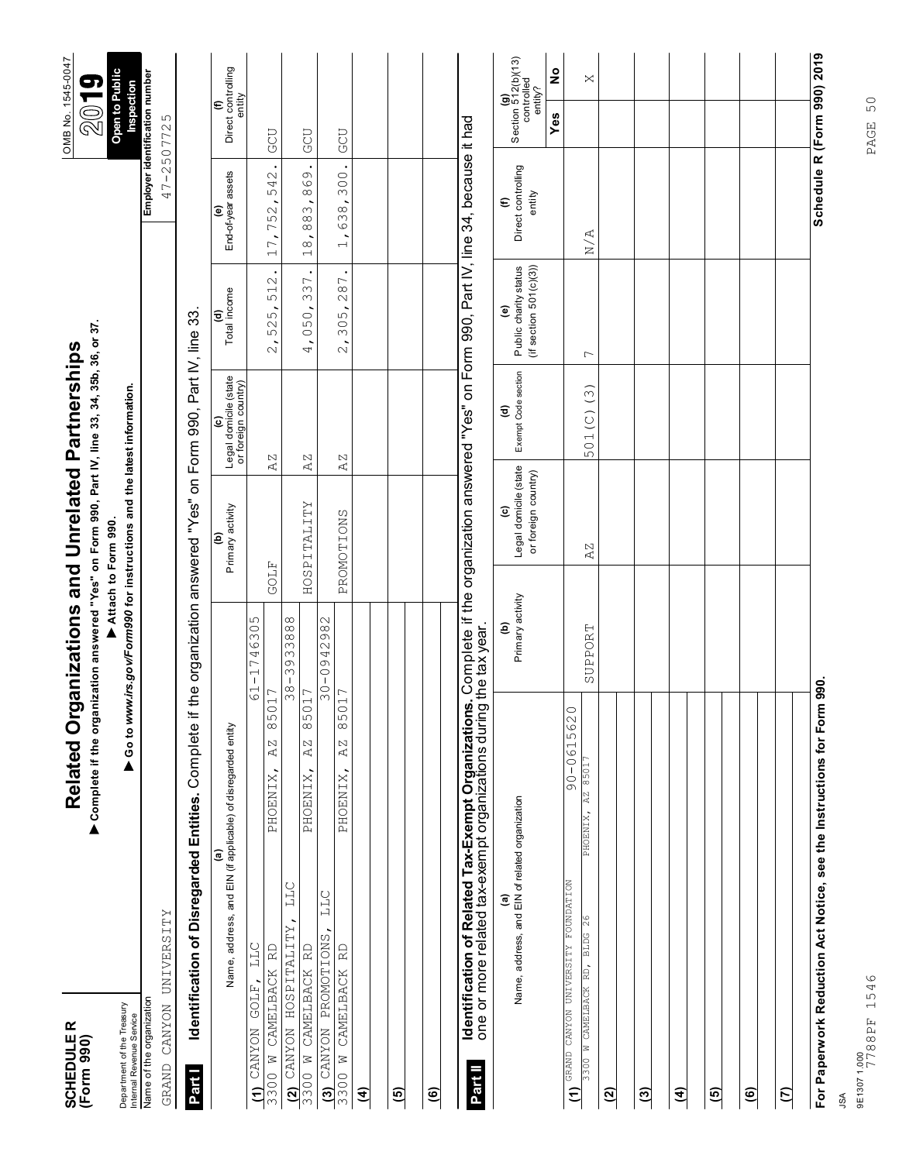| Schedule R (Form 990) 2019<br>$\frac{\mathcal{20}}{\mathsf{Open}\,\mathsf{to\,P}^{\mathsf{unblic}}}$ Open to Public<br>Inspection Inspection<br>50<br>$\frac{1}{10}$<br>$-2507725$<br><b>Identification of Related Tax-Exempt Organizations.</b> Complete if the organization answered "Yes" on Form 990, Part IV, line 34, because it had<br>one or more related tax-exempt organizations during the tax year.<br>PAGE<br><b>GCU</b><br><b>GCU</b><br><b>CCU</b><br>Direct controlling<br>$\bullet$<br><b>(e)</b><br>End-of-year assets<br>638,300<br>542<br>869<br>47<br>entity<br>$\mathfrak{S}$<br>$\overline{\phantom{a}}$<br>752,<br>883<br>$\rm N/A$<br>17,<br>$\overline{1}$<br>$18$ ,<br>section 501(c)(3))<br>ublic charity status<br>$\sim$<br>287<br>337<br>(d)<br>Total income<br>$\Xi$<br>$\widehat{\mathbf{e}}$<br>$\overline{\phantom{a}}$<br>525,<br>$\overline{\phantom{a}}$<br>line 33.<br>4,050<br>2,305<br>$\sim$<br>正生<br>—<br>$\overline{r}$<br>Identification of Disregarded Entities. Complete if the organization answered "Yes" on Form 990, Part IV,<br>(d)<br>Exempt Code section<br>(c)<br>Legal domicile (state<br>or foreign country)<br>▶ Go to www.irs.gov/Form990 for instructions and the latest information.<br>501 (C) (3)<br>$\mathbb{A} \mathbb{Z}$<br>$\mathtt{AZ}$<br>AZ<br>(c)<br>Legal domicile (state<br>or foreign country)<br>HOSPITALITY<br>Primary activity<br>PROMOTIONS<br>Attach to Form 990.<br>ê<br>$\mathbb{A} \mathbb{Z}$<br>GOLF<br>(b)<br>Primary activity<br>$61 - 1746305$<br>$38 - 393388$<br>30-0942982<br>SUPPORT<br>For Paperwork Reduction Act Notice, see the Instructions for Form 990.<br>PHOENIX, $AZ 85017$<br>PHOENIX, AZ 85017<br>8501'<br>$\frac{90-0615620}{1}$<br><b>(a)</b><br>Name, address, and EIN (if applicable) of disregarded entity<br>$\mathbb{A}\mathbb{Z}$<br>PHOENIX,<br>(a)<br>Name, address, and EIN of related organization<br>$PHOENIX$<br>NOITAGNOG YTISAHVINU<br><b>TTC</b><br>LLC<br><b><i>UNIVERSITY</i></b><br>$\frac{\textbf{(2)}}{\textbf{(3300 W CANTEBACK R)}}$<br>$\frac{8}{2}$<br><b>(3)</b> CANYON PROMOTIONS,<br>3300 W CAMELBACK RD<br><b>BLDG</b><br>LLC<br>$\mathbb R$<br>$\vec{r}$<br>YON GOLF, I<br>CAMELBACK<br>1546<br>W CAMELBACK<br>Department of the Treasury<br>Internal Revenue Service<br>Name of the organization<br>GRAND CANYON<br>(1) GRAND CANYON<br>3300 W CAMELB<br>9E1307 1.000<br>7788PF<br>$\frac{(1) \text{ CANYON}}{3300 \text{ W CAN}}$<br>Part II<br>Part I |  | $\begin{array}{c} \bf{(g)} \\ \rm Section\ 512(b)(13) \\ \rm controlled \\ \rm emitted \end{array}$<br>l g<br>(f)<br>Direct controlling<br>entity |
|-------------------------------------------------------------------------------------------------------------------------------------------------------------------------------------------------------------------------------------------------------------------------------------------------------------------------------------------------------------------------------------------------------------------------------------------------------------------------------------------------------------------------------------------------------------------------------------------------------------------------------------------------------------------------------------------------------------------------------------------------------------------------------------------------------------------------------------------------------------------------------------------------------------------------------------------------------------------------------------------------------------------------------------------------------------------------------------------------------------------------------------------------------------------------------------------------------------------------------------------------------------------------------------------------------------------------------------------------------------------------------------------------------------------------------------------------------------------------------------------------------------------------------------------------------------------------------------------------------------------------------------------------------------------------------------------------------------------------------------------------------------------------------------------------------------------------------------------------------------------------------------------------------------------------------------------------------------------------------------------------------------------------------------------------------------------------------------------------------------------------------------------------------------------------------------------------------------------------------------------------------------------------------------------------------------------------------------------------------------------------------------------------------------------------------------------------------------------------------------------------|--|---------------------------------------------------------------------------------------------------------------------------------------------------|
|                                                                                                                                                                                                                                                                                                                                                                                                                                                                                                                                                                                                                                                                                                                                                                                                                                                                                                                                                                                                                                                                                                                                                                                                                                                                                                                                                                                                                                                                                                                                                                                                                                                                                                                                                                                                                                                                                                                                                                                                                                                                                                                                                                                                                                                                                                                                                                                                                                                                                                 |  |                                                                                                                                                   |
|                                                                                                                                                                                                                                                                                                                                                                                                                                                                                                                                                                                                                                                                                                                                                                                                                                                                                                                                                                                                                                                                                                                                                                                                                                                                                                                                                                                                                                                                                                                                                                                                                                                                                                                                                                                                                                                                                                                                                                                                                                                                                                                                                                                                                                                                                                                                                                                                                                                                                                 |  |                                                                                                                                                   |
|                                                                                                                                                                                                                                                                                                                                                                                                                                                                                                                                                                                                                                                                                                                                                                                                                                                                                                                                                                                                                                                                                                                                                                                                                                                                                                                                                                                                                                                                                                                                                                                                                                                                                                                                                                                                                                                                                                                                                                                                                                                                                                                                                                                                                                                                                                                                                                                                                                                                                                 |  |                                                                                                                                                   |
|                                                                                                                                                                                                                                                                                                                                                                                                                                                                                                                                                                                                                                                                                                                                                                                                                                                                                                                                                                                                                                                                                                                                                                                                                                                                                                                                                                                                                                                                                                                                                                                                                                                                                                                                                                                                                                                                                                                                                                                                                                                                                                                                                                                                                                                                                                                                                                                                                                                                                                 |  |                                                                                                                                                   |
|                                                                                                                                                                                                                                                                                                                                                                                                                                                                                                                                                                                                                                                                                                                                                                                                                                                                                                                                                                                                                                                                                                                                                                                                                                                                                                                                                                                                                                                                                                                                                                                                                                                                                                                                                                                                                                                                                                                                                                                                                                                                                                                                                                                                                                                                                                                                                                                                                                                                                                 |  |                                                                                                                                                   |
|                                                                                                                                                                                                                                                                                                                                                                                                                                                                                                                                                                                                                                                                                                                                                                                                                                                                                                                                                                                                                                                                                                                                                                                                                                                                                                                                                                                                                                                                                                                                                                                                                                                                                                                                                                                                                                                                                                                                                                                                                                                                                                                                                                                                                                                                                                                                                                                                                                                                                                 |  |                                                                                                                                                   |
|                                                                                                                                                                                                                                                                                                                                                                                                                                                                                                                                                                                                                                                                                                                                                                                                                                                                                                                                                                                                                                                                                                                                                                                                                                                                                                                                                                                                                                                                                                                                                                                                                                                                                                                                                                                                                                                                                                                                                                                                                                                                                                                                                                                                                                                                                                                                                                                                                                                                                                 |  |                                                                                                                                                   |
|                                                                                                                                                                                                                                                                                                                                                                                                                                                                                                                                                                                                                                                                                                                                                                                                                                                                                                                                                                                                                                                                                                                                                                                                                                                                                                                                                                                                                                                                                                                                                                                                                                                                                                                                                                                                                                                                                                                                                                                                                                                                                                                                                                                                                                                                                                                                                                                                                                                                                                 |  |                                                                                                                                                   |
|                                                                                                                                                                                                                                                                                                                                                                                                                                                                                                                                                                                                                                                                                                                                                                                                                                                                                                                                                                                                                                                                                                                                                                                                                                                                                                                                                                                                                                                                                                                                                                                                                                                                                                                                                                                                                                                                                                                                                                                                                                                                                                                                                                                                                                                                                                                                                                                                                                                                                                 |  |                                                                                                                                                   |
|                                                                                                                                                                                                                                                                                                                                                                                                                                                                                                                                                                                                                                                                                                                                                                                                                                                                                                                                                                                                                                                                                                                                                                                                                                                                                                                                                                                                                                                                                                                                                                                                                                                                                                                                                                                                                                                                                                                                                                                                                                                                                                                                                                                                                                                                                                                                                                                                                                                                                                 |  |                                                                                                                                                   |
|                                                                                                                                                                                                                                                                                                                                                                                                                                                                                                                                                                                                                                                                                                                                                                                                                                                                                                                                                                                                                                                                                                                                                                                                                                                                                                                                                                                                                                                                                                                                                                                                                                                                                                                                                                                                                                                                                                                                                                                                                                                                                                                                                                                                                                                                                                                                                                                                                                                                                                 |  |                                                                                                                                                   |
|                                                                                                                                                                                                                                                                                                                                                                                                                                                                                                                                                                                                                                                                                                                                                                                                                                                                                                                                                                                                                                                                                                                                                                                                                                                                                                                                                                                                                                                                                                                                                                                                                                                                                                                                                                                                                                                                                                                                                                                                                                                                                                                                                                                                                                                                                                                                                                                                                                                                                                 |  |                                                                                                                                                   |
|                                                                                                                                                                                                                                                                                                                                                                                                                                                                                                                                                                                                                                                                                                                                                                                                                                                                                                                                                                                                                                                                                                                                                                                                                                                                                                                                                                                                                                                                                                                                                                                                                                                                                                                                                                                                                                                                                                                                                                                                                                                                                                                                                                                                                                                                                                                                                                                                                                                                                                 |  |                                                                                                                                                   |
|                                                                                                                                                                                                                                                                                                                                                                                                                                                                                                                                                                                                                                                                                                                                                                                                                                                                                                                                                                                                                                                                                                                                                                                                                                                                                                                                                                                                                                                                                                                                                                                                                                                                                                                                                                                                                                                                                                                                                                                                                                                                                                                                                                                                                                                                                                                                                                                                                                                                                                 |  |                                                                                                                                                   |
|                                                                                                                                                                                                                                                                                                                                                                                                                                                                                                                                                                                                                                                                                                                                                                                                                                                                                                                                                                                                                                                                                                                                                                                                                                                                                                                                                                                                                                                                                                                                                                                                                                                                                                                                                                                                                                                                                                                                                                                                                                                                                                                                                                                                                                                                                                                                                                                                                                                                                                 |  |                                                                                                                                                   |
|                                                                                                                                                                                                                                                                                                                                                                                                                                                                                                                                                                                                                                                                                                                                                                                                                                                                                                                                                                                                                                                                                                                                                                                                                                                                                                                                                                                                                                                                                                                                                                                                                                                                                                                                                                                                                                                                                                                                                                                                                                                                                                                                                                                                                                                                                                                                                                                                                                                                                                 |  | $\bowtie$                                                                                                                                         |
|                                                                                                                                                                                                                                                                                                                                                                                                                                                                                                                                                                                                                                                                                                                                                                                                                                                                                                                                                                                                                                                                                                                                                                                                                                                                                                                                                                                                                                                                                                                                                                                                                                                                                                                                                                                                                                                                                                                                                                                                                                                                                                                                                                                                                                                                                                                                                                                                                                                                                                 |  |                                                                                                                                                   |
|                                                                                                                                                                                                                                                                                                                                                                                                                                                                                                                                                                                                                                                                                                                                                                                                                                                                                                                                                                                                                                                                                                                                                                                                                                                                                                                                                                                                                                                                                                                                                                                                                                                                                                                                                                                                                                                                                                                                                                                                                                                                                                                                                                                                                                                                                                                                                                                                                                                                                                 |  |                                                                                                                                                   |
|                                                                                                                                                                                                                                                                                                                                                                                                                                                                                                                                                                                                                                                                                                                                                                                                                                                                                                                                                                                                                                                                                                                                                                                                                                                                                                                                                                                                                                                                                                                                                                                                                                                                                                                                                                                                                                                                                                                                                                                                                                                                                                                                                                                                                                                                                                                                                                                                                                                                                                 |  |                                                                                                                                                   |
|                                                                                                                                                                                                                                                                                                                                                                                                                                                                                                                                                                                                                                                                                                                                                                                                                                                                                                                                                                                                                                                                                                                                                                                                                                                                                                                                                                                                                                                                                                                                                                                                                                                                                                                                                                                                                                                                                                                                                                                                                                                                                                                                                                                                                                                                                                                                                                                                                                                                                                 |  |                                                                                                                                                   |
|                                                                                                                                                                                                                                                                                                                                                                                                                                                                                                                                                                                                                                                                                                                                                                                                                                                                                                                                                                                                                                                                                                                                                                                                                                                                                                                                                                                                                                                                                                                                                                                                                                                                                                                                                                                                                                                                                                                                                                                                                                                                                                                                                                                                                                                                                                                                                                                                                                                                                                 |  |                                                                                                                                                   |
|                                                                                                                                                                                                                                                                                                                                                                                                                                                                                                                                                                                                                                                                                                                                                                                                                                                                                                                                                                                                                                                                                                                                                                                                                                                                                                                                                                                                                                                                                                                                                                                                                                                                                                                                                                                                                                                                                                                                                                                                                                                                                                                                                                                                                                                                                                                                                                                                                                                                                                 |  |                                                                                                                                                   |
|                                                                                                                                                                                                                                                                                                                                                                                                                                                                                                                                                                                                                                                                                                                                                                                                                                                                                                                                                                                                                                                                                                                                                                                                                                                                                                                                                                                                                                                                                                                                                                                                                                                                                                                                                                                                                                                                                                                                                                                                                                                                                                                                                                                                                                                                                                                                                                                                                                                                                                 |  |                                                                                                                                                   |
|                                                                                                                                                                                                                                                                                                                                                                                                                                                                                                                                                                                                                                                                                                                                                                                                                                                                                                                                                                                                                                                                                                                                                                                                                                                                                                                                                                                                                                                                                                                                                                                                                                                                                                                                                                                                                                                                                                                                                                                                                                                                                                                                                                                                                                                                                                                                                                                                                                                                                                 |  |                                                                                                                                                   |
|                                                                                                                                                                                                                                                                                                                                                                                                                                                                                                                                                                                                                                                                                                                                                                                                                                                                                                                                                                                                                                                                                                                                                                                                                                                                                                                                                                                                                                                                                                                                                                                                                                                                                                                                                                                                                                                                                                                                                                                                                                                                                                                                                                                                                                                                                                                                                                                                                                                                                                 |  |                                                                                                                                                   |
|                                                                                                                                                                                                                                                                                                                                                                                                                                                                                                                                                                                                                                                                                                                                                                                                                                                                                                                                                                                                                                                                                                                                                                                                                                                                                                                                                                                                                                                                                                                                                                                                                                                                                                                                                                                                                                                                                                                                                                                                                                                                                                                                                                                                                                                                                                                                                                                                                                                                                                 |  |                                                                                                                                                   |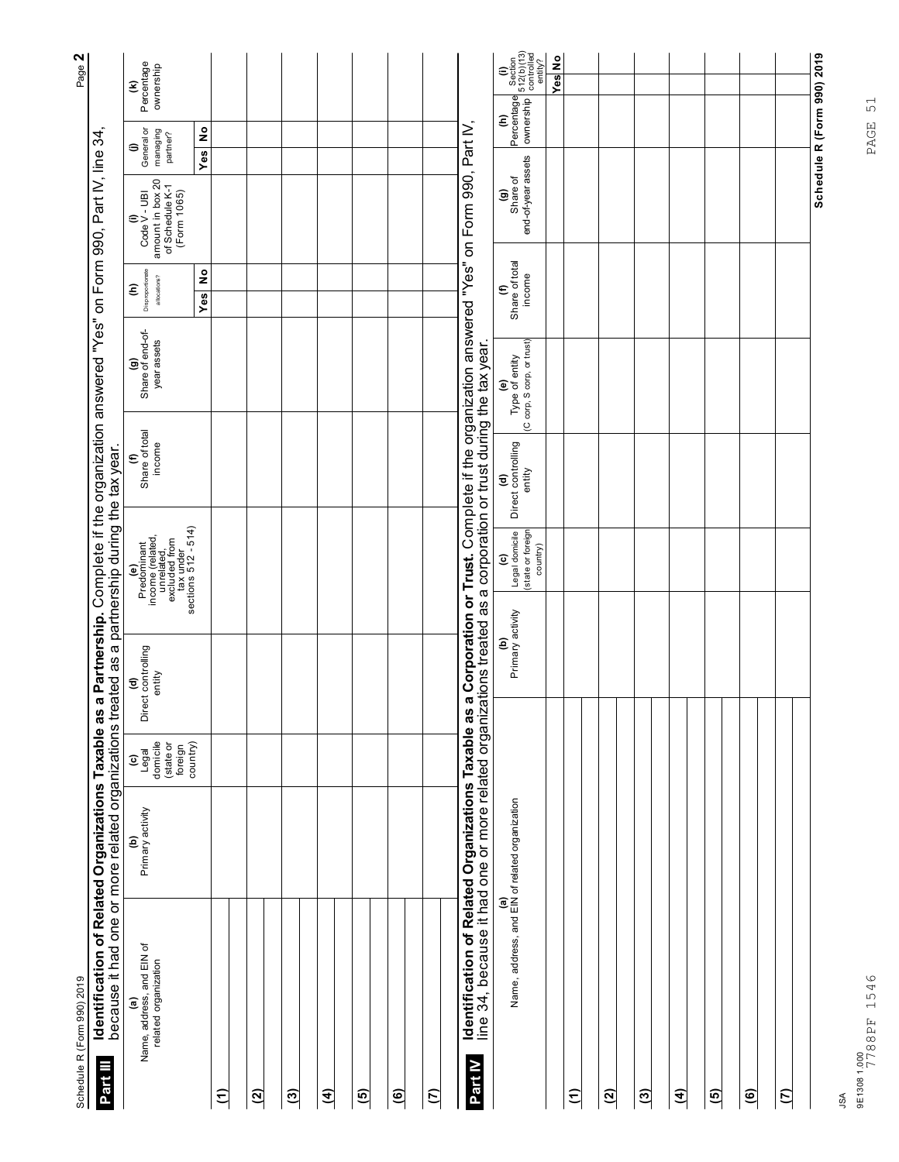| (h)<br>Percentage Section<br>ownership controlled<br>ownership controlled<br>Schedule R (Form 990) 2019<br>$\frac{N}{N}$<br>$\Xi$<br>"Yes" on Form 990, Part IV,<br>PAGE<br>Yes No<br>(g)<br>Share of<br>end-of-year assets<br>(f)<br>Share of total<br>income<br>Yes No<br>wered<br>Identification of Related Organizations Taxable as a Corporation or Trust. Complete if the organization ans<br>line 34, because it had one or more related organizations treated as a corporation or trust during the tax year<br>(e)<br>Type of entity<br>(C corp, S corp, or trust)<br>(d)<br>Direct controlling<br>entity<br>Legal domicile<br>(state or foreign<br>country)<br>$\widehat{\mathbf{c}}$<br>Primary activity<br>$\widehat{\mathbf{e}}$<br>(a)<br>Name, address, and EIN of related organization<br>546<br>$\overline{\phantom{0}}$<br>9E1308 1.000<br>7788PF<br>Part IV | Identification of Related Organizations Taxable as a Partnership. Complete if the organization answered "Y<br>because it had one or more related organizations treated as a partnership during the tax year.<br>(d)<br>Direct controlling<br>entity<br>(c)<br>Legal<br>domicile<br>(state or<br>foreign<br>foreign<br>(b)<br>Primary activity<br>(a)<br>Name, address, and EIN of<br>related organization | Predominant<br>income (related,<br>income (related,<br>excluded from<br>excluded from<br>tax under<br>sections 512 - 514) | (f)<br>Share of total<br>income | $\frac{1}{\sigma}$<br>(g)<br>Share of end-c<br>year assets | 옾<br>Disproportionate<br>allocations?<br>$\widehat{\epsilon}$ | $\begin{bmatrix} 0 \\ \cosh 0 \\ \cosh 1 \\ \cosh 1 \\ \cosh 2 \\ \end{bmatrix}$<br>amount in box 20<br>of Schedule K-1<br>(Form 1065) | (k)<br>Percentage<br>ownership<br>(j)<br>General or<br>managing<br>partner? |
|-------------------------------------------------------------------------------------------------------------------------------------------------------------------------------------------------------------------------------------------------------------------------------------------------------------------------------------------------------------------------------------------------------------------------------------------------------------------------------------------------------------------------------------------------------------------------------------------------------------------------------------------------------------------------------------------------------------------------------------------------------------------------------------------------------------------------------------------------------------------------------|-----------------------------------------------------------------------------------------------------------------------------------------------------------------------------------------------------------------------------------------------------------------------------------------------------------------------------------------------------------------------------------------------------------|---------------------------------------------------------------------------------------------------------------------------|---------------------------------|------------------------------------------------------------|---------------------------------------------------------------|----------------------------------------------------------------------------------------------------------------------------------------|-----------------------------------------------------------------------------|
|                                                                                                                                                                                                                                                                                                                                                                                                                                                                                                                                                                                                                                                                                                                                                                                                                                                                               |                                                                                                                                                                                                                                                                                                                                                                                                           |                                                                                                                           |                                 |                                                            |                                                               |                                                                                                                                        |                                                                             |
|                                                                                                                                                                                                                                                                                                                                                                                                                                                                                                                                                                                                                                                                                                                                                                                                                                                                               |                                                                                                                                                                                                                                                                                                                                                                                                           |                                                                                                                           |                                 |                                                            |                                                               |                                                                                                                                        |                                                                             |
|                                                                                                                                                                                                                                                                                                                                                                                                                                                                                                                                                                                                                                                                                                                                                                                                                                                                               |                                                                                                                                                                                                                                                                                                                                                                                                           |                                                                                                                           |                                 |                                                            |                                                               |                                                                                                                                        |                                                                             |
|                                                                                                                                                                                                                                                                                                                                                                                                                                                                                                                                                                                                                                                                                                                                                                                                                                                                               |                                                                                                                                                                                                                                                                                                                                                                                                           |                                                                                                                           |                                 |                                                            |                                                               |                                                                                                                                        |                                                                             |
|                                                                                                                                                                                                                                                                                                                                                                                                                                                                                                                                                                                                                                                                                                                                                                                                                                                                               |                                                                                                                                                                                                                                                                                                                                                                                                           |                                                                                                                           |                                 |                                                            |                                                               |                                                                                                                                        |                                                                             |
|                                                                                                                                                                                                                                                                                                                                                                                                                                                                                                                                                                                                                                                                                                                                                                                                                                                                               |                                                                                                                                                                                                                                                                                                                                                                                                           |                                                                                                                           |                                 |                                                            |                                                               |                                                                                                                                        |                                                                             |
|                                                                                                                                                                                                                                                                                                                                                                                                                                                                                                                                                                                                                                                                                                                                                                                                                                                                               |                                                                                                                                                                                                                                                                                                                                                                                                           |                                                                                                                           |                                 |                                                            |                                                               |                                                                                                                                        |                                                                             |
|                                                                                                                                                                                                                                                                                                                                                                                                                                                                                                                                                                                                                                                                                                                                                                                                                                                                               |                                                                                                                                                                                                                                                                                                                                                                                                           |                                                                                                                           |                                 |                                                            |                                                               |                                                                                                                                        |                                                                             |
|                                                                                                                                                                                                                                                                                                                                                                                                                                                                                                                                                                                                                                                                                                                                                                                                                                                                               |                                                                                                                                                                                                                                                                                                                                                                                                           |                                                                                                                           |                                 |                                                            |                                                               |                                                                                                                                        |                                                                             |
|                                                                                                                                                                                                                                                                                                                                                                                                                                                                                                                                                                                                                                                                                                                                                                                                                                                                               |                                                                                                                                                                                                                                                                                                                                                                                                           |                                                                                                                           |                                 |                                                            |                                                               |                                                                                                                                        |                                                                             |
|                                                                                                                                                                                                                                                                                                                                                                                                                                                                                                                                                                                                                                                                                                                                                                                                                                                                               |                                                                                                                                                                                                                                                                                                                                                                                                           |                                                                                                                           |                                 |                                                            |                                                               |                                                                                                                                        |                                                                             |
|                                                                                                                                                                                                                                                                                                                                                                                                                                                                                                                                                                                                                                                                                                                                                                                                                                                                               |                                                                                                                                                                                                                                                                                                                                                                                                           |                                                                                                                           |                                 |                                                            |                                                               |                                                                                                                                        |                                                                             |
|                                                                                                                                                                                                                                                                                                                                                                                                                                                                                                                                                                                                                                                                                                                                                                                                                                                                               |                                                                                                                                                                                                                                                                                                                                                                                                           |                                                                                                                           |                                 |                                                            |                                                               |                                                                                                                                        |                                                                             |
|                                                                                                                                                                                                                                                                                                                                                                                                                                                                                                                                                                                                                                                                                                                                                                                                                                                                               |                                                                                                                                                                                                                                                                                                                                                                                                           |                                                                                                                           |                                 |                                                            |                                                               |                                                                                                                                        |                                                                             |
|                                                                                                                                                                                                                                                                                                                                                                                                                                                                                                                                                                                                                                                                                                                                                                                                                                                                               |                                                                                                                                                                                                                                                                                                                                                                                                           |                                                                                                                           |                                 |                                                            |                                                               |                                                                                                                                        |                                                                             |
|                                                                                                                                                                                                                                                                                                                                                                                                                                                                                                                                                                                                                                                                                                                                                                                                                                                                               |                                                                                                                                                                                                                                                                                                                                                                                                           |                                                                                                                           |                                 |                                                            |                                                               |                                                                                                                                        |                                                                             |
|                                                                                                                                                                                                                                                                                                                                                                                                                                                                                                                                                                                                                                                                                                                                                                                                                                                                               |                                                                                                                                                                                                                                                                                                                                                                                                           |                                                                                                                           |                                 |                                                            |                                                               |                                                                                                                                        |                                                                             |
|                                                                                                                                                                                                                                                                                                                                                                                                                                                                                                                                                                                                                                                                                                                                                                                                                                                                               |                                                                                                                                                                                                                                                                                                                                                                                                           |                                                                                                                           |                                 |                                                            |                                                               |                                                                                                                                        |                                                                             |
|                                                                                                                                                                                                                                                                                                                                                                                                                                                                                                                                                                                                                                                                                                                                                                                                                                                                               |                                                                                                                                                                                                                                                                                                                                                                                                           |                                                                                                                           |                                 |                                                            |                                                               |                                                                                                                                        |                                                                             |
|                                                                                                                                                                                                                                                                                                                                                                                                                                                                                                                                                                                                                                                                                                                                                                                                                                                                               |                                                                                                                                                                                                                                                                                                                                                                                                           |                                                                                                                           |                                 |                                                            |                                                               |                                                                                                                                        |                                                                             |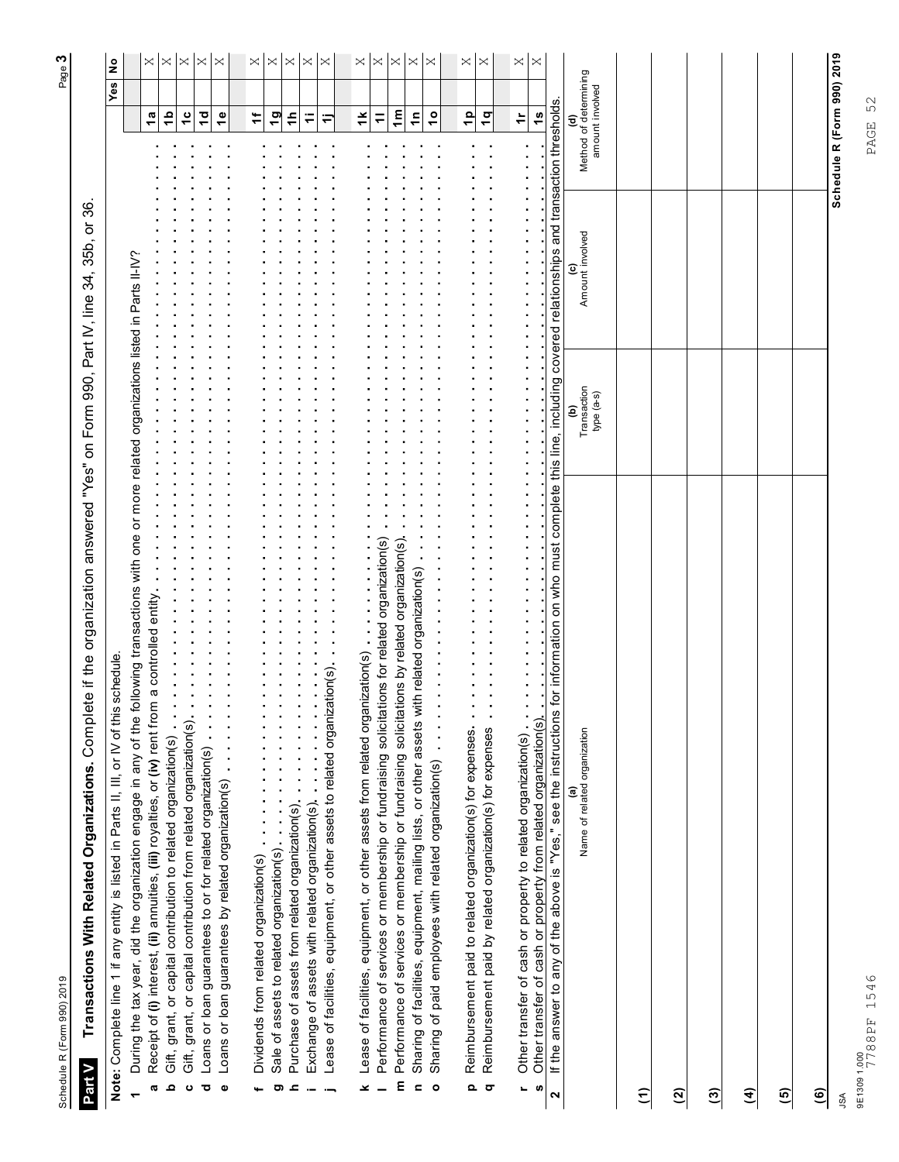Schedule R (Form 990) 2019 Page Transactions With Related Organizations. Complete if the organization answered "Yes" on Form 990, Part IV, lie<br>
The second complete in the organization  $\frac{x}{x}$ <br>
the organization answer and the organization  $\frac{x}{x}$ <br>
the Part V Yes No Note: Complete line 1 if any entity is listed in Parts II, III, or IV of this schedule. 1 During the tax year, did the organization engage in any of the following transactions with one or more related organizations listed in Parts II-IV? Receipt of (i) interest, (ii) annuities, (iii) royalties, or (iv) rent from a controlled entity Gift, grant, or capital contribution to related organization(s) Gift, grant, or capital contribution from related organization(s) Loans or loan guarantees to or for related organization(s) Loans or loan guarantees by related organization(s) Dividends from related organization(s) Sale of assets to related organization(s) Purchase of assets from related organization(s) Exchange of assets with related organization(s) Lease of facilities, equipment, or other assets to related organization(s) Lease of facilities, equipment, or other assets from related organization(s) Performance of services or membership or fundraising solicitations for related organization(s) Performance of services or membership or fundraising solicitations by related organization(s) Sharing of facilities, equipment, mailing lists, or other assets with related organization(s) Sharing of paid employees with related organization(s) Reimbursement paid to related organization(s) for expenses Reimbursement paid by related organization(s) for expenses Other transfer of cash or property to related organization(s) 1a1b1c1d1e1f 1g1h1i 1j 1k1l 1m1n1o1p1q1r 1s a a ᅟᇹ  $\circ$   $\circ$ e $-$  ത  $\mathbf{r}$ i<sup>j</sup>k E no $\overline{3}$  $\overline{5}$ r a **9** a China theory of display from energy display display that is a constant to the complete this including constant information from the second of the second of the second of the second of the second of the second of the  $\times$  $\times$ IXIX $\times$  $\times$   $\times$  $\times$   $\times$  $\times$ IXIXI $\times$ I $\times$  $\times$ IXIX $\times$  $\mathbin{\bowtie}$ Schedule R (Form 990) 2019

Page 3

7788PF 1546 PAGE 52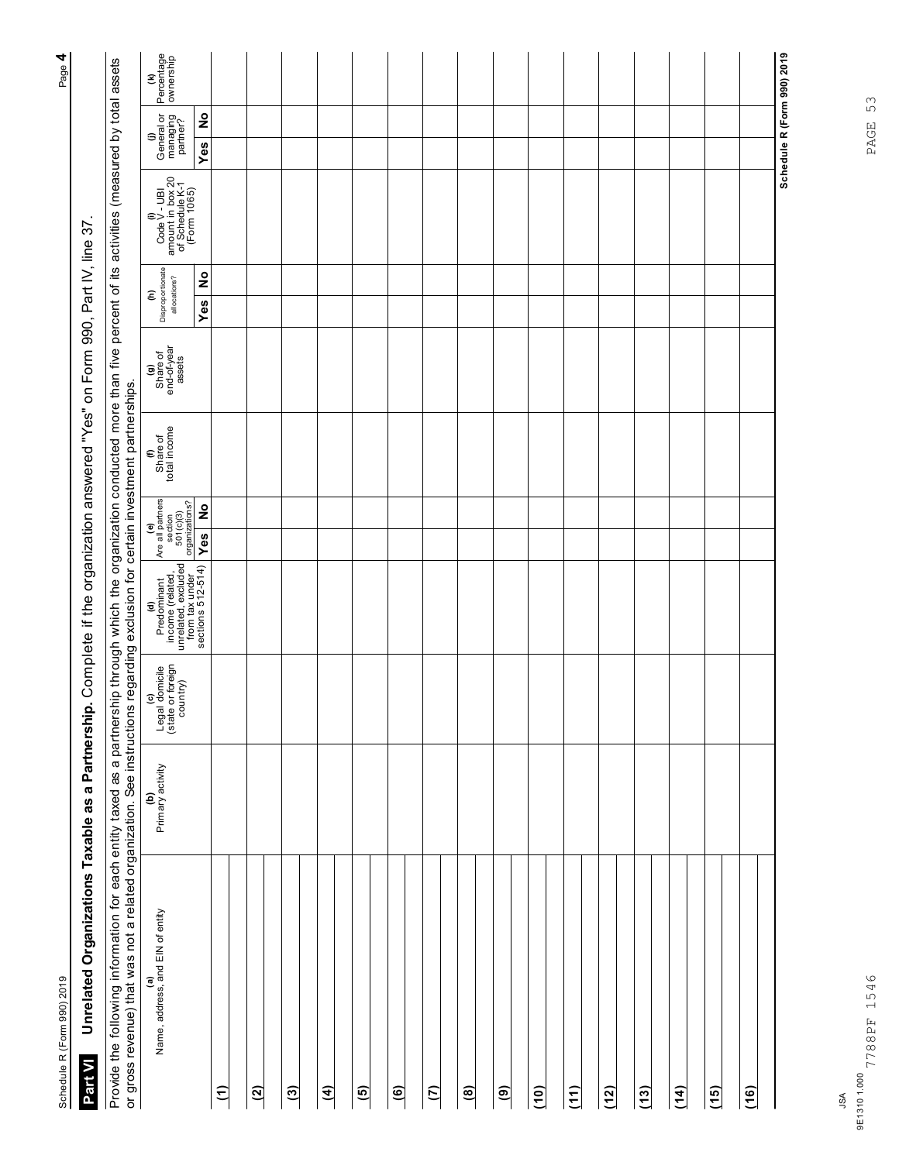| n |
|---|
| š |
| š |
|   |
|   |
|   |
| œ |
|   |
|   |
|   |
| ï |

|                                                                                                                                                                                                                                                                                                         | Unrelated Organizations Taxable as a Partnership. Complete if the organization answered "Yes" on Form |                                                                                                                                                                                                                                                                                                                                                                                                   |                                 |                                          |                                         | percent of its activities (measured by total assets       |                                                                                    |
|---------------------------------------------------------------------------------------------------------------------------------------------------------------------------------------------------------------------------------------------------------------------------------------------------------|-------------------------------------------------------------------------------------------------------|---------------------------------------------------------------------------------------------------------------------------------------------------------------------------------------------------------------------------------------------------------------------------------------------------------------------------------------------------------------------------------------------------|---------------------------------|------------------------------------------|-----------------------------------------|-----------------------------------------------------------|------------------------------------------------------------------------------------|
| Provide the following information for each entity taxed as a partnership through which the organization conducted more than five<br>or gross revenue) that was not a related organization. See instructions regarding exclusion f<br>(b)<br>Primary activity<br>(a)<br>Name, address, and EIN of entity | (c)<br>Legal domicile<br>(state or foreign<br>country)                                                |                                                                                                                                                                                                                                                                                                                                                                                                   | (f)<br>Share of<br>total income | (g)<br>Share of<br>end-of-year<br>assets | (h)<br>Disproportionate<br>allocations? | (i)<br>amount in box 20<br>of Schedule K-1<br>(Form 1065) | Percentage<br>Percentage<br>ownership<br>(i)<br>General or<br>managing<br>partner? |
|                                                                                                                                                                                                                                                                                                         |                                                                                                       | $\begin{array}{ l l }\n\hline\n\text{Predominant} & \text{Are al}\n\hline\n\text{inConvin,} & \text{Are al,} \\ \hline\n\text{incominated}, & \text{seaten}\n\text{unrelated}, & \text{sethen}\n\text{unrelated} & \text{S01(0 3)} \\ \text{for a sum of } & \text{out,} \\ \hline\n\text{from a sum of } & \text{out,} \\ \text{sections 512-514} & \text{Yes} & \text{No}\n\hline\n\end{array}$ |                                 |                                          | $Yes$ No                                |                                                           | $Yes$ No                                                                           |
|                                                                                                                                                                                                                                                                                                         |                                                                                                       |                                                                                                                                                                                                                                                                                                                                                                                                   |                                 |                                          |                                         |                                                           |                                                                                    |
|                                                                                                                                                                                                                                                                                                         |                                                                                                       |                                                                                                                                                                                                                                                                                                                                                                                                   |                                 |                                          |                                         |                                                           |                                                                                    |
|                                                                                                                                                                                                                                                                                                         |                                                                                                       |                                                                                                                                                                                                                                                                                                                                                                                                   |                                 |                                          |                                         |                                                           |                                                                                    |
|                                                                                                                                                                                                                                                                                                         |                                                                                                       |                                                                                                                                                                                                                                                                                                                                                                                                   |                                 |                                          |                                         |                                                           |                                                                                    |
|                                                                                                                                                                                                                                                                                                         |                                                                                                       |                                                                                                                                                                                                                                                                                                                                                                                                   |                                 |                                          |                                         |                                                           |                                                                                    |
|                                                                                                                                                                                                                                                                                                         |                                                                                                       |                                                                                                                                                                                                                                                                                                                                                                                                   |                                 |                                          |                                         |                                                           |                                                                                    |
|                                                                                                                                                                                                                                                                                                         |                                                                                                       |                                                                                                                                                                                                                                                                                                                                                                                                   |                                 |                                          |                                         |                                                           |                                                                                    |
|                                                                                                                                                                                                                                                                                                         |                                                                                                       |                                                                                                                                                                                                                                                                                                                                                                                                   |                                 |                                          |                                         |                                                           |                                                                                    |
|                                                                                                                                                                                                                                                                                                         |                                                                                                       |                                                                                                                                                                                                                                                                                                                                                                                                   |                                 |                                          |                                         |                                                           |                                                                                    |
|                                                                                                                                                                                                                                                                                                         |                                                                                                       |                                                                                                                                                                                                                                                                                                                                                                                                   |                                 |                                          |                                         |                                                           |                                                                                    |
|                                                                                                                                                                                                                                                                                                         |                                                                                                       |                                                                                                                                                                                                                                                                                                                                                                                                   |                                 |                                          |                                         |                                                           |                                                                                    |
|                                                                                                                                                                                                                                                                                                         |                                                                                                       |                                                                                                                                                                                                                                                                                                                                                                                                   |                                 |                                          |                                         |                                                           |                                                                                    |
|                                                                                                                                                                                                                                                                                                         |                                                                                                       |                                                                                                                                                                                                                                                                                                                                                                                                   |                                 |                                          |                                         |                                                           |                                                                                    |
|                                                                                                                                                                                                                                                                                                         |                                                                                                       |                                                                                                                                                                                                                                                                                                                                                                                                   |                                 |                                          |                                         |                                                           |                                                                                    |
|                                                                                                                                                                                                                                                                                                         |                                                                                                       |                                                                                                                                                                                                                                                                                                                                                                                                   |                                 |                                          |                                         |                                                           |                                                                                    |
|                                                                                                                                                                                                                                                                                                         |                                                                                                       |                                                                                                                                                                                                                                                                                                                                                                                                   |                                 |                                          |                                         |                                                           |                                                                                    |
|                                                                                                                                                                                                                                                                                                         |                                                                                                       |                                                                                                                                                                                                                                                                                                                                                                                                   |                                 |                                          |                                         |                                                           |                                                                                    |
|                                                                                                                                                                                                                                                                                                         |                                                                                                       |                                                                                                                                                                                                                                                                                                                                                                                                   |                                 |                                          |                                         |                                                           |                                                                                    |
|                                                                                                                                                                                                                                                                                                         |                                                                                                       |                                                                                                                                                                                                                                                                                                                                                                                                   |                                 |                                          |                                         |                                                           |                                                                                    |
|                                                                                                                                                                                                                                                                                                         |                                                                                                       |                                                                                                                                                                                                                                                                                                                                                                                                   |                                 |                                          |                                         |                                                           |                                                                                    |
|                                                                                                                                                                                                                                                                                                         |                                                                                                       |                                                                                                                                                                                                                                                                                                                                                                                                   |                                 |                                          |                                         |                                                           |                                                                                    |
|                                                                                                                                                                                                                                                                                                         |                                                                                                       |                                                                                                                                                                                                                                                                                                                                                                                                   |                                 |                                          |                                         |                                                           | Schedule R (Form 990) 2019                                                         |
| 1546<br>9E1310 1.000 7788PF :<br>9                                                                                                                                                                                                                                                                      |                                                                                                       |                                                                                                                                                                                                                                                                                                                                                                                                   |                                 |                                          |                                         |                                                           |                                                                                    |
|                                                                                                                                                                                                                                                                                                         |                                                                                                       |                                                                                                                                                                                                                                                                                                                                                                                                   |                                 |                                          |                                         |                                                           | 53<br>PAGE                                                                         |